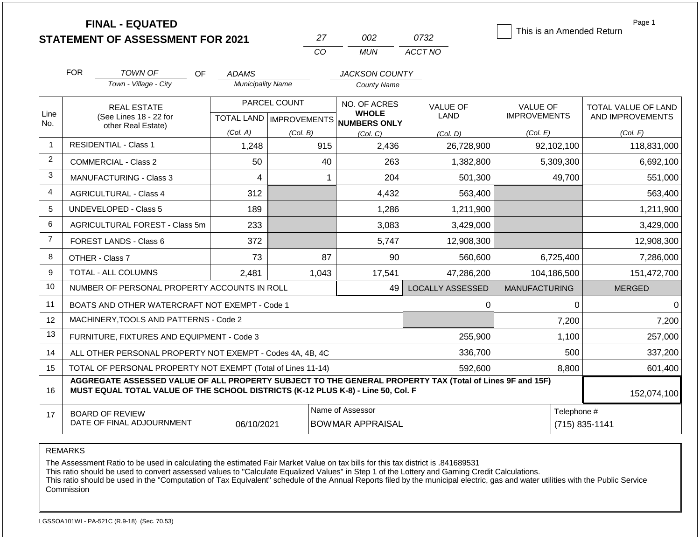**FINAL - EQUATED**

|       | M2    | 0732    |
|-------|-------|---------|
| 7 ° ∩ | MI IN | ACCT NO |

This is an Amended Return

Page 1

|                | <b>FOR</b>                                                                                                       | TOWN OF<br><b>OF</b>                                                                                     | <b>ADAMS</b>             |              | <b>JACKSON COUNTY</b>                               |                         |                      |                     |
|----------------|------------------------------------------------------------------------------------------------------------------|----------------------------------------------------------------------------------------------------------|--------------------------|--------------|-----------------------------------------------------|-------------------------|----------------------|---------------------|
|                |                                                                                                                  | Town - Village - City                                                                                    | <b>Municipality Name</b> |              | <b>County Name</b>                                  |                         |                      |                     |
|                |                                                                                                                  | <b>REAL ESTATE</b>                                                                                       |                          | PARCEL COUNT | NO. OF ACRES                                        | <b>VALUE OF</b>         | <b>VALUE OF</b>      | TOTAL VALUE OF LAND |
| Line<br>No.    |                                                                                                                  | (See Lines 18 - 22 for<br>other Real Estate)                                                             |                          |              | <b>WHOLE</b><br>TOTAL LAND MPROVEMENTS NUMBERS ONLY | <b>LAND</b>             | <b>IMPROVEMENTS</b>  | AND IMPROVEMENTS    |
|                |                                                                                                                  |                                                                                                          | (Col. A)                 | (Col. B)     | (Col, C)                                            | (Col. D)                | (Col. E)             | (Col. F)            |
| $\mathbf{1}$   |                                                                                                                  | <b>RESIDENTIAL - Class 1</b>                                                                             | 1,248                    | 915          | 2,436                                               | 26,728,900              | 92,102,100           | 118,831,000         |
| $\overline{2}$ |                                                                                                                  | <b>COMMERCIAL - Class 2</b>                                                                              | 50                       | 40           | 263                                                 | 1,382,800               | 5,309,300            | 6,692,100           |
| 3              |                                                                                                                  | MANUFACTURING - Class 3                                                                                  | 4                        |              | 204                                                 | 501,300                 | 49,700               | 551,000             |
| 4              |                                                                                                                  | <b>AGRICULTURAL - Class 4</b>                                                                            | 312                      |              | 4,432                                               | 563,400                 |                      | 563,400             |
| 5              |                                                                                                                  | <b>UNDEVELOPED - Class 5</b>                                                                             | 189                      |              | 1,286                                               | 1,211,900               |                      | 1,211,900           |
| 6              |                                                                                                                  | AGRICULTURAL FOREST - Class 5m                                                                           | 233                      |              | 3,083                                               | 3,429,000               |                      | 3,429,000           |
| $\overline{7}$ |                                                                                                                  | FOREST LANDS - Class 6                                                                                   | 372                      |              | 5,747                                               | 12,908,300              |                      | 12,908,300          |
| 8              |                                                                                                                  | OTHER - Class 7                                                                                          | 73                       | 87           | 90                                                  | 560,600                 | 6,725,400            | 7,286,000           |
| 9              |                                                                                                                  | TOTAL - ALL COLUMNS                                                                                      | 2,481                    | 1,043        | 17,541                                              | 47,286,200              | 104,186,500          | 151,472,700         |
| 10             |                                                                                                                  | NUMBER OF PERSONAL PROPERTY ACCOUNTS IN ROLL                                                             |                          |              | 49                                                  | <b>LOCALLY ASSESSED</b> | <b>MANUFACTURING</b> | <b>MERGED</b>       |
| 11             |                                                                                                                  | BOATS AND OTHER WATERCRAFT NOT EXEMPT - Code 1                                                           |                          |              |                                                     | 0                       | 0                    | $\mathbf 0$         |
| 12             |                                                                                                                  | MACHINERY, TOOLS AND PATTERNS - Code 2                                                                   |                          |              |                                                     |                         | 7,200                | 7,200               |
| 13             |                                                                                                                  | FURNITURE, FIXTURES AND EQUIPMENT - Code 3                                                               |                          |              |                                                     | 255,900                 | 1,100                | 257,000             |
| 14             |                                                                                                                  | ALL OTHER PERSONAL PROPERTY NOT EXEMPT - Codes 4A, 4B, 4C                                                |                          |              |                                                     | 336,700                 | 500                  | 337,200             |
| 15             |                                                                                                                  | TOTAL OF PERSONAL PROPERTY NOT EXEMPT (Total of Lines 11-14)                                             |                          | 592,600      | 8,800                                               | 601,400                 |                      |                     |
| 16             | MUST EQUAL TOTAL VALUE OF THE SCHOOL DISTRICTS (K-12 PLUS K-8) - Line 50, Col. F                                 | AGGREGATE ASSESSED VALUE OF ALL PROPERTY SUBJECT TO THE GENERAL PROPERTY TAX (Total of Lines 9F and 15F) | 152,074,100              |              |                                                     |                         |                      |                     |
| 17             | Name of Assessor<br><b>BOARD OF REVIEW</b><br>DATE OF FINAL ADJOURNMENT<br>06/10/2021<br><b>BOWMAR APPRAISAL</b> |                                                                                                          |                          |              |                                                     |                         | Telephone #          | (715) 835-1141      |

REMARKS

The Assessment Ratio to be used in calculating the estimated Fair Market Value on tax bills for this tax district is .841689531

This ratio should be used to convert assessed values to "Calculate Equalized Values" in Step 1 of the Lottery and Gaming Credit Calculations.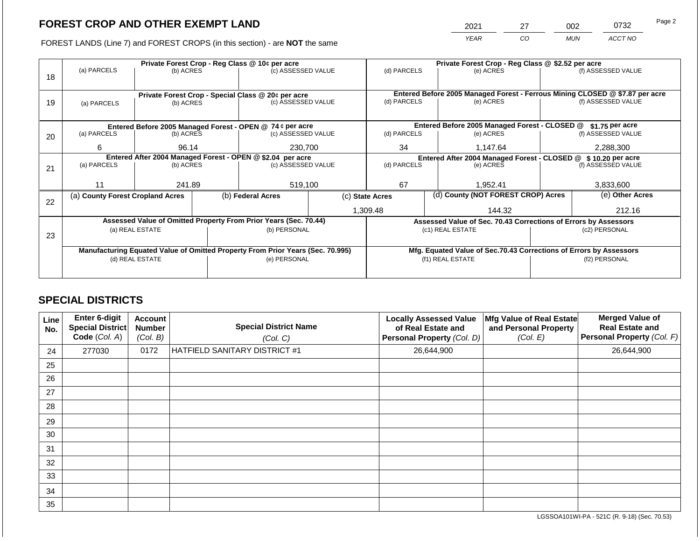2021 27 002 0732

FOREST LANDS (Line 7) and FOREST CROPS (in this section) - are **NOT** the same *YEAR CO MUN ACCT NO*

|    |                                  |                 |  | Private Forest Crop - Reg Class @ 10¢ per acre                                 | Private Forest Crop - Reg Class @ \$2.52 per acre |                                                                              |  |                                                                    |               |                    |  |
|----|----------------------------------|-----------------|--|--------------------------------------------------------------------------------|---------------------------------------------------|------------------------------------------------------------------------------|--|--------------------------------------------------------------------|---------------|--------------------|--|
| 18 | (a) PARCELS                      | (b) ACRES       |  | (c) ASSESSED VALUE                                                             |                                                   | (d) PARCELS                                                                  |  | (e) ACRES                                                          |               | (f) ASSESSED VALUE |  |
|    |                                  |                 |  | Private Forest Crop - Special Class @ 20¢ per acre                             |                                                   | Entered Before 2005 Managed Forest - Ferrous Mining CLOSED @ \$7.87 per acre |  |                                                                    |               |                    |  |
| 19 | (a) PARCELS                      | (b) ACRES       |  | (c) ASSESSED VALUE                                                             |                                                   | (d) PARCELS                                                                  |  | (e) ACRES                                                          |               | (f) ASSESSED VALUE |  |
|    |                                  |                 |  |                                                                                |                                                   |                                                                              |  |                                                                    |               |                    |  |
|    |                                  |                 |  | Entered Before 2005 Managed Forest - OPEN @ 74 ¢ per acre                      |                                                   |                                                                              |  | Entered Before 2005 Managed Forest - CLOSED @                      |               | \$1.75 per acre    |  |
| 20 | (a) PARCELS                      | (b) ACRES       |  | (c) ASSESSED VALUE                                                             |                                                   | (d) PARCELS                                                                  |  | (e) ACRES                                                          |               | (f) ASSESSED VALUE |  |
|    | 6                                | 96.14           |  | 230,700                                                                        |                                                   | 34                                                                           |  | 1,147.64                                                           |               | 2,288,300          |  |
|    |                                  |                 |  | Entered After 2004 Managed Forest - OPEN @ \$2.04 per acre                     |                                                   | Entered After 2004 Managed Forest - CLOSED @ \$ 10.20 per acre               |  |                                                                    |               |                    |  |
| 21 | (a) PARCELS                      | (b) ACRES       |  | (c) ASSESSED VALUE                                                             | (d) PARCELS                                       |                                                                              |  | (e) ACRES                                                          |               | (f) ASSESSED VALUE |  |
|    |                                  |                 |  |                                                                                |                                                   |                                                                              |  |                                                                    |               |                    |  |
|    | 11                               | 241.89          |  | 519,100                                                                        |                                                   | 67                                                                           |  | 1.952.41                                                           |               | 3.833.600          |  |
| 22 | (a) County Forest Cropland Acres |                 |  | (b) Federal Acres                                                              |                                                   | (c) State Acres                                                              |  | (d) County (NOT FOREST CROP) Acres                                 |               | (e) Other Acres    |  |
|    |                                  |                 |  |                                                                                |                                                   |                                                                              |  |                                                                    |               | 212.16             |  |
|    |                                  |                 |  |                                                                                |                                                   | 1,309.48                                                                     |  | 144.32                                                             |               |                    |  |
|    |                                  |                 |  | Assessed Value of Omitted Property From Prior Years (Sec. 70.44)               |                                                   |                                                                              |  | Assessed Value of Sec. 70.43 Corrections of Errors by Assessors    |               |                    |  |
|    |                                  | (a) REAL ESTATE |  | (b) PERSONAL                                                                   |                                                   |                                                                              |  | (c1) REAL ESTATE                                                   | (c2) PERSONAL |                    |  |
| 23 |                                  |                 |  |                                                                                |                                                   |                                                                              |  |                                                                    |               |                    |  |
|    |                                  |                 |  | Manufacturing Equated Value of Omitted Property From Prior Years (Sec. 70.995) |                                                   |                                                                              |  | Mfg. Equated Value of Sec.70.43 Corrections of Errors by Assessors |               |                    |  |
|    |                                  | (d) REAL ESTATE |  | (e) PERSONAL                                                                   |                                                   |                                                                              |  | (f1) REAL ESTATE                                                   | (f2) PERSONAL |                    |  |
|    |                                  |                 |  |                                                                                |                                                   |                                                                              |  |                                                                    |               |                    |  |
|    |                                  |                 |  |                                                                                |                                                   |                                                                              |  |                                                                    |               |                    |  |

# **SPECIAL DISTRICTS**

| Line<br>No. | Enter 6-digit<br><b>Special District</b><br>Code (Col. A) | Account<br><b>Number</b><br>(Col. B) | <b>Special District Name</b><br>(Col. C) | <b>Locally Assessed Value</b><br>of Real Estate and<br>Personal Property (Col. D) | Mfg Value of Real Estate<br>and Personal Property<br>(Col. E) | <b>Merged Value of</b><br><b>Real Estate and</b><br>Personal Property (Col. F) |
|-------------|-----------------------------------------------------------|--------------------------------------|------------------------------------------|-----------------------------------------------------------------------------------|---------------------------------------------------------------|--------------------------------------------------------------------------------|
| 24          | 277030                                                    | 0172                                 | HATFIELD SANITARY DISTRICT #1            | 26,644,900                                                                        |                                                               | 26,644,900                                                                     |
| 25          |                                                           |                                      |                                          |                                                                                   |                                                               |                                                                                |
| 26          |                                                           |                                      |                                          |                                                                                   |                                                               |                                                                                |
| 27          |                                                           |                                      |                                          |                                                                                   |                                                               |                                                                                |
| 28          |                                                           |                                      |                                          |                                                                                   |                                                               |                                                                                |
| 29          |                                                           |                                      |                                          |                                                                                   |                                                               |                                                                                |
| 30          |                                                           |                                      |                                          |                                                                                   |                                                               |                                                                                |
| 31          |                                                           |                                      |                                          |                                                                                   |                                                               |                                                                                |
| 32          |                                                           |                                      |                                          |                                                                                   |                                                               |                                                                                |
| 33          |                                                           |                                      |                                          |                                                                                   |                                                               |                                                                                |
| 34          |                                                           |                                      |                                          |                                                                                   |                                                               |                                                                                |
| 35          |                                                           |                                      |                                          |                                                                                   |                                                               |                                                                                |

LGSSOA101WI-PA - 521C (R. 9-18) (Sec. 70.53)

Page 2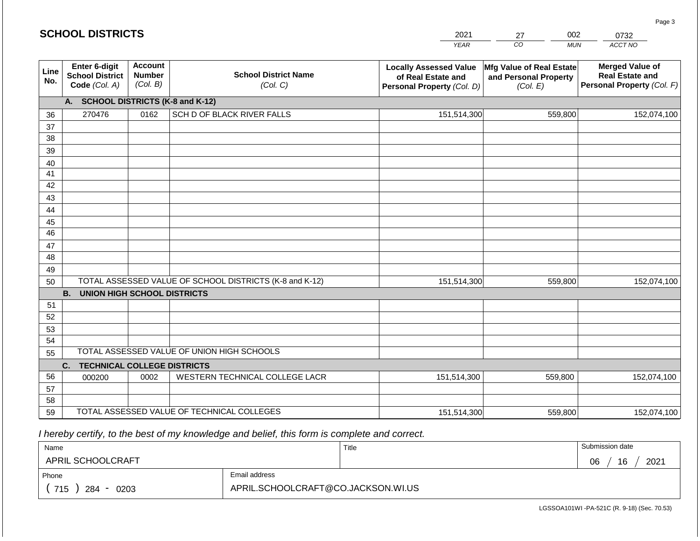### **SCHOOL DISTRICTS**

| 2021 | ററാ | 0732    |
|------|-----|---------|
| YFAR | MUN | ACCT NO |

| Line<br>No. | <b>Enter 6-digit</b><br><b>School District</b><br>Code (Col. A) | <b>Account</b><br><b>Number</b><br>(Col. B) | <b>School District Name</b><br>(Col. C)                 | <b>Locally Assessed Value</b><br>of Real Estate and<br>Personal Property (Col. D) | Mfg Value of Real Estate<br>and Personal Property<br>(Col. E) | <b>Merged Value of</b><br><b>Real Estate and</b><br>Personal Property (Col. F) |
|-------------|-----------------------------------------------------------------|---------------------------------------------|---------------------------------------------------------|-----------------------------------------------------------------------------------|---------------------------------------------------------------|--------------------------------------------------------------------------------|
|             | A.                                                              |                                             | <b>SCHOOL DISTRICTS (K-8 and K-12)</b>                  |                                                                                   |                                                               |                                                                                |
| 36          | 270476                                                          | 0162                                        | SCH D OF BLACK RIVER FALLS                              | 151,514,300                                                                       | 559,800                                                       | 152,074,100                                                                    |
| 37          |                                                                 |                                             |                                                         |                                                                                   |                                                               |                                                                                |
| 38          |                                                                 |                                             |                                                         |                                                                                   |                                                               |                                                                                |
| 39          |                                                                 |                                             |                                                         |                                                                                   |                                                               |                                                                                |
| 40          |                                                                 |                                             |                                                         |                                                                                   |                                                               |                                                                                |
| 41          |                                                                 |                                             |                                                         |                                                                                   |                                                               |                                                                                |
| 42          |                                                                 |                                             |                                                         |                                                                                   |                                                               |                                                                                |
| 43          |                                                                 |                                             |                                                         |                                                                                   |                                                               |                                                                                |
| 44          |                                                                 |                                             |                                                         |                                                                                   |                                                               |                                                                                |
| 45          |                                                                 |                                             |                                                         |                                                                                   |                                                               |                                                                                |
| 46          |                                                                 |                                             |                                                         |                                                                                   |                                                               |                                                                                |
| 47          |                                                                 |                                             |                                                         |                                                                                   |                                                               |                                                                                |
| 48          |                                                                 |                                             |                                                         |                                                                                   |                                                               |                                                                                |
| 49          |                                                                 |                                             |                                                         |                                                                                   |                                                               |                                                                                |
| 50          |                                                                 |                                             | TOTAL ASSESSED VALUE OF SCHOOL DISTRICTS (K-8 and K-12) | 151,514,300                                                                       | 559,800                                                       | 152,074,100                                                                    |
|             | <b>B.</b><br><b>UNION HIGH SCHOOL DISTRICTS</b>                 |                                             |                                                         |                                                                                   |                                                               |                                                                                |
| 51          |                                                                 |                                             |                                                         |                                                                                   |                                                               |                                                                                |
| 52          |                                                                 |                                             |                                                         |                                                                                   |                                                               |                                                                                |
| 53          |                                                                 |                                             |                                                         |                                                                                   |                                                               |                                                                                |
| 54          |                                                                 |                                             |                                                         |                                                                                   |                                                               |                                                                                |
| 55          |                                                                 |                                             | TOTAL ASSESSED VALUE OF UNION HIGH SCHOOLS              |                                                                                   |                                                               |                                                                                |
|             | C.<br><b>TECHNICAL COLLEGE DISTRICTS</b>                        |                                             |                                                         |                                                                                   |                                                               |                                                                                |
| 56          | 000200                                                          | 0002                                        | WESTERN TECHNICAL COLLEGE LACR                          | 151,514,300                                                                       | 559,800                                                       | 152,074,100                                                                    |
| 57          |                                                                 |                                             |                                                         |                                                                                   |                                                               |                                                                                |
| 58          |                                                                 |                                             |                                                         |                                                                                   |                                                               |                                                                                |
| 59          |                                                                 |                                             | TOTAL ASSESSED VALUE OF TECHNICAL COLLEGES              | 151,514,300                                                                       | 559,800                                                       | 152,074,100                                                                    |

 *I hereby certify, to the best of my knowledge and belief, this form is complete and correct.*

| Name                                           |                                    | Title | Submission date  |
|------------------------------------------------|------------------------------------|-------|------------------|
| APRIL SCHOOLCRAFT                              |                                    |       | 2021<br>06<br>16 |
| Phone                                          | Email address                      |       |                  |
| 715<br>284<br>0203<br>$\overline{\phantom{0}}$ | APRIL.SCHOOLCRAFT@CO.JACKSON.WI.US |       |                  |

Page 3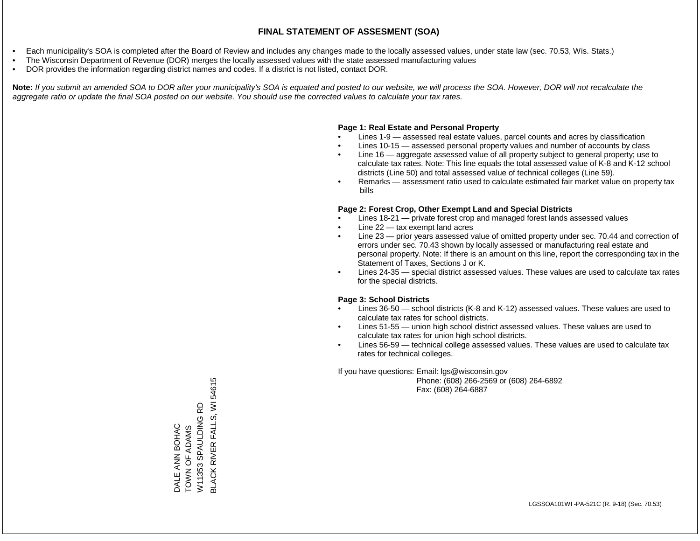- Each municipality's SOA is completed after the Board of Review and includes any changes made to the locally assessed values, under state law (sec. 70.53, Wis. Stats.)
- The Wisconsin Department of Revenue (DOR) merges the locally assessed values with the state assessed manufacturing values
- DOR provides the information regarding district names and codes. If a district is not listed, contact DOR.

Note: If you submit an amended SOA to DOR after your municipality's SOA is equated and posted to our website, we will process the SOA. However, DOR will not recalculate the *aggregate ratio or update the final SOA posted on our website. You should use the corrected values to calculate your tax rates.*

### **Page 1: Real Estate and Personal Property**

- Lines 1-9 assessed real estate values, parcel counts and acres by classification
- Lines 10-15 assessed personal property values and number of accounts by class
- Line 16 aggregate assessed value of all property subject to general property; use to calculate tax rates. Note: This line equals the total assessed value of K-8 and K-12 school districts (Line 50) and total assessed value of technical colleges (Line 59).
- Remarks assessment ratio used to calculate estimated fair market value on property tax bills

### **Page 2: Forest Crop, Other Exempt Land and Special Districts**

- Lines 18-21 private forest crop and managed forest lands assessed values
- Line  $22 -$  tax exempt land acres
- Line 23 prior years assessed value of omitted property under sec. 70.44 and correction of errors under sec. 70.43 shown by locally assessed or manufacturing real estate and personal property. Note: If there is an amount on this line, report the corresponding tax in the Statement of Taxes, Sections J or K.
- Lines 24-35 special district assessed values. These values are used to calculate tax rates for the special districts.

### **Page 3: School Districts**

- Lines 36-50 school districts (K-8 and K-12) assessed values. These values are used to calculate tax rates for school districts.
- Lines 51-55 union high school district assessed values. These values are used to calculate tax rates for union high school districts.
- Lines 56-59 technical college assessed values. These values are used to calculate tax rates for technical colleges.

If you have questions: Email: lgs@wisconsin.gov

 Phone: (608) 266-2569 or (608) 264-6892 Fax: (608) 264-6887

**BLACK RIVER FALLS, WI 54615** BLACK RIVER FALLS, WI 54615**Q** W11353 SPAULDING RD W11353 SPAULDING **DALE ANN BOHAC** TOWN OF ADAMS TOWN OF ADAMS DALE ANN BOHAC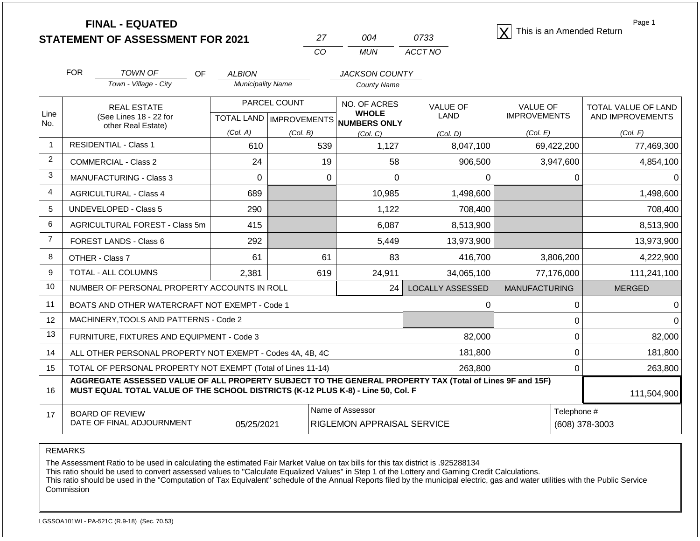**STATEMENT OF ASSESSMENT FOR 2021**

| $2\prime$ | ∩∩⊿ | 0733    |
|-----------|-----|---------|
| CO.       | MUN | ACCT NO |

**FINAL - EQUATED**<br>  $\overline{X}$  This is an Amended Return

Page 1

|                | <b>FOR</b>                                                                                                                         | TOWN OF<br><b>OF</b>                                                                                                                                                                         | <b>ALBION</b>            |                                    | <b>JACKSON COUNTY</b>        |                         |                      |                     |
|----------------|------------------------------------------------------------------------------------------------------------------------------------|----------------------------------------------------------------------------------------------------------------------------------------------------------------------------------------------|--------------------------|------------------------------------|------------------------------|-------------------------|----------------------|---------------------|
|                |                                                                                                                                    | Town - Village - City                                                                                                                                                                        | <b>Municipality Name</b> |                                    | <b>County Name</b>           |                         |                      |                     |
| Line           |                                                                                                                                    | <b>REAL ESTATE</b>                                                                                                                                                                           |                          | PARCEL COUNT                       | NO. OF ACRES<br><b>WHOLE</b> | <b>VALUE OF</b>         | VALUE OF             | TOTAL VALUE OF LAND |
| No.            |                                                                                                                                    | (See Lines 18 - 22 for<br>other Real Estate)                                                                                                                                                 |                          | <b>TOTAL LAND   IMPROVEMENTS  </b> | <b>NUMBERS ONLY</b>          | LAND                    | <b>IMPROVEMENTS</b>  | AND IMPROVEMENTS    |
|                |                                                                                                                                    |                                                                                                                                                                                              | (Col. A)                 | (Col. B)                           | (Col, C)                     | (Col, D)                | (Col. E)             | (Col. F)            |
| $\mathbf{1}$   |                                                                                                                                    | <b>RESIDENTIAL - Class 1</b>                                                                                                                                                                 | 610                      | 539                                | 1,127                        | 8,047,100               | 69,422,200           | 77,469,300          |
| $\overline{2}$ |                                                                                                                                    | <b>COMMERCIAL - Class 2</b>                                                                                                                                                                  | 24                       | 19                                 | 58                           | 906,500                 | 3,947,600            | 4,854,100           |
| 3              |                                                                                                                                    | <b>MANUFACTURING - Class 3</b>                                                                                                                                                               | 0                        | 0                                  | 0                            | 0                       | 0                    |                     |
| $\overline{4}$ |                                                                                                                                    | <b>AGRICULTURAL - Class 4</b>                                                                                                                                                                | 689                      |                                    | 10,985                       | 1,498,600               |                      | 1,498,600           |
| 5              |                                                                                                                                    | <b>UNDEVELOPED - Class 5</b>                                                                                                                                                                 | 290                      |                                    | 1,122                        | 708,400                 |                      | 708,400             |
| 6              |                                                                                                                                    | AGRICULTURAL FOREST - Class 5m                                                                                                                                                               | 415                      |                                    | 6,087                        | 8,513,900               |                      | 8,513,900           |
| $\overline{7}$ |                                                                                                                                    | FOREST LANDS - Class 6                                                                                                                                                                       | 292                      |                                    | 5,449                        | 13,973,900              |                      | 13,973,900          |
| 8              |                                                                                                                                    | OTHER - Class 7                                                                                                                                                                              | 61                       | 61                                 | 83                           | 416,700                 | 3,806,200            | 4,222,900           |
| 9              |                                                                                                                                    | TOTAL - ALL COLUMNS                                                                                                                                                                          | 2,381                    | 619                                | 24,911                       | 34,065,100              | 77,176,000           | 111,241,100         |
| 10             |                                                                                                                                    | NUMBER OF PERSONAL PROPERTY ACCOUNTS IN ROLL                                                                                                                                                 |                          |                                    | 24                           | <b>LOCALLY ASSESSED</b> | <b>MANUFACTURING</b> | <b>MERGED</b>       |
| 11             |                                                                                                                                    | BOATS AND OTHER WATERCRAFT NOT EXEMPT - Code 1                                                                                                                                               |                          |                                    |                              | 0                       | 0                    |                     |
| 12             |                                                                                                                                    | MACHINERY, TOOLS AND PATTERNS - Code 2                                                                                                                                                       |                          |                                    |                              |                         | 0                    |                     |
| 13             |                                                                                                                                    | FURNITURE, FIXTURES AND EQUIPMENT - Code 3                                                                                                                                                   |                          |                                    |                              | 82,000                  | 0                    | 82,000              |
| 14             |                                                                                                                                    | ALL OTHER PERSONAL PROPERTY NOT EXEMPT - Codes 4A, 4B, 4C                                                                                                                                    |                          |                                    |                              | 181,800                 | 0                    | 181,800             |
| 15             | TOTAL OF PERSONAL PROPERTY NOT EXEMPT (Total of Lines 11-14)<br>263,800<br>0                                                       |                                                                                                                                                                                              |                          |                                    |                              |                         |                      |                     |
| 16             |                                                                                                                                    | AGGREGATE ASSESSED VALUE OF ALL PROPERTY SUBJECT TO THE GENERAL PROPERTY TAX (Total of Lines 9F and 15F)<br>MUST EQUAL TOTAL VALUE OF THE SCHOOL DISTRICTS (K-12 PLUS K-8) - Line 50, Col. F |                          |                                    |                              |                         |                      | 111,504,900         |
| 17             | Name of Assessor<br>Telephone #<br><b>BOARD OF REVIEW</b><br>DATE OF FINAL ADJOURNMENT<br>05/25/2021<br>RIGLEMON APPRAISAL SERVICE |                                                                                                                                                                                              |                          |                                    |                              |                         | (608) 378-3003       |                     |

REMARKS

The Assessment Ratio to be used in calculating the estimated Fair Market Value on tax bills for this tax district is .925288134

This ratio should be used to convert assessed values to "Calculate Equalized Values" in Step 1 of the Lottery and Gaming Credit Calculations.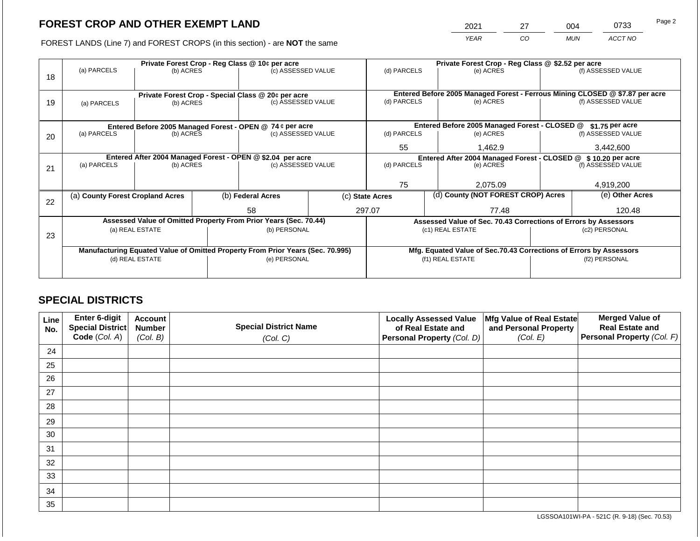2021 27 004 0733

FOREST LANDS (Line 7) and FOREST CROPS (in this section) - are **NOT** the same *YEAR CO MUN ACCT NO*

| (a) PARCELS<br>(b) ACRES |           |                                                                        | (c) ASSESSED VALUE     |                                                | (d) PARCELS<br>(e) ACRES                                                                                                                                                                                                                                                                                                                                                                  |                                          |           | (f) ASSESSED VALUE                   |                                                                                                                                                                                                                                                                                                                                                                   |
|--------------------------|-----------|------------------------------------------------------------------------|------------------------|------------------------------------------------|-------------------------------------------------------------------------------------------------------------------------------------------------------------------------------------------------------------------------------------------------------------------------------------------------------------------------------------------------------------------------------------------|------------------------------------------|-----------|--------------------------------------|-------------------------------------------------------------------------------------------------------------------------------------------------------------------------------------------------------------------------------------------------------------------------------------------------------------------------------------------------------------------|
| (a) PARCELS              | (b) ACRES |                                                                        | (c) ASSESSED VALUE     |                                                | (d) PARCELS                                                                                                                                                                                                                                                                                                                                                                               |                                          | (e) ACRES |                                      | (f) ASSESSED VALUE                                                                                                                                                                                                                                                                                                                                                |
|                          |           |                                                                        |                        |                                                |                                                                                                                                                                                                                                                                                                                                                                                           |                                          |           |                                      | \$1.75 per acre                                                                                                                                                                                                                                                                                                                                                   |
| (a) PARCELS              |           |                                                                        |                        |                                                | (d) PARCELS                                                                                                                                                                                                                                                                                                                                                                               |                                          | (e) ACRES |                                      | (f) ASSESSED VALUE                                                                                                                                                                                                                                                                                                                                                |
|                          |           |                                                                        |                        |                                                | 55                                                                                                                                                                                                                                                                                                                                                                                        |                                          | 1,462.9   |                                      | 3,442,600                                                                                                                                                                                                                                                                                                                                                         |
|                          |           |                                                                        |                        |                                                | Entered After 2004 Managed Forest - CLOSED @ \$ 10.20 per acre                                                                                                                                                                                                                                                                                                                            |                                          |           |                                      |                                                                                                                                                                                                                                                                                                                                                                   |
| (a) PARCELS              |           |                                                                        | (c) ASSESSED VALUE     |                                                |                                                                                                                                                                                                                                                                                                                                                                                           |                                          | (e) ACRES |                                      | (f) ASSESSED VALUE                                                                                                                                                                                                                                                                                                                                                |
|                          |           |                                                                        |                        |                                                |                                                                                                                                                                                                                                                                                                                                                                                           |                                          |           |                                      |                                                                                                                                                                                                                                                                                                                                                                   |
|                          |           |                                                                        |                        |                                                | 75                                                                                                                                                                                                                                                                                                                                                                                        |                                          | 2.075.09  |                                      | 4.919.200                                                                                                                                                                                                                                                                                                                                                         |
|                          |           |                                                                        | (b) Federal Acres      |                                                |                                                                                                                                                                                                                                                                                                                                                                                           |                                          |           | (e) Other Acres                      |                                                                                                                                                                                                                                                                                                                                                                   |
|                          |           |                                                                        | 58                     | 77.48                                          |                                                                                                                                                                                                                                                                                                                                                                                           | 120.48                                   |           |                                      |                                                                                                                                                                                                                                                                                                                                                                   |
|                          |           |                                                                        |                        |                                                |                                                                                                                                                                                                                                                                                                                                                                                           |                                          |           |                                      |                                                                                                                                                                                                                                                                                                                                                                   |
|                          |           |                                                                        |                        |                                                |                                                                                                                                                                                                                                                                                                                                                                                           |                                          |           | (c2) PERSONAL                        |                                                                                                                                                                                                                                                                                                                                                                   |
|                          |           |                                                                        |                        |                                                |                                                                                                                                                                                                                                                                                                                                                                                           |                                          |           |                                      |                                                                                                                                                                                                                                                                                                                                                                   |
|                          |           |                                                                        |                        |                                                |                                                                                                                                                                                                                                                                                                                                                                                           |                                          |           |                                      |                                                                                                                                                                                                                                                                                                                                                                   |
|                          |           |                                                                        |                        |                                                |                                                                                                                                                                                                                                                                                                                                                                                           |                                          |           | (f2) PERSONAL                        |                                                                                                                                                                                                                                                                                                                                                                   |
|                          |           |                                                                        |                        |                                                |                                                                                                                                                                                                                                                                                                                                                                                           |                                          |           |                                      |                                                                                                                                                                                                                                                                                                                                                                   |
|                          |           | (a) County Forest Cropland Acres<br>(a) REAL ESTATE<br>(d) REAL ESTATE | (b) ACRES<br>(b) ACRES | Private Forest Crop - Reg Class @ 10¢ per acre | Private Forest Crop - Special Class @ 20¢ per acre<br>Entered Before 2005 Managed Forest - OPEN @ 74 ¢ per acre<br>(c) ASSESSED VALUE<br>Entered After 2004 Managed Forest - OPEN @ \$2.04 per acre<br>Assessed Value of Omitted Property From Prior Years (Sec. 70.44)<br>(b) PERSONAL<br>Manufacturing Equated Value of Omitted Property From Prior Years (Sec. 70.995)<br>(e) PERSONAL | (d) PARCELS<br>(c) State Acres<br>297.07 |           | (c1) REAL ESTATE<br>(f1) REAL ESTATE | Private Forest Crop - Reg Class @ \$2.52 per acre<br>Entered Before 2005 Managed Forest - Ferrous Mining CLOSED @ \$7.87 per acre<br>Entered Before 2005 Managed Forest - CLOSED @<br>(d) County (NOT FOREST CROP) Acres<br>Assessed Value of Sec. 70.43 Corrections of Errors by Assessors<br>Mfg. Equated Value of Sec.70.43 Corrections of Errors by Assessors |

# **SPECIAL DISTRICTS**

| Line<br>No. | <b>Enter 6-digit</b><br>Special District | <b>Account</b><br><b>Number</b> | <b>Special District Name</b> | <b>Locally Assessed Value</b><br>of Real Estate and | Mfg Value of Real Estate<br>and Personal Property | <b>Merged Value of</b><br><b>Real Estate and</b> |
|-------------|------------------------------------------|---------------------------------|------------------------------|-----------------------------------------------------|---------------------------------------------------|--------------------------------------------------|
|             | Code (Col. A)                            | (Col. B)                        | (Col. C)                     | Personal Property (Col. D)                          | (Col. E)                                          | Personal Property (Col. F)                       |
| 24          |                                          |                                 |                              |                                                     |                                                   |                                                  |
| 25          |                                          |                                 |                              |                                                     |                                                   |                                                  |
| 26          |                                          |                                 |                              |                                                     |                                                   |                                                  |
| 27          |                                          |                                 |                              |                                                     |                                                   |                                                  |
| 28          |                                          |                                 |                              |                                                     |                                                   |                                                  |
| 29          |                                          |                                 |                              |                                                     |                                                   |                                                  |
| 30          |                                          |                                 |                              |                                                     |                                                   |                                                  |
| 31          |                                          |                                 |                              |                                                     |                                                   |                                                  |
| 32          |                                          |                                 |                              |                                                     |                                                   |                                                  |
| 33          |                                          |                                 |                              |                                                     |                                                   |                                                  |
| 34          |                                          |                                 |                              |                                                     |                                                   |                                                  |
| 35          |                                          |                                 |                              |                                                     |                                                   |                                                  |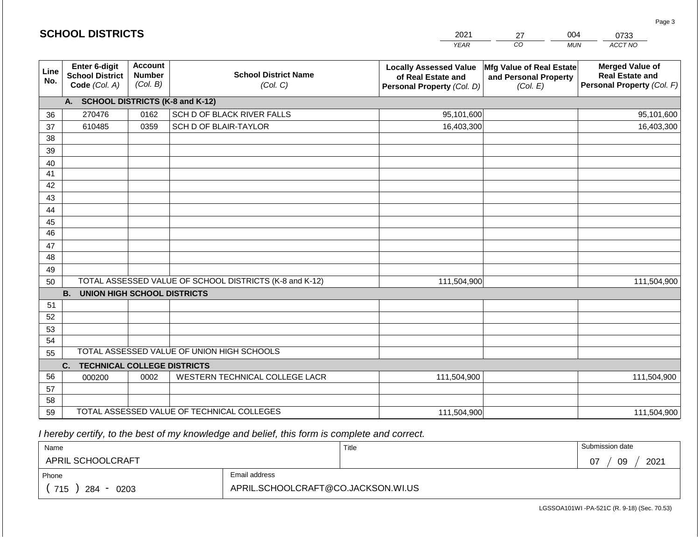|                       | <b>SCHOOL DISTRICTS</b>                                  |                                             |                                                         | 2021                                                                              | 004<br>27<br>0733                                             |                                                                                |
|-----------------------|----------------------------------------------------------|---------------------------------------------|---------------------------------------------------------|-----------------------------------------------------------------------------------|---------------------------------------------------------------|--------------------------------------------------------------------------------|
|                       |                                                          |                                             |                                                         | <b>YEAR</b>                                                                       | CO                                                            | ACCT NO<br><b>MUN</b>                                                          |
| Line<br>No.           | Enter 6-digit<br><b>School District</b><br>Code (Col. A) | <b>Account</b><br><b>Number</b><br>(Col. B) | <b>School District Name</b><br>(Col. C)                 | <b>Locally Assessed Value</b><br>of Real Estate and<br>Personal Property (Col. D) | Mfg Value of Real Estate<br>and Personal Property<br>(Col. E) | <b>Merged Value of</b><br><b>Real Estate and</b><br>Personal Property (Col. F) |
|                       | A. SCHOOL DISTRICTS (K-8 and K-12)                       |                                             |                                                         |                                                                                   |                                                               |                                                                                |
| 36                    | 270476                                                   | 0162                                        | SCH D OF BLACK RIVER FALLS                              | 95,101,600                                                                        |                                                               | 95,101,600                                                                     |
| 37                    | 610485                                                   | 0359                                        | SCH D OF BLAIR-TAYLOR                                   | 16,403,300                                                                        |                                                               | 16,403,300                                                                     |
| 38                    |                                                          |                                             |                                                         |                                                                                   |                                                               |                                                                                |
| 39                    |                                                          |                                             |                                                         |                                                                                   |                                                               |                                                                                |
| 40                    |                                                          |                                             |                                                         |                                                                                   |                                                               |                                                                                |
| 41                    |                                                          |                                             |                                                         |                                                                                   |                                                               |                                                                                |
| 42                    |                                                          |                                             |                                                         |                                                                                   |                                                               |                                                                                |
| 43                    |                                                          |                                             |                                                         |                                                                                   |                                                               |                                                                                |
| 44                    |                                                          |                                             |                                                         |                                                                                   |                                                               |                                                                                |
| 45<br>$\overline{46}$ |                                                          |                                             |                                                         |                                                                                   |                                                               |                                                                                |
| 47                    |                                                          |                                             |                                                         |                                                                                   |                                                               |                                                                                |
| 48                    |                                                          |                                             |                                                         |                                                                                   |                                                               |                                                                                |
| 49                    |                                                          |                                             |                                                         |                                                                                   |                                                               |                                                                                |
| 50                    |                                                          |                                             | TOTAL ASSESSED VALUE OF SCHOOL DISTRICTS (K-8 and K-12) | 111,504,900                                                                       |                                                               | 111,504,900                                                                    |
|                       | <b>B. UNION HIGH SCHOOL DISTRICTS</b>                    |                                             |                                                         |                                                                                   |                                                               |                                                                                |
| 51                    |                                                          |                                             |                                                         |                                                                                   |                                                               |                                                                                |
| 52                    |                                                          |                                             |                                                         |                                                                                   |                                                               |                                                                                |
| 53                    |                                                          |                                             |                                                         |                                                                                   |                                                               |                                                                                |
| 54                    |                                                          |                                             |                                                         |                                                                                   |                                                               |                                                                                |
| 55                    |                                                          |                                             | TOTAL ASSESSED VALUE OF UNION HIGH SCHOOLS              |                                                                                   |                                                               |                                                                                |
|                       | C.<br><b>TECHNICAL COLLEGE DISTRICTS</b>                 |                                             |                                                         |                                                                                   |                                                               |                                                                                |
| 56                    | 000200                                                   | 0002                                        | WESTERN TECHNICAL COLLEGE LACR                          | 111,504,900                                                                       |                                                               | 111,504,900                                                                    |
| 57                    |                                                          |                                             |                                                         |                                                                                   |                                                               |                                                                                |
| 58                    |                                                          |                                             |                                                         |                                                                                   |                                                               |                                                                                |
| 59                    |                                                          |                                             | TOTAL ASSESSED VALUE OF TECHNICAL COLLEGES              | 111,504,900                                                                       |                                                               | 111,504,900                                                                    |

 *I hereby certify, to the best of my knowledge and belief, this form is complete and correct.*

**SCHOOL DISTRICTS**

| Name                     |                                    | Title | Submission date   |
|--------------------------|------------------------------------|-------|-------------------|
| <b>APRIL SCHOOLCRAFT</b> |                                    |       | 2021<br>09<br>-07 |
| Phone                    | Email address                      |       |                   |
| 715<br>284<br>0203       | APRIL.SCHOOLCRAFT@CO.JACKSON.WI.US |       |                   |

Page 3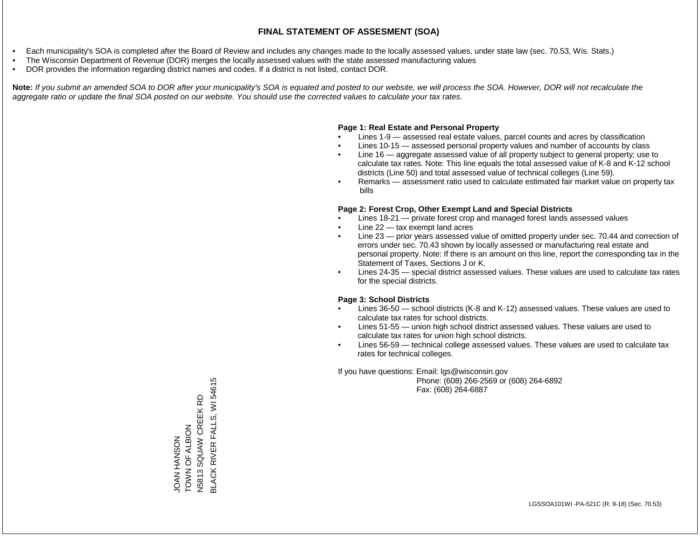- Each municipality's SOA is completed after the Board of Review and includes any changes made to the locally assessed values, under state law (sec. 70.53, Wis. Stats.)
- The Wisconsin Department of Revenue (DOR) merges the locally assessed values with the state assessed manufacturing values
- DOR provides the information regarding district names and codes. If a district is not listed, contact DOR.

Note: If you submit an amended SOA to DOR after your municipality's SOA is equated and posted to our website, we will process the SOA. However, DOR will not recalculate the *aggregate ratio or update the final SOA posted on our website. You should use the corrected values to calculate your tax rates.*

#### **Page 1: Real Estate and Personal Property**

- Lines 1-9 assessed real estate values, parcel counts and acres by classification
- Lines 10-15 assessed personal property values and number of accounts by class
- Line 16 aggregate assessed value of all property subject to general property; use to calculate tax rates. Note: This line equals the total assessed value of K-8 and K-12 school districts (Line 50) and total assessed value of technical colleges (Line 59).
- Remarks assessment ratio used to calculate estimated fair market value on property tax bills

#### **Page 2: Forest Crop, Other Exempt Land and Special Districts**

- Lines 18-21 private forest crop and managed forest lands assessed values
- Line  $22 -$  tax exempt land acres
- Line 23 prior years assessed value of omitted property under sec. 70.44 and correction of errors under sec. 70.43 shown by locally assessed or manufacturing real estate and personal property. Note: If there is an amount on this line, report the corresponding tax in the Statement of Taxes, Sections J or K.
- Lines 24-35 special district assessed values. These values are used to calculate tax rates for the special districts.

#### **Page 3: School Districts**

- Lines 36-50 school districts (K-8 and K-12) assessed values. These values are used to calculate tax rates for school districts.
- Lines 51-55 union high school district assessed values. These values are used to calculate tax rates for union high school districts.
- Lines 56-59 technical college assessed values. These values are used to calculate tax rates for technical colleges.

If you have questions: Email: lgs@wisconsin.gov

 Phone: (608) 266-2569 or (608) 264-6892 Fax: (608) 264-6887

**BLACK RIVER FALLS, WI 54615** BLACK RIVER FALLS, WI 54615SQUAW CREEK RD N5813 SQUAW CREEK RD JOAN HANSON<br>TOWN OF ALBION TOWN OF ALBION N5813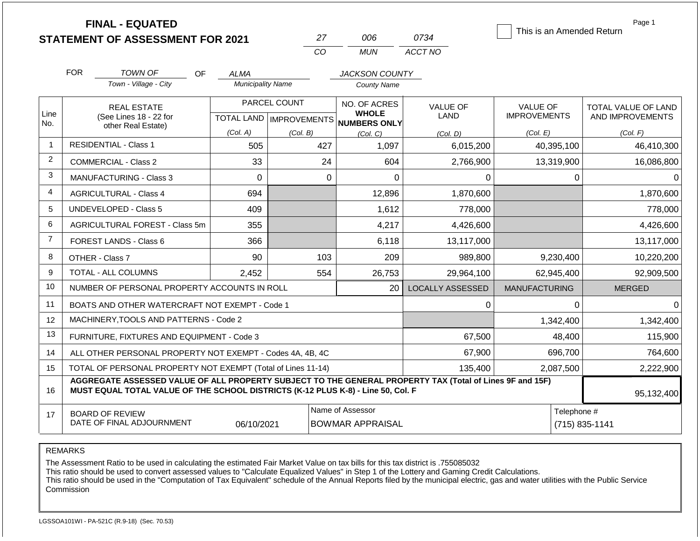|                | <b>FINAL - EQUATED</b><br><b>STATEMENT OF ASSESSMENT FOR 2021</b>                                                                                                                            |                                         | 27                        | 006                                         | 0734                    | This is an Amended Return | Page 1              |
|----------------|----------------------------------------------------------------------------------------------------------------------------------------------------------------------------------------------|-----------------------------------------|---------------------------|---------------------------------------------|-------------------------|---------------------------|---------------------|
|                |                                                                                                                                                                                              |                                         | CO                        | <b>MUN</b>                                  | ACCT NO                 |                           |                     |
|                | <b>FOR</b><br>TOWN OF<br><b>OF</b><br>Town - Village - City                                                                                                                                  | <b>ALMA</b><br><b>Municipality Name</b> |                           | <b>JACKSON COUNTY</b><br><b>County Name</b> |                         |                           |                     |
|                |                                                                                                                                                                                              |                                         |                           |                                             |                         |                           |                     |
| Line           | <b>REAL ESTATE</b>                                                                                                                                                                           |                                         | PARCEL COUNT              | NO. OF ACRES<br><b>WHOLE</b>                | <b>VALUE OF</b>         | <b>VALUE OF</b>           | TOTAL VALUE OF LAND |
| No.            | (See Lines 18 - 22 for<br>other Real Estate)                                                                                                                                                 |                                         | TOTAL LAND   IMPROVEMENTS | <b>NUMBERS ONLY</b>                         | LAND                    | <b>IMPROVEMENTS</b>       | AND IMPROVEMENTS    |
|                |                                                                                                                                                                                              | (Col. A)                                | (Col. B)                  | (Col, C)                                    | (Col. D)                | (Col. E)                  | (Col. F)            |
| -1             | <b>RESIDENTIAL - Class 1</b>                                                                                                                                                                 | 505                                     | 427                       | 1,097                                       | 6,015,200               | 40,395,100                | 46,410,300          |
| 2              | <b>COMMERCIAL - Class 2</b>                                                                                                                                                                  | 33                                      | 24                        | 604                                         | 2,766,900               | 13,319,900                | 16,086,800          |
| 3              | MANUFACTURING - Class 3                                                                                                                                                                      | 0                                       | 0                         | 0                                           | 0                       | 0                         | 0                   |
| $\overline{4}$ | <b>AGRICULTURAL - Class 4</b>                                                                                                                                                                | 694                                     |                           | 12,896                                      | 1,870,600               |                           | 1,870,600           |
| 5              | <b>UNDEVELOPED - Class 5</b>                                                                                                                                                                 | 409                                     |                           | 1,612                                       | 778,000                 |                           | 778,000             |
| 6              | AGRICULTURAL FOREST - Class 5m                                                                                                                                                               | 355                                     |                           | 4,217                                       | 4,426,600               |                           | 4,426,600           |
| $\overline{7}$ | FOREST LANDS - Class 6                                                                                                                                                                       | 366                                     |                           | 6,118                                       | 13,117,000              |                           | 13,117,000          |
| 8              | OTHER - Class 7                                                                                                                                                                              | 90                                      | 103                       | 209                                         | 989,800                 | 9,230,400                 | 10,220,200          |
| 9              | TOTAL - ALL COLUMNS                                                                                                                                                                          | 2,452                                   | 554                       | 26,753                                      | 29,964,100              | 62,945,400                | 92,909,500          |
| 10             | NUMBER OF PERSONAL PROPERTY ACCOUNTS IN ROLL                                                                                                                                                 |                                         |                           | 20                                          | <b>LOCALLY ASSESSED</b> | <b>MANUFACTURING</b>      | <b>MERGED</b>       |
| 11             | BOATS AND OTHER WATERCRAFT NOT EXEMPT - Code 1                                                                                                                                               |                                         |                           |                                             | 0                       | 0                         | $\Omega$            |
| 12             | MACHINERY, TOOLS AND PATTERNS - Code 2                                                                                                                                                       |                                         |                           |                                             |                         | 1,342,400                 | 1,342,400           |
| 13             | FURNITURE, FIXTURES AND EQUIPMENT - Code 3                                                                                                                                                   |                                         |                           |                                             | 67,500                  | 48,400                    | 115,900             |
| 14             | ALL OTHER PERSONAL PROPERTY NOT EXEMPT - Codes 4A, 4B, 4C                                                                                                                                    |                                         |                           |                                             | 67,900                  | 696,700                   | 764,600             |
| 15             | TOTAL OF PERSONAL PROPERTY NOT EXEMPT (Total of Lines 11-14)                                                                                                                                 |                                         |                           | 135,400                                     | 2,087,500               | 2,222,900                 |                     |
| 16             | AGGREGATE ASSESSED VALUE OF ALL PROPERTY SUBJECT TO THE GENERAL PROPERTY TAX (Total of Lines 9F and 15F)<br>MUST EQUAL TOTAL VALUE OF THE SCHOOL DISTRICTS (K-12 PLUS K-8) - Line 50, Col. F |                                         | 95,132,400                |                                             |                         |                           |                     |
| 17             | <b>BOARD OF REVIEW</b><br>DATE OF FINAL ADJOURNMENT                                                                                                                                          | 06/10/2021                              |                           | Name of Assessor<br><b>BOWMAR APPRAISAL</b> |                         | Telephone #               | (715) 835-1141      |

REMARKS

The Assessment Ratio to be used in calculating the estimated Fair Market Value on tax bills for this tax district is .755085032

This ratio should be used to convert assessed values to "Calculate Equalized Values" in Step 1 of the Lottery and Gaming Credit Calculations.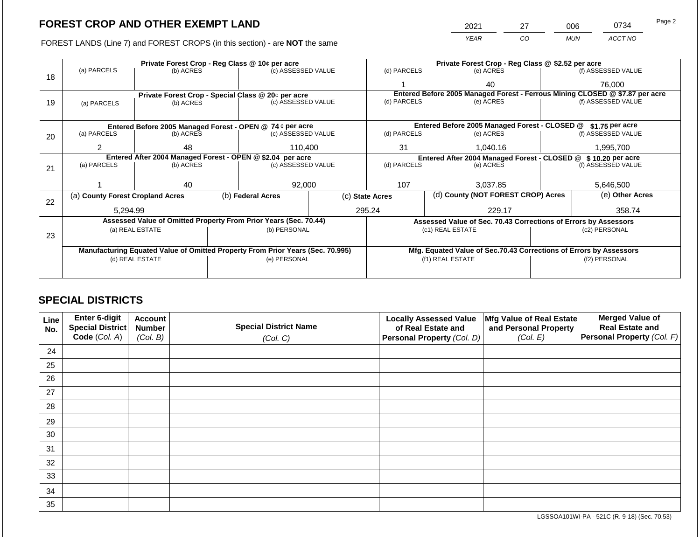2021 27 006 0734

FOREST LANDS (Line 7) and FOREST CROPS (in this section) - are **NOT** the same *YEAR CO MUN ACCT NO*

|    |                                                                                |                 |  | Private Forest Crop - Reg Class @ 10¢ per acre                   |                                                               |                 |           | Private Forest Crop - Reg Class @ \$2.52 per acre                  |                    |                                                                              |  |
|----|--------------------------------------------------------------------------------|-----------------|--|------------------------------------------------------------------|---------------------------------------------------------------|-----------------|-----------|--------------------------------------------------------------------|--------------------|------------------------------------------------------------------------------|--|
| 18 | (a) PARCELS                                                                    | (b) ACRES       |  | (c) ASSESSED VALUE                                               |                                                               | (d) PARCELS     |           | (e) ACRES                                                          |                    | (f) ASSESSED VALUE                                                           |  |
|    |                                                                                |                 |  |                                                                  |                                                               |                 |           | 40                                                                 |                    | 76,000                                                                       |  |
|    |                                                                                |                 |  | Private Forest Crop - Special Class @ 20¢ per acre               |                                                               |                 |           |                                                                    |                    | Entered Before 2005 Managed Forest - Ferrous Mining CLOSED @ \$7.87 per acre |  |
| 19 | (a) PARCELS                                                                    | (b) ACRES       |  | (c) ASSESSED VALUE                                               |                                                               | (d) PARCELS     |           | (e) ACRES                                                          |                    | (f) ASSESSED VALUE                                                           |  |
|    |                                                                                |                 |  |                                                                  |                                                               |                 |           |                                                                    |                    |                                                                              |  |
|    |                                                                                |                 |  | Entered Before 2005 Managed Forest - OPEN @ 74 ¢ per acre        |                                                               |                 |           | Entered Before 2005 Managed Forest - CLOSED @                      |                    | \$1.75 per acre                                                              |  |
| 20 | (a) PARCELS                                                                    | (b) ACRES       |  | (c) ASSESSED VALUE                                               |                                                               | (d) PARCELS     |           | (e) ACRES                                                          |                    | (f) ASSESSED VALUE                                                           |  |
|    |                                                                                |                 |  |                                                                  |                                                               |                 |           |                                                                    |                    |                                                                              |  |
|    | 2                                                                              | 48              |  | 110,400                                                          | 31                                                            |                 | 1,040.16  | 1,995,700                                                          |                    |                                                                              |  |
|    | Entered After 2004 Managed Forest - OPEN @ \$2.04 per acre                     |                 |  |                                                                  | Entered After 2004 Managed Forest - CLOSED @ \$10.20 per acre |                 |           |                                                                    |                    |                                                                              |  |
| 21 | (a) PARCELS                                                                    | (b) ACRES       |  | (c) ASSESSED VALUE                                               |                                                               | (d) PARCELS     | (e) ACRES |                                                                    | (f) ASSESSED VALUE |                                                                              |  |
|    |                                                                                |                 |  |                                                                  |                                                               |                 |           |                                                                    |                    |                                                                              |  |
|    |                                                                                | 40              |  | 92.000                                                           |                                                               | 107<br>3.037.85 |           | 5,646,500                                                          |                    |                                                                              |  |
| 22 | (a) County Forest Cropland Acres                                               |                 |  | (b) Federal Acres                                                |                                                               | (c) State Acres |           | (d) County (NOT FOREST CROP) Acres                                 |                    | (e) Other Acres                                                              |  |
|    | 5,294.99                                                                       |                 |  |                                                                  |                                                               | 295.24          |           | 229.17                                                             |                    | 358.74                                                                       |  |
|    |                                                                                |                 |  | Assessed Value of Omitted Property From Prior Years (Sec. 70.44) |                                                               |                 |           | Assessed Value of Sec. 70.43 Corrections of Errors by Assessors    |                    |                                                                              |  |
|    |                                                                                | (a) REAL ESTATE |  | (b) PERSONAL                                                     |                                                               |                 |           | (c1) REAL ESTATE                                                   |                    | (c2) PERSONAL                                                                |  |
| 23 |                                                                                |                 |  |                                                                  |                                                               |                 |           |                                                                    |                    |                                                                              |  |
|    | Manufacturing Equated Value of Omitted Property From Prior Years (Sec. 70.995) |                 |  |                                                                  |                                                               |                 |           | Mfg. Equated Value of Sec.70.43 Corrections of Errors by Assessors |                    |                                                                              |  |
|    | (d) REAL ESTATE                                                                |                 |  | (e) PERSONAL                                                     |                                                               |                 |           | (f1) REAL ESTATE                                                   |                    | (f2) PERSONAL                                                                |  |
|    |                                                                                |                 |  |                                                                  |                                                               |                 |           |                                                                    |                    |                                                                              |  |
|    |                                                                                |                 |  |                                                                  |                                                               |                 |           |                                                                    |                    |                                                                              |  |

# **SPECIAL DISTRICTS**

| Line<br>No. | <b>Enter 6-digit</b><br>Special District | <b>Account</b><br><b>Number</b> | <b>Special District Name</b> | <b>Locally Assessed Value</b><br>of Real Estate and | Mfg Value of Real Estate<br>and Personal Property | <b>Merged Value of</b><br><b>Real Estate and</b> |
|-------------|------------------------------------------|---------------------------------|------------------------------|-----------------------------------------------------|---------------------------------------------------|--------------------------------------------------|
|             | Code (Col. A)                            | (Col. B)                        | (Col. C)                     | Personal Property (Col. D)                          | (Col. E)                                          | Personal Property (Col. F)                       |
| 24          |                                          |                                 |                              |                                                     |                                                   |                                                  |
| 25          |                                          |                                 |                              |                                                     |                                                   |                                                  |
| 26          |                                          |                                 |                              |                                                     |                                                   |                                                  |
| 27          |                                          |                                 |                              |                                                     |                                                   |                                                  |
| 28          |                                          |                                 |                              |                                                     |                                                   |                                                  |
| 29          |                                          |                                 |                              |                                                     |                                                   |                                                  |
| 30          |                                          |                                 |                              |                                                     |                                                   |                                                  |
| 31          |                                          |                                 |                              |                                                     |                                                   |                                                  |
| 32          |                                          |                                 |                              |                                                     |                                                   |                                                  |
| 33          |                                          |                                 |                              |                                                     |                                                   |                                                  |
| 34          |                                          |                                 |                              |                                                     |                                                   |                                                  |
| 35          |                                          |                                 |                              |                                                     |                                                   |                                                  |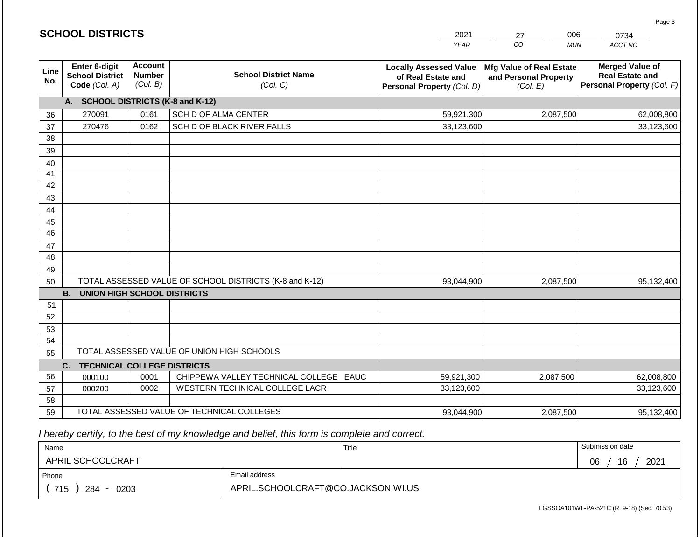|                       | <b>SCHOOL DISTRICTS</b>                                  |                                             |                                                         | 2021                                                                              | 006<br>27<br>0734                                             |                                                                                |  |
|-----------------------|----------------------------------------------------------|---------------------------------------------|---------------------------------------------------------|-----------------------------------------------------------------------------------|---------------------------------------------------------------|--------------------------------------------------------------------------------|--|
|                       |                                                          |                                             |                                                         | <b>YEAR</b>                                                                       | CO<br><b>MUN</b>                                              | ACCT NO                                                                        |  |
| Line<br>No.           | Enter 6-digit<br><b>School District</b><br>Code (Col. A) | <b>Account</b><br><b>Number</b><br>(Col. B) | <b>School District Name</b><br>(Col. C)                 | <b>Locally Assessed Value</b><br>of Real Estate and<br>Personal Property (Col. D) | Mfg Value of Real Estate<br>and Personal Property<br>(Col. E) | <b>Merged Value of</b><br><b>Real Estate and</b><br>Personal Property (Col. F) |  |
|                       | A.                                                       |                                             | <b>SCHOOL DISTRICTS (K-8 and K-12)</b>                  |                                                                                   |                                                               |                                                                                |  |
| 36                    | 270091                                                   | 0161                                        | SCH D OF ALMA CENTER                                    | 59,921,300                                                                        | 2,087,500                                                     | 62,008,800                                                                     |  |
| 37                    | 270476                                                   | 0162                                        | SCH D OF BLACK RIVER FALLS                              | 33,123,600                                                                        |                                                               | 33,123,600                                                                     |  |
| 38                    |                                                          |                                             |                                                         |                                                                                   |                                                               |                                                                                |  |
| 39                    |                                                          |                                             |                                                         |                                                                                   |                                                               |                                                                                |  |
| 40                    |                                                          |                                             |                                                         |                                                                                   |                                                               |                                                                                |  |
| 41                    |                                                          |                                             |                                                         |                                                                                   |                                                               |                                                                                |  |
| 42                    |                                                          |                                             |                                                         |                                                                                   |                                                               |                                                                                |  |
| 43                    |                                                          |                                             |                                                         |                                                                                   |                                                               |                                                                                |  |
| 44                    |                                                          |                                             |                                                         |                                                                                   |                                                               |                                                                                |  |
| 45<br>$\overline{46}$ |                                                          |                                             |                                                         |                                                                                   |                                                               |                                                                                |  |
| 47                    |                                                          |                                             |                                                         |                                                                                   |                                                               |                                                                                |  |
| 48                    |                                                          |                                             |                                                         |                                                                                   |                                                               |                                                                                |  |
| 49                    |                                                          |                                             |                                                         |                                                                                   |                                                               |                                                                                |  |
| 50                    |                                                          |                                             | TOTAL ASSESSED VALUE OF SCHOOL DISTRICTS (K-8 and K-12) | 93,044,900                                                                        | 2,087,500                                                     | 95,132,400                                                                     |  |
|                       | <b>B.</b><br><b>UNION HIGH SCHOOL DISTRICTS</b>          |                                             |                                                         |                                                                                   |                                                               |                                                                                |  |
| 51                    |                                                          |                                             |                                                         |                                                                                   |                                                               |                                                                                |  |
| 52                    |                                                          |                                             |                                                         |                                                                                   |                                                               |                                                                                |  |
| 53                    |                                                          |                                             |                                                         |                                                                                   |                                                               |                                                                                |  |
| 54                    |                                                          |                                             |                                                         |                                                                                   |                                                               |                                                                                |  |
| 55                    |                                                          |                                             | TOTAL ASSESSED VALUE OF UNION HIGH SCHOOLS              |                                                                                   |                                                               |                                                                                |  |
|                       | C.<br><b>TECHNICAL COLLEGE DISTRICTS</b>                 |                                             |                                                         |                                                                                   |                                                               |                                                                                |  |
| 56                    | 000100                                                   | 0001                                        | CHIPPEWA VALLEY TECHNICAL COLLEGE EAUC                  | 59,921,300                                                                        | 2,087,500                                                     | 62,008,800                                                                     |  |
| 57                    | 000200                                                   | 0002                                        | WESTERN TECHNICAL COLLEGE LACR                          | 33,123,600                                                                        |                                                               | 33,123,600                                                                     |  |
| 58                    |                                                          |                                             |                                                         |                                                                                   |                                                               |                                                                                |  |
| 59                    |                                                          |                                             | TOTAL ASSESSED VALUE OF TECHNICAL COLLEGES              | 93,044,900                                                                        | 2,087,500                                                     | 95,132,400                                                                     |  |

 *I hereby certify, to the best of my knowledge and belief, this form is complete and correct.*

**SCHOOL DISTRICTS**

| Name               |                                    | Title | Submission date  |
|--------------------|------------------------------------|-------|------------------|
| APRIL SCHOOLCRAFT  |                                    |       | 16<br>2021<br>06 |
| Phone              | Email address                      |       |                  |
| 715<br>284<br>0203 | APRIL.SCHOOLCRAFT@CO.JACKSON.WI.US |       |                  |

Page 3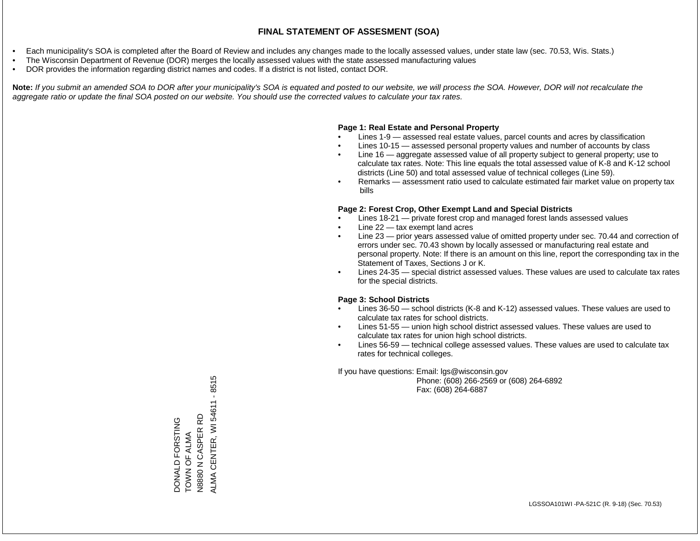- Each municipality's SOA is completed after the Board of Review and includes any changes made to the locally assessed values, under state law (sec. 70.53, Wis. Stats.)
- The Wisconsin Department of Revenue (DOR) merges the locally assessed values with the state assessed manufacturing values
- DOR provides the information regarding district names and codes. If a district is not listed, contact DOR.

Note: If you submit an amended SOA to DOR after your municipality's SOA is equated and posted to our website, we will process the SOA. However, DOR will not recalculate the *aggregate ratio or update the final SOA posted on our website. You should use the corrected values to calculate your tax rates.*

### **Page 1: Real Estate and Personal Property**

- Lines 1-9 assessed real estate values, parcel counts and acres by classification
- Lines 10-15 assessed personal property values and number of accounts by class
- Line 16 aggregate assessed value of all property subject to general property; use to calculate tax rates. Note: This line equals the total assessed value of K-8 and K-12 school districts (Line 50) and total assessed value of technical colleges (Line 59).
- Remarks assessment ratio used to calculate estimated fair market value on property tax bills

### **Page 2: Forest Crop, Other Exempt Land and Special Districts**

- Lines 18-21 private forest crop and managed forest lands assessed values
- Line  $22 -$  tax exempt land acres
- Line 23 prior years assessed value of omitted property under sec. 70.44 and correction of errors under sec. 70.43 shown by locally assessed or manufacturing real estate and personal property. Note: If there is an amount on this line, report the corresponding tax in the Statement of Taxes, Sections J or K.
- Lines 24-35 special district assessed values. These values are used to calculate tax rates for the special districts.

### **Page 3: School Districts**

- Lines 36-50 school districts (K-8 and K-12) assessed values. These values are used to calculate tax rates for school districts.
- Lines 51-55 union high school district assessed values. These values are used to calculate tax rates for union high school districts.
- Lines 56-59 technical college assessed values. These values are used to calculate tax rates for technical colleges.

If you have questions: Email: lgs@wisconsin.gov

 Phone: (608) 266-2569 or (608) 264-6892 Fax: (608) 264-6887

ALMA CENTER, WI 54611 - 8515 ALMA CENTER, WI 54611 - 8515DONALD FORSTING<br>TOWN OF ALMA<br>N8880 N CASPER RD 윤 N8880 N CASPER RD DONALD FORSTING TOWN OF ALMA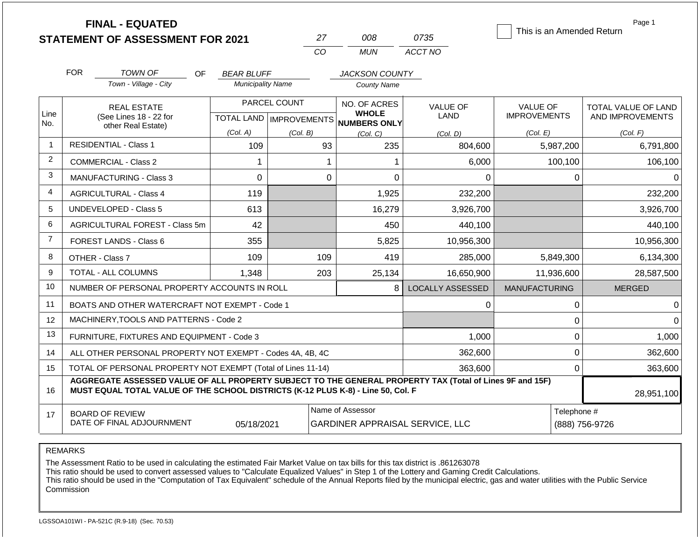|                |                                                                                                                                                                                              | <b>FINAL - EQUATED</b><br><b>STATEMENT OF ASSESSMENT FOR 2021</b> |                          |              | 27             | 008                                                                 | 0735                                   | This is an Amended Return              | Page 1                                  |
|----------------|----------------------------------------------------------------------------------------------------------------------------------------------------------------------------------------------|-------------------------------------------------------------------|--------------------------|--------------|----------------|---------------------------------------------------------------------|----------------------------------------|----------------------------------------|-----------------------------------------|
|                |                                                                                                                                                                                              |                                                                   |                          |              | CO             | <b>MUN</b>                                                          | ACCT NO                                |                                        |                                         |
|                | <b>FOR</b>                                                                                                                                                                                   | <b>TOWN OF</b><br>OF.                                             | <b>BEAR BLUFF</b>        |              |                | <b>JACKSON COUNTY</b>                                               |                                        |                                        |                                         |
|                |                                                                                                                                                                                              | Town - Village - City                                             | <b>Municipality Name</b> |              |                | <b>County Name</b>                                                  |                                        |                                        |                                         |
| Line<br>No.    |                                                                                                                                                                                              | <b>REAL ESTATE</b><br>(See Lines 18 - 22 for                      |                          | PARCEL COUNT |                | NO. OF ACRES<br><b>WHOLE</b><br>TOTAL LAND MPROVEMENTS NUMBERS ONLY | <b>VALUE OF</b><br>LAND                | <b>VALUE OF</b><br><b>IMPROVEMENTS</b> | TOTAL VALUE OF LAND<br>AND IMPROVEMENTS |
|                |                                                                                                                                                                                              | other Real Estate)                                                | (Col. A)                 | (Col. B)     |                | (Col, C)                                                            | (Col. D)                               | (Col. E)                               | (Col. F)                                |
| $\mathbf{1}$   |                                                                                                                                                                                              | <b>RESIDENTIAL - Class 1</b>                                      | 109                      |              | 93             | 235                                                                 | 804,600                                | 5,987,200                              | 6,791,800                               |
| $\overline{2}$ |                                                                                                                                                                                              | <b>COMMERCIAL - Class 2</b>                                       | 1                        |              | 1              | 1                                                                   | 6,000                                  | 100,100                                | 106,100                                 |
| 3              |                                                                                                                                                                                              | <b>MANUFACTURING - Class 3</b>                                    | $\overline{0}$           |              | $\overline{0}$ | 0                                                                   | 0                                      | 0                                      | 0                                       |
| 4              |                                                                                                                                                                                              | <b>AGRICULTURAL - Class 4</b>                                     | 119                      |              |                | 1,925                                                               | 232,200                                |                                        | 232,200                                 |
| 5              |                                                                                                                                                                                              | UNDEVELOPED - Class 5                                             | 613                      |              |                | 16,279                                                              | 3,926,700                              |                                        | 3,926,700                               |
| 6              |                                                                                                                                                                                              | AGRICULTURAL FOREST - Class 5m                                    | 42                       |              |                | 450                                                                 | 440,100                                |                                        | 440,100                                 |
| $\overline{7}$ |                                                                                                                                                                                              | FOREST LANDS - Class 6                                            | 355                      |              |                | 5,825                                                               | 10,956,300                             |                                        | 10,956,300                              |
| 8              |                                                                                                                                                                                              | OTHER - Class 7                                                   | 109                      |              | 109            | 419                                                                 | 285,000                                | 5,849,300                              | 6,134,300                               |
| 9              |                                                                                                                                                                                              | TOTAL - ALL COLUMNS                                               | 1,348                    |              | 203            | 25,134                                                              | 16,650,900                             | 11,936,600                             | 28,587,500                              |
| 10             |                                                                                                                                                                                              | NUMBER OF PERSONAL PROPERTY ACCOUNTS IN ROLL                      |                          |              |                | 8                                                                   | <b>LOCALLY ASSESSED</b>                | <b>MANUFACTURING</b>                   | <b>MERGED</b>                           |
| 11             |                                                                                                                                                                                              | BOATS AND OTHER WATERCRAFT NOT EXEMPT - Code 1                    |                          |              |                |                                                                     | 0                                      | 0                                      | ∩                                       |
| 12             |                                                                                                                                                                                              | MACHINERY, TOOLS AND PATTERNS - Code 2                            |                          |              |                |                                                                     |                                        | 0                                      |                                         |
| 13             |                                                                                                                                                                                              | FURNITURE, FIXTURES AND EQUIPMENT - Code 3                        |                          |              |                |                                                                     | 1,000                                  | $\mathbf 0$                            | 1,000                                   |
| 14             | ALL OTHER PERSONAL PROPERTY NOT EXEMPT - Codes 4A, 4B, 4C                                                                                                                                    |                                                                   |                          |              |                |                                                                     | 362,600                                | $\mathbf 0$                            | 362,600                                 |
| 15             | TOTAL OF PERSONAL PROPERTY NOT EXEMPT (Total of Lines 11-14)                                                                                                                                 |                                                                   |                          |              |                |                                                                     | 363,600                                | $\mathbf 0$                            | 363,600                                 |
| 16             | AGGREGATE ASSESSED VALUE OF ALL PROPERTY SUBJECT TO THE GENERAL PROPERTY TAX (Total of Lines 9F and 15F)<br>MUST EQUAL TOTAL VALUE OF THE SCHOOL DISTRICTS (K-12 PLUS K-8) - Line 50, Col. F |                                                                   |                          |              |                |                                                                     |                                        |                                        | 28,951,100                              |
| 17             | <b>BOARD OF REVIEW</b><br>DATE OF FINAL ADJOURNMENT<br>05/18/2021                                                                                                                            |                                                                   |                          |              |                | Name of Assessor                                                    | <b>GARDINER APPRAISAL SERVICE, LLC</b> | Telephone #<br>(888) 756-9726          |                                         |

REMARKS

The Assessment Ratio to be used in calculating the estimated Fair Market Value on tax bills for this tax district is .861263078

This ratio should be used to convert assessed values to "Calculate Equalized Values" in Step 1 of the Lottery and Gaming Credit Calculations.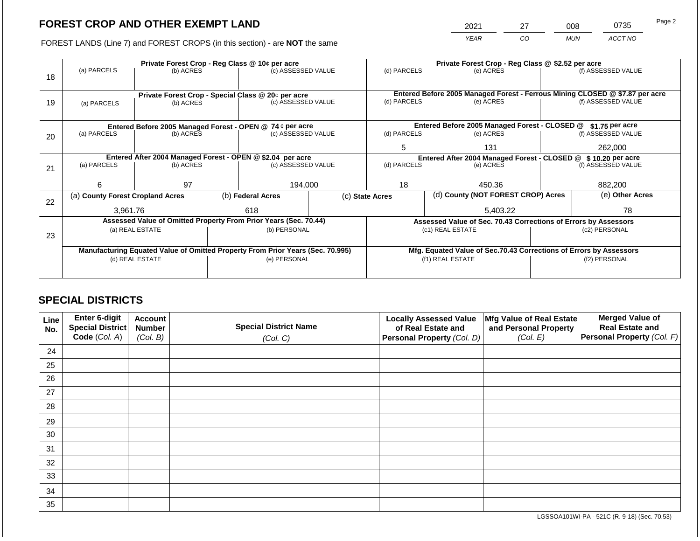2021 27 008 0735 Page 2

FOREST LANDS (Line 7) and FOREST CROPS (in this section) - are **NOT** the same *YEAR CO MUN ACCT NO*

|    |                                                                                |                                                             | Private Forest Crop - Reg Class @ \$2.52 per acre |                                                                  |                                                               |                          |                                                                              |                                                                 |                                                                                                                                                                        |                    |
|----|--------------------------------------------------------------------------------|-------------------------------------------------------------|---------------------------------------------------|------------------------------------------------------------------|---------------------------------------------------------------|--------------------------|------------------------------------------------------------------------------|-----------------------------------------------------------------|------------------------------------------------------------------------------------------------------------------------------------------------------------------------|--------------------|
| 18 | (a) PARCELS                                                                    | Private Forest Crop - Reg Class @ 10¢ per acre<br>(b) ACRES |                                                   | (c) ASSESSED VALUE                                               |                                                               | (d) PARCELS              |                                                                              | (e) ACRES                                                       |                                                                                                                                                                        | (f) ASSESSED VALUE |
|    |                                                                                |                                                             |                                                   |                                                                  |                                                               |                          |                                                                              |                                                                 |                                                                                                                                                                        |                    |
|    |                                                                                |                                                             |                                                   | Private Forest Crop - Special Class @ 20¢ per acre               |                                                               |                          | Entered Before 2005 Managed Forest - Ferrous Mining CLOSED @ \$7.87 per acre |                                                                 |                                                                                                                                                                        |                    |
| 19 | (a) PARCELS                                                                    | (b) ACRES                                                   |                                                   | (c) ASSESSED VALUE                                               |                                                               | (d) PARCELS              |                                                                              | (e) ACRES                                                       |                                                                                                                                                                        | (f) ASSESSED VALUE |
|    |                                                                                |                                                             |                                                   |                                                                  |                                                               |                          |                                                                              |                                                                 |                                                                                                                                                                        |                    |
|    |                                                                                |                                                             |                                                   |                                                                  |                                                               |                          |                                                                              |                                                                 |                                                                                                                                                                        |                    |
|    |                                                                                |                                                             |                                                   | Entered Before 2005 Managed Forest - OPEN @ 74 ¢ per acre        |                                                               |                          |                                                                              | Entered Before 2005 Managed Forest - CLOSED @                   |                                                                                                                                                                        |                    |
| 20 | (a) PARCELS                                                                    | (c) ASSESSED VALUE<br>(b) ACRES                             |                                                   | (d) PARCELS                                                      |                                                               | (e) ACRES                |                                                                              |                                                                 |                                                                                                                                                                        |                    |
|    |                                                                                |                                                             |                                                   | 5<br>131                                                         |                                                               |                          | 262,000                                                                      |                                                                 |                                                                                                                                                                        |                    |
|    | Entered After 2004 Managed Forest - OPEN @ \$2.04 per acre                     |                                                             |                                                   |                                                                  | Entered After 2004 Managed Forest - CLOSED @ \$10.20 per acre |                          |                                                                              |                                                                 |                                                                                                                                                                        |                    |
| 21 | (a) PARCELS                                                                    | (b) ACRES                                                   |                                                   | (c) ASSESSED VALUE                                               |                                                               | (d) PARCELS<br>(e) ACRES |                                                                              | (f) ASSESSED VALUE                                              |                                                                                                                                                                        |                    |
|    |                                                                                |                                                             |                                                   |                                                                  |                                                               |                          |                                                                              |                                                                 |                                                                                                                                                                        |                    |
|    | 6                                                                              | 97                                                          |                                                   | 194,000                                                          |                                                               | 18<br>450.36             |                                                                              |                                                                 | 882,200                                                                                                                                                                |                    |
|    |                                                                                | (b) Federal Acres<br>(a) County Forest Cropland Acres       |                                                   |                                                                  | (c) State Acres                                               |                          | (d) County (NOT FOREST CROP) Acres                                           |                                                                 | \$1.75 per acre<br>(f) ASSESSED VALUE<br>(e) Other Acres<br>78<br>(c2) PERSONAL<br>Mfg. Equated Value of Sec.70.43 Corrections of Errors by Assessors<br>(f2) PERSONAL |                    |
| 22 |                                                                                |                                                             |                                                   |                                                                  |                                                               |                          |                                                                              |                                                                 |                                                                                                                                                                        |                    |
|    | 3,961.76                                                                       |                                                             |                                                   | 618                                                              |                                                               |                          |                                                                              | 5,403.22                                                        |                                                                                                                                                                        |                    |
|    |                                                                                |                                                             |                                                   | Assessed Value of Omitted Property From Prior Years (Sec. 70.44) |                                                               |                          |                                                                              | Assessed Value of Sec. 70.43 Corrections of Errors by Assessors |                                                                                                                                                                        |                    |
|    |                                                                                | (a) REAL ESTATE                                             |                                                   | (b) PERSONAL                                                     |                                                               |                          |                                                                              | (c1) REAL ESTATE                                                |                                                                                                                                                                        |                    |
| 23 |                                                                                |                                                             |                                                   |                                                                  |                                                               |                          |                                                                              |                                                                 |                                                                                                                                                                        |                    |
|    | Manufacturing Equated Value of Omitted Property From Prior Years (Sec. 70.995) |                                                             |                                                   |                                                                  |                                                               |                          |                                                                              |                                                                 |                                                                                                                                                                        |                    |
|    | (d) REAL ESTATE                                                                |                                                             |                                                   | (e) PERSONAL                                                     |                                                               |                          |                                                                              | (f1) REAL ESTATE                                                |                                                                                                                                                                        |                    |
|    |                                                                                |                                                             |                                                   |                                                                  |                                                               |                          |                                                                              |                                                                 |                                                                                                                                                                        |                    |
|    |                                                                                |                                                             |                                                   |                                                                  |                                                               |                          |                                                                              |                                                                 |                                                                                                                                                                        |                    |

# **SPECIAL DISTRICTS**

| Line<br>No. | Enter 6-digit<br>Special District<br>Code (Col. A) | <b>Account</b><br><b>Number</b><br>(Col. B) | <b>Special District Name</b><br>(Col. C) | <b>Locally Assessed Value</b><br>of Real Estate and<br><b>Personal Property (Col. D)</b> | Mfg Value of Real Estate<br>and Personal Property<br>(Col. E) | <b>Merged Value of</b><br><b>Real Estate and</b><br>Personal Property (Col. F) |
|-------------|----------------------------------------------------|---------------------------------------------|------------------------------------------|------------------------------------------------------------------------------------------|---------------------------------------------------------------|--------------------------------------------------------------------------------|
| 24          |                                                    |                                             |                                          |                                                                                          |                                                               |                                                                                |
| 25          |                                                    |                                             |                                          |                                                                                          |                                                               |                                                                                |
| 26          |                                                    |                                             |                                          |                                                                                          |                                                               |                                                                                |
| 27          |                                                    |                                             |                                          |                                                                                          |                                                               |                                                                                |
| 28          |                                                    |                                             |                                          |                                                                                          |                                                               |                                                                                |
| 29          |                                                    |                                             |                                          |                                                                                          |                                                               |                                                                                |
| 30          |                                                    |                                             |                                          |                                                                                          |                                                               |                                                                                |
| 31          |                                                    |                                             |                                          |                                                                                          |                                                               |                                                                                |
| 32          |                                                    |                                             |                                          |                                                                                          |                                                               |                                                                                |
| 33          |                                                    |                                             |                                          |                                                                                          |                                                               |                                                                                |
| 34          |                                                    |                                             |                                          |                                                                                          |                                                               |                                                                                |
| 35          |                                                    |                                             |                                          |                                                                                          |                                                               |                                                                                |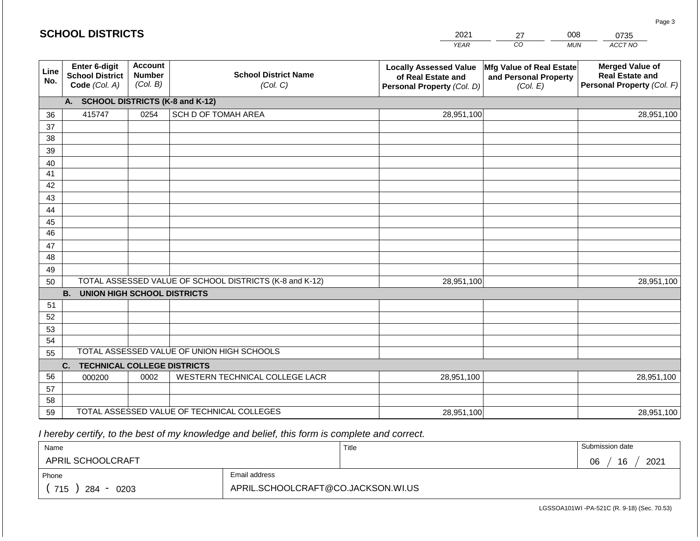#### *YEAR*  2021  $\overline{co}$ *MUN ACCT NO*  0735 **Line No. Enter 6-digit School District Code** *(Col. A)* **Account Number** *(Col. B)* **School District Name** *(Col. C)* **Locally Assessed Value of Real Estate and Personal Property** *(Col. D)* **Mfg Value of Real Estate and Personal Property** *(Col. E)* **Merged Value of Real Estate and Personal Property** *(Col. F)* **A. SCHOOL DISTRICTS (K-8 and K-12)** 36 37 38 39 40 41 42 43 44 45 46 47 48 49 50 TOTAL ASSESSED VALUE OF SCHOOL DISTRICTS (K-8 and K-12) **B. UNION HIGH SCHOOL DISTRICTS** 51 52 53 54 55 **C. TECHNICAL COLLEGE DISTRICTS** 56 57 58 59 TOTAL ASSESSED VALUE OF TECHNICAL COLLEGES TOTAL ASSESSED VALUE OF UNION HIGH SCHOOLS 415747 0254 SCH D OF TOMAH AREA 28,951,100 28,951,100 000200 | 0002 | WESTERN TECHNICAL COLLEGE LACR 28,951,100 28,951,100 28,951,100 28,951,100 28,951,100 28,951,100

 *I hereby certify, to the best of my knowledge and belief, this form is complete and correct.*

| Name               |                                    | Title | Submission date  |
|--------------------|------------------------------------|-------|------------------|
| APRIL SCHOOLCRAFT  |                                    |       | 16<br>2021<br>06 |
| Phone              | Email address                      |       |                  |
| 715<br>284<br>0203 | APRIL.SCHOOLCRAFT@CO.JACKSON.WI.US |       |                  |

LGSSOA101WI -PA-521C (R. 9-18) (Sec. 70.53)

Page 3

27

008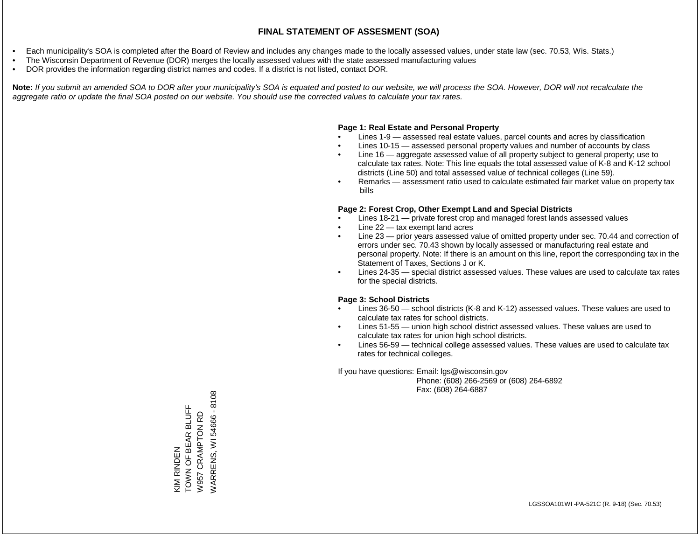- Each municipality's SOA is completed after the Board of Review and includes any changes made to the locally assessed values, under state law (sec. 70.53, Wis. Stats.)
- The Wisconsin Department of Revenue (DOR) merges the locally assessed values with the state assessed manufacturing values
- DOR provides the information regarding district names and codes. If a district is not listed, contact DOR.

Note: If you submit an amended SOA to DOR after your municipality's SOA is equated and posted to our website, we will process the SOA. However, DOR will not recalculate the *aggregate ratio or update the final SOA posted on our website. You should use the corrected values to calculate your tax rates.*

#### **Page 1: Real Estate and Personal Property**

- Lines 1-9 assessed real estate values, parcel counts and acres by classification
- Lines 10-15 assessed personal property values and number of accounts by class
- Line 16 aggregate assessed value of all property subject to general property; use to calculate tax rates. Note: This line equals the total assessed value of K-8 and K-12 school districts (Line 50) and total assessed value of technical colleges (Line 59).
- Remarks assessment ratio used to calculate estimated fair market value on property tax bills

#### **Page 2: Forest Crop, Other Exempt Land and Special Districts**

- Lines 18-21 private forest crop and managed forest lands assessed values
- Line  $22 -$  tax exempt land acres
- Line 23 prior years assessed value of omitted property under sec. 70.44 and correction of errors under sec. 70.43 shown by locally assessed or manufacturing real estate and personal property. Note: If there is an amount on this line, report the corresponding tax in the Statement of Taxes, Sections J or K.
- Lines 24-35 special district assessed values. These values are used to calculate tax rates for the special districts.

#### **Page 3: School Districts**

- Lines 36-50 school districts (K-8 and K-12) assessed values. These values are used to calculate tax rates for school districts.
- Lines 51-55 union high school district assessed values. These values are used to calculate tax rates for union high school districts.
- Lines 56-59 technical college assessed values. These values are used to calculate tax rates for technical colleges.

If you have questions: Email: lgs@wisconsin.gov

 Phone: (608) 266-2569 or (608) 264-6892 Fax: (608) 264-6887

/VARRENS, WI 54666 - 8108 WARRENS, WI 54666 - 8108TOWN OF BEAR BLUFF KIM RINDEN<br>TOWN OF BEAR BLUFF W957 CRAMPTON RD W957 CRAMPTON RD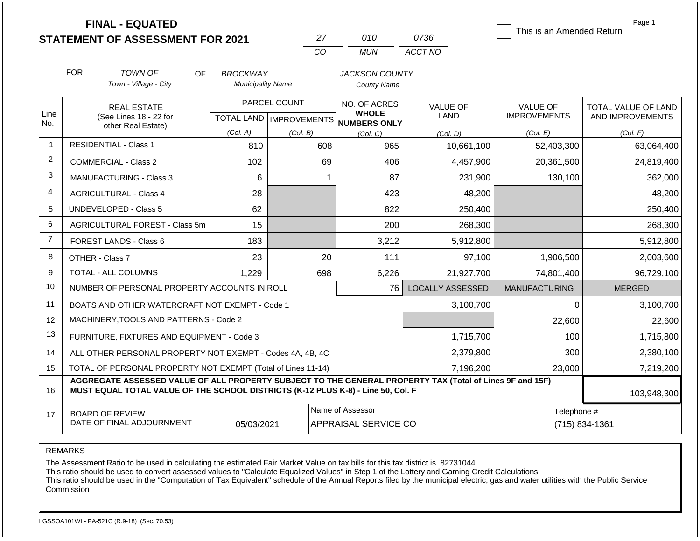| <b>STATEMENT OF ASSESSMENT FOR 2021</b> |  |
|-----------------------------------------|--|
|                                         |  |

**FINAL - EQUATED**

| י כי | 01 O  | 0736    |
|------|-------|---------|
| CO.  | MI IN | ACCT NO |

This is an Amended Return

Page 1

|                         | <b>FOR</b>                                                                                                                                                                                   | <b>TOWN OF</b><br>OF                                                                                                                           | <b>BROCKWAY</b>           |                              | <b>JACKSON COUNTY</b> |                         |                      |                                         |
|-------------------------|----------------------------------------------------------------------------------------------------------------------------------------------------------------------------------------------|------------------------------------------------------------------------------------------------------------------------------------------------|---------------------------|------------------------------|-----------------------|-------------------------|----------------------|-----------------------------------------|
|                         |                                                                                                                                                                                              | Town - Village - City                                                                                                                          | <b>Municipality Name</b>  |                              | <b>County Name</b>    |                         |                      |                                         |
|                         | <b>REAL ESTATE</b>                                                                                                                                                                           |                                                                                                                                                |                           | PARCEL COUNT                 | NO. OF ACRES          | <b>VALUE OF</b>         | <b>VALUE OF</b>      | TOTAL VALUE OF LAND<br>AND IMPROVEMENTS |
| Line<br>No.             | (See Lines 18 - 22 for<br>other Real Estate)                                                                                                                                                 |                                                                                                                                                | TOTAL LAND   IMPROVEMENTS | <b>WHOLE</b><br>NUMBERS ONLY | <b>LAND</b>           | <b>IMPROVEMENTS</b>     |                      |                                         |
|                         |                                                                                                                                                                                              |                                                                                                                                                | (Col. A)                  | (Col. B)                     | (Col. C)              | (Col. D)                | (Col. E)             | (Col. F)                                |
| $\mathbf{1}$            |                                                                                                                                                                                              | <b>RESIDENTIAL - Class 1</b>                                                                                                                   | 810                       | 608                          | 965                   | 10,661,100              | 52,403,300           | 63,064,400                              |
| $\overline{2}$          |                                                                                                                                                                                              | <b>COMMERCIAL - Class 2</b>                                                                                                                    | 102                       | 69                           | 406                   | 4,457,900               | 20,361,500           | 24,819,400                              |
| 3                       |                                                                                                                                                                                              | MANUFACTURING - Class 3                                                                                                                        | $6\phantom{1}$            |                              | 87                    | 231,900                 | 130,100              | 362,000                                 |
| $\overline{\mathbf{4}}$ |                                                                                                                                                                                              | <b>AGRICULTURAL - Class 4</b>                                                                                                                  | 28                        |                              | 423                   | 48,200                  |                      | 48,200                                  |
| 5                       |                                                                                                                                                                                              | <b>UNDEVELOPED - Class 5</b>                                                                                                                   | 62                        |                              | 822                   | 250,400                 |                      | 250,400                                 |
| 6                       |                                                                                                                                                                                              | AGRICULTURAL FOREST - Class 5m                                                                                                                 | 15                        |                              | 200                   | 268,300                 |                      | 268,300                                 |
| $\overline{7}$          |                                                                                                                                                                                              | FOREST LANDS - Class 6                                                                                                                         | 183                       |                              | 3,212                 | 5,912,800               |                      | 5,912,800                               |
| 8                       |                                                                                                                                                                                              | OTHER - Class 7                                                                                                                                | 23                        | 20                           | 111                   | 97,100                  | 1,906,500            | 2,003,600                               |
| 9                       |                                                                                                                                                                                              | TOTAL - ALL COLUMNS                                                                                                                            | 1,229                     | 698                          | 6,226                 | 21,927,700              | 74,801,400           | 96,729,100                              |
| 10                      |                                                                                                                                                                                              | NUMBER OF PERSONAL PROPERTY ACCOUNTS IN ROLL                                                                                                   |                           |                              | 76                    | <b>LOCALLY ASSESSED</b> | <b>MANUFACTURING</b> | <b>MERGED</b>                           |
| 11                      |                                                                                                                                                                                              | BOATS AND OTHER WATERCRAFT NOT EXEMPT - Code 1                                                                                                 |                           |                              |                       | 3,100,700               | 0                    | 3,100,700                               |
| 12                      |                                                                                                                                                                                              | MACHINERY, TOOLS AND PATTERNS - Code 2                                                                                                         |                           |                              |                       |                         | 22,600               | 22,600                                  |
| 13                      |                                                                                                                                                                                              | FURNITURE, FIXTURES AND EQUIPMENT - Code 3                                                                                                     |                           |                              |                       | 1,715,700               | 100                  | 1,715,800                               |
| 14                      |                                                                                                                                                                                              | ALL OTHER PERSONAL PROPERTY NOT EXEMPT - Codes 4A, 4B, 4C                                                                                      |                           |                              |                       | 2,379,800               | 300                  | 2,380,100                               |
| 15                      | TOTAL OF PERSONAL PROPERTY NOT EXEMPT (Total of Lines 11-14)<br>7,196,200                                                                                                                    |                                                                                                                                                |                           |                              |                       |                         | 23,000               | 7,219,200                               |
| 16                      | AGGREGATE ASSESSED VALUE OF ALL PROPERTY SUBJECT TO THE GENERAL PROPERTY TAX (Total of Lines 9F and 15F)<br>MUST EQUAL TOTAL VALUE OF THE SCHOOL DISTRICTS (K-12 PLUS K-8) - Line 50, Col. F |                                                                                                                                                |                           |                              |                       |                         | 103,948,300          |                                         |
| 17                      |                                                                                                                                                                                              | Name of Assessor<br>Telephone #<br><b>BOARD OF REVIEW</b><br>DATE OF FINAL ADJOURNMENT<br>APPRAISAL SERVICE CO<br>05/03/2021<br>(715) 834-1361 |                           |                              |                       |                         |                      |                                         |

REMARKS

The Assessment Ratio to be used in calculating the estimated Fair Market Value on tax bills for this tax district is .82731044

This ratio should be used to convert assessed values to "Calculate Equalized Values" in Step 1 of the Lottery and Gaming Credit Calculations.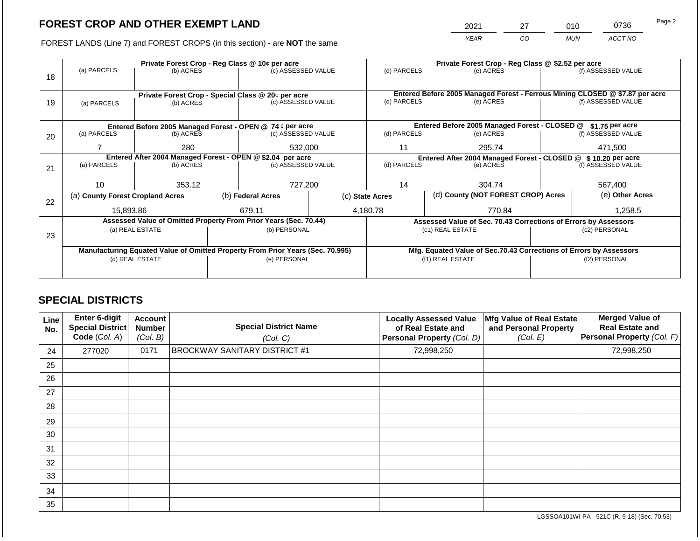2021 27 010 0736 Page 2

FOREST LANDS (Line 7) and FOREST CROPS (in this section) - are **NOT** the same *YEAR CO MUN ACCT NO*

|    | (a) PARCELS                                                                    | (b) ACRES       | Private Forest Crop - Reg Class @ 10¢ per acre<br>(c) ASSESSED VALUE |                                                                  | (d) PARCELS                                                    |                                                                              | Private Forest Crop - Reg Class @ \$2.52 per acre<br>(e) ACRES | (f) ASSESSED VALUE                                                 |               |                    |
|----|--------------------------------------------------------------------------------|-----------------|----------------------------------------------------------------------|------------------------------------------------------------------|----------------------------------------------------------------|------------------------------------------------------------------------------|----------------------------------------------------------------|--------------------------------------------------------------------|---------------|--------------------|
| 18 |                                                                                |                 |                                                                      |                                                                  |                                                                |                                                                              |                                                                |                                                                    |               |                    |
|    |                                                                                |                 |                                                                      | Private Forest Crop - Special Class @ 20¢ per acre               |                                                                | Entered Before 2005 Managed Forest - Ferrous Mining CLOSED @ \$7.87 per acre |                                                                |                                                                    |               |                    |
| 19 | (a) PARCELS                                                                    | (b) ACRES       |                                                                      | (c) ASSESSED VALUE                                               |                                                                | (d) PARCELS                                                                  |                                                                | (e) ACRES                                                          |               | (f) ASSESSED VALUE |
|    |                                                                                |                 |                                                                      |                                                                  |                                                                |                                                                              |                                                                |                                                                    |               |                    |
|    |                                                                                |                 |                                                                      | Entered Before 2005 Managed Forest - OPEN @ 74 ¢ per acre        |                                                                | Entered Before 2005 Managed Forest - CLOSED @<br>\$1.75 per acre             |                                                                |                                                                    |               |                    |
| 20 | (a) PARCELS                                                                    | (b) ACRES       |                                                                      | (c) ASSESSED VALUE                                               |                                                                | (d) PARCELS                                                                  |                                                                | (e) ACRES                                                          |               | (f) ASSESSED VALUE |
|    |                                                                                | 280             |                                                                      | 532,000                                                          |                                                                | 11                                                                           |                                                                | 295.74                                                             |               | 471,500            |
|    |                                                                                |                 | Entered After 2004 Managed Forest - OPEN @ \$2.04 per acre           |                                                                  | Entered After 2004 Managed Forest - CLOSED @ \$ 10.20 per acre |                                                                              |                                                                |                                                                    |               |                    |
| 21 | (a) PARCELS                                                                    | (b) ACRES       |                                                                      | (c) ASSESSED VALUE                                               |                                                                | (d) PARCELS<br>(e) ACRES                                                     |                                                                | (f) ASSESSED VALUE                                                 |               |                    |
|    |                                                                                |                 |                                                                      |                                                                  |                                                                |                                                                              |                                                                |                                                                    |               |                    |
|    | 10                                                                             | 353.12          |                                                                      | 727.200                                                          |                                                                | 14                                                                           |                                                                | 304.74                                                             | 567.400       |                    |
| 22 | (a) County Forest Cropland Acres                                               |                 |                                                                      | (b) Federal Acres                                                |                                                                | (c) State Acres                                                              |                                                                | (d) County (NOT FOREST CROP) Acres                                 |               | (e) Other Acres    |
|    | 15,893.86                                                                      |                 |                                                                      | 679.11                                                           |                                                                | 4,180.78                                                                     |                                                                | 770.84                                                             |               | 1,258.5            |
|    |                                                                                |                 |                                                                      | Assessed Value of Omitted Property From Prior Years (Sec. 70.44) |                                                                |                                                                              |                                                                | Assessed Value of Sec. 70.43 Corrections of Errors by Assessors    |               |                    |
|    |                                                                                | (a) REAL ESTATE |                                                                      | (b) PERSONAL                                                     |                                                                |                                                                              |                                                                | (c1) REAL ESTATE                                                   |               | (c2) PERSONAL      |
| 23 |                                                                                |                 |                                                                      |                                                                  |                                                                |                                                                              |                                                                |                                                                    |               |                    |
|    | Manufacturing Equated Value of Omitted Property From Prior Years (Sec. 70.995) |                 |                                                                      |                                                                  |                                                                |                                                                              |                                                                | Mfg. Equated Value of Sec.70.43 Corrections of Errors by Assessors |               |                    |
|    |                                                                                | (d) REAL ESTATE |                                                                      | (e) PERSONAL                                                     |                                                                | (f1) REAL ESTATE                                                             |                                                                |                                                                    | (f2) PERSONAL |                    |
|    |                                                                                |                 |                                                                      |                                                                  |                                                                |                                                                              |                                                                |                                                                    |               |                    |

# **SPECIAL DISTRICTS**

| Line<br>No. | <b>Enter 6-digit</b><br>Special District<br>Code (Col. A) | <b>Account</b><br><b>Number</b><br>(Col. B) | <b>Special District Name</b><br>(Col. C) | <b>Locally Assessed Value</b><br>of Real Estate and<br>Personal Property (Col. D) | Mfg Value of Real Estate<br>and Personal Property<br>(Col. E) | <b>Merged Value of</b><br><b>Real Estate and</b><br>Personal Property (Col. F) |
|-------------|-----------------------------------------------------------|---------------------------------------------|------------------------------------------|-----------------------------------------------------------------------------------|---------------------------------------------------------------|--------------------------------------------------------------------------------|
| 24          | 277020                                                    | 0171                                        | <b>BROCKWAY SANITARY DISTRICT #1</b>     | 72,998,250                                                                        |                                                               | 72,998,250                                                                     |
| 25          |                                                           |                                             |                                          |                                                                                   |                                                               |                                                                                |
| 26          |                                                           |                                             |                                          |                                                                                   |                                                               |                                                                                |
| 27          |                                                           |                                             |                                          |                                                                                   |                                                               |                                                                                |
| 28          |                                                           |                                             |                                          |                                                                                   |                                                               |                                                                                |
| 29          |                                                           |                                             |                                          |                                                                                   |                                                               |                                                                                |
| 30          |                                                           |                                             |                                          |                                                                                   |                                                               |                                                                                |
| 31          |                                                           |                                             |                                          |                                                                                   |                                                               |                                                                                |
| 32          |                                                           |                                             |                                          |                                                                                   |                                                               |                                                                                |
| 33          |                                                           |                                             |                                          |                                                                                   |                                                               |                                                                                |
| 34          |                                                           |                                             |                                          |                                                                                   |                                                               |                                                                                |
| 35          |                                                           |                                             |                                          |                                                                                   |                                                               |                                                                                |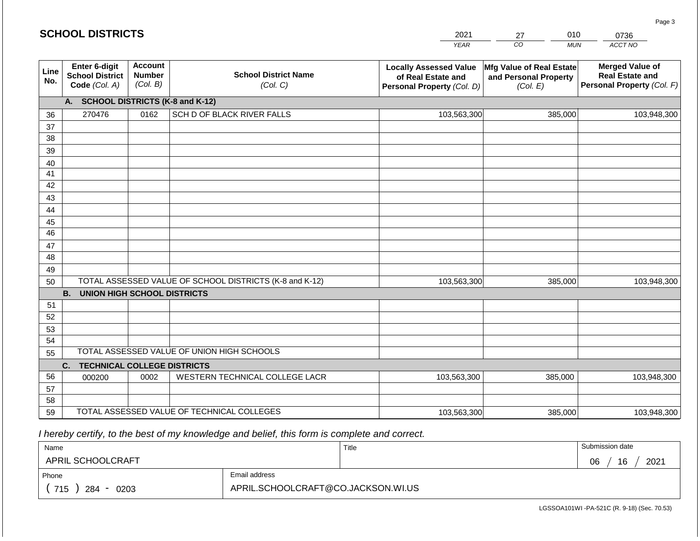### **SCHOOL DISTRICTS**

| 2021        |    | ን10 | 0736    |
|-------------|----|-----|---------|
| <b>YFAR</b> | 20 | MUN | ACCT NO |

| Line<br>No. | <b>Enter 6-digit</b><br><b>School District</b><br>Code (Col. A) | <b>Account</b><br><b>Number</b><br>(Col. B) | <b>School District Name</b><br>(Col. C)                 | <b>Locally Assessed Value</b><br>of Real Estate and<br>Personal Property (Col. D) | Mfg Value of Real Estate<br>and Personal Property<br>(Col. E) | <b>Merged Value of</b><br><b>Real Estate and</b><br>Personal Property (Col. F) |
|-------------|-----------------------------------------------------------------|---------------------------------------------|---------------------------------------------------------|-----------------------------------------------------------------------------------|---------------------------------------------------------------|--------------------------------------------------------------------------------|
|             | A.                                                              |                                             | <b>SCHOOL DISTRICTS (K-8 and K-12)</b>                  |                                                                                   |                                                               |                                                                                |
| 36          | 270476                                                          | 0162                                        | SCH D OF BLACK RIVER FALLS                              | 103,563,300                                                                       | 385,000                                                       | 103,948,300                                                                    |
| 37          |                                                                 |                                             |                                                         |                                                                                   |                                                               |                                                                                |
| 38          |                                                                 |                                             |                                                         |                                                                                   |                                                               |                                                                                |
| 39          |                                                                 |                                             |                                                         |                                                                                   |                                                               |                                                                                |
| 40          |                                                                 |                                             |                                                         |                                                                                   |                                                               |                                                                                |
| 41          |                                                                 |                                             |                                                         |                                                                                   |                                                               |                                                                                |
| 42          |                                                                 |                                             |                                                         |                                                                                   |                                                               |                                                                                |
| 43          |                                                                 |                                             |                                                         |                                                                                   |                                                               |                                                                                |
| 44          |                                                                 |                                             |                                                         |                                                                                   |                                                               |                                                                                |
| 45          |                                                                 |                                             |                                                         |                                                                                   |                                                               |                                                                                |
| 46          |                                                                 |                                             |                                                         |                                                                                   |                                                               |                                                                                |
| 47          |                                                                 |                                             |                                                         |                                                                                   |                                                               |                                                                                |
| 48          |                                                                 |                                             |                                                         |                                                                                   |                                                               |                                                                                |
| 49          |                                                                 |                                             |                                                         |                                                                                   |                                                               |                                                                                |
| 50          |                                                                 |                                             | TOTAL ASSESSED VALUE OF SCHOOL DISTRICTS (K-8 and K-12) | 103,563,300                                                                       | 385,000                                                       | 103,948,300                                                                    |
|             | <b>B.</b><br><b>UNION HIGH SCHOOL DISTRICTS</b>                 |                                             |                                                         |                                                                                   |                                                               |                                                                                |
| 51          |                                                                 |                                             |                                                         |                                                                                   |                                                               |                                                                                |
| 52          |                                                                 |                                             |                                                         |                                                                                   |                                                               |                                                                                |
| 53          |                                                                 |                                             |                                                         |                                                                                   |                                                               |                                                                                |
| 54          |                                                                 |                                             |                                                         |                                                                                   |                                                               |                                                                                |
| 55          |                                                                 |                                             | TOTAL ASSESSED VALUE OF UNION HIGH SCHOOLS              |                                                                                   |                                                               |                                                                                |
|             | <b>TECHNICAL COLLEGE DISTRICTS</b><br>C.                        |                                             |                                                         |                                                                                   |                                                               |                                                                                |
| 56          | 000200                                                          | 0002                                        | WESTERN TECHNICAL COLLEGE LACR                          | 103,563,300                                                                       | 385,000                                                       | 103,948,300                                                                    |
| 57          |                                                                 |                                             |                                                         |                                                                                   |                                                               |                                                                                |
| 58          |                                                                 |                                             |                                                         |                                                                                   |                                                               |                                                                                |
| 59          |                                                                 |                                             | TOTAL ASSESSED VALUE OF TECHNICAL COLLEGES              | 103,563,300                                                                       | 385,000                                                       | 103,948,300                                                                    |

 *I hereby certify, to the best of my knowledge and belief, this form is complete and correct.*

| Name                  |                                    | Title | Submission date  |
|-----------------------|------------------------------------|-------|------------------|
| APRIL SCHOOLCRAFT     |                                    |       | 2021<br>16<br>06 |
| Phone                 | Email address                      |       |                  |
| 715<br>284<br>$-0203$ | APRIL.SCHOOLCRAFT@CO.JACKSON.WI.US |       |                  |

Page 3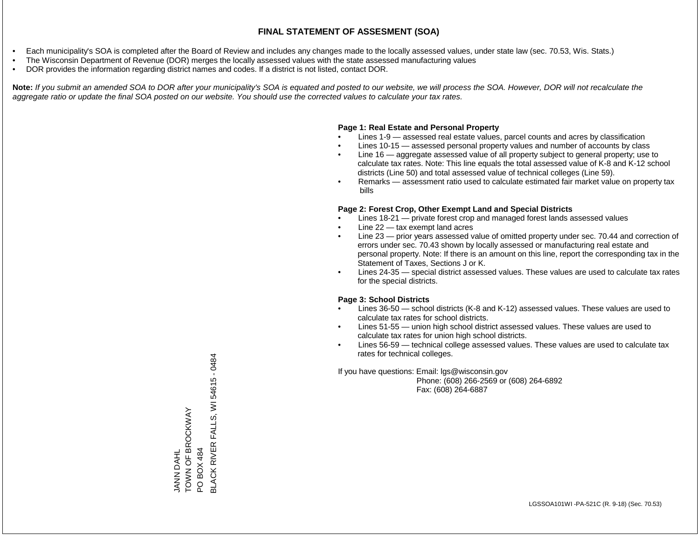- Each municipality's SOA is completed after the Board of Review and includes any changes made to the locally assessed values, under state law (sec. 70.53, Wis. Stats.)
- The Wisconsin Department of Revenue (DOR) merges the locally assessed values with the state assessed manufacturing values
- DOR provides the information regarding district names and codes. If a district is not listed, contact DOR.

Note: If you submit an amended SOA to DOR after your municipality's SOA is equated and posted to our website, we will process the SOA. However, DOR will not recalculate the *aggregate ratio or update the final SOA posted on our website. You should use the corrected values to calculate your tax rates.*

### **Page 1: Real Estate and Personal Property**

- Lines 1-9 assessed real estate values, parcel counts and acres by classification
- Lines 10-15 assessed personal property values and number of accounts by class
- Line 16 aggregate assessed value of all property subject to general property; use to calculate tax rates. Note: This line equals the total assessed value of K-8 and K-12 school districts (Line 50) and total assessed value of technical colleges (Line 59).
- Remarks assessment ratio used to calculate estimated fair market value on property tax bills

### **Page 2: Forest Crop, Other Exempt Land and Special Districts**

- Lines 18-21 private forest crop and managed forest lands assessed values
- Line  $22 -$  tax exempt land acres
- Line 23 prior years assessed value of omitted property under sec. 70.44 and correction of errors under sec. 70.43 shown by locally assessed or manufacturing real estate and personal property. Note: If there is an amount on this line, report the corresponding tax in the Statement of Taxes, Sections J or K.
- Lines 24-35 special district assessed values. These values are used to calculate tax rates for the special districts.

### **Page 3: School Districts**

- Lines 36-50 school districts (K-8 and K-12) assessed values. These values are used to calculate tax rates for school districts.
- Lines 51-55 union high school district assessed values. These values are used to calculate tax rates for union high school districts.
- Lines 56-59 technical college assessed values. These values are used to calculate tax rates for technical colleges.

If you have questions: Email: lgs@wisconsin.gov

 Phone: (608) 266-2569 or (608) 264-6892 Fax: (608) 264-6887

JANN DAHL<br>TOWN OF BROCKWAY TOWN OF BROCKWAY PO BOX 484<br>BLACK RIVER FALLS, WI 54615 - 0484 BLACK RIVER FALLS, WI 54615 - 0484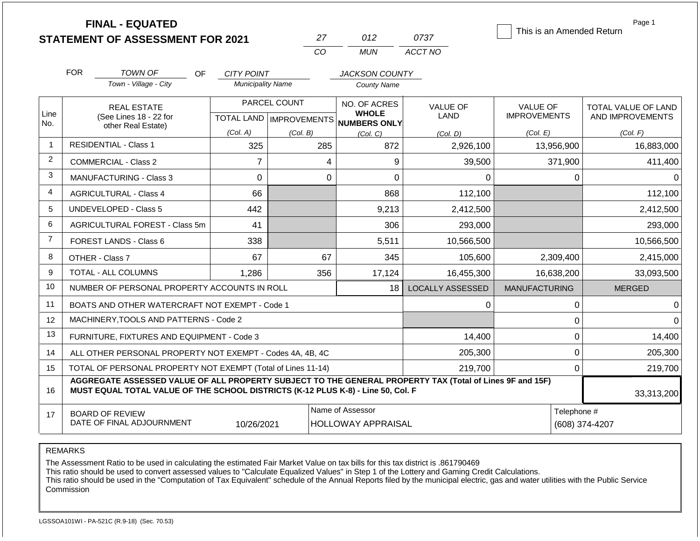|                | <b>FINAL - EQUATED</b>                                                                                                                                                                       |                          | 27                        | 012                                 | 0737                    | This is an Amended Return | Page 1              |
|----------------|----------------------------------------------------------------------------------------------------------------------------------------------------------------------------------------------|--------------------------|---------------------------|-------------------------------------|-------------------------|---------------------------|---------------------|
|                | <b>STATEMENT OF ASSESSMENT FOR 2021</b>                                                                                                                                                      |                          | CO                        | <b>MUN</b>                          | ACCT NO                 |                           |                     |
|                |                                                                                                                                                                                              |                          |                           |                                     |                         |                           |                     |
|                | <b>FOR</b><br><b>TOWN OF</b><br><b>OF</b>                                                                                                                                                    | <b>CITY POINT</b>        |                           | <b>JACKSON COUNTY</b>               |                         |                           |                     |
|                | Town - Village - City                                                                                                                                                                        | <b>Municipality Name</b> |                           | <b>County Name</b>                  |                         |                           |                     |
|                | <b>REAL ESTATE</b>                                                                                                                                                                           |                          | PARCEL COUNT              | NO. OF ACRES                        | <b>VALUE OF</b>         | <b>VALUE OF</b>           | TOTAL VALUE OF LAND |
| Line<br>No.    | (See Lines 18 - 22 for                                                                                                                                                                       |                          | TOTAL LAND   IMPROVEMENTS | <b>WHOLE</b><br><b>NUMBERS ONLY</b> | LAND                    | <b>IMPROVEMENTS</b>       | AND IMPROVEMENTS    |
|                | other Real Estate)                                                                                                                                                                           | (Col. A)                 | (Col. B)                  | (Col, C)                            | (Col, D)                | (Col. E)                  | (Col. F)            |
| $\mathbf 1$    | <b>RESIDENTIAL - Class 1</b>                                                                                                                                                                 | 325                      | 285                       | 872                                 | 2,926,100               | 13,956,900                | 16,883,000          |
| 2              | <b>COMMERCIAL - Class 2</b>                                                                                                                                                                  | $\overline{7}$           |                           | 9<br>4                              | 39,500                  | 371,900                   | 411,400             |
| 3              | <b>MANUFACTURING - Class 3</b>                                                                                                                                                               | 0                        |                           | $\mathbf 0$<br>$\mathbf 0$          | $\Omega$                | 0                         | $\Omega$            |
| $\overline{4}$ | <b>AGRICULTURAL - Class 4</b>                                                                                                                                                                | 66                       |                           | 868                                 | 112,100                 |                           | 112,100             |
| 5              | <b>UNDEVELOPED - Class 5</b>                                                                                                                                                                 | 442                      |                           | 9,213                               | 2,412,500               |                           | 2,412,500           |
| 6              | AGRICULTURAL FOREST - Class 5m                                                                                                                                                               | 41                       |                           | 306                                 | 293,000                 |                           | 293,000             |
| $\overline{7}$ | FOREST LANDS - Class 6                                                                                                                                                                       | 338                      |                           | 5,511                               | 10,566,500              |                           | 10,566,500          |
| 8              | OTHER - Class 7                                                                                                                                                                              | 67                       | 67                        | 345                                 | 105,600                 | 2,309,400                 | 2,415,000           |
| 9              | TOTAL - ALL COLUMNS                                                                                                                                                                          | 1,286                    | 356                       | 17,124                              | 16,455,300              | 16,638,200                | 33,093,500          |
| 10             | NUMBER OF PERSONAL PROPERTY ACCOUNTS IN ROLL                                                                                                                                                 |                          |                           | 18                                  | <b>LOCALLY ASSESSED</b> | <b>MANUFACTURING</b>      | <b>MERGED</b>       |
| 11             | BOATS AND OTHER WATERCRAFT NOT EXEMPT - Code 1                                                                                                                                               |                          |                           |                                     | 0                       | $\mathbf 0$               | $\mathbf 0$         |
| 12             | MACHINERY, TOOLS AND PATTERNS - Code 2                                                                                                                                                       |                          |                           |                                     |                         | $\mathbf 0$               | $\overline{0}$      |
| 13             | FURNITURE, FIXTURES AND EQUIPMENT - Code 3                                                                                                                                                   |                          |                           |                                     | 14,400                  | $\mathbf 0$               | 14,400              |
| 14             | ALL OTHER PERSONAL PROPERTY NOT EXEMPT - Codes 4A, 4B, 4C                                                                                                                                    |                          |                           |                                     | 205,300                 | $\mathbf 0$               | 205,300             |
| 15             | TOTAL OF PERSONAL PROPERTY NOT EXEMPT (Total of Lines 11-14)                                                                                                                                 |                          |                           | 219,700                             | $\mathbf 0$             | 219,700                   |                     |
| 16             | AGGREGATE ASSESSED VALUE OF ALL PROPERTY SUBJECT TO THE GENERAL PROPERTY TAX (Total of Lines 9F and 15F)<br>MUST EQUAL TOTAL VALUE OF THE SCHOOL DISTRICTS (K-12 PLUS K-8) - Line 50, Col. F |                          |                           |                                     |                         |                           | 33,313,200          |
| 17             | <b>BOARD OF REVIEW</b>                                                                                                                                                                       |                          |                           | Name of Assessor                    |                         | Telephone #               |                     |
|                | DATE OF FINAL ADJOURNMENT                                                                                                                                                                    | 10/26/2021               |                           | <b>HOLLOWAY APPRAISAL</b>           |                         |                           | (608) 374-4207      |

REMARKS

The Assessment Ratio to be used in calculating the estimated Fair Market Value on tax bills for this tax district is .861790469

This ratio should be used to convert assessed values to "Calculate Equalized Values" in Step 1 of the Lottery and Gaming Credit Calculations.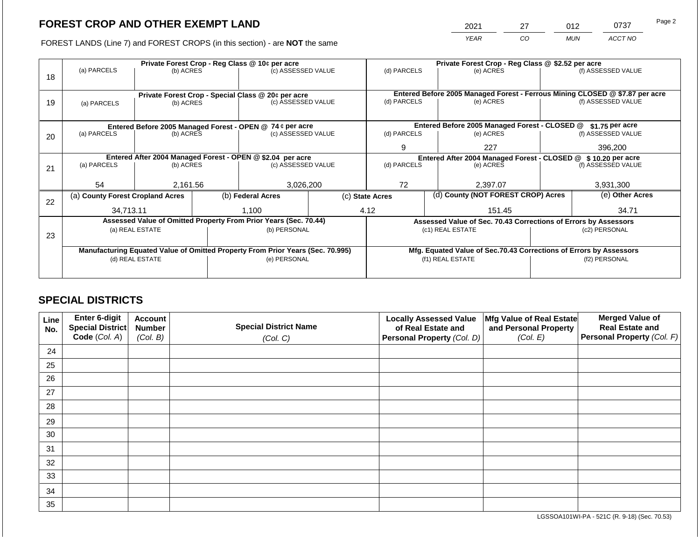2021 27 012 0737

FOREST LANDS (Line 7) and FOREST CROPS (in this section) - are **NOT** the same *YEAR CO MUN ACCT NO*

|    |                                                                                |                 | Private Forest Crop - Reg Class @ \$2.52 per acre |                                                                      |                                                               |                                                                    |     |                                                                 |         |                                                                              |
|----|--------------------------------------------------------------------------------|-----------------|---------------------------------------------------|----------------------------------------------------------------------|---------------------------------------------------------------|--------------------------------------------------------------------|-----|-----------------------------------------------------------------|---------|------------------------------------------------------------------------------|
| 18 | (a) PARCELS                                                                    | (b) ACRES       |                                                   | Private Forest Crop - Reg Class @ 10¢ per acre<br>(c) ASSESSED VALUE |                                                               | (d) PARCELS                                                        |     | (e) ACRES                                                       |         | (f) ASSESSED VALUE                                                           |
|    |                                                                                |                 |                                                   | Private Forest Crop - Special Class @ 20¢ per acre                   |                                                               |                                                                    |     |                                                                 |         | Entered Before 2005 Managed Forest - Ferrous Mining CLOSED @ \$7.87 per acre |
| 19 | (a) PARCELS                                                                    | (b) ACRES       |                                                   | (c) ASSESSED VALUE                                                   |                                                               | (d) PARCELS                                                        |     | (e) ACRES                                                       |         | (f) ASSESSED VALUE                                                           |
|    |                                                                                |                 |                                                   |                                                                      |                                                               |                                                                    |     |                                                                 |         |                                                                              |
|    |                                                                                |                 |                                                   | Entered Before 2005 Managed Forest - OPEN @ 74 ¢ per acre            |                                                               |                                                                    |     | Entered Before 2005 Managed Forest - CLOSED @                   |         | $$1.75$ per acre                                                             |
| 20 | (a) PARCELS                                                                    | (b) ACRES       |                                                   | (c) ASSESSED VALUE                                                   |                                                               | (d) PARCELS                                                        |     | (e) ACRES                                                       |         | (f) ASSESSED VALUE                                                           |
|    |                                                                                |                 |                                                   |                                                                      | 9                                                             |                                                                    | 227 |                                                                 | 396,200 |                                                                              |
|    | Entered After 2004 Managed Forest - OPEN @ \$2.04 per acre                     |                 |                                                   |                                                                      | Entered After 2004 Managed Forest - CLOSED @ \$10.20 per acre |                                                                    |     |                                                                 |         |                                                                              |
| 21 | (a) PARCELS                                                                    | (b) ACRES       |                                                   | (c) ASSESSED VALUE                                                   |                                                               | (d) PARCELS                                                        |     | (e) ACRES                                                       |         | (f) ASSESSED VALUE                                                           |
|    |                                                                                |                 |                                                   |                                                                      |                                                               |                                                                    |     |                                                                 |         |                                                                              |
|    | 54                                                                             | 2,161.56        |                                                   | 3,026,200                                                            |                                                               | 72<br>2,397.07                                                     |     | 3,931,300                                                       |         |                                                                              |
|    | (a) County Forest Cropland Acres                                               |                 |                                                   | (b) Federal Acres                                                    |                                                               | (c) State Acres                                                    |     | (d) County (NOT FOREST CROP) Acres                              |         | (e) Other Acres                                                              |
| 22 | 34,713.11                                                                      |                 |                                                   | 1,100                                                                |                                                               | 4.12                                                               |     | 151.45                                                          |         | 34.71                                                                        |
|    |                                                                                |                 |                                                   |                                                                      |                                                               |                                                                    |     |                                                                 |         |                                                                              |
|    |                                                                                |                 |                                                   | Assessed Value of Omitted Property From Prior Years (Sec. 70.44)     |                                                               |                                                                    |     | Assessed Value of Sec. 70.43 Corrections of Errors by Assessors |         |                                                                              |
| 23 |                                                                                | (a) REAL ESTATE |                                                   | (b) PERSONAL                                                         |                                                               |                                                                    |     | (c1) REAL ESTATE                                                |         | (c2) PERSONAL                                                                |
|    |                                                                                |                 |                                                   |                                                                      |                                                               |                                                                    |     |                                                                 |         |                                                                              |
|    | Manufacturing Equated Value of Omitted Property From Prior Years (Sec. 70.995) |                 |                                                   |                                                                      |                                                               | Mfg. Equated Value of Sec.70.43 Corrections of Errors by Assessors |     |                                                                 |         |                                                                              |
|    |                                                                                | (d) REAL ESTATE |                                                   | (e) PERSONAL                                                         |                                                               |                                                                    |     | (f1) REAL ESTATE                                                |         | (f2) PERSONAL                                                                |
|    |                                                                                |                 |                                                   |                                                                      |                                                               |                                                                    |     |                                                                 |         |                                                                              |
|    |                                                                                |                 |                                                   |                                                                      |                                                               |                                                                    |     |                                                                 |         |                                                                              |

# **SPECIAL DISTRICTS**

| Line<br>No. | Enter 6-digit<br>Special District<br>Code (Col. A) | <b>Account</b><br><b>Number</b><br>(Col. B) | <b>Special District Name</b><br>(Col. C) | <b>Locally Assessed Value</b><br>of Real Estate and<br><b>Personal Property (Col. D)</b> | Mfg Value of Real Estate<br>and Personal Property<br>(Col. E) | <b>Merged Value of</b><br><b>Real Estate and</b><br>Personal Property (Col. F) |
|-------------|----------------------------------------------------|---------------------------------------------|------------------------------------------|------------------------------------------------------------------------------------------|---------------------------------------------------------------|--------------------------------------------------------------------------------|
| 24          |                                                    |                                             |                                          |                                                                                          |                                                               |                                                                                |
| 25          |                                                    |                                             |                                          |                                                                                          |                                                               |                                                                                |
| 26          |                                                    |                                             |                                          |                                                                                          |                                                               |                                                                                |
| 27          |                                                    |                                             |                                          |                                                                                          |                                                               |                                                                                |
| 28          |                                                    |                                             |                                          |                                                                                          |                                                               |                                                                                |
| 29          |                                                    |                                             |                                          |                                                                                          |                                                               |                                                                                |
| 30          |                                                    |                                             |                                          |                                                                                          |                                                               |                                                                                |
| 31          |                                                    |                                             |                                          |                                                                                          |                                                               |                                                                                |
| 32          |                                                    |                                             |                                          |                                                                                          |                                                               |                                                                                |
| 33          |                                                    |                                             |                                          |                                                                                          |                                                               |                                                                                |
| 34          |                                                    |                                             |                                          |                                                                                          |                                                               |                                                                                |
| 35          |                                                    |                                             |                                          |                                                                                          |                                                               |                                                                                |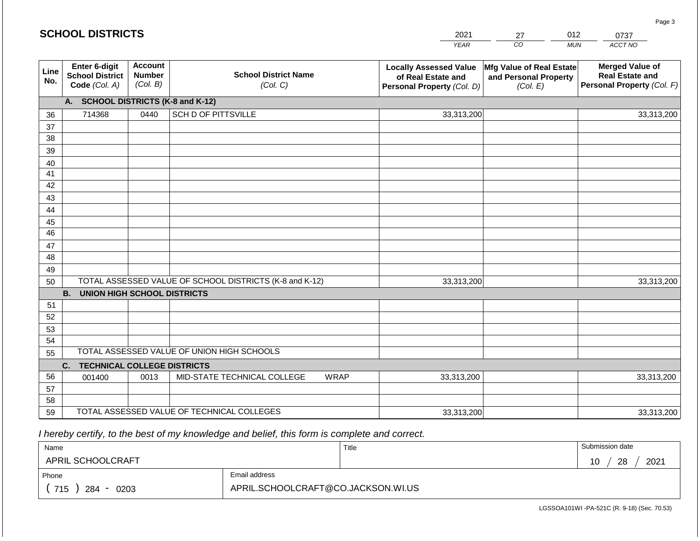#### *YEAR*  2021  $\overline{co}$ 27 *MUN*  012 *ACCT NO*  0737 **SCHOOL DISTRICTS Line No. Enter 6-digit School District Code** *(Col. A)* **Account Number** *(Col. B)* **School District Name** *(Col. C)* **Locally Assessed Value of Real Estate and Personal Property** *(Col. D)* **Mfg Value of Real Estate and Personal Property** *(Col. E)* **Merged Value of Real Estate and Personal Property** *(Col. F)* **A. SCHOOL DISTRICTS (K-8 and K-12)** 36 37 38 39 40 41 42 43 44 45 46 47 48 49 50 TOTAL ASSESSED VALUE OF SCHOOL DISTRICTS (K-8 and K-12) **B. UNION HIGH SCHOOL DISTRICTS** 51 52 53 54 55 **C. TECHNICAL COLLEGE DISTRICTS** 56 57 58 59 TOTAL ASSESSED VALUE OF TECHNICAL COLLEGES TOTAL ASSESSED VALUE OF UNION HIGH SCHOOLS 714368 0440 SCH D OF PITTSVILLE 33,313,200 33,313,200 001400 | 0013 | MID-STATE TECHNICAL COLLEGE WRAP 33,313,200 33,313,200 33,313,200 33,313,200 33,313,200 33,313,200

 *I hereby certify, to the best of my knowledge and belief, this form is complete and correct.*

| Name               |                                    | Title | Submission date  |
|--------------------|------------------------------------|-------|------------------|
| APRIL SCHOOLCRAFT  |                                    |       | 28<br>2021<br>10 |
| Phone              | Email address                      |       |                  |
| 715<br>284<br>0203 | APRIL.SCHOOLCRAFT@CO.JACKSON.WI.US |       |                  |

LGSSOA101WI -PA-521C (R. 9-18) (Sec. 70.53)

Page 3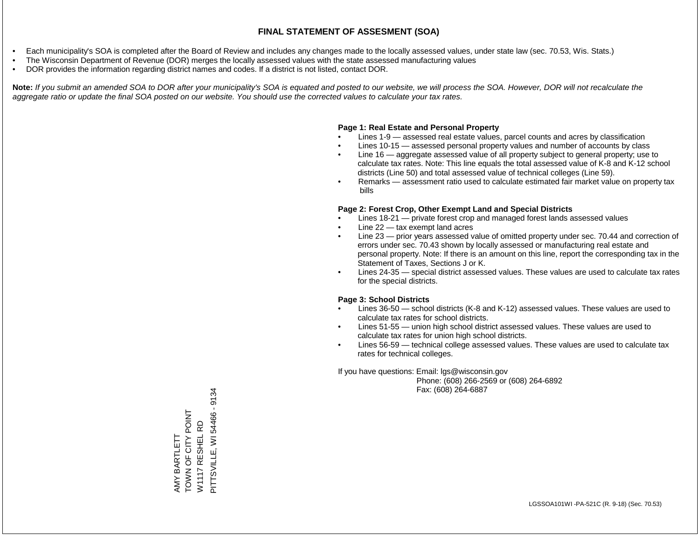- Each municipality's SOA is completed after the Board of Review and includes any changes made to the locally assessed values, under state law (sec. 70.53, Wis. Stats.)
- The Wisconsin Department of Revenue (DOR) merges the locally assessed values with the state assessed manufacturing values
- DOR provides the information regarding district names and codes. If a district is not listed, contact DOR.

Note: If you submit an amended SOA to DOR after your municipality's SOA is equated and posted to our website, we will process the SOA. However, DOR will not recalculate the *aggregate ratio or update the final SOA posted on our website. You should use the corrected values to calculate your tax rates.*

### **Page 1: Real Estate and Personal Property**

- Lines 1-9 assessed real estate values, parcel counts and acres by classification
- Lines 10-15 assessed personal property values and number of accounts by class
- Line 16 aggregate assessed value of all property subject to general property; use to calculate tax rates. Note: This line equals the total assessed value of K-8 and K-12 school districts (Line 50) and total assessed value of technical colleges (Line 59).
- Remarks assessment ratio used to calculate estimated fair market value on property tax bills

### **Page 2: Forest Crop, Other Exempt Land and Special Districts**

- Lines 18-21 private forest crop and managed forest lands assessed values
- Line  $22 -$  tax exempt land acres
- Line 23 prior years assessed value of omitted property under sec. 70.44 and correction of errors under sec. 70.43 shown by locally assessed or manufacturing real estate and personal property. Note: If there is an amount on this line, report the corresponding tax in the Statement of Taxes, Sections J or K.
- Lines 24-35 special district assessed values. These values are used to calculate tax rates for the special districts.

### **Page 3: School Districts**

- Lines 36-50 school districts (K-8 and K-12) assessed values. These values are used to calculate tax rates for school districts.
- Lines 51-55 union high school district assessed values. These values are used to calculate tax rates for union high school districts.
- Lines 56-59 technical college assessed values. These values are used to calculate tax rates for technical colleges.

If you have questions: Email: lgs@wisconsin.gov

 Phone: (608) 266-2569 or (608) 264-6892 Fax: (608) 264-6887

PITTSVILLE, WI 54466 - 9134 PITTSVILLE, WI 54466 - 9134AMY BARTLETT<br>TOWN OF CITY POINT<br>W1117 RESHEL RD TOWN CHO COMPOSED W1117 RESHEL RD AMY BARTLETT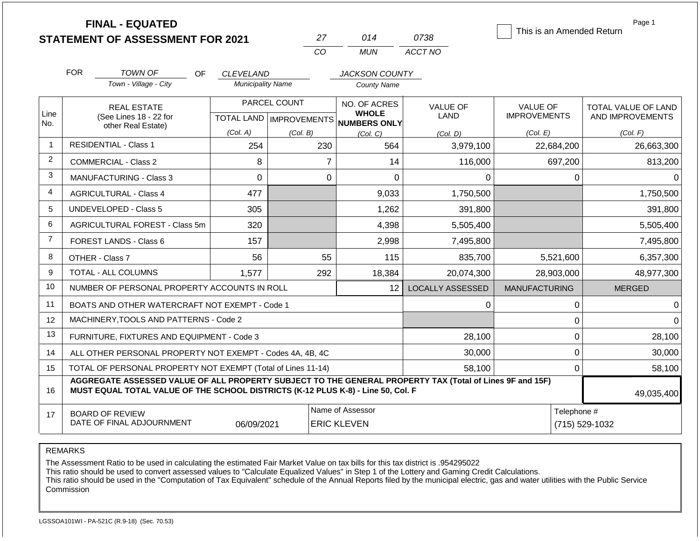|                | <b>FINAL - EQUATED</b><br><b>STATEMENT OF ASSESSMENT FOR 2021</b>                                                                                                                            |           |                                  |              | 27           | 014                                    | 0738                    | This is an Amended Return | Page 1                        |  |  |
|----------------|----------------------------------------------------------------------------------------------------------------------------------------------------------------------------------------------|-----------|----------------------------------|--------------|--------------|----------------------------------------|-------------------------|---------------------------|-------------------------------|--|--|
|                |                                                                                                                                                                                              |           |                                  |              | CO           | <b>MUN</b>                             | ACCT NO                 |                           |                               |  |  |
|                |                                                                                                                                                                                              |           |                                  |              |              |                                        |                         |                           |                               |  |  |
|                | <b>FOR</b><br><b>TOWN OF</b>                                                                                                                                                                 | <b>OF</b> | <b>CLEVELAND</b>                 |              |              | <b>JACKSON COUNTY</b>                  |                         |                           |                               |  |  |
|                | Town - Village - City                                                                                                                                                                        |           | <b>Municipality Name</b>         |              |              | <b>County Name</b>                     |                         |                           |                               |  |  |
|                | <b>REAL ESTATE</b>                                                                                                                                                                           |           |                                  | PARCEL COUNT | NO. OF ACRES |                                        | <b>VALUE OF</b>         | <b>VALUE OF</b>           | TOTAL VALUE OF LAND           |  |  |
| Line<br>No.    | (See Lines 18 - 22 for<br>other Real Estate)                                                                                                                                                 |           | <b>TOTAL LAND   IMPROVEMENTS</b> |              |              | <b>WHOLE</b><br>NUMBERS ONLY           | LAND                    | <b>IMPROVEMENTS</b>       | AND IMPROVEMENTS              |  |  |
|                |                                                                                                                                                                                              |           | (Col. A)                         | (Col. B)     |              | (Col, C)                               | (Col, D)                | (Col. E)                  | (Col. F)                      |  |  |
| $\mathbf 1$    | <b>RESIDENTIAL - Class 1</b>                                                                                                                                                                 |           | 254                              |              | 230          | 564                                    | 3,979,100               | 22,684,200                | 26,663,300                    |  |  |
| 2              | <b>COMMERCIAL - Class 2</b>                                                                                                                                                                  |           | 8                                |              | 7            | 14                                     | 116,000                 | 697,200                   | 813,200                       |  |  |
| 3              | <b>MANUFACTURING - Class 3</b>                                                                                                                                                               |           | $\Omega$                         |              | $\Omega$     | 0                                      | 0                       | 0                         | 0                             |  |  |
| 4              | <b>AGRICULTURAL - Class 4</b>                                                                                                                                                                |           | 477                              |              |              | 9,033                                  | 1,750,500               |                           | 1,750,500                     |  |  |
| 5              | <b>UNDEVELOPED - Class 5</b>                                                                                                                                                                 |           | 305                              |              |              | 1,262                                  | 391,800                 |                           | 391,800                       |  |  |
| 6              | AGRICULTURAL FOREST - Class 5m                                                                                                                                                               |           | 320                              |              |              | 4,398                                  | 5,505,400               |                           | 5,505,400                     |  |  |
| $\overline{7}$ | FOREST LANDS - Class 6                                                                                                                                                                       |           | 157                              |              |              | 2,998                                  | 7,495,800               |                           | 7,495,800                     |  |  |
| 8              | OTHER - Class 7                                                                                                                                                                              |           | 56                               |              | 55           | 115                                    | 835,700                 | 5,521,600                 | 6,357,300                     |  |  |
| 9              | TOTAL - ALL COLUMNS                                                                                                                                                                          |           | 1,577                            |              | 292          | 18,384                                 | 20,074,300              | 28,903,000                | 48,977,300                    |  |  |
| 10             | NUMBER OF PERSONAL PROPERTY ACCOUNTS IN ROLL                                                                                                                                                 |           |                                  |              |              | 12                                     | <b>LOCALLY ASSESSED</b> | <b>MANUFACTURING</b>      | <b>MERGED</b>                 |  |  |
| 11             | BOATS AND OTHER WATERCRAFT NOT EXEMPT - Code 1                                                                                                                                               |           |                                  |              |              |                                        | 0                       | 0                         | $\Omega$                      |  |  |
| 12             | MACHINERY, TOOLS AND PATTERNS - Code 2                                                                                                                                                       |           |                                  |              |              |                                        |                         | 0                         | $\Omega$                      |  |  |
| 13             | FURNITURE, FIXTURES AND EQUIPMENT - Code 3                                                                                                                                                   |           |                                  |              |              |                                        | 28,100                  | 0                         | 28,100                        |  |  |
| 14             | ALL OTHER PERSONAL PROPERTY NOT EXEMPT - Codes 4A, 4B, 4C                                                                                                                                    |           |                                  |              |              |                                        | 30,000                  | 0                         | 30,000                        |  |  |
| 15             | TOTAL OF PERSONAL PROPERTY NOT EXEMPT (Total of Lines 11-14)                                                                                                                                 |           |                                  |              |              |                                        | 58,100                  | 0                         | 58,100                        |  |  |
| 16             | AGGREGATE ASSESSED VALUE OF ALL PROPERTY SUBJECT TO THE GENERAL PROPERTY TAX (Total of Lines 9F and 15F)<br>MUST EQUAL TOTAL VALUE OF THE SCHOOL DISTRICTS (K-12 PLUS K-8) - Line 50, Col. F |           |                                  |              |              |                                        |                         |                           | 49,035,400                    |  |  |
|                |                                                                                                                                                                                              |           |                                  |              |              |                                        |                         |                           |                               |  |  |
| 17             | <b>BOARD OF REVIEW</b><br>DATE OF FINAL ADJOURNMENT                                                                                                                                          |           | 06/09/2021                       |              |              | Name of Assessor<br><b>ERIC KLEVEN</b> |                         |                           | Telephone #<br>(715) 529-1032 |  |  |

REMARKS

The Assessment Ratio to be used in calculating the estimated Fair Market Value on tax bills for this tax district is .954295022

This ratio should be used to convert assessed values to "Calculate Equalized Values" in Step 1 of the Lottery and Gaming Credit Calculations.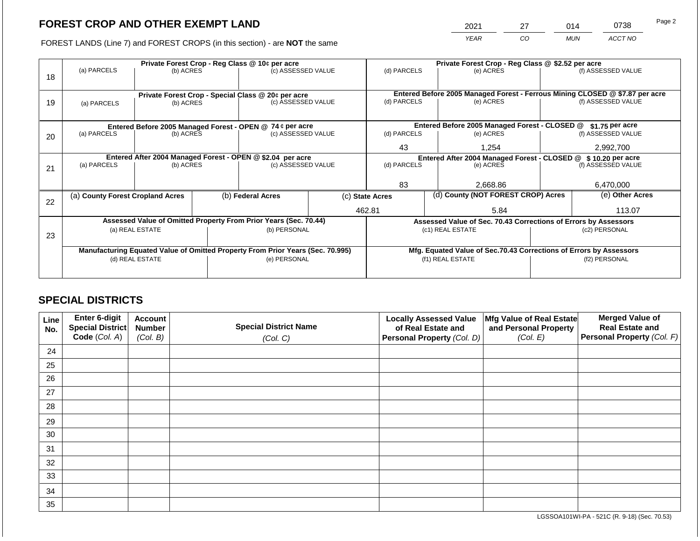2021 27 014 0738

FOREST LANDS (Line 7) and FOREST CROPS (in this section) - are **NOT** the same *YEAR CO MUN ACCT NO*

|    |                                                            |                 |  | Private Forest Crop - Reg Class @ 10¢ per acre                                 |                                                               | Private Forest Crop - Reg Class @ \$2.52 per acre                  |                                    |                                                                 |               |                                                                              |
|----|------------------------------------------------------------|-----------------|--|--------------------------------------------------------------------------------|---------------------------------------------------------------|--------------------------------------------------------------------|------------------------------------|-----------------------------------------------------------------|---------------|------------------------------------------------------------------------------|
| 18 | (a) PARCELS                                                | (b) ACRES       |  | (c) ASSESSED VALUE                                                             |                                                               | (d) PARCELS                                                        |                                    | (e) ACRES                                                       |               | (f) ASSESSED VALUE                                                           |
|    |                                                            |                 |  | Private Forest Crop - Special Class @ 20¢ per acre                             |                                                               |                                                                    |                                    |                                                                 |               | Entered Before 2005 Managed Forest - Ferrous Mining CLOSED @ \$7.87 per acre |
| 19 | (a) PARCELS                                                | (b) ACRES       |  | (c) ASSESSED VALUE                                                             |                                                               | (d) PARCELS                                                        |                                    | (e) ACRES                                                       |               | (f) ASSESSED VALUE                                                           |
|    |                                                            |                 |  |                                                                                |                                                               |                                                                    |                                    |                                                                 |               |                                                                              |
|    | Entered Before 2005 Managed Forest - OPEN @ 74 ¢ per acre  |                 |  |                                                                                | Entered Before 2005 Managed Forest - CLOSED @                 |                                                                    | $$1.75$ per acre                   |                                                                 |               |                                                                              |
| 20 | (a) PARCELS                                                | (b) ACRES       |  | (c) ASSESSED VALUE                                                             |                                                               | (d) PARCELS                                                        |                                    | (e) ACRES                                                       |               | (f) ASSESSED VALUE                                                           |
|    |                                                            |                 |  |                                                                                | 43                                                            |                                                                    | 1.254                              |                                                                 | 2,992,700     |                                                                              |
|    | Entered After 2004 Managed Forest - OPEN @ \$2.04 per acre |                 |  |                                                                                | Entered After 2004 Managed Forest - CLOSED @ \$10.20 per acre |                                                                    |                                    |                                                                 |               |                                                                              |
| 21 | (a) PARCELS                                                | (b) ACRES       |  | (c) ASSESSED VALUE                                                             |                                                               | (d) PARCELS                                                        |                                    | (e) ACRES                                                       |               | (f) ASSESSED VALUE                                                           |
|    |                                                            |                 |  |                                                                                |                                                               |                                                                    |                                    |                                                                 |               |                                                                              |
|    |                                                            |                 |  |                                                                                |                                                               | 83                                                                 |                                    | 2,668.86                                                        |               | 6,470,000                                                                    |
| 22 | (a) County Forest Cropland Acres                           |                 |  | (b) Federal Acres                                                              | (c) State Acres                                               |                                                                    | (d) County (NOT FOREST CROP) Acres |                                                                 |               | (e) Other Acres                                                              |
|    |                                                            |                 |  |                                                                                |                                                               | 462.81                                                             |                                    | 5.84                                                            |               | 113.07                                                                       |
|    |                                                            |                 |  | Assessed Value of Omitted Property From Prior Years (Sec. 70.44)               |                                                               |                                                                    |                                    | Assessed Value of Sec. 70.43 Corrections of Errors by Assessors |               |                                                                              |
| 23 |                                                            | (a) REAL ESTATE |  | (b) PERSONAL                                                                   |                                                               |                                                                    |                                    | (c1) REAL ESTATE                                                |               | (c2) PERSONAL                                                                |
|    |                                                            |                 |  |                                                                                |                                                               |                                                                    |                                    |                                                                 |               |                                                                              |
|    |                                                            |                 |  | Manufacturing Equated Value of Omitted Property From Prior Years (Sec. 70.995) |                                                               | Mfg. Equated Value of Sec.70.43 Corrections of Errors by Assessors |                                    |                                                                 |               |                                                                              |
|    |                                                            | (d) REAL ESTATE |  | (e) PERSONAL                                                                   |                                                               | (f1) REAL ESTATE                                                   |                                    |                                                                 | (f2) PERSONAL |                                                                              |
|    |                                                            |                 |  |                                                                                |                                                               |                                                                    |                                    |                                                                 |               |                                                                              |
|    |                                                            |                 |  |                                                                                |                                                               |                                                                    |                                    |                                                                 |               |                                                                              |

# **SPECIAL DISTRICTS**

| Line<br>No. | <b>Enter 6-digit</b><br>Special District | <b>Account</b><br><b>Number</b> | <b>Special District Name</b> | <b>Locally Assessed Value</b><br>of Real Estate and | Mfg Value of Real Estate<br>and Personal Property | <b>Merged Value of</b><br><b>Real Estate and</b> |
|-------------|------------------------------------------|---------------------------------|------------------------------|-----------------------------------------------------|---------------------------------------------------|--------------------------------------------------|
|             | Code (Col. A)                            | (Col. B)                        | (Col. C)                     | Personal Property (Col. D)                          | (Col. E)                                          | Personal Property (Col. F)                       |
| 24          |                                          |                                 |                              |                                                     |                                                   |                                                  |
| 25          |                                          |                                 |                              |                                                     |                                                   |                                                  |
| 26          |                                          |                                 |                              |                                                     |                                                   |                                                  |
| 27          |                                          |                                 |                              |                                                     |                                                   |                                                  |
| 28          |                                          |                                 |                              |                                                     |                                                   |                                                  |
| 29          |                                          |                                 |                              |                                                     |                                                   |                                                  |
| 30          |                                          |                                 |                              |                                                     |                                                   |                                                  |
| 31          |                                          |                                 |                              |                                                     |                                                   |                                                  |
| 32          |                                          |                                 |                              |                                                     |                                                   |                                                  |
| 33          |                                          |                                 |                              |                                                     |                                                   |                                                  |
| 34          |                                          |                                 |                              |                                                     |                                                   |                                                  |
| 35          |                                          |                                 |                              |                                                     |                                                   |                                                  |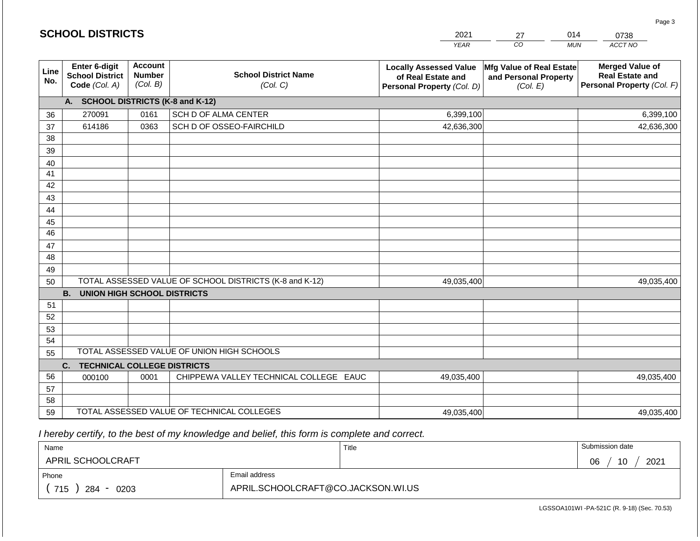|                       | <b>SCHOOL DISTRICTS</b>                                  |                                             |                                                         | 2021                                                                              | 27                                                            | 014<br>0738                                                                    |
|-----------------------|----------------------------------------------------------|---------------------------------------------|---------------------------------------------------------|-----------------------------------------------------------------------------------|---------------------------------------------------------------|--------------------------------------------------------------------------------|
|                       |                                                          |                                             |                                                         | <b>YEAR</b>                                                                       | CO                                                            | ACCT NO<br><b>MUN</b>                                                          |
| Line<br>No.           | Enter 6-digit<br><b>School District</b><br>Code (Col. A) | <b>Account</b><br><b>Number</b><br>(Col. B) | <b>School District Name</b><br>(Col. C)                 | <b>Locally Assessed Value</b><br>of Real Estate and<br>Personal Property (Col. D) | Mfg Value of Real Estate<br>and Personal Property<br>(Col. E) | <b>Merged Value of</b><br><b>Real Estate and</b><br>Personal Property (Col. F) |
|                       | A. SCHOOL DISTRICTS (K-8 and K-12)                       |                                             |                                                         |                                                                                   |                                                               |                                                                                |
| 36                    | 270091                                                   | 0161                                        | SCH D OF ALMA CENTER                                    | 6,399,100                                                                         |                                                               | 6,399,100                                                                      |
| 37                    | 614186                                                   | 0363                                        | SCH D OF OSSEO-FAIRCHILD                                | 42,636,300                                                                        |                                                               | 42,636,300                                                                     |
| 38                    |                                                          |                                             |                                                         |                                                                                   |                                                               |                                                                                |
| 39                    |                                                          |                                             |                                                         |                                                                                   |                                                               |                                                                                |
| 40                    |                                                          |                                             |                                                         |                                                                                   |                                                               |                                                                                |
| 41                    |                                                          |                                             |                                                         |                                                                                   |                                                               |                                                                                |
| 42                    |                                                          |                                             |                                                         |                                                                                   |                                                               |                                                                                |
| 43                    |                                                          |                                             |                                                         |                                                                                   |                                                               |                                                                                |
| 44                    |                                                          |                                             |                                                         |                                                                                   |                                                               |                                                                                |
| 45<br>$\overline{46}$ |                                                          |                                             |                                                         |                                                                                   |                                                               |                                                                                |
| 47                    |                                                          |                                             |                                                         |                                                                                   |                                                               |                                                                                |
| 48                    |                                                          |                                             |                                                         |                                                                                   |                                                               |                                                                                |
| 49                    |                                                          |                                             |                                                         |                                                                                   |                                                               |                                                                                |
| 50                    |                                                          |                                             | TOTAL ASSESSED VALUE OF SCHOOL DISTRICTS (K-8 and K-12) | 49,035,400                                                                        |                                                               | 49,035,400                                                                     |
|                       | <b>B. UNION HIGH SCHOOL DISTRICTS</b>                    |                                             |                                                         |                                                                                   |                                                               |                                                                                |
| 51                    |                                                          |                                             |                                                         |                                                                                   |                                                               |                                                                                |
| 52                    |                                                          |                                             |                                                         |                                                                                   |                                                               |                                                                                |
| 53                    |                                                          |                                             |                                                         |                                                                                   |                                                               |                                                                                |
| 54                    |                                                          |                                             |                                                         |                                                                                   |                                                               |                                                                                |
| 55                    |                                                          |                                             | TOTAL ASSESSED VALUE OF UNION HIGH SCHOOLS              |                                                                                   |                                                               |                                                                                |
|                       | C.<br><b>TECHNICAL COLLEGE DISTRICTS</b>                 |                                             |                                                         |                                                                                   |                                                               |                                                                                |
| 56                    | 000100                                                   | 0001                                        | CHIPPEWA VALLEY TECHNICAL COLLEGE EAUC                  | 49,035,400                                                                        |                                                               | 49,035,400                                                                     |
| 57                    |                                                          |                                             |                                                         |                                                                                   |                                                               |                                                                                |
| 58                    |                                                          |                                             |                                                         |                                                                                   |                                                               |                                                                                |
| 59                    |                                                          |                                             | TOTAL ASSESSED VALUE OF TECHNICAL COLLEGES              | 49,035,400                                                                        |                                                               | 49,035,400                                                                     |

 *I hereby certify, to the best of my knowledge and belief, this form is complete and correct.*

**SCHOOL DISTRICTS**

| Name                    |                                    | Title | Submission date  |
|-------------------------|------------------------------------|-------|------------------|
| APRIL SCHOOLCRAFT       |                                    |       | 10<br>2021<br>06 |
| Phone                   | Email address                      |       |                  |
| 715<br>284<br>0203<br>- | APRIL.SCHOOLCRAFT@CO.JACKSON.WI.US |       |                  |

Page 3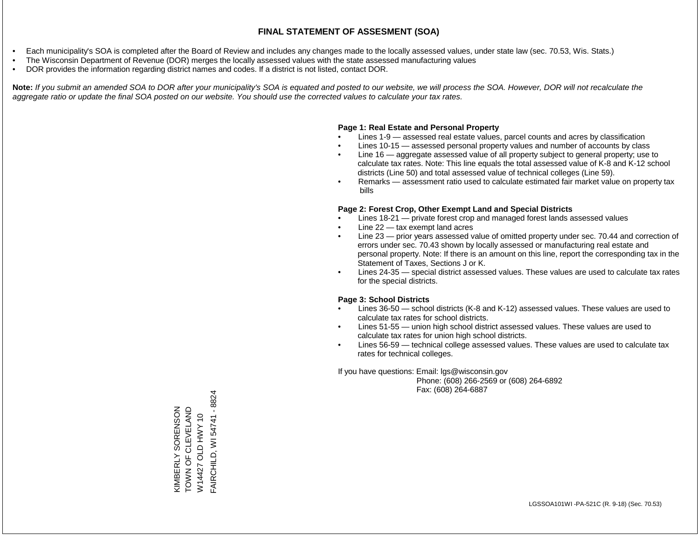- Each municipality's SOA is completed after the Board of Review and includes any changes made to the locally assessed values, under state law (sec. 70.53, Wis. Stats.)
- The Wisconsin Department of Revenue (DOR) merges the locally assessed values with the state assessed manufacturing values
- DOR provides the information regarding district names and codes. If a district is not listed, contact DOR.

Note: If you submit an amended SOA to DOR after your municipality's SOA is equated and posted to our website, we will process the SOA. However, DOR will not recalculate the *aggregate ratio or update the final SOA posted on our website. You should use the corrected values to calculate your tax rates.*

#### **Page 1: Real Estate and Personal Property**

- Lines 1-9 assessed real estate values, parcel counts and acres by classification
- Lines 10-15 assessed personal property values and number of accounts by class
- Line 16 aggregate assessed value of all property subject to general property; use to calculate tax rates. Note: This line equals the total assessed value of K-8 and K-12 school districts (Line 50) and total assessed value of technical colleges (Line 59).
- Remarks assessment ratio used to calculate estimated fair market value on property tax bills

#### **Page 2: Forest Crop, Other Exempt Land and Special Districts**

- Lines 18-21 private forest crop and managed forest lands assessed values
- Line  $22 -$  tax exempt land acres
- Line 23 prior years assessed value of omitted property under sec. 70.44 and correction of errors under sec. 70.43 shown by locally assessed or manufacturing real estate and personal property. Note: If there is an amount on this line, report the corresponding tax in the Statement of Taxes, Sections J or K.
- Lines 24-35 special district assessed values. These values are used to calculate tax rates for the special districts.

#### **Page 3: School Districts**

- Lines 36-50 school districts (K-8 and K-12) assessed values. These values are used to calculate tax rates for school districts.
- Lines 51-55 union high school district assessed values. These values are used to calculate tax rates for union high school districts.
- Lines 56-59 technical college assessed values. These values are used to calculate tax rates for technical colleges.

If you have questions: Email: lgs@wisconsin.gov

 Phone: (608) 266-2569 or (608) 264-6892 Fax: (608) 264-6887

FAIRCHILD, WI 54741 - 8824 FAIRCHILD, WI 54741 - 8824KIMBERLY SORENSON<br>TOWN OF CLEVELAND<br>W14427 OLD HWY 10 TOWN OF CLEVELAND KIMBERLY SORENSON W14427 OLD HWY 10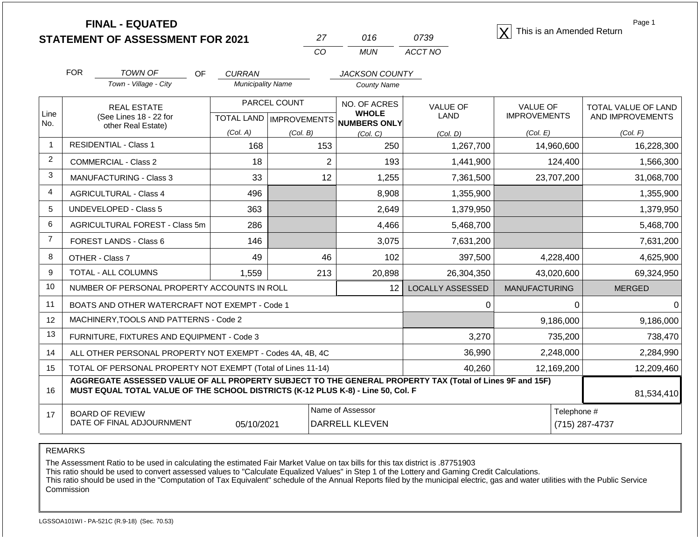**STATEMENT OF ASSESSMENT FOR 2021**

| 27  | 016. | 0739    |  |  |
|-----|------|---------|--|--|
| CO. | MUN. | ACCT NO |  |  |

**FINAL - EQUATED** <sup>X</sup> This is an Amended Return

Page 1

|                | <b>FOR</b><br><b>TOWN OF</b><br><b>OF</b>                                                                                                                                                    | <b>CURRAN</b>            |                           | <b>JACKSON COUNTY</b>           |                         |                      |                            |
|----------------|----------------------------------------------------------------------------------------------------------------------------------------------------------------------------------------------|--------------------------|---------------------------|---------------------------------|-------------------------|----------------------|----------------------------|
|                | Town - Village - City                                                                                                                                                                        | <b>Municipality Name</b> |                           | <b>County Name</b>              |                         |                      |                            |
| Line           | <b>REAL ESTATE</b>                                                                                                                                                                           |                          | PARCEL COUNT              | NO. OF ACRES<br><b>WHOLE</b>    | <b>VALUE OF</b>         | <b>VALUE OF</b>      | <b>TOTAL VALUE OF LAND</b> |
| No.            | (See Lines 18 - 22 for<br>other Real Estate)                                                                                                                                                 |                          | TOTAL LAND   IMPROVEMENTS | NUMBERS ONLY                    | <b>LAND</b>             | <b>IMPROVEMENTS</b>  | AND IMPROVEMENTS           |
|                |                                                                                                                                                                                              | (Col. A)                 | (Col. B)                  | (Col. C)                        | (Col. D)                | (Col. E)             | (Col. F)                   |
| $\mathbf{1}$   | <b>RESIDENTIAL - Class 1</b>                                                                                                                                                                 | 168                      | 153                       | 250                             | 1,267,700               | 14,960,600           | 16,228,300                 |
| $\overline{2}$ | <b>COMMERCIAL - Class 2</b>                                                                                                                                                                  | 18                       | $\overline{2}$            | 193                             | 1,441,900               | 124,400              | 1,566,300                  |
| 3              | <b>MANUFACTURING - Class 3</b>                                                                                                                                                               | 33                       | 12                        | 1,255                           | 7,361,500               | 23,707,200           | 31,068,700                 |
| 4              | <b>AGRICULTURAL - Class 4</b>                                                                                                                                                                | 496                      |                           | 8,908                           | 1,355,900               |                      | 1,355,900                  |
| 5              | <b>UNDEVELOPED - Class 5</b>                                                                                                                                                                 | 363                      |                           | 2,649                           | 1,379,950               |                      | 1,379,950                  |
| 6              | AGRICULTURAL FOREST - Class 5m                                                                                                                                                               | 286                      |                           | 4,466                           | 5,468,700               |                      | 5,468,700                  |
| $\overline{7}$ | FOREST LANDS - Class 6                                                                                                                                                                       | 146                      |                           | 3,075                           | 7,631,200               |                      | 7,631,200                  |
| 8              | OTHER - Class 7                                                                                                                                                                              | 49                       | 46                        | 102                             | 397,500                 | 4,228,400            | 4,625,900                  |
| 9              | TOTAL - ALL COLUMNS                                                                                                                                                                          | 1,559                    | 213                       | 20,898                          | 26,304,350              | 43,020,600           | 69,324,950                 |
| 10             | NUMBER OF PERSONAL PROPERTY ACCOUNTS IN ROLL                                                                                                                                                 |                          |                           | 12                              | <b>LOCALLY ASSESSED</b> | <b>MANUFACTURING</b> | <b>MERGED</b>              |
| 11             | BOATS AND OTHER WATERCRAFT NOT EXEMPT - Code 1                                                                                                                                               |                          |                           |                                 | 0                       | $\Omega$             | 0                          |
| 12             | MACHINERY, TOOLS AND PATTERNS - Code 2                                                                                                                                                       |                          |                           |                                 |                         | 9,186,000            | 9,186,000                  |
| 13             | FURNITURE, FIXTURES AND EQUIPMENT - Code 3                                                                                                                                                   |                          |                           |                                 | 3,270                   | 735,200              | 738,470                    |
| 14             | ALL OTHER PERSONAL PROPERTY NOT EXEMPT - Codes 4A, 4B, 4C                                                                                                                                    |                          |                           |                                 | 36,990                  | 2,248,000            | 2,284,990                  |
| 15             | TOTAL OF PERSONAL PROPERTY NOT EXEMPT (Total of Lines 11-14)                                                                                                                                 |                          |                           |                                 | 40,260                  | 12,169,200           | 12,209,460                 |
| 16             | AGGREGATE ASSESSED VALUE OF ALL PROPERTY SUBJECT TO THE GENERAL PROPERTY TAX (Total of Lines 9F and 15F)<br>MUST EQUAL TOTAL VALUE OF THE SCHOOL DISTRICTS (K-12 PLUS K-8) - Line 50, Col. F |                          | 81,534,410                |                                 |                         |                      |                            |
| 17             | <b>BOARD OF REVIEW</b>                                                                                                                                                                       |                          |                           | Name of Assessor<br>Telephone # |                         |                      |                            |
|                | DATE OF FINAL ADJOURNMENT                                                                                                                                                                    | 05/10/2021               |                           | <b>DARRELL KLEVEN</b>           |                         |                      | (715) 287-4737             |

REMARKS

The Assessment Ratio to be used in calculating the estimated Fair Market Value on tax bills for this tax district is .87751903

This ratio should be used to convert assessed values to "Calculate Equalized Values" in Step 1 of the Lottery and Gaming Credit Calculations.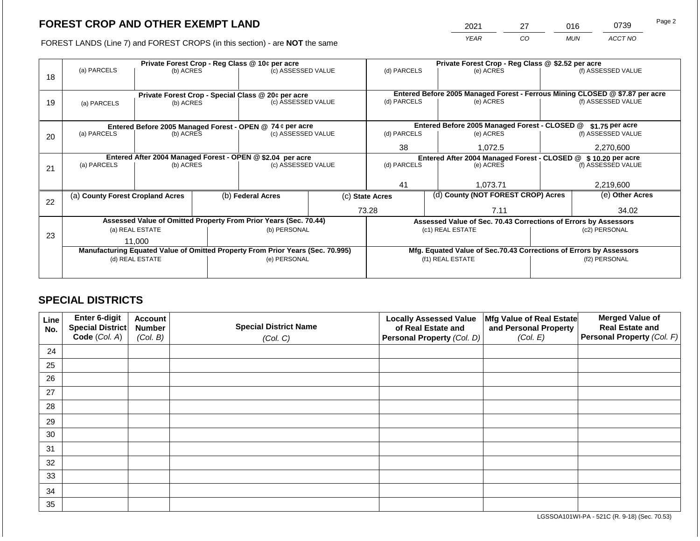2021 27 016 0739

FOREST LANDS (Line 7) and FOREST CROPS (in this section) - are **NOT** the same *YEAR CO MUN ACCT NO*

|    |                                                                                  |                 |  | Private Forest Crop - Reg Class @ 10¢ per acre                                 |                    | Private Forest Crop - Reg Class @ \$2.52 per acre |  |                                                                    |                                                                                                    |                    |
|----|----------------------------------------------------------------------------------|-----------------|--|--------------------------------------------------------------------------------|--------------------|---------------------------------------------------|--|--------------------------------------------------------------------|----------------------------------------------------------------------------------------------------|--------------------|
|    | (a) PARCELS                                                                      | (b) ACRES       |  | (c) ASSESSED VALUE                                                             |                    | (d) PARCELS                                       |  | (e) ACRES                                                          |                                                                                                    | (f) ASSESSED VALUE |
| 18 |                                                                                  |                 |  |                                                                                |                    |                                                   |  |                                                                    |                                                                                                    |                    |
|    |                                                                                  |                 |  |                                                                                |                    |                                                   |  |                                                                    |                                                                                                    |                    |
|    |                                                                                  |                 |  | Private Forest Crop - Special Class @ 20¢ per acre                             |                    | (d) PARCELS                                       |  | (e) ACRES                                                          | Entered Before 2005 Managed Forest - Ferrous Mining CLOSED @ \$7.87 per acre<br>(f) ASSESSED VALUE |                    |
| 19 | (a) PARCELS                                                                      | (b) ACRES       |  |                                                                                | (c) ASSESSED VALUE |                                                   |  |                                                                    |                                                                                                    |                    |
|    |                                                                                  |                 |  |                                                                                |                    |                                                   |  |                                                                    |                                                                                                    |                    |
|    |                                                                                  |                 |  | Entered Before 2005 Managed Forest - OPEN @ 74 ¢ per acre                      |                    |                                                   |  | Entered Before 2005 Managed Forest - CLOSED @                      |                                                                                                    | \$1.75 per acre    |
| 20 | (a) PARCELS                                                                      | (b) ACRES       |  | (c) ASSESSED VALUE                                                             |                    | (d) PARCELS                                       |  | (e) ACRES                                                          |                                                                                                    | (f) ASSESSED VALUE |
|    |                                                                                  |                 |  |                                                                                |                    |                                                   |  |                                                                    |                                                                                                    |                    |
|    |                                                                                  |                 |  |                                                                                |                    | 38                                                |  | 1,072.5                                                            |                                                                                                    | 2,270,600          |
|    | Entered After 2004 Managed Forest - OPEN @ \$2.04 per acre<br>(c) ASSESSED VALUE |                 |  |                                                                                |                    |                                                   |  | Entered After 2004 Managed Forest - CLOSED @ \$10.20 per acre      |                                                                                                    |                    |
| 21 | (a) PARCELS                                                                      | (b) ACRES       |  |                                                                                |                    | (d) PARCELS                                       |  | (e) ACRES                                                          |                                                                                                    | (f) ASSESSED VALUE |
|    |                                                                                  |                 |  |                                                                                |                    |                                                   |  |                                                                    |                                                                                                    |                    |
|    |                                                                                  |                 |  |                                                                                |                    | 41                                                |  | 1,073.71                                                           |                                                                                                    | 2,219,600          |
|    | (a) County Forest Cropland Acres                                                 |                 |  | (b) Federal Acres<br>(c) State Acres                                           |                    | (d) County (NOT FOREST CROP) Acres                |  |                                                                    |                                                                                                    | (e) Other Acres    |
| 22 |                                                                                  |                 |  |                                                                                |                    |                                                   |  |                                                                    |                                                                                                    |                    |
|    |                                                                                  |                 |  |                                                                                |                    | 73.28                                             |  | 7.11                                                               |                                                                                                    | 34.02              |
|    |                                                                                  |                 |  | Assessed Value of Omitted Property From Prior Years (Sec. 70.44)               |                    |                                                   |  | Assessed Value of Sec. 70.43 Corrections of Errors by Assessors    |                                                                                                    |                    |
|    |                                                                                  | (a) REAL ESTATE |  | (b) PERSONAL                                                                   |                    |                                                   |  | (c1) REAL ESTATE                                                   |                                                                                                    | (c2) PERSONAL      |
| 23 |                                                                                  | 11.000          |  |                                                                                |                    |                                                   |  |                                                                    |                                                                                                    |                    |
|    |                                                                                  |                 |  | Manufacturing Equated Value of Omitted Property From Prior Years (Sec. 70.995) |                    |                                                   |  | Mfg. Equated Value of Sec.70.43 Corrections of Errors by Assessors |                                                                                                    |                    |
|    |                                                                                  | (d) REAL ESTATE |  | (e) PERSONAL                                                                   |                    |                                                   |  | (f1) REAL ESTATE                                                   | (f2) PERSONAL                                                                                      |                    |
|    |                                                                                  |                 |  |                                                                                |                    |                                                   |  |                                                                    |                                                                                                    |                    |
|    |                                                                                  |                 |  |                                                                                |                    |                                                   |  |                                                                    |                                                                                                    |                    |

# **SPECIAL DISTRICTS**

| Line<br>No. | Enter 6-digit<br>Special District<br>Code (Col. A) | <b>Account</b><br><b>Number</b><br>(Col. B) | <b>Special District Name</b><br>(Col. C) | <b>Locally Assessed Value</b><br>of Real Estate and<br><b>Personal Property (Col. D)</b> | Mfg Value of Real Estate<br>and Personal Property<br>(Col. E) | <b>Merged Value of</b><br><b>Real Estate and</b><br>Personal Property (Col. F) |
|-------------|----------------------------------------------------|---------------------------------------------|------------------------------------------|------------------------------------------------------------------------------------------|---------------------------------------------------------------|--------------------------------------------------------------------------------|
| 24          |                                                    |                                             |                                          |                                                                                          |                                                               |                                                                                |
| 25          |                                                    |                                             |                                          |                                                                                          |                                                               |                                                                                |
| 26          |                                                    |                                             |                                          |                                                                                          |                                                               |                                                                                |
| 27          |                                                    |                                             |                                          |                                                                                          |                                                               |                                                                                |
| 28          |                                                    |                                             |                                          |                                                                                          |                                                               |                                                                                |
| 29          |                                                    |                                             |                                          |                                                                                          |                                                               |                                                                                |
| 30          |                                                    |                                             |                                          |                                                                                          |                                                               |                                                                                |
| 31          |                                                    |                                             |                                          |                                                                                          |                                                               |                                                                                |
| 32          |                                                    |                                             |                                          |                                                                                          |                                                               |                                                                                |
| 33          |                                                    |                                             |                                          |                                                                                          |                                                               |                                                                                |
| 34          |                                                    |                                             |                                          |                                                                                          |                                                               |                                                                                |
| 35          |                                                    |                                             |                                          |                                                                                          |                                                               |                                                                                |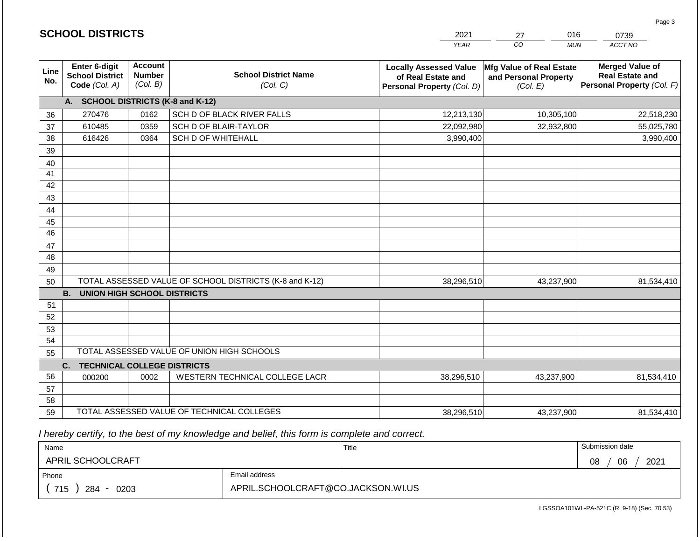|                 | <b>SCHOOL DISTRICTS</b>                                         |                                             |                                                         | 2021                                                                              | 016<br>27                                                     | 0739                                                                           |
|-----------------|-----------------------------------------------------------------|---------------------------------------------|---------------------------------------------------------|-----------------------------------------------------------------------------------|---------------------------------------------------------------|--------------------------------------------------------------------------------|
|                 |                                                                 |                                             |                                                         | <b>YEAR</b>                                                                       | $\overline{co}$<br><b>MUN</b>                                 | ACCT NO                                                                        |
| Line<br>No.     | <b>Enter 6-digit</b><br><b>School District</b><br>Code (Col. A) | <b>Account</b><br><b>Number</b><br>(Col. B) | <b>School District Name</b><br>(Col. C)                 | <b>Locally Assessed Value</b><br>of Real Estate and<br>Personal Property (Col. D) | Mfg Value of Real Estate<br>and Personal Property<br>(Col. E) | <b>Merged Value of</b><br><b>Real Estate and</b><br>Personal Property (Col. F) |
|                 | A. SCHOOL DISTRICTS (K-8 and K-12)                              |                                             |                                                         |                                                                                   |                                                               |                                                                                |
| 36              | 270476                                                          | 0162                                        | SCH D OF BLACK RIVER FALLS                              | 12,213,130                                                                        | 10,305,100                                                    | 22,518,230                                                                     |
| 37              | 610485                                                          | 0359                                        | SCH D OF BLAIR-TAYLOR                                   | 22,092,980                                                                        | 32,932,800                                                    | 55,025,780                                                                     |
| 38              | 616426                                                          | 0364                                        | <b>SCH D OF WHITEHALL</b>                               | 3,990,400                                                                         |                                                               | 3,990,400                                                                      |
| 39              |                                                                 |                                             |                                                         |                                                                                   |                                                               |                                                                                |
| 40              |                                                                 |                                             |                                                         |                                                                                   |                                                               |                                                                                |
| 41              |                                                                 |                                             |                                                         |                                                                                   |                                                               |                                                                                |
| 42              |                                                                 |                                             |                                                         |                                                                                   |                                                               |                                                                                |
| 43              |                                                                 |                                             |                                                         |                                                                                   |                                                               |                                                                                |
| 44              |                                                                 |                                             |                                                         |                                                                                   |                                                               |                                                                                |
| 45              |                                                                 |                                             |                                                         |                                                                                   |                                                               |                                                                                |
| $\overline{46}$ |                                                                 |                                             |                                                         |                                                                                   |                                                               |                                                                                |
| 47              |                                                                 |                                             |                                                         |                                                                                   |                                                               |                                                                                |
| 48              |                                                                 |                                             |                                                         |                                                                                   |                                                               |                                                                                |
| 49              |                                                                 |                                             | TOTAL ASSESSED VALUE OF SCHOOL DISTRICTS (K-8 and K-12) |                                                                                   |                                                               |                                                                                |
| 50              | <b>B.</b><br><b>UNION HIGH SCHOOL DISTRICTS</b>                 |                                             |                                                         | 38,296,510                                                                        | 43,237,900                                                    | 81,534,410                                                                     |
| 51              |                                                                 |                                             |                                                         |                                                                                   |                                                               |                                                                                |
| 52              |                                                                 |                                             |                                                         |                                                                                   |                                                               |                                                                                |
| 53              |                                                                 |                                             |                                                         |                                                                                   |                                                               |                                                                                |
| 54              |                                                                 |                                             |                                                         |                                                                                   |                                                               |                                                                                |
| 55              |                                                                 |                                             | TOTAL ASSESSED VALUE OF UNION HIGH SCHOOLS              |                                                                                   |                                                               |                                                                                |
|                 | <b>TECHNICAL COLLEGE DISTRICTS</b><br>C.                        |                                             |                                                         |                                                                                   |                                                               |                                                                                |
| 56              | 000200                                                          | 0002                                        | WESTERN TECHNICAL COLLEGE LACR                          | 38,296,510                                                                        | 43,237,900                                                    | 81,534,410                                                                     |
| 57              |                                                                 |                                             |                                                         |                                                                                   |                                                               |                                                                                |
| 58              |                                                                 |                                             |                                                         |                                                                                   |                                                               |                                                                                |
| 59              |                                                                 |                                             | TOTAL ASSESSED VALUE OF TECHNICAL COLLEGES              | 38,296,510                                                                        | 43,237,900                                                    | 81,534,410                                                                     |

2021

016

Page 3

 *I hereby certify, to the best of my knowledge and belief, this form is complete and correct.*

**SCHOOL DISTRICTS**

| Name               |                                    | Title | Submission date  |
|--------------------|------------------------------------|-------|------------------|
| APRIL SCHOOLCRAFT  |                                    |       | 2021<br>08<br>06 |
| Phone              | Email address                      |       |                  |
| 715<br>284<br>0203 | APRIL.SCHOOLCRAFT@CO.JACKSON.WI.US |       |                  |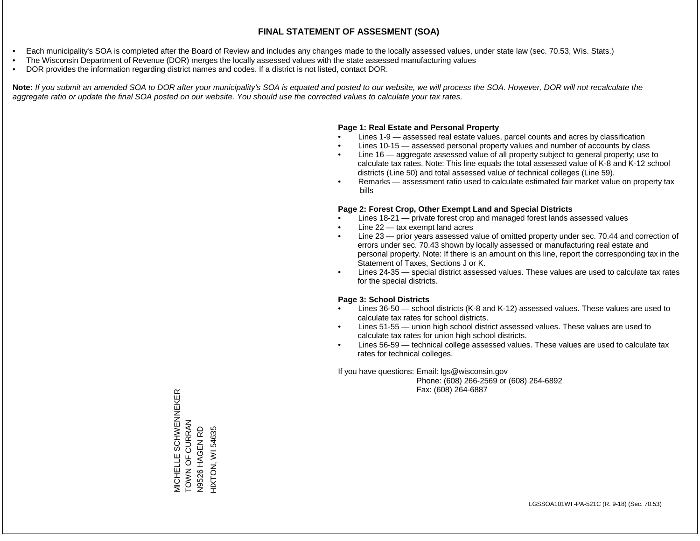- Each municipality's SOA is completed after the Board of Review and includes any changes made to the locally assessed values, under state law (sec. 70.53, Wis. Stats.)
- The Wisconsin Department of Revenue (DOR) merges the locally assessed values with the state assessed manufacturing values
- DOR provides the information regarding district names and codes. If a district is not listed, contact DOR.

Note: If you submit an amended SOA to DOR after your municipality's SOA is equated and posted to our website, we will process the SOA. However, DOR will not recalculate the *aggregate ratio or update the final SOA posted on our website. You should use the corrected values to calculate your tax rates.*

### **Page 1: Real Estate and Personal Property**

- Lines 1-9 assessed real estate values, parcel counts and acres by classification
- Lines 10-15 assessed personal property values and number of accounts by class
- Line 16 aggregate assessed value of all property subject to general property; use to calculate tax rates. Note: This line equals the total assessed value of K-8 and K-12 school districts (Line 50) and total assessed value of technical colleges (Line 59).
- Remarks assessment ratio used to calculate estimated fair market value on property tax bills

### **Page 2: Forest Crop, Other Exempt Land and Special Districts**

- Lines 18-21 private forest crop and managed forest lands assessed values
- Line  $22 -$  tax exempt land acres
- Line 23 prior years assessed value of omitted property under sec. 70.44 and correction of errors under sec. 70.43 shown by locally assessed or manufacturing real estate and personal property. Note: If there is an amount on this line, report the corresponding tax in the Statement of Taxes, Sections J or K.
- Lines 24-35 special district assessed values. These values are used to calculate tax rates for the special districts.

### **Page 3: School Districts**

- Lines 36-50 school districts (K-8 and K-12) assessed values. These values are used to calculate tax rates for school districts.
- Lines 51-55 union high school district assessed values. These values are used to calculate tax rates for union high school districts.
- Lines 56-59 technical college assessed values. These values are used to calculate tax rates for technical colleges.

If you have questions: Email: lgs@wisconsin.gov

 Phone: (608) 266-2569 or (608) 264-6892 Fax: (608) 264-6887

MICHELLE SCHWENNEKER<br>TOWN OF CURRAN MICHELLE SCHWENNEKER TOWN OF CURRAN HAGEN RD HIXTON, WI 54635 N9526 HAGEN RD HIXTON, WI 54635N9526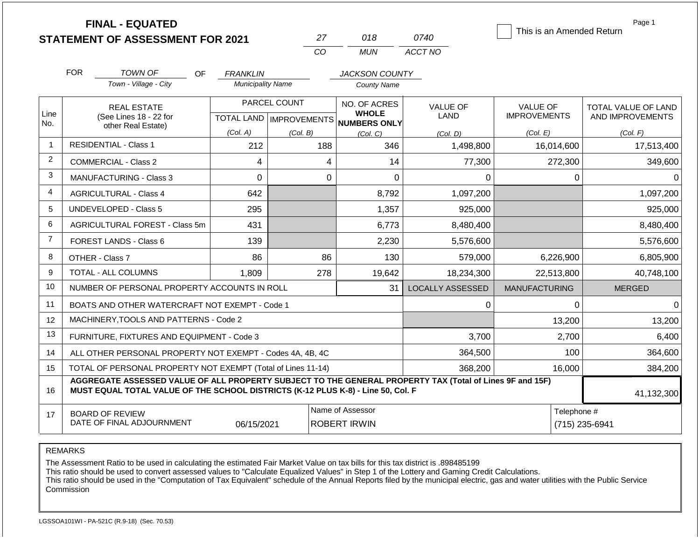|                   | <b>FINAL - EQUATED</b><br><b>STATEMENT OF ASSESSMENT FOR 2021</b>                                                                                                                            |                                             | 27                                                      | 018                                                      | 0740                                | This is an Amended Return                          | Page 1                                              |
|-------------------|----------------------------------------------------------------------------------------------------------------------------------------------------------------------------------------------|---------------------------------------------|---------------------------------------------------------|----------------------------------------------------------|-------------------------------------|----------------------------------------------------|-----------------------------------------------------|
|                   |                                                                                                                                                                                              |                                             | CO                                                      | <b>MUN</b>                                               | ACCT NO                             |                                                    |                                                     |
|                   | <b>FOR</b><br>TOWN OF<br>OF<br>Town - Village - City                                                                                                                                         | <b>FRANKLIN</b><br><b>Municipality Name</b> |                                                         | <b>JACKSON COUNTY</b><br><b>County Name</b>              |                                     |                                                    |                                                     |
| Line<br>No.       | <b>REAL ESTATE</b><br>(See Lines 18 - 22 for<br>other Real Estate)                                                                                                                           | (Col. A)                                    | PARCEL COUNT<br>TOTAL LAND   IMPROVEMENTS  <br>(Col. B) | NO. OF ACRES<br><b>WHOLE</b><br>NUMBERS ONLY<br>(Col, C) | <b>VALUE OF</b><br>LAND<br>(Col. D) | <b>VALUE OF</b><br><b>IMPROVEMENTS</b><br>(Col. E) | TOTAL VALUE OF LAND<br>AND IMPROVEMENTS<br>(Col. F) |
| 1                 | <b>RESIDENTIAL - Class 1</b>                                                                                                                                                                 | 212                                         | 188                                                     | 346                                                      | 1,498,800                           | 16,014,600                                         | 17,513,400                                          |
| 2                 | <b>COMMERCIAL - Class 2</b>                                                                                                                                                                  | 4                                           | 4                                                       | 14                                                       | 77,300                              | 272,300                                            | 349,600                                             |
| 3                 | <b>MANUFACTURING - Class 3</b>                                                                                                                                                               | $\overline{0}$                              | $\overline{0}$                                          | $\mathbf 0$                                              | 0                                   | 0                                                  | 0                                                   |
| 4                 | <b>AGRICULTURAL - Class 4</b>                                                                                                                                                                | 642                                         |                                                         | 8,792                                                    | 1,097,200                           |                                                    | 1,097,200                                           |
| 5                 | <b>UNDEVELOPED - Class 5</b>                                                                                                                                                                 | 295                                         |                                                         | 1,357                                                    | 925,000                             |                                                    | 925,000                                             |
| 6                 | AGRICULTURAL FOREST - Class 5m                                                                                                                                                               | 431                                         |                                                         | 6,773                                                    | 8,480,400                           |                                                    | 8,480,400                                           |
| $\overline{7}$    | FOREST LANDS - Class 6                                                                                                                                                                       | 139                                         |                                                         | 2,230                                                    | 5,576,600                           |                                                    | 5,576,600                                           |
| 8                 | OTHER - Class 7                                                                                                                                                                              | 86                                          | 86                                                      | 130                                                      | 579,000                             | 6,226,900                                          | 6,805,900                                           |
| 9                 | TOTAL - ALL COLUMNS                                                                                                                                                                          | 1,809                                       | 278                                                     | 19,642                                                   | 18,234,300                          | 22,513,800                                         | 40,748,100                                          |
| 10                | NUMBER OF PERSONAL PROPERTY ACCOUNTS IN ROLL                                                                                                                                                 |                                             |                                                         | 31                                                       | <b>LOCALLY ASSESSED</b>             | <b>MANUFACTURING</b>                               | <b>MERGED</b>                                       |
| 11                | BOATS AND OTHER WATERCRAFT NOT EXEMPT - Code 1                                                                                                                                               |                                             |                                                         |                                                          | 0                                   | $\Omega$                                           | $\Omega$                                            |
| $12 \overline{ }$ | MACHINERY, TOOLS AND PATTERNS - Code 2                                                                                                                                                       |                                             |                                                         |                                                          |                                     | 13,200                                             | 13,200                                              |
| 13                | FURNITURE, FIXTURES AND EQUIPMENT - Code 3                                                                                                                                                   |                                             |                                                         |                                                          | 3,700                               | 2,700                                              | 6,400                                               |
| 14                | ALL OTHER PERSONAL PROPERTY NOT EXEMPT - Codes 4A, 4B, 4C                                                                                                                                    |                                             |                                                         |                                                          | 364,500                             | 100                                                | 364,600                                             |
| 15                | TOTAL OF PERSONAL PROPERTY NOT EXEMPT (Total of Lines 11-14)                                                                                                                                 |                                             |                                                         |                                                          | 368,200                             | 16,000                                             | 384,200                                             |
| 16                | AGGREGATE ASSESSED VALUE OF ALL PROPERTY SUBJECT TO THE GENERAL PROPERTY TAX (Total of Lines 9F and 15F)<br>MUST EQUAL TOTAL VALUE OF THE SCHOOL DISTRICTS (K-12 PLUS K-8) - Line 50, Col. F |                                             | 41,132,300                                              |                                                          |                                     |                                                    |                                                     |
| 17                | <b>BOARD OF REVIEW</b><br>DATE OF FINAL ADJOURNMENT                                                                                                                                          | Telephone #                                 | (715) 235-6941                                          |                                                          |                                     |                                                    |                                                     |

REMARKS

The Assessment Ratio to be used in calculating the estimated Fair Market Value on tax bills for this tax district is .898485199

This ratio should be used to convert assessed values to "Calculate Equalized Values" in Step 1 of the Lottery and Gaming Credit Calculations.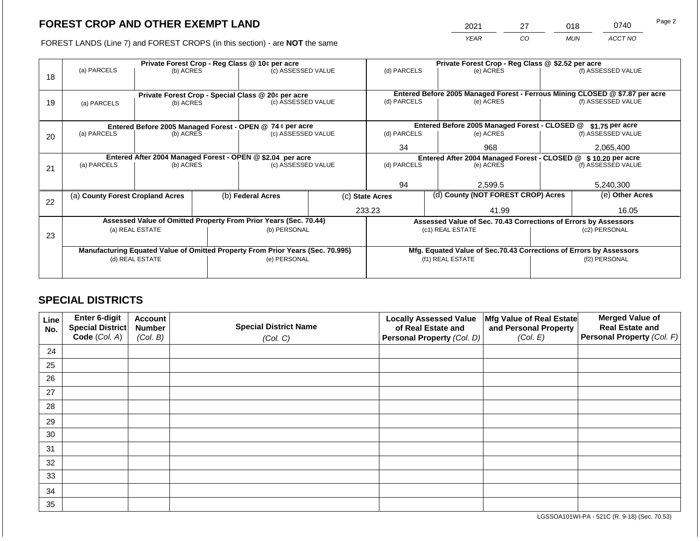2021 27 018 0740

FOREST LANDS (Line 7) and FOREST CROPS (in this section) - are **NOT** the same *YEAR CO MUN ACCT NO*

|    | Private Forest Crop - Reg Class @ 10¢ per acre                                 |                          |              |                    |                  | Private Forest Crop - Reg Class @ \$2.52 per acre                            |                                                                    |                    |                    |                                                                              |
|----|--------------------------------------------------------------------------------|--------------------------|--------------|--------------------|------------------|------------------------------------------------------------------------------|--------------------------------------------------------------------|--------------------|--------------------|------------------------------------------------------------------------------|
|    | (a) PARCELS                                                                    | (b) ACRES                |              | (c) ASSESSED VALUE |                  | (d) PARCELS                                                                  |                                                                    | (e) ACRES          |                    | (f) ASSESSED VALUE                                                           |
| 18 |                                                                                |                          |              |                    |                  |                                                                              |                                                                    |                    |                    |                                                                              |
|    |                                                                                |                          |              |                    |                  |                                                                              |                                                                    |                    |                    | Entered Before 2005 Managed Forest - Ferrous Mining CLOSED @ \$7.87 per acre |
| 19 | Private Forest Crop - Special Class @ 20¢ per acre                             |                          |              | (c) ASSESSED VALUE |                  | (d) PARCELS<br>(e) ACRES                                                     |                                                                    | (f) ASSESSED VALUE |                    |                                                                              |
|    |                                                                                | (b) ACRES<br>(a) PARCELS |              |                    |                  |                                                                              |                                                                    |                    |                    |                                                                              |
|    |                                                                                |                          |              |                    |                  |                                                                              |                                                                    |                    |                    |                                                                              |
|    | Entered Before 2005 Managed Forest - OPEN @ 74 ¢ per acre                      |                          |              |                    |                  | Entered Before 2005 Managed Forest - CLOSED @<br>\$1.75 per acre             |                                                                    |                    |                    |                                                                              |
| 20 | (a) PARCELS<br>(b) ACRES                                                       |                          |              | (c) ASSESSED VALUE |                  | (d) PARCELS                                                                  |                                                                    | (e) ACRES          | (f) ASSESSED VALUE |                                                                              |
|    |                                                                                |                          |              |                    |                  | 34                                                                           |                                                                    | 968                |                    | 2,065,400                                                                    |
|    | Entered After 2004 Managed Forest - OPEN @ \$2.04 per acre                     |                          |              |                    |                  |                                                                              |                                                                    |                    |                    |                                                                              |
|    |                                                                                |                          |              |                    |                  | Entered After 2004 Managed Forest - CLOSED @ \$10.20 per acre<br>(d) PARCELS |                                                                    | (f) ASSESSED VALUE |                    |                                                                              |
| 21 | (a) PARCELS<br>(b) ACRES                                                       |                          |              | (c) ASSESSED VALUE |                  |                                                                              |                                                                    | (e) ACRES          |                    |                                                                              |
|    |                                                                                |                          |              |                    |                  |                                                                              |                                                                    |                    |                    |                                                                              |
|    |                                                                                |                          |              |                    |                  | 94                                                                           |                                                                    | 2,599.5            |                    | 5,240,300                                                                    |
|    | (a) County Forest Cropland Acres                                               |                          |              | (b) Federal Acres  |                  | (d) County (NOT FOREST CROP) Acres<br>(c) State Acres                        |                                                                    |                    | (e) Other Acres    |                                                                              |
| 22 |                                                                                |                          |              |                    |                  |                                                                              |                                                                    |                    |                    |                                                                              |
|    |                                                                                |                          |              |                    |                  | 233.23                                                                       | 41.99                                                              |                    | 16.05              |                                                                              |
|    | Assessed Value of Omitted Property From Prior Years (Sec. 70.44)               |                          |              |                    |                  | Assessed Value of Sec. 70.43 Corrections of Errors by Assessors              |                                                                    |                    |                    |                                                                              |
|    | (a) REAL ESTATE                                                                |                          |              | (b) PERSONAL       |                  | (c1) REAL ESTATE                                                             |                                                                    | (c2) PERSONAL      |                    |                                                                              |
| 23 |                                                                                |                          |              |                    |                  |                                                                              |                                                                    |                    |                    |                                                                              |
|    | Manufacturing Equated Value of Omitted Property From Prior Years (Sec. 70.995) |                          |              |                    |                  |                                                                              | Mfg. Equated Value of Sec.70.43 Corrections of Errors by Assessors |                    |                    |                                                                              |
|    | (d) REAL ESTATE                                                                |                          | (e) PERSONAL |                    | (f1) REAL ESTATE |                                                                              | (f2) PERSONAL                                                      |                    |                    |                                                                              |
|    |                                                                                |                          |              |                    |                  |                                                                              |                                                                    |                    |                    |                                                                              |
|    |                                                                                |                          |              |                    |                  |                                                                              |                                                                    |                    |                    |                                                                              |

# **SPECIAL DISTRICTS**

| Line<br>No. | Enter 6-digit<br>Special District<br>Code (Col. A) | <b>Account</b><br><b>Number</b><br>(Col. B) | <b>Special District Name</b><br>(Col. C) | <b>Locally Assessed Value</b><br>of Real Estate and<br><b>Personal Property (Col. D)</b> | Mfg Value of Real Estate<br>and Personal Property<br>(Col. E) | <b>Merged Value of</b><br><b>Real Estate and</b><br>Personal Property (Col. F) |
|-------------|----------------------------------------------------|---------------------------------------------|------------------------------------------|------------------------------------------------------------------------------------------|---------------------------------------------------------------|--------------------------------------------------------------------------------|
| 24          |                                                    |                                             |                                          |                                                                                          |                                                               |                                                                                |
| 25          |                                                    |                                             |                                          |                                                                                          |                                                               |                                                                                |
| 26          |                                                    |                                             |                                          |                                                                                          |                                                               |                                                                                |
| 27          |                                                    |                                             |                                          |                                                                                          |                                                               |                                                                                |
| 28          |                                                    |                                             |                                          |                                                                                          |                                                               |                                                                                |
| 29          |                                                    |                                             |                                          |                                                                                          |                                                               |                                                                                |
| 30          |                                                    |                                             |                                          |                                                                                          |                                                               |                                                                                |
| 31          |                                                    |                                             |                                          |                                                                                          |                                                               |                                                                                |
| 32          |                                                    |                                             |                                          |                                                                                          |                                                               |                                                                                |
| 33          |                                                    |                                             |                                          |                                                                                          |                                                               |                                                                                |
| 34          |                                                    |                                             |                                          |                                                                                          |                                                               |                                                                                |
| 35          |                                                    |                                             |                                          |                                                                                          |                                                               |                                                                                |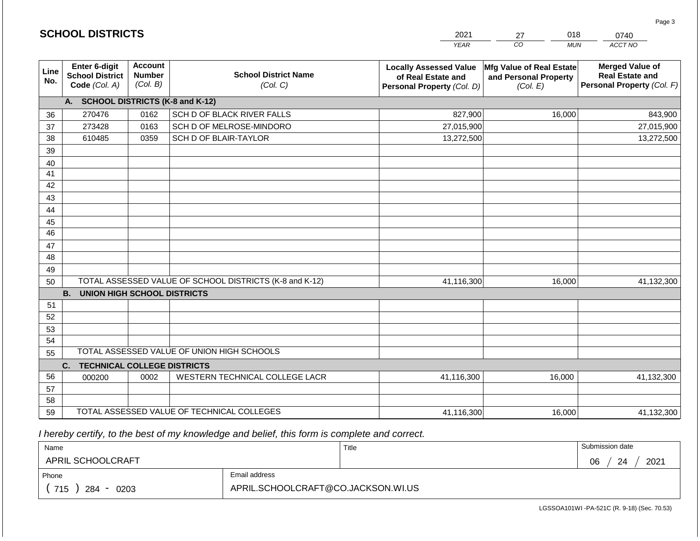|             | <b>SCHOOL DISTRICTS</b>                                                                                    | 2021<br>018<br>27                           |                                            |                                                                                   | 0740                                                          |                                                                                |
|-------------|------------------------------------------------------------------------------------------------------------|---------------------------------------------|--------------------------------------------|-----------------------------------------------------------------------------------|---------------------------------------------------------------|--------------------------------------------------------------------------------|
|             |                                                                                                            |                                             |                                            | <b>YEAR</b>                                                                       | $\overline{co}$<br><b>MUN</b>                                 | ACCT NO                                                                        |
| Line<br>No. | <b>Enter 6-digit</b><br><b>School District</b><br>Code (Col. A)                                            | <b>Account</b><br><b>Number</b><br>(Col. B) | <b>School District Name</b><br>(Col. C)    | <b>Locally Assessed Value</b><br>of Real Estate and<br>Personal Property (Col. D) | Mfg Value of Real Estate<br>and Personal Property<br>(Col. E) | <b>Merged Value of</b><br><b>Real Estate and</b><br>Personal Property (Col. F) |
|             | A. SCHOOL DISTRICTS (K-8 and K-12)                                                                         |                                             |                                            |                                                                                   |                                                               |                                                                                |
| 36          | 270476                                                                                                     | 0162                                        | SCH D OF BLACK RIVER FALLS                 | 827,900                                                                           | 16,000                                                        | 843,900                                                                        |
| 37          | 273428                                                                                                     | 0163                                        | SCH D OF MELROSE-MINDORO                   | 27,015,900                                                                        |                                                               | 27,015,900                                                                     |
| 38          | 610485                                                                                                     | 0359                                        | SCH D OF BLAIR-TAYLOR                      | 13,272,500                                                                        |                                                               | 13,272,500                                                                     |
| 39          |                                                                                                            |                                             |                                            |                                                                                   |                                                               |                                                                                |
| 40          |                                                                                                            |                                             |                                            |                                                                                   |                                                               |                                                                                |
| 41          |                                                                                                            |                                             |                                            |                                                                                   |                                                               |                                                                                |
| 42          |                                                                                                            |                                             |                                            |                                                                                   |                                                               |                                                                                |
| 43          |                                                                                                            |                                             |                                            |                                                                                   |                                                               |                                                                                |
| 44          |                                                                                                            |                                             |                                            |                                                                                   |                                                               |                                                                                |
| 45          |                                                                                                            |                                             |                                            |                                                                                   |                                                               |                                                                                |
| 46          |                                                                                                            |                                             |                                            |                                                                                   |                                                               |                                                                                |
| 47          |                                                                                                            |                                             |                                            |                                                                                   |                                                               |                                                                                |
| 48          |                                                                                                            |                                             |                                            |                                                                                   |                                                               |                                                                                |
| 49<br>50    |                                                                                                            |                                             |                                            | 41,116,300                                                                        | 16,000                                                        | 41,132,300                                                                     |
|             | TOTAL ASSESSED VALUE OF SCHOOL DISTRICTS (K-8 and K-12)<br><b>B.</b><br><b>UNION HIGH SCHOOL DISTRICTS</b> |                                             |                                            |                                                                                   |                                                               |                                                                                |
| 51          |                                                                                                            |                                             |                                            |                                                                                   |                                                               |                                                                                |
| 52          |                                                                                                            |                                             |                                            |                                                                                   |                                                               |                                                                                |
| 53          |                                                                                                            |                                             |                                            |                                                                                   |                                                               |                                                                                |
| 54          |                                                                                                            |                                             |                                            |                                                                                   |                                                               |                                                                                |
| 55          |                                                                                                            |                                             | TOTAL ASSESSED VALUE OF UNION HIGH SCHOOLS |                                                                                   |                                                               |                                                                                |
|             | <b>TECHNICAL COLLEGE DISTRICTS</b><br>C.                                                                   |                                             |                                            |                                                                                   |                                                               |                                                                                |
| 56          | 000200                                                                                                     | 0002                                        | WESTERN TECHNICAL COLLEGE LACR             | 41,116,300                                                                        | 16,000                                                        | 41,132,300                                                                     |
| 57          |                                                                                                            |                                             |                                            |                                                                                   |                                                               |                                                                                |
| 58          |                                                                                                            |                                             |                                            |                                                                                   |                                                               |                                                                                |
| 59          | TOTAL ASSESSED VALUE OF TECHNICAL COLLEGES                                                                 |                                             |                                            | 41,116,300                                                                        | 16,000                                                        | 41,132,300                                                                     |

2021

 *I hereby certify, to the best of my knowledge and belief, this form is complete and correct.*

**SCHOOL DISTRICTS**

| Name                   |                                    | Title | Submission date  |  |  |
|------------------------|------------------------------------|-------|------------------|--|--|
| APRIL SCHOOLCRAFT      |                                    |       | 2021<br>06<br>24 |  |  |
| Email address<br>Phone |                                    |       |                  |  |  |
| 715<br>284<br>0203     | APRIL.SCHOOLCRAFT@CO.JACKSON.WI.US |       |                  |  |  |

018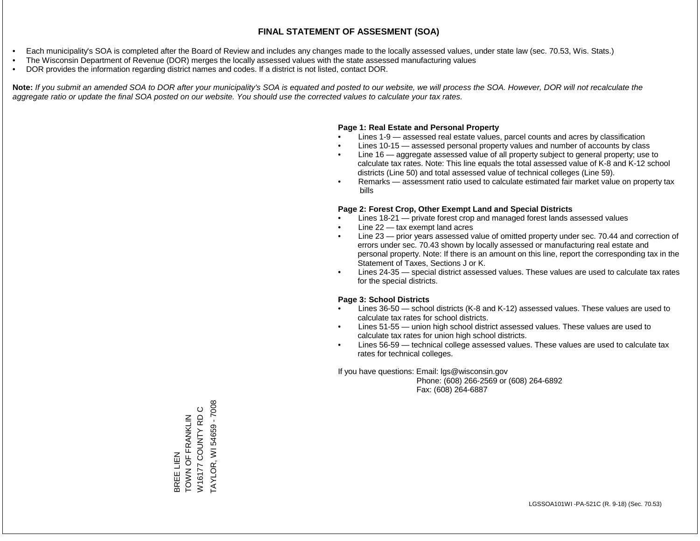- Each municipality's SOA is completed after the Board of Review and includes any changes made to the locally assessed values, under state law (sec. 70.53, Wis. Stats.)
- The Wisconsin Department of Revenue (DOR) merges the locally assessed values with the state assessed manufacturing values
- DOR provides the information regarding district names and codes. If a district is not listed, contact DOR.

Note: If you submit an amended SOA to DOR after your municipality's SOA is equated and posted to our website, we will process the SOA. However, DOR will not recalculate the *aggregate ratio or update the final SOA posted on our website. You should use the corrected values to calculate your tax rates.*

#### **Page 1: Real Estate and Personal Property**

- Lines 1-9 assessed real estate values, parcel counts and acres by classification
- Lines 10-15 assessed personal property values and number of accounts by class
- Line 16 aggregate assessed value of all property subject to general property; use to calculate tax rates. Note: This line equals the total assessed value of K-8 and K-12 school districts (Line 50) and total assessed value of technical colleges (Line 59).
- Remarks assessment ratio used to calculate estimated fair market value on property tax bills

#### **Page 2: Forest Crop, Other Exempt Land and Special Districts**

- Lines 18-21 private forest crop and managed forest lands assessed values
- Line  $22 -$  tax exempt land acres
- Line 23 prior years assessed value of omitted property under sec. 70.44 and correction of errors under sec. 70.43 shown by locally assessed or manufacturing real estate and personal property. Note: If there is an amount on this line, report the corresponding tax in the Statement of Taxes, Sections J or K.
- Lines 24-35 special district assessed values. These values are used to calculate tax rates for the special districts.

#### **Page 3: School Districts**

- Lines 36-50 school districts (K-8 and K-12) assessed values. These values are used to calculate tax rates for school districts.
- Lines 51-55 union high school district assessed values. These values are used to calculate tax rates for union high school districts.
- Lines 56-59 technical college assessed values. These values are used to calculate tax rates for technical colleges.

If you have questions: Email: lgs@wisconsin.gov

 Phone: (608) 266-2569 or (608) 264-6892 Fax: (608) 264-6887

TAYLOR, WI 54659 - 7008 TAYLOR, WI 54659 - 7008W16177 COUNTY RD C W16177 COUNTY RD C BREE LIEN<br>TOWN OF FRANKLIN TOWN OF FRANKLIN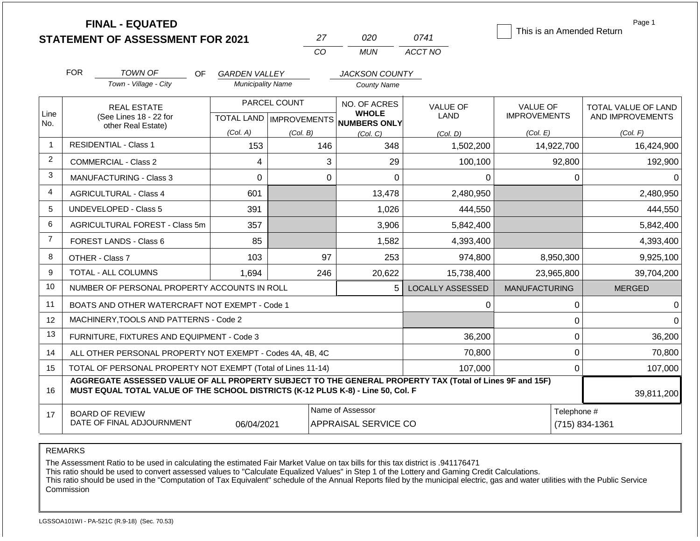|                |                                                                                                               | <b>FINAL - EQUATED</b><br><b>STATEMENT OF ASSESSMENT FOR 2021</b>                                                                                                                            |                          |              | 27       | 020                                                                      | 0741                           | This is an Amended Return              |                | Page 1                                  |
|----------------|---------------------------------------------------------------------------------------------------------------|----------------------------------------------------------------------------------------------------------------------------------------------------------------------------------------------|--------------------------|--------------|----------|--------------------------------------------------------------------------|--------------------------------|----------------------------------------|----------------|-----------------------------------------|
|                |                                                                                                               |                                                                                                                                                                                              |                          |              | CO       | <b>MUN</b>                                                               | ACCT NO                        |                                        |                |                                         |
|                | <b>FOR</b>                                                                                                    | <b>TOWN OF</b><br>OF.                                                                                                                                                                        | <b>GARDEN VALLEY</b>     |              |          | <b>JACKSON COUNTY</b>                                                    |                                |                                        |                |                                         |
|                |                                                                                                               | Town - Village - City                                                                                                                                                                        | <b>Municipality Name</b> |              |          | <b>County Name</b>                                                       |                                |                                        |                |                                         |
| Line           |                                                                                                               | <b>REAL ESTATE</b><br>(See Lines 18 - 22 for                                                                                                                                                 |                          | PARCEL COUNT |          | NO. OF ACRES<br><b>WHOLE</b><br>TOTAL LAND   IMPROVEMENTS   NUMBERS ONLY | <b>VALUE OF</b><br><b>LAND</b> | <b>VALUE OF</b><br><b>IMPROVEMENTS</b> |                | TOTAL VALUE OF LAND<br>AND IMPROVEMENTS |
| No.            |                                                                                                               | other Real Estate)                                                                                                                                                                           | (Col. A)                 | (Col. B)     |          | (Col, C)                                                                 | (Col. D)                       | (Col. E)                               |                | (Col. F)                                |
| 1              |                                                                                                               | <b>RESIDENTIAL - Class 1</b>                                                                                                                                                                 | 153                      |              | 146      | 348                                                                      | 1,502,200                      | 14,922,700                             |                | 16,424,900                              |
| $\overline{c}$ |                                                                                                               | COMMERCIAL - Class 2                                                                                                                                                                         | 4                        |              | 3        | 29                                                                       | 100,100                        |                                        | 92,800         | 192,900                                 |
| 3              |                                                                                                               | <b>MANUFACTURING - Class 3</b>                                                                                                                                                               | 0                        |              | $\Omega$ | 0                                                                        | 0                              |                                        | $\mathbf 0$    | $\Omega$                                |
| 4              |                                                                                                               | <b>AGRICULTURAL - Class 4</b>                                                                                                                                                                | 601                      |              |          | 13,478                                                                   | 2,480,950                      |                                        |                | 2,480,950                               |
| 5              |                                                                                                               | UNDEVELOPED - Class 5                                                                                                                                                                        | 391                      |              |          | 1,026                                                                    | 444,550                        |                                        |                | 444,550                                 |
| 6              |                                                                                                               | AGRICULTURAL FOREST - Class 5m                                                                                                                                                               | 357                      |              |          | 3,906                                                                    | 5,842,400                      |                                        |                | 5,842,400                               |
| $\overline{7}$ |                                                                                                               | FOREST LANDS - Class 6                                                                                                                                                                       | 85                       |              |          | 1,582                                                                    | 4,393,400                      |                                        |                | 4,393,400                               |
| 8              |                                                                                                               | OTHER - Class 7                                                                                                                                                                              | 103                      |              | 97       | 253                                                                      | 974,800                        | 8,950,300                              |                | 9,925,100                               |
| 9              |                                                                                                               | TOTAL - ALL COLUMNS                                                                                                                                                                          | 1,694                    |              | 246      | 20,622                                                                   | 15,738,400                     | 23,965,800                             |                | 39,704,200                              |
| 10             |                                                                                                               | NUMBER OF PERSONAL PROPERTY ACCOUNTS IN ROLL                                                                                                                                                 |                          |              |          | 5                                                                        | <b>LOCALLY ASSESSED</b>        | <b>MANUFACTURING</b>                   |                | <b>MERGED</b>                           |
| 11             |                                                                                                               | BOATS AND OTHER WATERCRAFT NOT EXEMPT - Code 1                                                                                                                                               |                          |              |          |                                                                          | 0                              |                                        | $\mathbf 0$    | 0                                       |
| 12             |                                                                                                               | MACHINERY, TOOLS AND PATTERNS - Code 2                                                                                                                                                       |                          |              |          |                                                                          |                                |                                        | 0              | $\Omega$                                |
| 13             |                                                                                                               | FURNITURE, FIXTURES AND EQUIPMENT - Code 3                                                                                                                                                   |                          |              |          |                                                                          | 36,200                         |                                        | $\mathbf 0$    | 36,200                                  |
| 14             | ALL OTHER PERSONAL PROPERTY NOT EXEMPT - Codes 4A, 4B, 4C                                                     |                                                                                                                                                                                              |                          |              |          |                                                                          | 70,800                         |                                        | $\mathbf{0}$   | 70,800                                  |
| 15             | TOTAL OF PERSONAL PROPERTY NOT EXEMPT (Total of Lines 11-14)                                                  |                                                                                                                                                                                              |                          |              |          |                                                                          | 107,000                        |                                        | 0              | 107,000                                 |
| 16             |                                                                                                               | AGGREGATE ASSESSED VALUE OF ALL PROPERTY SUBJECT TO THE GENERAL PROPERTY TAX (Total of Lines 9F and 15F)<br>MUST EQUAL TOTAL VALUE OF THE SCHOOL DISTRICTS (K-12 PLUS K-8) - Line 50, Col. F |                          |              |          |                                                                          |                                |                                        |                | 39,811,200                              |
| 17             | Name of Assessor<br><b>BOARD OF REVIEW</b><br>DATE OF FINAL ADJOURNMENT<br>06/04/2021<br>APPRAISAL SERVICE CO |                                                                                                                                                                                              |                          |              |          |                                                                          |                                | Telephone #                            | (715) 834-1361 |                                         |

REMARKS

The Assessment Ratio to be used in calculating the estimated Fair Market Value on tax bills for this tax district is .941176471

This ratio should be used to convert assessed values to "Calculate Equalized Values" in Step 1 of the Lottery and Gaming Credit Calculations.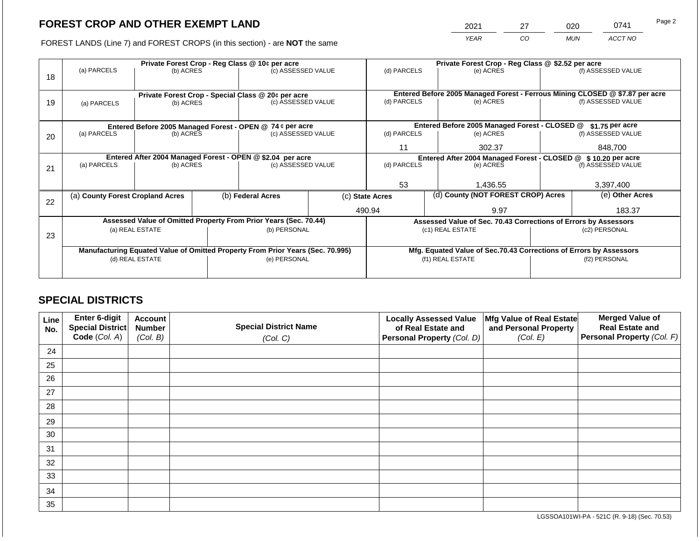2021 27 020 0741

FOREST LANDS (Line 7) and FOREST CROPS (in this section) - are **NOT** the same *YEAR CO MUN ACCT NO*

|    | Private Forest Crop - Reg Class @ 10¢ per acre                                 |                 |  |                                                                          |                                                                    | Private Forest Crop - Reg Class @ \$2.52 per acre             |  |                                                                 |                    |                                                                              |
|----|--------------------------------------------------------------------------------|-----------------|--|--------------------------------------------------------------------------|--------------------------------------------------------------------|---------------------------------------------------------------|--|-----------------------------------------------------------------|--------------------|------------------------------------------------------------------------------|
| 18 | (a) PARCELS                                                                    | (b) ACRES       |  | (c) ASSESSED VALUE                                                       |                                                                    | (d) PARCELS                                                   |  | (e) ACRES                                                       |                    | (f) ASSESSED VALUE                                                           |
|    |                                                                                |                 |  |                                                                          |                                                                    |                                                               |  |                                                                 |                    |                                                                              |
|    |                                                                                |                 |  |                                                                          |                                                                    |                                                               |  |                                                                 |                    | Entered Before 2005 Managed Forest - Ferrous Mining CLOSED @ \$7.87 per acre |
| 19 | (a) PARCELS                                                                    | (b) ACRES       |  | Private Forest Crop - Special Class @ 20¢ per acre<br>(c) ASSESSED VALUE |                                                                    | (d) PARCELS                                                   |  | (e) ACRES                                                       |                    | (f) ASSESSED VALUE                                                           |
|    |                                                                                |                 |  |                                                                          |                                                                    |                                                               |  |                                                                 |                    |                                                                              |
|    |                                                                                |                 |  |                                                                          |                                                                    |                                                               |  |                                                                 |                    |                                                                              |
|    |                                                                                |                 |  | Entered Before 2005 Managed Forest - OPEN @ 74 ¢ per acre                |                                                                    |                                                               |  | Entered Before 2005 Managed Forest - CLOSED @                   |                    | \$1.75 per acre                                                              |
| 20 | (a) PARCELS                                                                    | (b) ACRES       |  | (c) ASSESSED VALUE                                                       |                                                                    | (d) PARCELS                                                   |  | (e) ACRES                                                       |                    | (f) ASSESSED VALUE                                                           |
|    |                                                                                |                 |  |                                                                          |                                                                    | 11                                                            |  | 302.37                                                          |                    | 848.700                                                                      |
|    | Entered After 2004 Managed Forest - OPEN @ \$2.04 per acre                     |                 |  |                                                                          |                                                                    | Entered After 2004 Managed Forest - CLOSED @ \$10.20 per acre |  |                                                                 |                    |                                                                              |
| 21 | (a) PARCELS                                                                    | (b) ACRES       |  | (c) ASSESSED VALUE                                                       |                                                                    | (d) PARCELS                                                   |  | (e) ACRES                                                       | (f) ASSESSED VALUE |                                                                              |
|    |                                                                                |                 |  |                                                                          |                                                                    |                                                               |  |                                                                 |                    |                                                                              |
|    |                                                                                |                 |  |                                                                          |                                                                    | 53                                                            |  | 1,436.55                                                        |                    | 3,397,400                                                                    |
|    | (a) County Forest Cropland Acres                                               |                 |  | (b) Federal Acres                                                        |                                                                    | (d) County (NOT FOREST CROP) Acres<br>(c) State Acres         |  |                                                                 |                    | (e) Other Acres                                                              |
| 22 |                                                                                |                 |  |                                                                          |                                                                    |                                                               |  |                                                                 |                    |                                                                              |
|    |                                                                                |                 |  |                                                                          |                                                                    | 490.94                                                        |  | 9.97                                                            |                    | 183.37                                                                       |
|    |                                                                                |                 |  | Assessed Value of Omitted Property From Prior Years (Sec. 70.44)         |                                                                    |                                                               |  | Assessed Value of Sec. 70.43 Corrections of Errors by Assessors |                    |                                                                              |
| 23 |                                                                                | (a) REAL ESTATE |  | (b) PERSONAL                                                             |                                                                    |                                                               |  | (c1) REAL ESTATE                                                |                    | (c2) PERSONAL                                                                |
|    |                                                                                |                 |  |                                                                          |                                                                    |                                                               |  |                                                                 |                    |                                                                              |
|    | Manufacturing Equated Value of Omitted Property From Prior Years (Sec. 70.995) |                 |  |                                                                          | Mfg. Equated Value of Sec.70.43 Corrections of Errors by Assessors |                                                               |  |                                                                 |                    |                                                                              |
|    | (d) REAL ESTATE                                                                |                 |  | (e) PERSONAL                                                             |                                                                    | (f1) REAL ESTATE                                              |  |                                                                 | (f2) PERSONAL      |                                                                              |
|    |                                                                                |                 |  |                                                                          |                                                                    |                                                               |  |                                                                 |                    |                                                                              |
|    |                                                                                |                 |  |                                                                          |                                                                    |                                                               |  |                                                                 |                    |                                                                              |

## **SPECIAL DISTRICTS**

| Line<br>No. | Enter 6-digit<br>Special District<br>Code (Col. A) | <b>Account</b><br><b>Number</b><br>(Col. B) | <b>Special District Name</b><br>(Col. C) | <b>Locally Assessed Value</b><br>of Real Estate and<br><b>Personal Property (Col. D)</b> | Mfg Value of Real Estate<br>and Personal Property<br>(Col. E) | <b>Merged Value of</b><br><b>Real Estate and</b><br>Personal Property (Col. F) |
|-------------|----------------------------------------------------|---------------------------------------------|------------------------------------------|------------------------------------------------------------------------------------------|---------------------------------------------------------------|--------------------------------------------------------------------------------|
| 24          |                                                    |                                             |                                          |                                                                                          |                                                               |                                                                                |
| 25          |                                                    |                                             |                                          |                                                                                          |                                                               |                                                                                |
| 26          |                                                    |                                             |                                          |                                                                                          |                                                               |                                                                                |
| 27          |                                                    |                                             |                                          |                                                                                          |                                                               |                                                                                |
| 28          |                                                    |                                             |                                          |                                                                                          |                                                               |                                                                                |
| 29          |                                                    |                                             |                                          |                                                                                          |                                                               |                                                                                |
| 30          |                                                    |                                             |                                          |                                                                                          |                                                               |                                                                                |
| 31          |                                                    |                                             |                                          |                                                                                          |                                                               |                                                                                |
| 32          |                                                    |                                             |                                          |                                                                                          |                                                               |                                                                                |
| 33          |                                                    |                                             |                                          |                                                                                          |                                                               |                                                                                |
| 34          |                                                    |                                             |                                          |                                                                                          |                                                               |                                                                                |
| 35          |                                                    |                                             |                                          |                                                                                          |                                                               |                                                                                |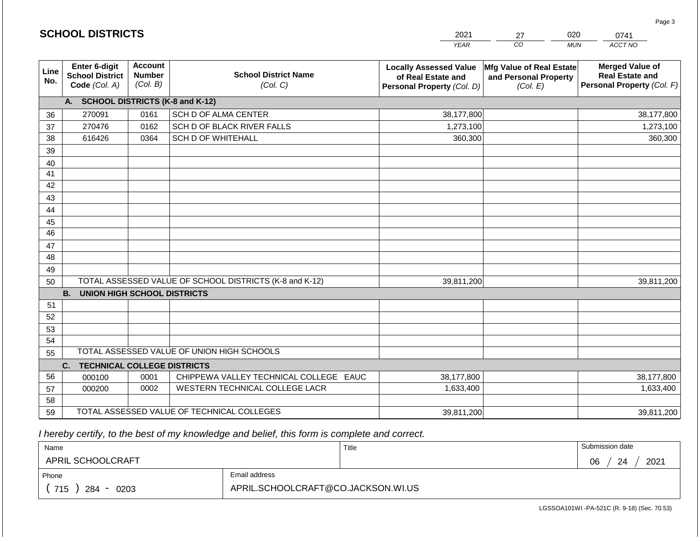|                       | <b>SCHOOL DISTRICTS</b>                                  |                                             |                                                         | 2021                                                                              | 27                                                            | 020<br>0741                                                                    |
|-----------------------|----------------------------------------------------------|---------------------------------------------|---------------------------------------------------------|-----------------------------------------------------------------------------------|---------------------------------------------------------------|--------------------------------------------------------------------------------|
|                       |                                                          |                                             |                                                         | <b>YEAR</b>                                                                       | CO                                                            | ACCT NO<br><b>MUN</b>                                                          |
| Line<br>No.           | Enter 6-digit<br><b>School District</b><br>Code (Col. A) | <b>Account</b><br><b>Number</b><br>(Col. B) | <b>School District Name</b><br>(Col. C)                 | <b>Locally Assessed Value</b><br>of Real Estate and<br>Personal Property (Col. D) | Mfg Value of Real Estate<br>and Personal Property<br>(Col. E) | <b>Merged Value of</b><br><b>Real Estate and</b><br>Personal Property (Col. F) |
|                       | A. SCHOOL DISTRICTS (K-8 and K-12)                       |                                             |                                                         |                                                                                   |                                                               |                                                                                |
| 36                    | 270091                                                   | 0161                                        | SCH D OF ALMA CENTER                                    | 38,177,800                                                                        |                                                               | 38,177,800                                                                     |
| 37                    | 270476                                                   | 0162                                        | SCH D OF BLACK RIVER FALLS                              | 1,273,100                                                                         |                                                               | 1,273,100                                                                      |
| 38                    | 616426                                                   | 0364                                        | <b>SCH D OF WHITEHALL</b>                               | 360,300                                                                           |                                                               | 360,300                                                                        |
| 39                    |                                                          |                                             |                                                         |                                                                                   |                                                               |                                                                                |
| 40                    |                                                          |                                             |                                                         |                                                                                   |                                                               |                                                                                |
| 41                    |                                                          |                                             |                                                         |                                                                                   |                                                               |                                                                                |
| 42                    |                                                          |                                             |                                                         |                                                                                   |                                                               |                                                                                |
| 43                    |                                                          |                                             |                                                         |                                                                                   |                                                               |                                                                                |
| 44                    |                                                          |                                             |                                                         |                                                                                   |                                                               |                                                                                |
| 45<br>$\overline{46}$ |                                                          |                                             |                                                         |                                                                                   |                                                               |                                                                                |
|                       |                                                          |                                             |                                                         |                                                                                   |                                                               |                                                                                |
| 47<br>48              |                                                          |                                             |                                                         |                                                                                   |                                                               |                                                                                |
| 49                    |                                                          |                                             |                                                         |                                                                                   |                                                               |                                                                                |
| 50                    |                                                          |                                             | TOTAL ASSESSED VALUE OF SCHOOL DISTRICTS (K-8 and K-12) | 39,811,200                                                                        |                                                               | 39,811,200                                                                     |
|                       | <b>B.</b><br><b>UNION HIGH SCHOOL DISTRICTS</b>          |                                             |                                                         |                                                                                   |                                                               |                                                                                |
| 51                    |                                                          |                                             |                                                         |                                                                                   |                                                               |                                                                                |
| 52                    |                                                          |                                             |                                                         |                                                                                   |                                                               |                                                                                |
| 53                    |                                                          |                                             |                                                         |                                                                                   |                                                               |                                                                                |
| 54                    |                                                          |                                             |                                                         |                                                                                   |                                                               |                                                                                |
| 55                    |                                                          |                                             | TOTAL ASSESSED VALUE OF UNION HIGH SCHOOLS              |                                                                                   |                                                               |                                                                                |
|                       | <b>TECHNICAL COLLEGE DISTRICTS</b><br>C.                 |                                             |                                                         |                                                                                   |                                                               |                                                                                |
| 56                    | 000100                                                   | 0001                                        | CHIPPEWA VALLEY TECHNICAL COLLEGE EAUC                  | 38,177,800                                                                        |                                                               | 38,177,800                                                                     |
| 57                    | 000200                                                   | 0002                                        | WESTERN TECHNICAL COLLEGE LACR                          | 1,633,400                                                                         |                                                               | 1,633,400                                                                      |
| 58                    |                                                          |                                             |                                                         |                                                                                   |                                                               |                                                                                |
| 59                    |                                                          |                                             | TOTAL ASSESSED VALUE OF TECHNICAL COLLEGES              | 39,811,200                                                                        |                                                               | 39,811,200                                                                     |

 *I hereby certify, to the best of my knowledge and belief, this form is complete and correct.*

| Name               |                                    | Title | Submission date  |
|--------------------|------------------------------------|-------|------------------|
| APRIL SCHOOLCRAFT  |                                    |       | 2021<br>06<br>24 |
| Phone              | Email address                      |       |                  |
| 715<br>284<br>0203 | APRIL.SCHOOLCRAFT@CO.JACKSON.WI.US |       |                  |

Page 3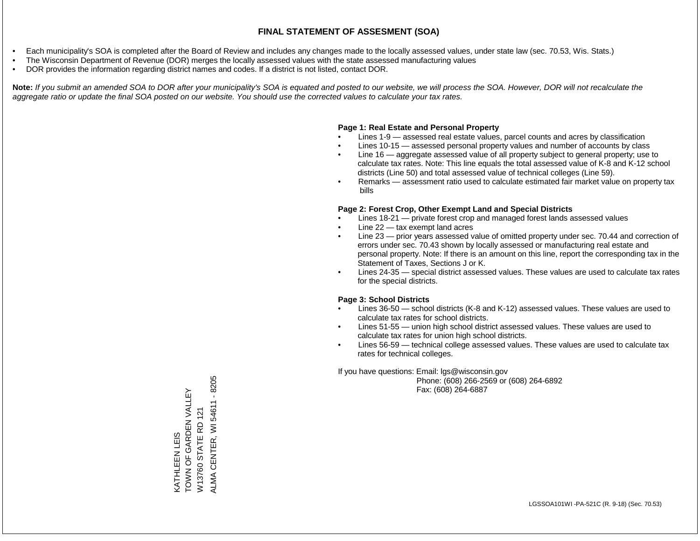- Each municipality's SOA is completed after the Board of Review and includes any changes made to the locally assessed values, under state law (sec. 70.53, Wis. Stats.)
- The Wisconsin Department of Revenue (DOR) merges the locally assessed values with the state assessed manufacturing values
- DOR provides the information regarding district names and codes. If a district is not listed, contact DOR.

Note: If you submit an amended SOA to DOR after your municipality's SOA is equated and posted to our website, we will process the SOA. However, DOR will not recalculate the *aggregate ratio or update the final SOA posted on our website. You should use the corrected values to calculate your tax rates.*

### **Page 1: Real Estate and Personal Property**

- Lines 1-9 assessed real estate values, parcel counts and acres by classification
- Lines 10-15 assessed personal property values and number of accounts by class
- Line 16 aggregate assessed value of all property subject to general property; use to calculate tax rates. Note: This line equals the total assessed value of K-8 and K-12 school districts (Line 50) and total assessed value of technical colleges (Line 59).
- Remarks assessment ratio used to calculate estimated fair market value on property tax bills

### **Page 2: Forest Crop, Other Exempt Land and Special Districts**

- Lines 18-21 private forest crop and managed forest lands assessed values
- Line  $22 -$  tax exempt land acres
- Line 23 prior years assessed value of omitted property under sec. 70.44 and correction of errors under sec. 70.43 shown by locally assessed or manufacturing real estate and personal property. Note: If there is an amount on this line, report the corresponding tax in the Statement of Taxes, Sections J or K.
- Lines 24-35 special district assessed values. These values are used to calculate tax rates for the special districts.

### **Page 3: School Districts**

- Lines 36-50 school districts (K-8 and K-12) assessed values. These values are used to calculate tax rates for school districts.
- Lines 51-55 union high school district assessed values. These values are used to calculate tax rates for union high school districts.
- Lines 56-59 technical college assessed values. These values are used to calculate tax rates for technical colleges.

If you have questions: Email: lgs@wisconsin.gov

 Phone: (608) 266-2569 or (608) 264-6892 Fax: (608) 264-6887

ALMA CENTER, WI 54611 - 8205 ALMA CENTER, WI 54611 - 8205KATHLEEN LEIS<br>TOWN OF GARDEN VALLEY TOWN OF GARDEN VALLEY W13760 STATE RD 121 W13760 STATE RD 121 KATHLEEN LEIS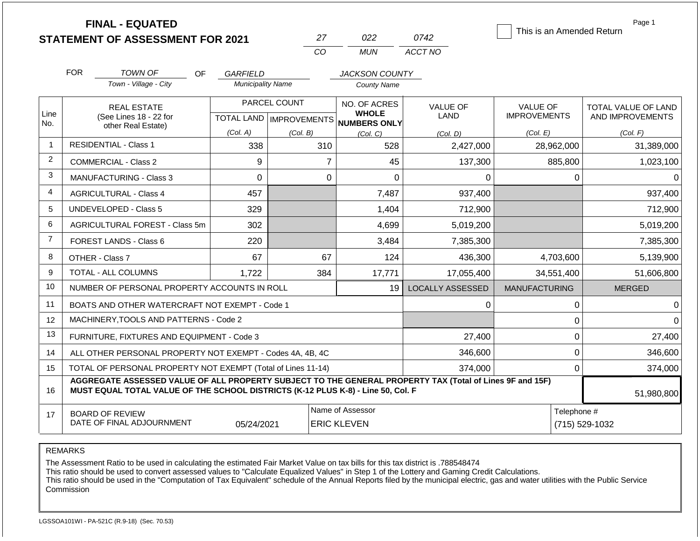|                | <b>FINAL - EQUATED</b>                                                                                   | This is an Amended Return | Page 1                    |                                     |                         |                      |                     |
|----------------|----------------------------------------------------------------------------------------------------------|---------------------------|---------------------------|-------------------------------------|-------------------------|----------------------|---------------------|
|                | <b>STATEMENT OF ASSESSMENT FOR 2021</b>                                                                  |                           | 27                        | 022                                 | 0742                    |                      |                     |
|                |                                                                                                          |                           | CO                        | <b>MUN</b>                          | ACCT NO                 |                      |                     |
|                | <b>FOR</b><br>TOWN OF<br>OF.                                                                             | <b>GARFIELD</b>           |                           | <b>JACKSON COUNTY</b>               |                         |                      |                     |
|                | Town - Village - City                                                                                    | <b>Municipality Name</b>  |                           | <b>County Name</b>                  |                         |                      |                     |
|                | <b>REAL ESTATE</b>                                                                                       |                           | PARCEL COUNT              | NO. OF ACRES                        | <b>VALUE OF</b>         | VALUE OF             | TOTAL VALUE OF LAND |
| Line<br>No.    | (See Lines 18 - 22 for                                                                                   |                           | TOTAL LAND   IMPROVEMENTS | <b>WHOLE</b><br><b>NUMBERS ONLY</b> | <b>LAND</b>             | <b>IMPROVEMENTS</b>  | AND IMPROVEMENTS    |
|                | other Real Estate)                                                                                       | (Col. A)                  | (Col. B)                  | (Col, C)                            | (Col. D)                | (Col. E)             | (Col. F)            |
| $\overline{1}$ | <b>RESIDENTIAL - Class 1</b>                                                                             | 338                       | 310                       | 528                                 | 2,427,000               | 28,962,000           | 31,389,000          |
| 2              | <b>COMMERCIAL - Class 2</b>                                                                              | 9                         | $\overline{7}$            | 45                                  | 137,300                 | 885,800              | 1,023,100           |
| 3              | <b>MANUFACTURING - Class 3</b>                                                                           | 0                         | 0                         | $\Omega$                            | 0                       | 0                    | 0                   |
| 4              | <b>AGRICULTURAL - Class 4</b>                                                                            | 457                       |                           | 7,487                               | 937,400                 |                      | 937,400             |
| 5              | <b>UNDEVELOPED - Class 5</b>                                                                             | 329                       |                           | 1,404                               | 712,900                 |                      | 712,900             |
| 6              | AGRICULTURAL FOREST - Class 5m                                                                           | 302                       |                           | 4,699                               | 5,019,200               |                      | 5,019,200           |
| $\overline{7}$ | FOREST LANDS - Class 6                                                                                   | 220                       |                           | 3,484                               | 7,385,300               |                      | 7,385,300           |
| 8              | OTHER - Class 7                                                                                          | 67                        | 67                        | 124                                 | 436,300                 | 4,703,600            | 5,139,900           |
| 9              | TOTAL - ALL COLUMNS                                                                                      | 1,722                     | 384                       | 17,771                              | 17,055,400              | 34,551,400           | 51,606,800          |
| 10             | NUMBER OF PERSONAL PROPERTY ACCOUNTS IN ROLL                                                             |                           |                           | 19                                  | <b>LOCALLY ASSESSED</b> | <b>MANUFACTURING</b> | <b>MERGED</b>       |
| 11             | BOATS AND OTHER WATERCRAFT NOT EXEMPT - Code 1                                                           |                           |                           |                                     | 0                       | 0                    | $\Omega$            |
| 12             | MACHINERY, TOOLS AND PATTERNS - Code 2                                                                   |                           |                           |                                     |                         | 0                    | $\Omega$            |
| 13             | FURNITURE, FIXTURES AND EQUIPMENT - Code 3                                                               | 0                         | 27,400                    |                                     |                         |                      |                     |
| 14             | ALL OTHER PERSONAL PROPERTY NOT EXEMPT - Codes 4A, 4B, 4C                                                | 0                         | 346,600                   |                                     |                         |                      |                     |
| 15             | TOTAL OF PERSONAL PROPERTY NOT EXEMPT (Total of Lines 11-14)                                             |                           |                           |                                     | 374,000                 | 0                    | 374,000             |
|                | AGGREGATE ASSESSED VALUE OF ALL PROPERTY SUBJECT TO THE GENERAL PROPERTY TAX (Total of Lines 9F and 15F) |                           |                           |                                     |                         |                      |                     |
| 16             | MUST EQUAL TOTAL VALUE OF THE SCHOOL DISTRICTS (K-12 PLUS K-8) - Line 50, Col. F                         |                           |                           |                                     |                         |                      | 51,980,800          |
| 17             | <b>BOARD OF REVIEW</b>                                                                                   |                           |                           | Name of Assessor                    |                         | Telephone #          |                     |
|                | DATE OF FINAL ADJOURNMENT                                                                                | 05/24/2021                |                           | <b>ERIC KLEVEN</b>                  |                         |                      | (715) 529-1032      |

REMARKS

The Assessment Ratio to be used in calculating the estimated Fair Market Value on tax bills for this tax district is .788548474

This ratio should be used to convert assessed values to "Calculate Equalized Values" in Step 1 of the Lottery and Gaming Credit Calculations.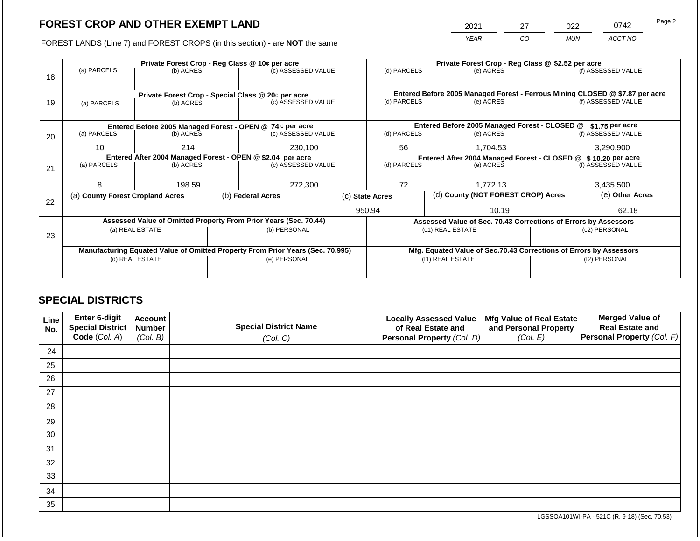2021 27 022 0742

FOREST LANDS (Line 7) and FOREST CROPS (in this section) - are **NOT** the same *YEAR CO MUN ACCT NO*

| Private Forest Crop - Reg Class @ 10¢ per acre<br>(a) PARCELS<br>(b) ACRES<br>18 |                                                    |                                                            | (c) ASSESSED VALUE                            |                   | Private Forest Crop - Reg Class @ \$2.52 per acre<br>(d) PARCELS<br>(e) ACRES                                                                                                                                                                                                                                                                                                   |                                                         | (f) ASSESSED VALUE |                               |                                                                                                                                                                                                  |
|----------------------------------------------------------------------------------|----------------------------------------------------|------------------------------------------------------------|-----------------------------------------------|-------------------|---------------------------------------------------------------------------------------------------------------------------------------------------------------------------------------------------------------------------------------------------------------------------------------------------------------------------------------------------------------------------------|---------------------------------------------------------|--------------------|-------------------------------|--------------------------------------------------------------------------------------------------------------------------------------------------------------------------------------------------|
|                                                                                  |                                                    |                                                            |                                               |                   |                                                                                                                                                                                                                                                                                                                                                                                 |                                                         |                    |                               |                                                                                                                                                                                                  |
|                                                                                  | Private Forest Crop - Special Class @ 20¢ per acre |                                                            |                                               |                   |                                                                                                                                                                                                                                                                                                                                                                                 |                                                         |                    |                               |                                                                                                                                                                                                  |
|                                                                                  |                                                    |                                                            |                                               |                   |                                                                                                                                                                                                                                                                                                                                                                                 |                                                         |                    |                               | (f) ASSESSED VALUE                                                                                                                                                                               |
|                                                                                  |                                                    |                                                            |                                               |                   |                                                                                                                                                                                                                                                                                                                                                                                 |                                                         |                    |                               |                                                                                                                                                                                                  |
|                                                                                  |                                                    |                                                            |                                               |                   |                                                                                                                                                                                                                                                                                                                                                                                 |                                                         |                    |                               | \$1.75 per acre                                                                                                                                                                                  |
| (a) PARCELS                                                                      |                                                    |                                                            |                                               |                   | (d) PARCELS                                                                                                                                                                                                                                                                                                                                                                     |                                                         | (e) ACRES          |                               | (f) ASSESSED VALUE                                                                                                                                                                               |
| 10                                                                               |                                                    |                                                            | 230,100                                       |                   | 56<br>1,704.53                                                                                                                                                                                                                                                                                                                                                                  |                                                         |                    | 3,290,900                     |                                                                                                                                                                                                  |
|                                                                                  |                                                    |                                                            |                                               |                   | Entered After 2004 Managed Forest - CLOSED @ \$ 10.20 per acre                                                                                                                                                                                                                                                                                                                  |                                                         |                    |                               |                                                                                                                                                                                                  |
| (a) PARCELS                                                                      |                                                    |                                                            |                                               |                   |                                                                                                                                                                                                                                                                                                                                                                                 |                                                         | (e) ACRES          |                               | (f) ASSESSED VALUE                                                                                                                                                                               |
|                                                                                  |                                                    |                                                            |                                               |                   |                                                                                                                                                                                                                                                                                                                                                                                 |                                                         |                    |                               |                                                                                                                                                                                                  |
| 8                                                                                |                                                    |                                                            | 272,300                                       |                   | 72                                                                                                                                                                                                                                                                                                                                                                              |                                                         | 1.772.13           |                               | 3,435,500                                                                                                                                                                                        |
|                                                                                  |                                                    |                                                            |                                               |                   | (d) County (NOT FOREST CROP) Acres                                                                                                                                                                                                                                                                                                                                              |                                                         | (e) Other Acres    |                               |                                                                                                                                                                                                  |
|                                                                                  |                                                    |                                                            |                                               |                   |                                                                                                                                                                                                                                                                                                                                                                                 | 10.19                                                   |                    |                               | 62.18                                                                                                                                                                                            |
|                                                                                  |                                                    |                                                            |                                               |                   |                                                                                                                                                                                                                                                                                                                                                                                 |                                                         |                    |                               |                                                                                                                                                                                                  |
|                                                                                  |                                                    |                                                            |                                               |                   |                                                                                                                                                                                                                                                                                                                                                                                 |                                                         |                    |                               | (c2) PERSONAL                                                                                                                                                                                    |
|                                                                                  |                                                    |                                                            |                                               |                   |                                                                                                                                                                                                                                                                                                                                                                                 |                                                         |                    |                               |                                                                                                                                                                                                  |
|                                                                                  |                                                    |                                                            |                                               |                   | Mfg. Equated Value of Sec.70.43 Corrections of Errors by Assessors                                                                                                                                                                                                                                                                                                              |                                                         |                    |                               |                                                                                                                                                                                                  |
| (d) REAL ESTATE                                                                  |                                                    |                                                            |                                               |                   | (f1) REAL ESTATE                                                                                                                                                                                                                                                                                                                                                                |                                                         |                    | (f2) PERSONAL                 |                                                                                                                                                                                                  |
|                                                                                  |                                                    |                                                            |                                               |                   |                                                                                                                                                                                                                                                                                                                                                                                 |                                                         |                    |                               |                                                                                                                                                                                                  |
|                                                                                  | (a) PARCELS                                        | 214<br>(a) County Forest Cropland Acres<br>(a) REAL ESTATE | (b) ACRES<br>(b) ACRES<br>(b) ACRES<br>198.59 | (b) Federal Acres | (c) ASSESSED VALUE<br>Entered Before 2005 Managed Forest - OPEN @ 74 ¢ per acre<br>(c) ASSESSED VALUE<br>Entered After 2004 Managed Forest - OPEN @ \$2.04 per acre<br>(c) ASSESSED VALUE<br>Assessed Value of Omitted Property From Prior Years (Sec. 70.44)<br>(b) PERSONAL<br>Manufacturing Equated Value of Omitted Property From Prior Years (Sec. 70.995)<br>(e) PERSONAL | (d) PARCELS<br>(d) PARCELS<br>(c) State Acres<br>950.94 |                    | (e) ACRES<br>(c1) REAL ESTATE | Entered Before 2005 Managed Forest - Ferrous Mining CLOSED @ \$7.87 per acre<br>Entered Before 2005 Managed Forest - CLOSED @<br>Assessed Value of Sec. 70.43 Corrections of Errors by Assessors |

## **SPECIAL DISTRICTS**

| Line<br>No. | <b>Enter 6-digit</b><br>Special District | <b>Account</b><br><b>Number</b> | <b>Special District Name</b> | <b>Locally Assessed Value</b><br>of Real Estate and | Mfg Value of Real Estate<br>and Personal Property | <b>Merged Value of</b><br><b>Real Estate and</b> |
|-------------|------------------------------------------|---------------------------------|------------------------------|-----------------------------------------------------|---------------------------------------------------|--------------------------------------------------|
|             | Code (Col. A)                            | (Col. B)                        | (Col. C)                     | Personal Property (Col. D)                          | (Col. E)                                          | <b>Personal Property (Col. F)</b>                |
| 24          |                                          |                                 |                              |                                                     |                                                   |                                                  |
| 25          |                                          |                                 |                              |                                                     |                                                   |                                                  |
| 26          |                                          |                                 |                              |                                                     |                                                   |                                                  |
| 27          |                                          |                                 |                              |                                                     |                                                   |                                                  |
| 28          |                                          |                                 |                              |                                                     |                                                   |                                                  |
| 29          |                                          |                                 |                              |                                                     |                                                   |                                                  |
| 30          |                                          |                                 |                              |                                                     |                                                   |                                                  |
| 31          |                                          |                                 |                              |                                                     |                                                   |                                                  |
| 32          |                                          |                                 |                              |                                                     |                                                   |                                                  |
| 33          |                                          |                                 |                              |                                                     |                                                   |                                                  |
| 34          |                                          |                                 |                              |                                                     |                                                   |                                                  |
| 35          |                                          |                                 |                              |                                                     |                                                   |                                                  |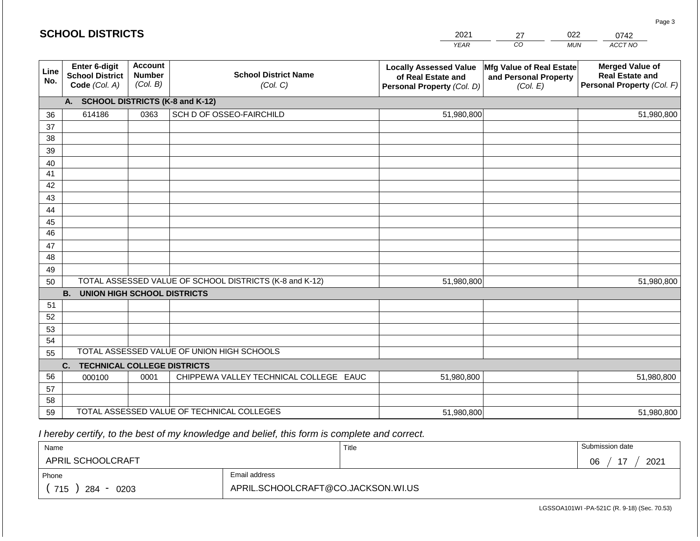#### *YEAR CO MUN ACCT NO*  **Line No. Enter 6-digit School District Code** *(Col. A)* **Account Number** *(Col. B)* **School District Name** *(Col. C)* **Locally Assessed Value of Real Estate and Personal Property** *(Col. D)* **Mfg Value of Real Estate and Personal Property** *(Col. E)* **Merged Value of Real Estate and Personal Property** *(Col. F)* **A. SCHOOL DISTRICTS (K-8 and K-12)** 36 37 38 39 40 41 42 43 44 45 46 47 48 49 50 TOTAL ASSESSED VALUE OF SCHOOL DISTRICTS (K-8 and K-12) **B. UNION HIGH SCHOOL DISTRICTS** 51 52 53 54 55 **C. TECHNICAL COLLEGE DISTRICTS** TOTAL ASSESSED VALUE OF UNION HIGH SCHOOLS 614186 0363 SCH D OF OSSEO-FAIRCHILD 51,980,800 51,980,800 51,980,800 51,980,800

56 57 58 59 TOTAL ASSESSED VALUE OF TECHNICAL COLLEGES 000100 | 0001 | CHIPPEWA VALLEY TECHNICAL COLLEGE EAUC 51,980,800 51,980,800 51,980,800 51,980,800

 *I hereby certify, to the best of my knowledge and belief, this form is complete and correct.*

| Name               |                                    | Title | Submission date  |
|--------------------|------------------------------------|-------|------------------|
| APRIL SCHOOLCRAFT  |                                    |       | 2021<br>17<br>06 |
| Phone              | Email address                      |       |                  |
| 715<br>284<br>0203 | APRIL.SCHOOLCRAFT@CO.JACKSON.WI.US |       |                  |

LGSSOA101WI -PA-521C (R. 9-18) (Sec. 70.53)

Page 3

| <b>SCHOOL DISTRICTS</b> |  |  |
|-------------------------|--|--|
|-------------------------|--|--|

| 2021 |    | 022        | 0742              |
|------|----|------------|-------------------|
| YEAR | CO | <b>MUN</b> | ACCT <sub>N</sub> |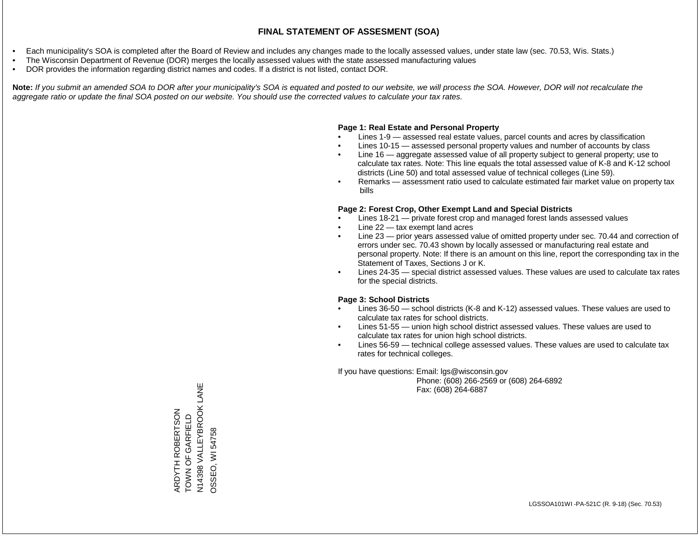- Each municipality's SOA is completed after the Board of Review and includes any changes made to the locally assessed values, under state law (sec. 70.53, Wis. Stats.)
- The Wisconsin Department of Revenue (DOR) merges the locally assessed values with the state assessed manufacturing values
- DOR provides the information regarding district names and codes. If a district is not listed, contact DOR.

Note: If you submit an amended SOA to DOR after your municipality's SOA is equated and posted to our website, we will process the SOA. However, DOR will not recalculate the *aggregate ratio or update the final SOA posted on our website. You should use the corrected values to calculate your tax rates.*

### **Page 1: Real Estate and Personal Property**

- Lines 1-9 assessed real estate values, parcel counts and acres by classification
- Lines 10-15 assessed personal property values and number of accounts by class
- Line 16 aggregate assessed value of all property subject to general property; use to calculate tax rates. Note: This line equals the total assessed value of K-8 and K-12 school districts (Line 50) and total assessed value of technical colleges (Line 59).
- Remarks assessment ratio used to calculate estimated fair market value on property tax bills

#### **Page 2: Forest Crop, Other Exempt Land and Special Districts**

- Lines 18-21 private forest crop and managed forest lands assessed values
- Line  $22 -$  tax exempt land acres
- Line 23 prior years assessed value of omitted property under sec. 70.44 and correction of errors under sec. 70.43 shown by locally assessed or manufacturing real estate and personal property. Note: If there is an amount on this line, report the corresponding tax in the Statement of Taxes, Sections J or K.
- Lines 24-35 special district assessed values. These values are used to calculate tax rates for the special districts.

#### **Page 3: School Districts**

- Lines 36-50 school districts (K-8 and K-12) assessed values. These values are used to calculate tax rates for school districts.
- Lines 51-55 union high school district assessed values. These values are used to calculate tax rates for union high school districts.
- Lines 56-59 technical college assessed values. These values are used to calculate tax rates for technical colleges.

If you have questions: Email: lgs@wisconsin.gov

 Phone: (608) 266-2569 or (608) 264-6892 Fax: (608) 264-6887

N14398 VALLEYBROOK LANE N14398 VALLEYBROOK LANE ARDYTH ROBERTSON<br>TOWN OF GARFIELD ARDYTH ROBERTSON TOWN OF GARFIELD **OSSEO, WI 54758** OSSEO, WI 54758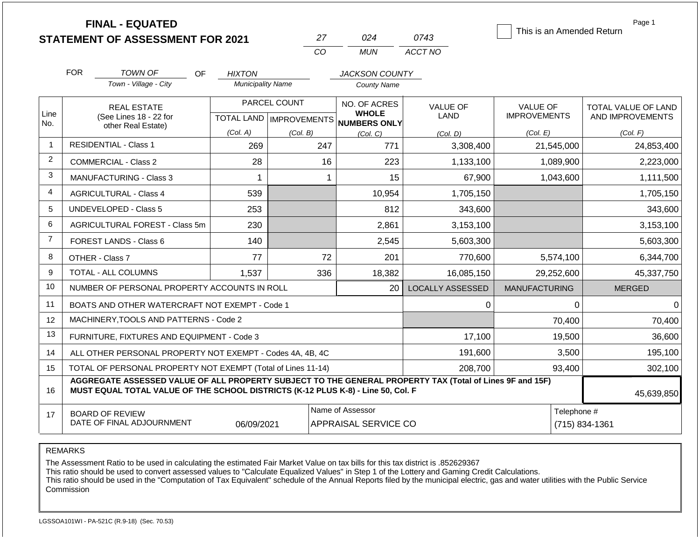| <b>STATEMENT OF ASSESSMENT FOR 2021</b> |  |
|-----------------------------------------|--|
|                                         |  |

**FINAL - EQUATED**

| 27  | በ24   | 0743    |
|-----|-------|---------|
| CO. | MI IN | ACCT NO |

This is an Amended Return

Page 1

|                 | <b>FOR</b>                                                                                                                                                                                                 | <b>TOWN OF</b><br>OF                                         | <b>HIXTON</b>            |              | <b>JACKSON COUNTY</b>                                    |                         |                      |                               |  |
|-----------------|------------------------------------------------------------------------------------------------------------------------------------------------------------------------------------------------------------|--------------------------------------------------------------|--------------------------|--------------|----------------------------------------------------------|-------------------------|----------------------|-------------------------------|--|
|                 |                                                                                                                                                                                                            | Town - Village - City                                        | <b>Municipality Name</b> |              | <b>County Name</b>                                       |                         |                      |                               |  |
|                 |                                                                                                                                                                                                            | <b>REAL ESTATE</b>                                           |                          | PARCEL COUNT | NO. OF ACRES                                             | <b>VALUE OF</b>         | <b>VALUE OF</b>      | TOTAL VALUE OF LAND           |  |
| Line<br>No.     |                                                                                                                                                                                                            | (See Lines 18 - 22 for<br>other Real Estate)                 |                          |              | <b>WHOLE</b><br>TOTAL LAND   IMPROVEMENTS   NUMBERS ONLY | LAND                    | <b>IMPROVEMENTS</b>  | AND IMPROVEMENTS              |  |
|                 |                                                                                                                                                                                                            |                                                              | (Col. A)                 | (Col. B)     | (Col, C)                                                 | (Col. D)                | (Col. E)             | (Col. F)                      |  |
| $\mathbf{1}$    |                                                                                                                                                                                                            | <b>RESIDENTIAL - Class 1</b>                                 | 269                      | 247          | 771                                                      | 3,308,400               | 21,545,000           | 24,853,400                    |  |
| $\overline{2}$  |                                                                                                                                                                                                            | <b>COMMERCIAL - Class 2</b>                                  | 28                       | 16           | 223                                                      | 1,133,100               | 1,089,900            | 2,223,000                     |  |
| 3               |                                                                                                                                                                                                            | <b>MANUFACTURING - Class 3</b>                               | 1                        | -1           | 15                                                       | 67,900                  | 1,043,600            | 1,111,500                     |  |
| $\overline{4}$  |                                                                                                                                                                                                            | <b>AGRICULTURAL - Class 4</b>                                | 539                      |              | 10,954                                                   | 1,705,150               |                      | 1,705,150                     |  |
| 5               |                                                                                                                                                                                                            | <b>UNDEVELOPED - Class 5</b>                                 | 253                      |              | 812                                                      | 343,600                 |                      | 343,600                       |  |
| 6               |                                                                                                                                                                                                            | AGRICULTURAL FOREST - Class 5m                               | 230                      |              | 2,861                                                    | 3,153,100               |                      | 3,153,100                     |  |
| $\overline{7}$  |                                                                                                                                                                                                            | FOREST LANDS - Class 6                                       | 140                      |              | 2,545                                                    | 5,603,300               |                      | 5,603,300                     |  |
| 8               |                                                                                                                                                                                                            | OTHER - Class 7                                              | 77                       | 72           | 201                                                      | 770,600                 | 5,574,100            | 6,344,700                     |  |
| 9               |                                                                                                                                                                                                            | TOTAL - ALL COLUMNS                                          | 1,537                    | 336          | 18,382                                                   | 16,085,150              | 29,252,600           | 45,337,750                    |  |
| 10 <sup>°</sup> |                                                                                                                                                                                                            | NUMBER OF PERSONAL PROPERTY ACCOUNTS IN ROLL                 |                          |              | 20                                                       | <b>LOCALLY ASSESSED</b> | <b>MANUFACTURING</b> | <b>MERGED</b>                 |  |
| 11              |                                                                                                                                                                                                            | BOATS AND OTHER WATERCRAFT NOT EXEMPT - Code 1               |                          |              |                                                          | 0                       | 0                    | $\pmb{0}$                     |  |
| 12              |                                                                                                                                                                                                            | MACHINERY, TOOLS AND PATTERNS - Code 2                       |                          |              |                                                          |                         | 70,400               | 70,400                        |  |
| 13              |                                                                                                                                                                                                            | FURNITURE, FIXTURES AND EQUIPMENT - Code 3                   |                          |              |                                                          | 17,100                  | 19,500               | 36,600                        |  |
| 14              |                                                                                                                                                                                                            | ALL OTHER PERSONAL PROPERTY NOT EXEMPT - Codes 4A, 4B, 4C    |                          |              |                                                          | 191,600                 | 3,500                | 195,100                       |  |
| 15              |                                                                                                                                                                                                            | TOTAL OF PERSONAL PROPERTY NOT EXEMPT (Total of Lines 11-14) |                          |              |                                                          | 208,700                 | 93,400               | 302,100                       |  |
| 16              | AGGREGATE ASSESSED VALUE OF ALL PROPERTY SUBJECT TO THE GENERAL PROPERTY TAX (Total of Lines 9F and 15F)<br>MUST EQUAL TOTAL VALUE OF THE SCHOOL DISTRICTS (K-12 PLUS K-8) - Line 50, Col. F<br>45,639,850 |                                                              |                          |              |                                                          |                         |                      |                               |  |
| 17              |                                                                                                                                                                                                            | <b>BOARD OF REVIEW</b><br>DATE OF FINAL ADJOURNMENT          | 06/09/2021               |              | Name of Assessor<br><b>APPRAISAL SERVICE CO</b>          |                         |                      | Telephone #<br>(715) 834-1361 |  |

REMARKS

The Assessment Ratio to be used in calculating the estimated Fair Market Value on tax bills for this tax district is .852629367

This ratio should be used to convert assessed values to "Calculate Equalized Values" in Step 1 of the Lottery and Gaming Credit Calculations.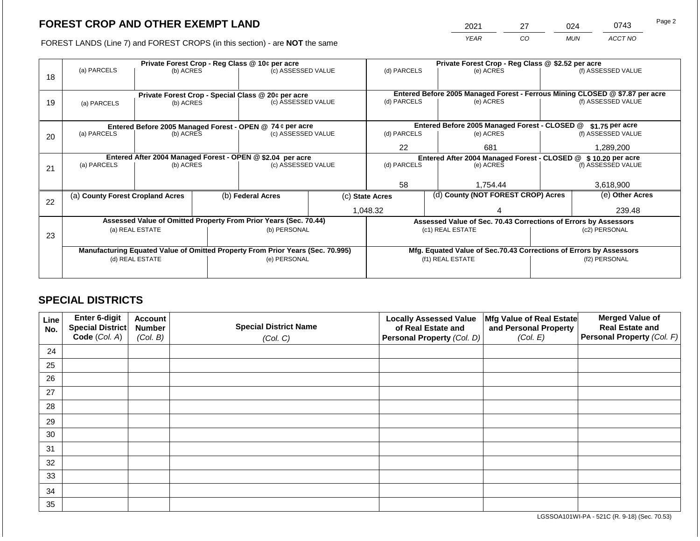2021 27 024 0743

FOREST LANDS (Line 7) and FOREST CROPS (in this section) - are **NOT** the same *YEAR CO MUN ACCT NO*

|    |                                                            |                 | Private Forest Crop - Reg Class @ 10¢ per acre |                                                                                | Private Forest Crop - Reg Class @ \$2.52 per acre |                                    |                 |                                                                    |                 |                                                                              |
|----|------------------------------------------------------------|-----------------|------------------------------------------------|--------------------------------------------------------------------------------|---------------------------------------------------|------------------------------------|-----------------|--------------------------------------------------------------------|-----------------|------------------------------------------------------------------------------|
| 18 | (a) PARCELS                                                | (b) ACRES       |                                                | (c) ASSESSED VALUE                                                             |                                                   | (d) PARCELS                        |                 | (e) ACRES                                                          |                 | (f) ASSESSED VALUE                                                           |
|    |                                                            |                 |                                                |                                                                                |                                                   |                                    |                 |                                                                    |                 |                                                                              |
|    |                                                            |                 |                                                | Private Forest Crop - Special Class @ 20¢ per acre                             |                                                   |                                    |                 |                                                                    |                 | Entered Before 2005 Managed Forest - Ferrous Mining CLOSED @ \$7.87 per acre |
| 19 | (a) PARCELS                                                | (b) ACRES       |                                                | (c) ASSESSED VALUE                                                             |                                                   | (d) PARCELS<br>(e) ACRES           |                 |                                                                    |                 | (f) ASSESSED VALUE                                                           |
|    |                                                            |                 |                                                |                                                                                |                                                   |                                    |                 |                                                                    |                 |                                                                              |
|    |                                                            |                 |                                                |                                                                                |                                                   |                                    |                 |                                                                    |                 |                                                                              |
|    | Entered Before 2005 Managed Forest - OPEN @ 74 ¢ per acre  |                 |                                                |                                                                                | Entered Before 2005 Managed Forest - CLOSED @     |                                    | \$1.75 per acre |                                                                    |                 |                                                                              |
| 20 | (a) PARCELS                                                | (b) ACRES       |                                                | (c) ASSESSED VALUE                                                             |                                                   | (d) PARCELS                        |                 | (e) ACRES                                                          |                 | (f) ASSESSED VALUE                                                           |
|    |                                                            |                 |                                                |                                                                                | 22<br>681                                         |                                    |                 |                                                                    | 1,289,200       |                                                                              |
|    | Entered After 2004 Managed Forest - OPEN @ \$2.04 per acre |                 |                                                |                                                                                |                                                   |                                    |                 | Entered After 2004 Managed Forest - CLOSED @ \$10.20 per acre      |                 |                                                                              |
| 21 | (a) PARCELS                                                | (b) ACRES       |                                                | (c) ASSESSED VALUE                                                             |                                                   | (d) PARCELS<br>(e) ACRES           |                 | (f) ASSESSED VALUE                                                 |                 |                                                                              |
|    |                                                            |                 |                                                |                                                                                |                                                   |                                    |                 |                                                                    |                 |                                                                              |
|    |                                                            |                 |                                                |                                                                                |                                                   | 58                                 |                 | 1,754.44                                                           |                 | 3,618,900                                                                    |
|    | (a) County Forest Cropland Acres                           |                 |                                                | (b) Federal Acres<br>(c) State Acres                                           |                                                   | (d) County (NOT FOREST CROP) Acres |                 |                                                                    | (e) Other Acres |                                                                              |
| 22 |                                                            |                 |                                                |                                                                                |                                                   |                                    |                 |                                                                    |                 |                                                                              |
|    |                                                            |                 |                                                |                                                                                |                                                   | 1,048.32                           |                 |                                                                    |                 | 239.48                                                                       |
|    |                                                            |                 |                                                | Assessed Value of Omitted Property From Prior Years (Sec. 70.44)               |                                                   |                                    |                 | Assessed Value of Sec. 70.43 Corrections of Errors by Assessors    |                 |                                                                              |
|    |                                                            | (a) REAL ESTATE |                                                | (b) PERSONAL                                                                   |                                                   |                                    |                 | (c1) REAL ESTATE                                                   |                 | (c2) PERSONAL                                                                |
| 23 |                                                            |                 |                                                |                                                                                |                                                   |                                    |                 |                                                                    |                 |                                                                              |
|    |                                                            |                 |                                                | Manufacturing Equated Value of Omitted Property From Prior Years (Sec. 70.995) |                                                   |                                    |                 | Mfg. Equated Value of Sec.70.43 Corrections of Errors by Assessors |                 |                                                                              |
|    |                                                            | (d) REAL ESTATE |                                                | (e) PERSONAL                                                                   |                                                   |                                    |                 | (f1) REAL ESTATE                                                   |                 | (f2) PERSONAL                                                                |
|    |                                                            |                 |                                                |                                                                                |                                                   |                                    |                 |                                                                    |                 |                                                                              |
|    |                                                            |                 |                                                |                                                                                |                                                   |                                    |                 |                                                                    |                 |                                                                              |

## **SPECIAL DISTRICTS**

| Line<br>No. | Enter 6-digit<br>Special District<br>Code (Col. A) | <b>Account</b><br><b>Number</b><br>(Col. B) | <b>Special District Name</b><br>(Col. C) | <b>Locally Assessed Value</b><br>of Real Estate and<br><b>Personal Property (Col. D)</b> | Mfg Value of Real Estate<br>and Personal Property<br>(Col. E) | <b>Merged Value of</b><br><b>Real Estate and</b><br>Personal Property (Col. F) |
|-------------|----------------------------------------------------|---------------------------------------------|------------------------------------------|------------------------------------------------------------------------------------------|---------------------------------------------------------------|--------------------------------------------------------------------------------|
| 24          |                                                    |                                             |                                          |                                                                                          |                                                               |                                                                                |
| 25          |                                                    |                                             |                                          |                                                                                          |                                                               |                                                                                |
| 26          |                                                    |                                             |                                          |                                                                                          |                                                               |                                                                                |
| 27          |                                                    |                                             |                                          |                                                                                          |                                                               |                                                                                |
| 28          |                                                    |                                             |                                          |                                                                                          |                                                               |                                                                                |
| 29          |                                                    |                                             |                                          |                                                                                          |                                                               |                                                                                |
| 30          |                                                    |                                             |                                          |                                                                                          |                                                               |                                                                                |
| 31          |                                                    |                                             |                                          |                                                                                          |                                                               |                                                                                |
| 32          |                                                    |                                             |                                          |                                                                                          |                                                               |                                                                                |
| 33          |                                                    |                                             |                                          |                                                                                          |                                                               |                                                                                |
| 34          |                                                    |                                             |                                          |                                                                                          |                                                               |                                                                                |
| 35          |                                                    |                                             |                                          |                                                                                          |                                                               |                                                                                |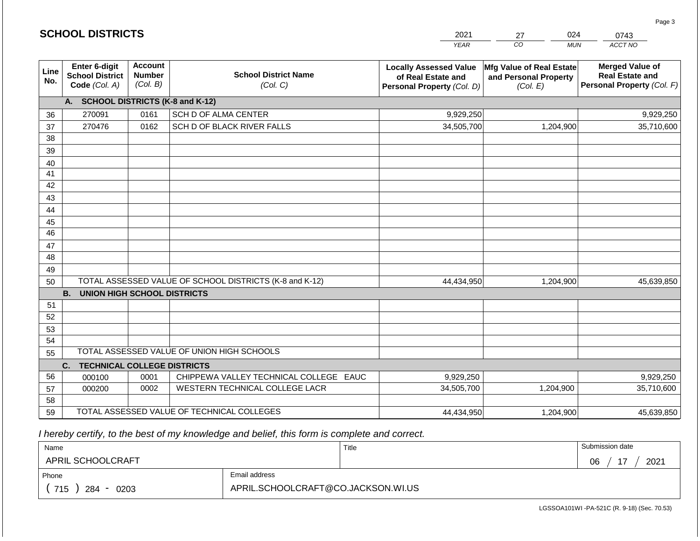|             | <b>SCHOOL DISTRICTS</b>                                         |                                             |                                                         | 2021                                                                              | 024<br>27                                                     | 0743                                                                           |
|-------------|-----------------------------------------------------------------|---------------------------------------------|---------------------------------------------------------|-----------------------------------------------------------------------------------|---------------------------------------------------------------|--------------------------------------------------------------------------------|
|             |                                                                 |                                             |                                                         | <b>YEAR</b>                                                                       | CO <sub>.</sub><br><b>MUN</b>                                 | ACCT NO                                                                        |
| Line<br>No. | <b>Enter 6-digit</b><br><b>School District</b><br>Code (Col. A) | <b>Account</b><br><b>Number</b><br>(Col. B) | <b>School District Name</b><br>(Col. C)                 | <b>Locally Assessed Value</b><br>of Real Estate and<br>Personal Property (Col. D) | Mfg Value of Real Estate<br>and Personal Property<br>(Col. E) | <b>Merged Value of</b><br><b>Real Estate and</b><br>Personal Property (Col. F) |
|             | A. SCHOOL DISTRICTS (K-8 and K-12)                              |                                             |                                                         |                                                                                   |                                                               |                                                                                |
| 36          | 270091                                                          | 0161                                        | SCH D OF ALMA CENTER                                    | 9,929,250                                                                         |                                                               | 9,929,250                                                                      |
| 37          | 270476                                                          | 0162                                        | SCH D OF BLACK RIVER FALLS                              | 34,505,700                                                                        | 1,204,900                                                     | 35,710,600                                                                     |
| 38          |                                                                 |                                             |                                                         |                                                                                   |                                                               |                                                                                |
| 39          |                                                                 |                                             |                                                         |                                                                                   |                                                               |                                                                                |
| 40          |                                                                 |                                             |                                                         |                                                                                   |                                                               |                                                                                |
| 41          |                                                                 |                                             |                                                         |                                                                                   |                                                               |                                                                                |
| 42          |                                                                 |                                             |                                                         |                                                                                   |                                                               |                                                                                |
| 43          |                                                                 |                                             |                                                         |                                                                                   |                                                               |                                                                                |
| 44          |                                                                 |                                             |                                                         |                                                                                   |                                                               |                                                                                |
| 45<br>46    |                                                                 |                                             |                                                         |                                                                                   |                                                               |                                                                                |
| 47          |                                                                 |                                             |                                                         |                                                                                   |                                                               |                                                                                |
| 48          |                                                                 |                                             |                                                         |                                                                                   |                                                               |                                                                                |
| 49          |                                                                 |                                             |                                                         |                                                                                   |                                                               |                                                                                |
| 50          |                                                                 |                                             | TOTAL ASSESSED VALUE OF SCHOOL DISTRICTS (K-8 and K-12) | 44,434,950                                                                        | 1,204,900                                                     | 45,639,850                                                                     |
|             | <b>B.</b><br><b>UNION HIGH SCHOOL DISTRICTS</b>                 |                                             |                                                         |                                                                                   |                                                               |                                                                                |
| 51          |                                                                 |                                             |                                                         |                                                                                   |                                                               |                                                                                |
| 52          |                                                                 |                                             |                                                         |                                                                                   |                                                               |                                                                                |
| 53          |                                                                 |                                             |                                                         |                                                                                   |                                                               |                                                                                |
| 54          |                                                                 |                                             |                                                         |                                                                                   |                                                               |                                                                                |
| 55          |                                                                 |                                             | TOTAL ASSESSED VALUE OF UNION HIGH SCHOOLS              |                                                                                   |                                                               |                                                                                |
|             | <b>TECHNICAL COLLEGE DISTRICTS</b><br>C.                        |                                             |                                                         |                                                                                   |                                                               |                                                                                |
| 56          | 000100                                                          | 0001                                        | CHIPPEWA VALLEY TECHNICAL COLLEGE EAUC                  | 9,929,250                                                                         |                                                               | 9,929,250                                                                      |
| 57          | 000200                                                          | 0002                                        | WESTERN TECHNICAL COLLEGE LACR                          | 34,505,700                                                                        | 1,204,900                                                     | 35,710,600                                                                     |
| 58          |                                                                 |                                             |                                                         |                                                                                   |                                                               |                                                                                |
| 59          |                                                                 |                                             | TOTAL ASSESSED VALUE OF TECHNICAL COLLEGES              | 44,434,950                                                                        | 1,204,900                                                     | 45,639,850                                                                     |

 *I hereby certify, to the best of my knowledge and belief, this form is complete and correct.*

| Name               |                                    | Title | Submission date              |
|--------------------|------------------------------------|-------|------------------------------|
| APRIL SCHOOLCRAFT  |                                    |       | $\overline{ }$<br>2021<br>06 |
| Phone              | Email address                      |       |                              |
| 715<br>284<br>0203 | APRIL.SCHOOLCRAFT@CO.JACKSON.WI.US |       |                              |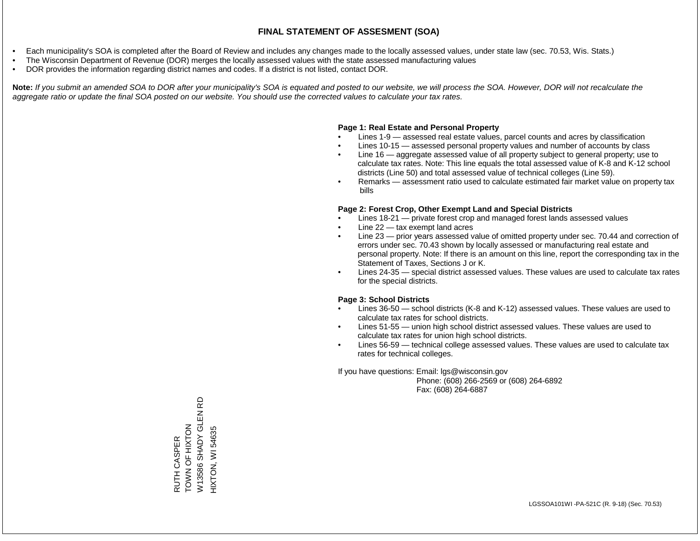- Each municipality's SOA is completed after the Board of Review and includes any changes made to the locally assessed values, under state law (sec. 70.53, Wis. Stats.)
- The Wisconsin Department of Revenue (DOR) merges the locally assessed values with the state assessed manufacturing values
- DOR provides the information regarding district names and codes. If a district is not listed, contact DOR.

Note: If you submit an amended SOA to DOR after your municipality's SOA is equated and posted to our website, we will process the SOA. However, DOR will not recalculate the *aggregate ratio or update the final SOA posted on our website. You should use the corrected values to calculate your tax rates.*

### **Page 1: Real Estate and Personal Property**

- Lines 1-9 assessed real estate values, parcel counts and acres by classification
- Lines 10-15 assessed personal property values and number of accounts by class
- Line 16 aggregate assessed value of all property subject to general property; use to calculate tax rates. Note: This line equals the total assessed value of K-8 and K-12 school districts (Line 50) and total assessed value of technical colleges (Line 59).
- Remarks assessment ratio used to calculate estimated fair market value on property tax bills

### **Page 2: Forest Crop, Other Exempt Land and Special Districts**

- Lines 18-21 private forest crop and managed forest lands assessed values
- Line  $22 -$  tax exempt land acres
- Line 23 prior years assessed value of omitted property under sec. 70.44 and correction of errors under sec. 70.43 shown by locally assessed or manufacturing real estate and personal property. Note: If there is an amount on this line, report the corresponding tax in the Statement of Taxes, Sections J or K.
- Lines 24-35 special district assessed values. These values are used to calculate tax rates for the special districts.

### **Page 3: School Districts**

- Lines 36-50 school districts (K-8 and K-12) assessed values. These values are used to calculate tax rates for school districts.
- Lines 51-55 union high school district assessed values. These values are used to calculate tax rates for union high school districts.
- Lines 56-59 technical college assessed values. These values are used to calculate tax rates for technical colleges.

If you have questions: Email: lgs@wisconsin.gov

 Phone: (608) 266-2569 or (608) 264-6892 Fax: (608) 264-6887

6D W13586 SHADY GLEN RD W13586 SHADY GLEN R<br>HIXTON, WI 54635 RUTH CASPER<br>TOWN OF HIXTON TOWN OF HIXTON HIXTON, WI 54635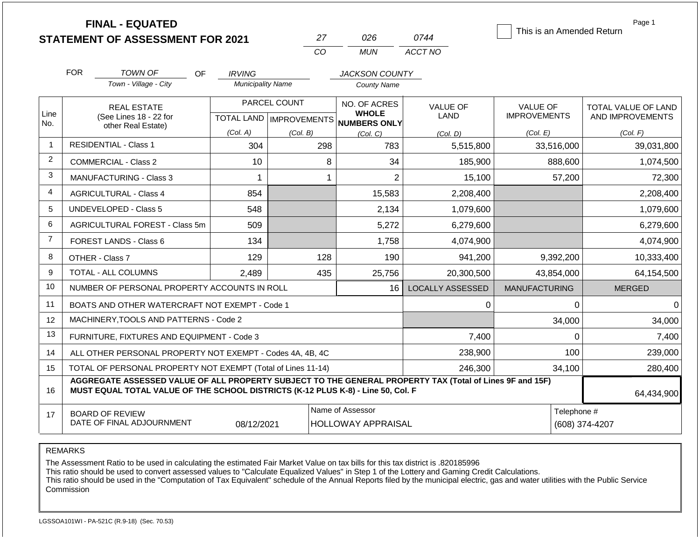|                | <b>FINAL - EQUATED</b>                                                                                                                                                                       |                               |                           |                                     |                         | This is an Amended Return | Page 1              |
|----------------|----------------------------------------------------------------------------------------------------------------------------------------------------------------------------------------------|-------------------------------|---------------------------|-------------------------------------|-------------------------|---------------------------|---------------------|
|                | <b>STATEMENT OF ASSESSMENT FOR 2021</b>                                                                                                                                                      |                               | 27                        | 026                                 | 0744                    |                           |                     |
|                |                                                                                                                                                                                              |                               | CO                        | <b>MUN</b>                          | ACCT NO                 |                           |                     |
|                | <b>FOR</b><br><b>TOWN OF</b><br>OF                                                                                                                                                           | <b>IRVING</b>                 |                           | <b>JACKSON COUNTY</b>               |                         |                           |                     |
|                | Town - Village - City                                                                                                                                                                        | <b>Municipality Name</b>      |                           | <b>County Name</b>                  |                         |                           |                     |
|                | <b>REAL ESTATE</b>                                                                                                                                                                           |                               | PARCEL COUNT              | NO. OF ACRES                        | <b>VALUE OF</b>         | <b>VALUE OF</b>           | TOTAL VALUE OF LAND |
| Line<br>No.    | (See Lines 18 - 22 for                                                                                                                                                                       |                               | TOTAL LAND   IMPROVEMENTS | <b>WHOLE</b><br><b>NUMBERS ONLY</b> | LAND                    | <b>IMPROVEMENTS</b>       | AND IMPROVEMENTS    |
|                | other Real Estate)                                                                                                                                                                           | (Col. A)                      | (Col. B)                  | (Col. C)                            | (Col. D)                | (Col. E)                  | (Col. F)            |
| $\overline{1}$ | <b>RESIDENTIAL - Class 1</b>                                                                                                                                                                 | 304                           | 298                       | 783                                 | 5,515,800               | 33,516,000                | 39,031,800          |
| 2              | <b>COMMERCIAL - Class 2</b>                                                                                                                                                                  | 10                            | 8                         | 34                                  | 185,900                 | 888,600                   | 1,074,500           |
| 3              | <b>MANUFACTURING - Class 3</b>                                                                                                                                                               | 1                             | 1                         | $\overline{2}$                      | 15,100                  | 57,200                    | 72,300              |
| 4              | <b>AGRICULTURAL - Class 4</b>                                                                                                                                                                | 854                           |                           | 15,583                              | 2,208,400               |                           | 2,208,400           |
| 5              | <b>UNDEVELOPED - Class 5</b>                                                                                                                                                                 | 548                           |                           | 2,134                               | 1,079,600               |                           | 1,079,600           |
| 6              | <b>AGRICULTURAL FOREST - Class 5m</b>                                                                                                                                                        | 509                           |                           | 5,272                               | 6,279,600               |                           | 6,279,600           |
| $\overline{7}$ | FOREST LANDS - Class 6                                                                                                                                                                       | 134                           |                           | 1,758                               | 4,074,900               |                           | 4,074,900           |
| 8              | OTHER - Class 7                                                                                                                                                                              | 129                           | 128                       | 190                                 | 941,200                 | 9,392,200                 | 10,333,400          |
| 9              | TOTAL - ALL COLUMNS                                                                                                                                                                          | 2,489                         | 435                       | 25,756                              | 20,300,500              | 43,854,000                | 64,154,500          |
| 10             | NUMBER OF PERSONAL PROPERTY ACCOUNTS IN ROLL                                                                                                                                                 |                               |                           | 16                                  | <b>LOCALLY ASSESSED</b> | <b>MANUFACTURING</b>      | <b>MERGED</b>       |
| 11             | BOATS AND OTHER WATERCRAFT NOT EXEMPT - Code 1                                                                                                                                               |                               |                           |                                     | 0                       | 0                         | $\Omega$            |
| 12             | MACHINERY, TOOLS AND PATTERNS - Code 2                                                                                                                                                       |                               |                           |                                     |                         | 34,000                    | 34,000              |
| 13             | FURNITURE, FIXTURES AND EQUIPMENT - Code 3                                                                                                                                                   |                               |                           |                                     | 7,400                   | $\mathbf 0$               | 7,400               |
| 14             | ALL OTHER PERSONAL PROPERTY NOT EXEMPT - Codes 4A, 4B, 4C                                                                                                                                    |                               |                           |                                     | 238,900                 | 100                       | 239,000             |
| 15             | TOTAL OF PERSONAL PROPERTY NOT EXEMPT (Total of Lines 11-14)                                                                                                                                 |                               |                           |                                     | 246,300                 | 34,100                    | 280,400             |
| 16             | AGGREGATE ASSESSED VALUE OF ALL PROPERTY SUBJECT TO THE GENERAL PROPERTY TAX (Total of Lines 9F and 15F)<br>MUST EQUAL TOTAL VALUE OF THE SCHOOL DISTRICTS (K-12 PLUS K-8) - Line 50, Col. F |                               |                           |                                     |                         |                           | 64,434,900          |
| 17             | <b>BOARD OF REVIEW</b><br>DATE OF FINAL ADJOURNMENT                                                                                                                                          | Telephone #<br>(608) 374-4207 |                           |                                     |                         |                           |                     |

REMARKS

The Assessment Ratio to be used in calculating the estimated Fair Market Value on tax bills for this tax district is .820185996

This ratio should be used to convert assessed values to "Calculate Equalized Values" in Step 1 of the Lottery and Gaming Credit Calculations.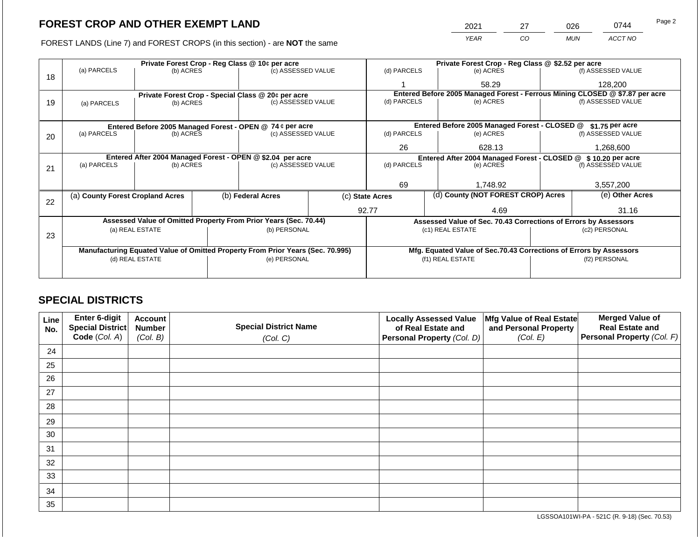2021 27 026 0744

FOREST LANDS (Line 7) and FOREST CROPS (in this section) - are **NOT** the same *YEAR CO MUN ACCT NO*

|    |                                                            | Private Forest Crop - Reg Class @ 10¢ per acre |  |                                                                                 |                                               |                          |                                                                              | Private Forest Crop - Reg Class @ \$2.52 per acre                  |                    |                    |  |
|----|------------------------------------------------------------|------------------------------------------------|--|---------------------------------------------------------------------------------|-----------------------------------------------|--------------------------|------------------------------------------------------------------------------|--------------------------------------------------------------------|--------------------|--------------------|--|
| 18 | (a) PARCELS                                                | (b) ACRES                                      |  | (c) ASSESSED VALUE                                                              |                                               | (d) PARCELS              |                                                                              | (e) ACRES                                                          |                    | (f) ASSESSED VALUE |  |
|    |                                                            |                                                |  |                                                                                 |                                               |                          |                                                                              | 58.29                                                              |                    | 128,200            |  |
|    |                                                            |                                                |  | Private Forest Crop - Special Class @ 20¢ per acre                              |                                               |                          | Entered Before 2005 Managed Forest - Ferrous Mining CLOSED @ \$7.87 per acre |                                                                    |                    |                    |  |
| 19 | (a) PARCELS                                                | (b) ACRES                                      |  | (c) ASSESSED VALUE                                                              |                                               | (d) PARCELS              |                                                                              | (e) ACRES                                                          |                    | (f) ASSESSED VALUE |  |
|    |                                                            |                                                |  |                                                                                 |                                               |                          |                                                                              |                                                                    |                    |                    |  |
|    |                                                            |                                                |  |                                                                                 | Entered Before 2005 Managed Forest - CLOSED @ |                          | \$1.75 per acre                                                              |                                                                    |                    |                    |  |
| 20 | (a) PARCELS                                                | (b) ACRES                                      |  | Entered Before 2005 Managed Forest - OPEN @ 74 ¢ per acre<br>(c) ASSESSED VALUE |                                               | (d) PARCELS              |                                                                              | (e) ACRES                                                          |                    | (f) ASSESSED VALUE |  |
|    |                                                            |                                                |  |                                                                                 |                                               | 26                       |                                                                              | 628.13                                                             |                    | 1,268,600          |  |
|    | Entered After 2004 Managed Forest - OPEN @ \$2.04 per acre |                                                |  | Entered After 2004 Managed Forest - CLOSED @ \$10.20 per acre                   |                                               |                          |                                                                              |                                                                    |                    |                    |  |
|    | (a) PARCELS                                                | (b) ACRES                                      |  | (c) ASSESSED VALUE                                                              |                                               | (d) PARCELS<br>(e) ACRES |                                                                              |                                                                    | (f) ASSESSED VALUE |                    |  |
| 21 |                                                            |                                                |  |                                                                                 |                                               |                          |                                                                              |                                                                    |                    |                    |  |
|    |                                                            |                                                |  |                                                                                 |                                               | 69                       |                                                                              | 1.748.92                                                           |                    | 3,557,200          |  |
| 22 | (a) County Forest Cropland Acres                           |                                                |  | (b) Federal Acres                                                               | (c) State Acres                               |                          |                                                                              | (d) County (NOT FOREST CROP) Acres                                 |                    | (e) Other Acres    |  |
|    |                                                            |                                                |  |                                                                                 |                                               | 92.77                    |                                                                              | 4.69                                                               |                    | 31.16              |  |
|    |                                                            |                                                |  | Assessed Value of Omitted Property From Prior Years (Sec. 70.44)                |                                               |                          |                                                                              | Assessed Value of Sec. 70.43 Corrections of Errors by Assessors    |                    |                    |  |
|    |                                                            | (a) REAL ESTATE                                |  | (b) PERSONAL                                                                    |                                               |                          |                                                                              | (c1) REAL ESTATE                                                   |                    | (c2) PERSONAL      |  |
| 23 |                                                            |                                                |  |                                                                                 |                                               |                          |                                                                              |                                                                    |                    |                    |  |
|    |                                                            |                                                |  |                                                                                 |                                               |                          |                                                                              |                                                                    |                    |                    |  |
|    |                                                            |                                                |  | Manufacturing Equated Value of Omitted Property From Prior Years (Sec. 70.995)  |                                               |                          |                                                                              | Mfg. Equated Value of Sec.70.43 Corrections of Errors by Assessors |                    |                    |  |
|    |                                                            | (d) REAL ESTATE                                |  | (e) PERSONAL                                                                    |                                               |                          |                                                                              | (f1) REAL ESTATE                                                   |                    | (f2) PERSONAL      |  |
|    |                                                            |                                                |  |                                                                                 |                                               |                          |                                                                              |                                                                    |                    |                    |  |
|    |                                                            |                                                |  |                                                                                 |                                               |                          |                                                                              |                                                                    |                    |                    |  |

## **SPECIAL DISTRICTS**

| Line<br>No. | Enter 6-digit<br>Special District | <b>Account</b><br><b>Number</b> | <b>Special District Name</b> | <b>Locally Assessed Value</b><br>of Real Estate and | Mfg Value of Real Estate<br>and Personal Property | <b>Merged Value of</b><br><b>Real Estate and</b> |
|-------------|-----------------------------------|---------------------------------|------------------------------|-----------------------------------------------------|---------------------------------------------------|--------------------------------------------------|
|             | Code (Col. A)                     | (Col. B)                        | (Col. C)                     | Personal Property (Col. D)                          | (Col. E)                                          | Personal Property (Col. F)                       |
| 24          |                                   |                                 |                              |                                                     |                                                   |                                                  |
| 25          |                                   |                                 |                              |                                                     |                                                   |                                                  |
| 26          |                                   |                                 |                              |                                                     |                                                   |                                                  |
| 27          |                                   |                                 |                              |                                                     |                                                   |                                                  |
| 28          |                                   |                                 |                              |                                                     |                                                   |                                                  |
| 29          |                                   |                                 |                              |                                                     |                                                   |                                                  |
| 30          |                                   |                                 |                              |                                                     |                                                   |                                                  |
| 31          |                                   |                                 |                              |                                                     |                                                   |                                                  |
| 32          |                                   |                                 |                              |                                                     |                                                   |                                                  |
| 33          |                                   |                                 |                              |                                                     |                                                   |                                                  |
| 34          |                                   |                                 |                              |                                                     |                                                   |                                                  |
| 35          |                                   |                                 |                              |                                                     |                                                   |                                                  |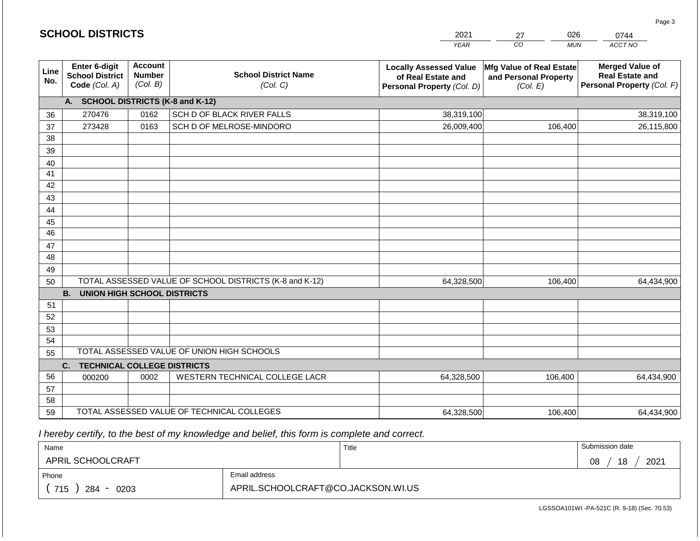|             | <b>SCHOOL DISTRICTS</b>                                                                                                                            |      |                                                         | 2021                                                                              | 026<br>27                                                     | 0744                                                                           |  |  |  |  |  |
|-------------|----------------------------------------------------------------------------------------------------------------------------------------------------|------|---------------------------------------------------------|-----------------------------------------------------------------------------------|---------------------------------------------------------------|--------------------------------------------------------------------------------|--|--|--|--|--|
|             |                                                                                                                                                    |      |                                                         | <b>YEAR</b>                                                                       | CO<br><b>MUN</b>                                              | ACCT NO                                                                        |  |  |  |  |  |
| Line<br>No. | <b>Account</b><br>Enter 6-digit<br><b>School District Name</b><br><b>Number</b><br><b>School District</b><br>(Col. B)<br>Code (Col. A)<br>(Col. C) |      |                                                         | <b>Locally Assessed Value</b><br>of Real Estate and<br>Personal Property (Col. D) | Mfg Value of Real Estate<br>and Personal Property<br>(Col. E) | <b>Merged Value of</b><br><b>Real Estate and</b><br>Personal Property (Col. F) |  |  |  |  |  |
|             | A. SCHOOL DISTRICTS (K-8 and K-12)                                                                                                                 |      |                                                         |                                                                                   |                                                               |                                                                                |  |  |  |  |  |
| 36          | 270476                                                                                                                                             | 0162 | SCH D OF BLACK RIVER FALLS                              | 38,319,100                                                                        |                                                               | 38,319,100                                                                     |  |  |  |  |  |
| 37          | 273428                                                                                                                                             | 0163 | SCH D OF MELROSE-MINDORO                                | 26,009,400                                                                        | 106,400                                                       | 26,115,800                                                                     |  |  |  |  |  |
| 38          |                                                                                                                                                    |      |                                                         |                                                                                   |                                                               |                                                                                |  |  |  |  |  |
| 39          |                                                                                                                                                    |      |                                                         |                                                                                   |                                                               |                                                                                |  |  |  |  |  |
| 40          |                                                                                                                                                    |      |                                                         |                                                                                   |                                                               |                                                                                |  |  |  |  |  |
| 41          |                                                                                                                                                    |      |                                                         |                                                                                   |                                                               |                                                                                |  |  |  |  |  |
| 42          |                                                                                                                                                    |      |                                                         |                                                                                   |                                                               |                                                                                |  |  |  |  |  |
| 43<br>44    |                                                                                                                                                    |      |                                                         |                                                                                   |                                                               |                                                                                |  |  |  |  |  |
| 45          |                                                                                                                                                    |      |                                                         |                                                                                   |                                                               |                                                                                |  |  |  |  |  |
| 46          |                                                                                                                                                    |      |                                                         |                                                                                   |                                                               |                                                                                |  |  |  |  |  |
| 47          |                                                                                                                                                    |      |                                                         |                                                                                   |                                                               |                                                                                |  |  |  |  |  |
| 48          |                                                                                                                                                    |      |                                                         |                                                                                   |                                                               |                                                                                |  |  |  |  |  |
| 49          |                                                                                                                                                    |      |                                                         |                                                                                   |                                                               |                                                                                |  |  |  |  |  |
| 50          |                                                                                                                                                    |      | TOTAL ASSESSED VALUE OF SCHOOL DISTRICTS (K-8 and K-12) | 64,328,500                                                                        | 106,400                                                       | 64,434,900                                                                     |  |  |  |  |  |
|             | <b>B.</b><br><b>UNION HIGH SCHOOL DISTRICTS</b>                                                                                                    |      |                                                         |                                                                                   |                                                               |                                                                                |  |  |  |  |  |
| 51          |                                                                                                                                                    |      |                                                         |                                                                                   |                                                               |                                                                                |  |  |  |  |  |
| 52          |                                                                                                                                                    |      |                                                         |                                                                                   |                                                               |                                                                                |  |  |  |  |  |
| 53          |                                                                                                                                                    |      |                                                         |                                                                                   |                                                               |                                                                                |  |  |  |  |  |
| 54          |                                                                                                                                                    |      |                                                         |                                                                                   |                                                               |                                                                                |  |  |  |  |  |
| 55          | TOTAL ASSESSED VALUE OF UNION HIGH SCHOOLS                                                                                                         |      |                                                         |                                                                                   |                                                               |                                                                                |  |  |  |  |  |
| 56          | C.<br><b>TECHNICAL COLLEGE DISTRICTS</b>                                                                                                           |      |                                                         |                                                                                   |                                                               |                                                                                |  |  |  |  |  |
| 57          | 000200                                                                                                                                             | 0002 | WESTERN TECHNICAL COLLEGE LACR                          | 64,328,500                                                                        | 106,400                                                       | 64,434,900                                                                     |  |  |  |  |  |
| 58          |                                                                                                                                                    |      |                                                         |                                                                                   |                                                               |                                                                                |  |  |  |  |  |
| 59          |                                                                                                                                                    |      | TOTAL ASSESSED VALUE OF TECHNICAL COLLEGES              | 64,328,500                                                                        | 106,400                                                       | 64,434,900                                                                     |  |  |  |  |  |

 *I hereby certify, to the best of my knowledge and belief, this form is complete and correct.*

| Name               |                                    | Title | Submission date  |
|--------------------|------------------------------------|-------|------------------|
| APRIL SCHOOLCRAFT  |                                    |       | 18<br>2021<br>08 |
| Phone              | Email address                      |       |                  |
| 715<br>284<br>0203 | APRIL.SCHOOLCRAFT@CO.JACKSON.WI.US |       |                  |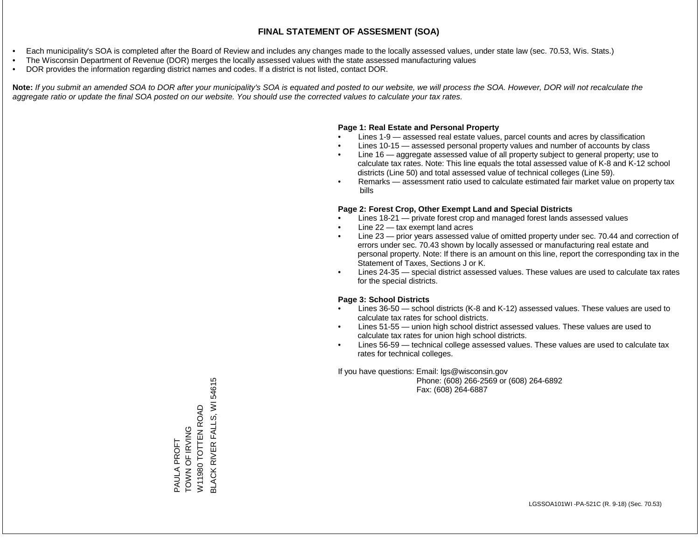- Each municipality's SOA is completed after the Board of Review and includes any changes made to the locally assessed values, under state law (sec. 70.53, Wis. Stats.)
- The Wisconsin Department of Revenue (DOR) merges the locally assessed values with the state assessed manufacturing values
- DOR provides the information regarding district names and codes. If a district is not listed, contact DOR.

Note: If you submit an amended SOA to DOR after your municipality's SOA is equated and posted to our website, we will process the SOA. However, DOR will not recalculate the *aggregate ratio or update the final SOA posted on our website. You should use the corrected values to calculate your tax rates.*

### **Page 1: Real Estate and Personal Property**

- Lines 1-9 assessed real estate values, parcel counts and acres by classification
- Lines 10-15 assessed personal property values and number of accounts by class
- Line 16 aggregate assessed value of all property subject to general property; use to calculate tax rates. Note: This line equals the total assessed value of K-8 and K-12 school districts (Line 50) and total assessed value of technical colleges (Line 59).
- Remarks assessment ratio used to calculate estimated fair market value on property tax bills

### **Page 2: Forest Crop, Other Exempt Land and Special Districts**

- Lines 18-21 private forest crop and managed forest lands assessed values
- Line  $22 -$  tax exempt land acres
- Line 23 prior years assessed value of omitted property under sec. 70.44 and correction of errors under sec. 70.43 shown by locally assessed or manufacturing real estate and personal property. Note: If there is an amount on this line, report the corresponding tax in the Statement of Taxes, Sections J or K.
- Lines 24-35 special district assessed values. These values are used to calculate tax rates for the special districts.

### **Page 3: School Districts**

- Lines 36-50 school districts (K-8 and K-12) assessed values. These values are used to calculate tax rates for school districts.
- Lines 51-55 union high school district assessed values. These values are used to calculate tax rates for union high school districts.
- Lines 56-59 technical college assessed values. These values are used to calculate tax rates for technical colleges.

If you have questions: Email: lgs@wisconsin.gov

 Phone: (608) 266-2569 or (608) 264-6892 Fax: (608) 264-6887

**BLACK RIVER FALLS, WI 54615** BLACK RIVER FALLS, WI 54615W11980 TOTTEN ROAD W11980 TOTTEN ROAD TOWN OF IRVING TOWN OF IRVING PAULA PROFT PAULA PROFT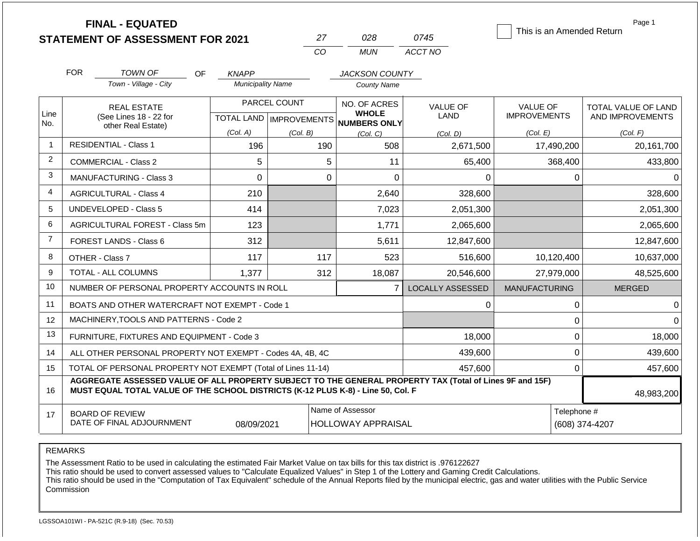|                | <b>FINAL - EQUATED</b>                                                                                                                                                                                     |                           |                | This is an Amended Return           | Page 1                  |                      |                     |  |  |
|----------------|------------------------------------------------------------------------------------------------------------------------------------------------------------------------------------------------------------|---------------------------|----------------|-------------------------------------|-------------------------|----------------------|---------------------|--|--|
|                | <b>STATEMENT OF ASSESSMENT FOR 2021</b>                                                                                                                                                                    |                           | 27             | 028                                 | 0745                    |                      |                     |  |  |
|                |                                                                                                                                                                                                            |                           | CO             | <b>MUN</b>                          | ACCT NO                 |                      |                     |  |  |
|                | <b>FOR</b><br>TOWN OF                                                                                                                                                                                      | OF<br><b>KNAPP</b>        |                | <b>JACKSON COUNTY</b>               |                         |                      |                     |  |  |
|                | Town - Village - City                                                                                                                                                                                      | <b>Municipality Name</b>  |                | <b>County Name</b>                  |                         |                      |                     |  |  |
|                | <b>REAL ESTATE</b>                                                                                                                                                                                         |                           | PARCEL COUNT   | NO. OF ACRES                        | <b>VALUE OF</b>         | VALUE OF             | TOTAL VALUE OF LAND |  |  |
| Line<br>No.    | (See Lines 18 - 22 for                                                                                                                                                                                     | TOTAL LAND   IMPROVEMENTS |                | <b>WHOLE</b><br><b>NUMBERS ONLY</b> | <b>LAND</b>             | <b>IMPROVEMENTS</b>  | AND IMPROVEMENTS    |  |  |
|                | other Real Estate)                                                                                                                                                                                         | (Col. A)                  | (Col. B)       | (Col, C)                            | (Col. D)                | (Col. E)             | (Col. F)            |  |  |
| -1             | <b>RESIDENTIAL - Class 1</b>                                                                                                                                                                               | 196                       | 190            | 508                                 | 2,671,500               | 17,490,200           | 20,161,700          |  |  |
| 2              | <b>COMMERCIAL - Class 2</b>                                                                                                                                                                                | 5                         | 5              | 11                                  | 65,400                  | 368,400              | 433,800             |  |  |
| 3              | <b>MANUFACTURING - Class 3</b>                                                                                                                                                                             | 0                         | 0              | $\Omega$                            | 0                       | 0                    | 0                   |  |  |
| 4              | <b>AGRICULTURAL - Class 4</b>                                                                                                                                                                              | 210                       |                | 2,640                               | 328,600                 |                      | 328,600             |  |  |
| 5              | <b>UNDEVELOPED - Class 5</b>                                                                                                                                                                               | 414                       |                | 7,023                               | 2,051,300               |                      | 2,051,300           |  |  |
| 6              | <b>AGRICULTURAL FOREST - Class 5m</b>                                                                                                                                                                      | 123                       |                | 1,771                               | 2,065,600               |                      | 2,065,600           |  |  |
| $\overline{7}$ | FOREST LANDS - Class 6                                                                                                                                                                                     | 312                       |                | 5,611                               | 12,847,600              |                      | 12,847,600          |  |  |
| 8              | OTHER - Class 7                                                                                                                                                                                            | 117                       | 117            | 523                                 | 516,600                 | 10,120,400           | 10,637,000          |  |  |
| 9              | <b>TOTAL - ALL COLUMNS</b>                                                                                                                                                                                 | 1,377                     | 312            | 18,087                              | 20,546,600              | 27,979,000           | 48,525,600          |  |  |
| 10             | NUMBER OF PERSONAL PROPERTY ACCOUNTS IN ROLL                                                                                                                                                               |                           |                | $\overline{7}$                      | <b>LOCALLY ASSESSED</b> | <b>MANUFACTURING</b> | <b>MERGED</b>       |  |  |
| 11             | BOATS AND OTHER WATERCRAFT NOT EXEMPT - Code 1                                                                                                                                                             |                           |                |                                     | 0                       | 0                    | $\Omega$            |  |  |
| 12             | MACHINERY, TOOLS AND PATTERNS - Code 2                                                                                                                                                                     |                           |                |                                     |                         | 0                    | 0                   |  |  |
| 13             | FURNITURE, FIXTURES AND EQUIPMENT - Code 3                                                                                                                                                                 |                           |                |                                     | 18,000                  | 0                    | 18,000              |  |  |
| 14             | ALL OTHER PERSONAL PROPERTY NOT EXEMPT - Codes 4A, 4B, 4C                                                                                                                                                  |                           |                |                                     | 439,600                 | 0                    | 439,600             |  |  |
| 15             | TOTAL OF PERSONAL PROPERTY NOT EXEMPT (Total of Lines 11-14)                                                                                                                                               |                           |                |                                     | 457,600                 | 0                    | 457,600             |  |  |
| 16             | AGGREGATE ASSESSED VALUE OF ALL PROPERTY SUBJECT TO THE GENERAL PROPERTY TAX (Total of Lines 9F and 15F)<br>MUST EQUAL TOTAL VALUE OF THE SCHOOL DISTRICTS (K-12 PLUS K-8) - Line 50, Col. F<br>48,983,200 |                           |                |                                     |                         |                      |                     |  |  |
| 17             | <b>BOARD OF REVIEW</b><br>DATE OF FINAL ADJOURNMENT                                                                                                                                                        | Telephone #               | (608) 374-4207 |                                     |                         |                      |                     |  |  |

REMARKS

The Assessment Ratio to be used in calculating the estimated Fair Market Value on tax bills for this tax district is .976122627

This ratio should be used to convert assessed values to "Calculate Equalized Values" in Step 1 of the Lottery and Gaming Credit Calculations.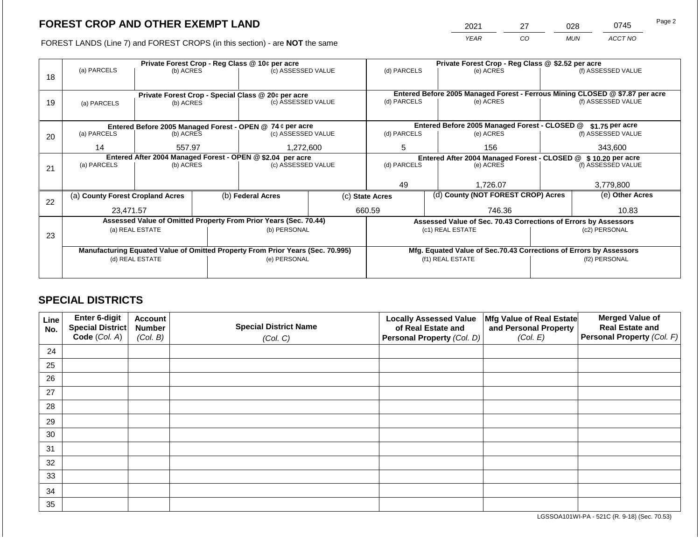2021 27 028 0745

FOREST LANDS (Line 7) and FOREST CROPS (in this section) - are **NOT** the same *YEAR CO MUN ACCT NO*

|    |                                                                                                   |                 |  | Private Forest Crop - Reg Class @ 10¢ per acre                           |                                                               | Private Forest Crop - Reg Class @ \$2.52 per acre |                                                                              |                                                                    |                    |                    |  |
|----|---------------------------------------------------------------------------------------------------|-----------------|--|--------------------------------------------------------------------------|---------------------------------------------------------------|---------------------------------------------------|------------------------------------------------------------------------------|--------------------------------------------------------------------|--------------------|--------------------|--|
|    | (a) PARCELS                                                                                       | (b) ACRES       |  | (c) ASSESSED VALUE                                                       |                                                               | (d) PARCELS                                       |                                                                              | (e) ACRES                                                          |                    | (f) ASSESSED VALUE |  |
| 18 |                                                                                                   |                 |  |                                                                          |                                                               |                                                   |                                                                              |                                                                    |                    |                    |  |
|    |                                                                                                   |                 |  |                                                                          |                                                               |                                                   | Entered Before 2005 Managed Forest - Ferrous Mining CLOSED @ \$7.87 per acre |                                                                    |                    |                    |  |
|    |                                                                                                   |                 |  | Private Forest Crop - Special Class @ 20¢ per acre<br>(c) ASSESSED VALUE |                                                               | (d) PARCELS<br>(e) ACRES                          |                                                                              |                                                                    | (f) ASSESSED VALUE |                    |  |
| 19 | (a) PARCELS                                                                                       | (b) ACRES       |  |                                                                          |                                                               |                                                   |                                                                              |                                                                    |                    |                    |  |
|    |                                                                                                   |                 |  |                                                                          |                                                               |                                                   |                                                                              |                                                                    |                    |                    |  |
|    |                                                                                                   |                 |  | Entered Before 2005 Managed Forest - OPEN @ 74 ¢ per acre                |                                                               |                                                   |                                                                              | Entered Before 2005 Managed Forest - CLOSED @                      |                    | \$1.75 per acre    |  |
| 20 | (a) PARCELS                                                                                       | (b) ACRES       |  | (c) ASSESSED VALUE                                                       |                                                               | (d) PARCELS                                       |                                                                              | (e) ACRES                                                          |                    | (f) ASSESSED VALUE |  |
|    |                                                                                                   |                 |  |                                                                          |                                                               |                                                   |                                                                              |                                                                    |                    |                    |  |
|    | 14                                                                                                | 557.97          |  | 1,272,600                                                                |                                                               | 5                                                 |                                                                              | 156                                                                |                    | 343,600            |  |
|    | Entered After 2004 Managed Forest - OPEN @ \$2.04 per acre                                        |                 |  |                                                                          | Entered After 2004 Managed Forest - CLOSED @ \$10.20 per acre |                                                   |                                                                              |                                                                    |                    |                    |  |
| 21 | (a) PARCELS                                                                                       | (b) ACRES       |  | (c) ASSESSED VALUE                                                       |                                                               | (d) PARCELS                                       |                                                                              | (e) ACRES                                                          | (f) ASSESSED VALUE |                    |  |
|    |                                                                                                   |                 |  |                                                                          |                                                               |                                                   |                                                                              |                                                                    |                    |                    |  |
|    |                                                                                                   |                 |  |                                                                          |                                                               | 49<br>1,726.07                                    |                                                                              | 3,779,800                                                          |                    |                    |  |
|    | (a) County Forest Cropland Acres                                                                  |                 |  | (b) Federal Acres                                                        |                                                               | (c) State Acres                                   |                                                                              | (d) County (NOT FOREST CROP) Acres                                 |                    | (e) Other Acres    |  |
| 22 |                                                                                                   |                 |  |                                                                          |                                                               |                                                   |                                                                              |                                                                    |                    |                    |  |
|    | 23,471.57                                                                                         |                 |  |                                                                          |                                                               | 660.59                                            |                                                                              | 746.36                                                             |                    | 10.83              |  |
|    |                                                                                                   |                 |  | Assessed Value of Omitted Property From Prior Years (Sec. 70.44)         |                                                               |                                                   |                                                                              | Assessed Value of Sec. 70.43 Corrections of Errors by Assessors    |                    |                    |  |
|    |                                                                                                   | (a) REAL ESTATE |  | (b) PERSONAL                                                             |                                                               |                                                   |                                                                              | (c1) REAL ESTATE                                                   |                    | (c2) PERSONAL      |  |
| 23 |                                                                                                   |                 |  |                                                                          |                                                               |                                                   |                                                                              |                                                                    |                    |                    |  |
|    |                                                                                                   |                 |  |                                                                          |                                                               |                                                   |                                                                              | Mfg. Equated Value of Sec.70.43 Corrections of Errors by Assessors |                    |                    |  |
|    | Manufacturing Equated Value of Omitted Property From Prior Years (Sec. 70.995)<br>(d) REAL ESTATE |                 |  | (e) PERSONAL                                                             |                                                               |                                                   |                                                                              | (f1) REAL ESTATE                                                   | (f2) PERSONAL      |                    |  |
|    |                                                                                                   |                 |  |                                                                          |                                                               |                                                   |                                                                              |                                                                    |                    |                    |  |
|    |                                                                                                   |                 |  |                                                                          |                                                               |                                                   |                                                                              |                                                                    |                    |                    |  |

## **SPECIAL DISTRICTS**

| Line<br>No. | Enter 6-digit<br>Special District<br>Code (Col. A) | <b>Account</b><br><b>Number</b><br>(Col. B) | <b>Special District Name</b><br>(Col. C) | <b>Locally Assessed Value</b><br>of Real Estate and<br><b>Personal Property (Col. D)</b> | Mfg Value of Real Estate<br>and Personal Property<br>(Col. E) | <b>Merged Value of</b><br><b>Real Estate and</b><br>Personal Property (Col. F) |
|-------------|----------------------------------------------------|---------------------------------------------|------------------------------------------|------------------------------------------------------------------------------------------|---------------------------------------------------------------|--------------------------------------------------------------------------------|
| 24          |                                                    |                                             |                                          |                                                                                          |                                                               |                                                                                |
| 25          |                                                    |                                             |                                          |                                                                                          |                                                               |                                                                                |
| 26          |                                                    |                                             |                                          |                                                                                          |                                                               |                                                                                |
| 27          |                                                    |                                             |                                          |                                                                                          |                                                               |                                                                                |
| 28          |                                                    |                                             |                                          |                                                                                          |                                                               |                                                                                |
| 29          |                                                    |                                             |                                          |                                                                                          |                                                               |                                                                                |
| 30          |                                                    |                                             |                                          |                                                                                          |                                                               |                                                                                |
| 31          |                                                    |                                             |                                          |                                                                                          |                                                               |                                                                                |
| 32          |                                                    |                                             |                                          |                                                                                          |                                                               |                                                                                |
| 33          |                                                    |                                             |                                          |                                                                                          |                                                               |                                                                                |
| 34          |                                                    |                                             |                                          |                                                                                          |                                                               |                                                                                |
| 35          |                                                    |                                             |                                          |                                                                                          |                                                               |                                                                                |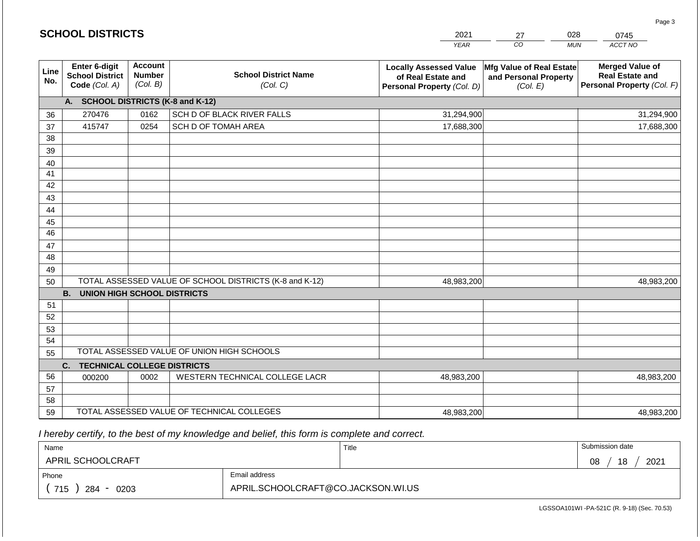| <b>SCHOOL DISTRICTS</b><br>2021<br>27 |                                                          |                                             |                                                         |                                                                                   | 028<br>0745                                                   |                                                                                |
|---------------------------------------|----------------------------------------------------------|---------------------------------------------|---------------------------------------------------------|-----------------------------------------------------------------------------------|---------------------------------------------------------------|--------------------------------------------------------------------------------|
|                                       |                                                          |                                             |                                                         | <b>YEAR</b>                                                                       | CO                                                            | ACCT NO<br><b>MUN</b>                                                          |
| Line<br>No.                           | Enter 6-digit<br><b>School District</b><br>Code (Col. A) | <b>Account</b><br><b>Number</b><br>(Col. B) | <b>School District Name</b><br>(Col. C)                 | <b>Locally Assessed Value</b><br>of Real Estate and<br>Personal Property (Col. D) | Mfg Value of Real Estate<br>and Personal Property<br>(Col. E) | <b>Merged Value of</b><br><b>Real Estate and</b><br>Personal Property (Col. F) |
|                                       | A. SCHOOL DISTRICTS (K-8 and K-12)                       |                                             |                                                         |                                                                                   |                                                               |                                                                                |
| 36                                    | 270476                                                   | 0162                                        | SCH D OF BLACK RIVER FALLS                              | 31,294,900                                                                        |                                                               | 31,294,900                                                                     |
| 37                                    | 415747                                                   | 0254                                        | SCH D OF TOMAH AREA                                     | 17,688,300                                                                        |                                                               | 17,688,300                                                                     |
| 38                                    |                                                          |                                             |                                                         |                                                                                   |                                                               |                                                                                |
| 39                                    |                                                          |                                             |                                                         |                                                                                   |                                                               |                                                                                |
| 40                                    |                                                          |                                             |                                                         |                                                                                   |                                                               |                                                                                |
| 41                                    |                                                          |                                             |                                                         |                                                                                   |                                                               |                                                                                |
| 42                                    |                                                          |                                             |                                                         |                                                                                   |                                                               |                                                                                |
| 43                                    |                                                          |                                             |                                                         |                                                                                   |                                                               |                                                                                |
| 44                                    |                                                          |                                             |                                                         |                                                                                   |                                                               |                                                                                |
| 45<br>$\overline{46}$                 |                                                          |                                             |                                                         |                                                                                   |                                                               |                                                                                |
| 47                                    |                                                          |                                             |                                                         |                                                                                   |                                                               |                                                                                |
| 48                                    |                                                          |                                             |                                                         |                                                                                   |                                                               |                                                                                |
| 49                                    |                                                          |                                             |                                                         |                                                                                   |                                                               |                                                                                |
| 50                                    |                                                          |                                             | TOTAL ASSESSED VALUE OF SCHOOL DISTRICTS (K-8 and K-12) | 48,983,200                                                                        |                                                               | 48,983,200                                                                     |
|                                       | <b>B.</b><br><b>UNION HIGH SCHOOL DISTRICTS</b>          |                                             |                                                         |                                                                                   |                                                               |                                                                                |
| 51                                    |                                                          |                                             |                                                         |                                                                                   |                                                               |                                                                                |
| 52                                    |                                                          |                                             |                                                         |                                                                                   |                                                               |                                                                                |
| 53                                    |                                                          |                                             |                                                         |                                                                                   |                                                               |                                                                                |
| 54                                    |                                                          |                                             |                                                         |                                                                                   |                                                               |                                                                                |
| 55                                    |                                                          |                                             | TOTAL ASSESSED VALUE OF UNION HIGH SCHOOLS              |                                                                                   |                                                               |                                                                                |
|                                       | C.<br><b>TECHNICAL COLLEGE DISTRICTS</b>                 |                                             |                                                         |                                                                                   |                                                               |                                                                                |
| 56                                    | 000200                                                   | 0002                                        | WESTERN TECHNICAL COLLEGE LACR                          | 48,983,200                                                                        |                                                               | 48,983,200                                                                     |
| 57                                    |                                                          |                                             |                                                         |                                                                                   |                                                               |                                                                                |
| 58                                    |                                                          |                                             |                                                         |                                                                                   |                                                               |                                                                                |
| 59                                    |                                                          |                                             | TOTAL ASSESSED VALUE OF TECHNICAL COLLEGES              | 48,983,200                                                                        |                                                               | 48,983,200                                                                     |

 *I hereby certify, to the best of my knowledge and belief, this form is complete and correct.*

**SCHOOL DISTRICTS**

| Name                     |                                    | Title | Submission date  |
|--------------------------|------------------------------------|-------|------------------|
| <b>APRIL SCHOOLCRAFT</b> |                                    |       | 2021<br>18<br>08 |
| Phone                    | Email address                      |       |                  |
| 715<br>284<br>0203       | APRIL.SCHOOLCRAFT@CO.JACKSON.WI.US |       |                  |

Page 3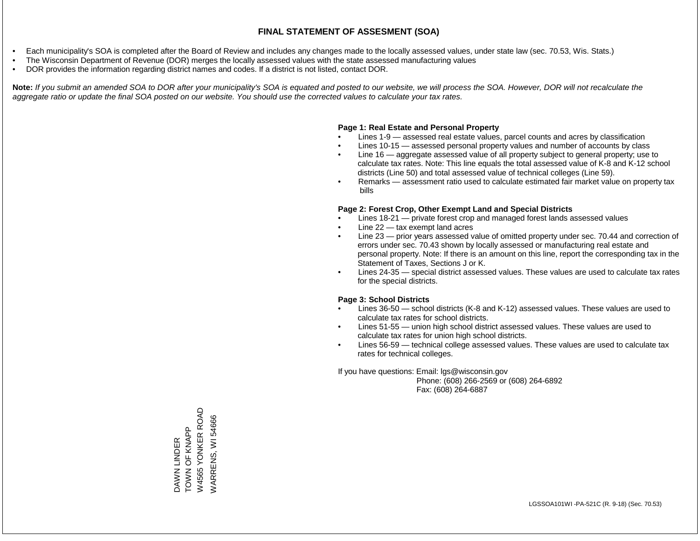- Each municipality's SOA is completed after the Board of Review and includes any changes made to the locally assessed values, under state law (sec. 70.53, Wis. Stats.)
- The Wisconsin Department of Revenue (DOR) merges the locally assessed values with the state assessed manufacturing values
- DOR provides the information regarding district names and codes. If a district is not listed, contact DOR.

Note: If you submit an amended SOA to DOR after your municipality's SOA is equated and posted to our website, we will process the SOA. However, DOR will not recalculate the *aggregate ratio or update the final SOA posted on our website. You should use the corrected values to calculate your tax rates.*

### **Page 1: Real Estate and Personal Property**

- Lines 1-9 assessed real estate values, parcel counts and acres by classification
- Lines 10-15 assessed personal property values and number of accounts by class
- Line 16 aggregate assessed value of all property subject to general property; use to calculate tax rates. Note: This line equals the total assessed value of K-8 and K-12 school districts (Line 50) and total assessed value of technical colleges (Line 59).
- Remarks assessment ratio used to calculate estimated fair market value on property tax bills

### **Page 2: Forest Crop, Other Exempt Land and Special Districts**

- Lines 18-21 private forest crop and managed forest lands assessed values
- Line  $22 -$  tax exempt land acres
- Line 23 prior years assessed value of omitted property under sec. 70.44 and correction of errors under sec. 70.43 shown by locally assessed or manufacturing real estate and personal property. Note: If there is an amount on this line, report the corresponding tax in the Statement of Taxes, Sections J or K.
- Lines 24-35 special district assessed values. These values are used to calculate tax rates for the special districts.

### **Page 3: School Districts**

- Lines 36-50 school districts (K-8 and K-12) assessed values. These values are used to calculate tax rates for school districts.
- Lines 51-55 union high school district assessed values. These values are used to calculate tax rates for union high school districts.
- Lines 56-59 technical college assessed values. These values are used to calculate tax rates for technical colleges.

If you have questions: Email: lgs@wisconsin.gov

 Phone: (608) 266-2569 or (608) 264-6892 Fax: (608) 264-6887

W4565 YONKER ROAD W4565 YONKER ROAD /VARRENS, WI54666 WARRENS, WI 54666DAWN LINDER<br>TOWN OF KNAPP TOWN OF KNAPP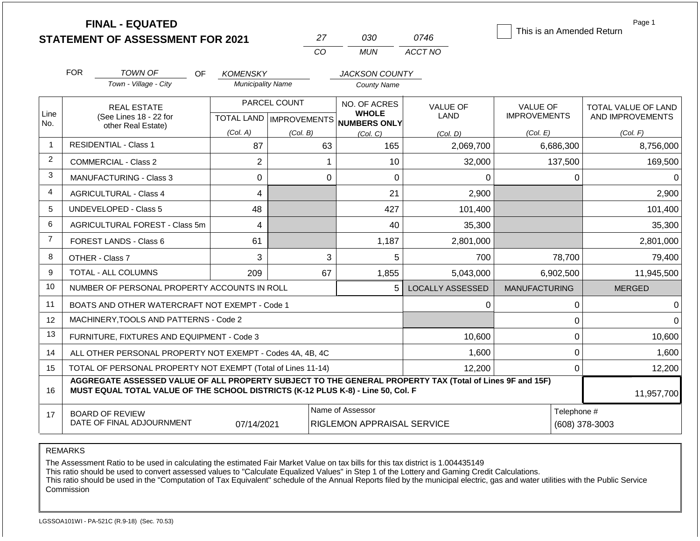|                |            | <b>FINAL - EQUATED</b><br><b>STATEMENT OF ASSESSMENT FOR 2021</b>                                                                                                                            |                          |                           | 27 | 030                                            | 0746                    | This is an Amended Return |                               | Page 1                     |
|----------------|------------|----------------------------------------------------------------------------------------------------------------------------------------------------------------------------------------------|--------------------------|---------------------------|----|------------------------------------------------|-------------------------|---------------------------|-------------------------------|----------------------------|
|                |            |                                                                                                                                                                                              |                          | CO                        |    | <b>MUN</b>                                     | ACCT NO                 |                           |                               |                            |
|                | <b>FOR</b> | <b>TOWN OF</b><br>OF.                                                                                                                                                                        | <b>KOMENSKY</b>          |                           |    | <b>JACKSON COUNTY</b>                          |                         |                           |                               |                            |
|                |            | Town - Village - City                                                                                                                                                                        | <b>Municipality Name</b> |                           |    | <b>County Name</b>                             |                         |                           |                               |                            |
|                |            | <b>REAL ESTATE</b>                                                                                                                                                                           |                          | PARCEL COUNT              |    | NO. OF ACRES                                   | <b>VALUE OF</b>         | <b>VALUE OF</b>           |                               | <b>TOTAL VALUE OF LAND</b> |
| Line<br>No.    |            | (See Lines 18 - 22 for<br>other Real Estate)                                                                                                                                                 |                          | TOTAL LAND   IMPROVEMENTS |    | <b>WHOLE</b><br><b>NUMBERS ONLY</b>            | LAND                    | <b>IMPROVEMENTS</b>       |                               | AND IMPROVEMENTS           |
|                |            |                                                                                                                                                                                              | (Col. A)                 | (Col. B)                  |    | (Col, C)                                       | (Col, D)                | (Col. E)                  |                               | (Col. F)                   |
| $\mathbf{1}$   |            | <b>RESIDENTIAL - Class 1</b>                                                                                                                                                                 | 87                       |                           | 63 | 165                                            | 2,069,700               | 6,686,300                 |                               | 8,756,000                  |
| $\overline{c}$ |            | COMMERCIAL - Class 2                                                                                                                                                                         | $\overline{2}$           |                           | 1  | 10                                             | 32,000                  | 137,500                   |                               | 169,500                    |
| 3              |            | <b>MANUFACTURING - Class 3</b>                                                                                                                                                               | $\mathbf 0$              |                           | 0  | 0                                              | 0                       |                           | 0                             | $\Omega$                   |
| 4              |            | <b>AGRICULTURAL - Class 4</b>                                                                                                                                                                | 4                        |                           |    | 21                                             | 2,900                   |                           |                               | 2,900                      |
| 5              |            | <b>UNDEVELOPED - Class 5</b>                                                                                                                                                                 | 48                       |                           |    | 427                                            | 101,400                 |                           |                               | 101,400                    |
| 6              |            | <b>AGRICULTURAL FOREST - Class 5m</b>                                                                                                                                                        | 4                        |                           |    | 40                                             | 35,300                  |                           |                               | 35,300                     |
| $\overline{7}$ |            | FOREST LANDS - Class 6                                                                                                                                                                       | 61                       |                           |    | 1,187                                          | 2,801,000               |                           |                               | 2,801,000                  |
| 8              |            | OTHER - Class 7                                                                                                                                                                              | 3                        |                           | 3  | 5                                              | 700                     |                           | 78,700                        | 79,400                     |
| 9              |            | TOTAL - ALL COLUMNS                                                                                                                                                                          | 209                      |                           | 67 | 1,855                                          | 5,043,000               | 6,902,500                 |                               | 11,945,500                 |
| 10             |            | NUMBER OF PERSONAL PROPERTY ACCOUNTS IN ROLL                                                                                                                                                 |                          |                           |    | 5                                              | <b>LOCALLY ASSESSED</b> | <b>MANUFACTURING</b>      |                               | <b>MERGED</b>              |
| 11             |            | BOATS AND OTHER WATERCRAFT NOT EXEMPT - Code 1                                                                                                                                               |                          |                           |    |                                                | 0                       |                           | 0                             | $\Omega$                   |
| 12             |            | MACHINERY, TOOLS AND PATTERNS - Code 2                                                                                                                                                       |                          |                           |    |                                                |                         |                           | 0                             | $\Omega$                   |
| 13             |            | FURNITURE, FIXTURES AND EQUIPMENT - Code 3                                                                                                                                                   |                          |                           |    |                                                | 10,600                  |                           | 0                             | 10,600                     |
| 14             |            | ALL OTHER PERSONAL PROPERTY NOT EXEMPT - Codes 4A, 4B, 4C                                                                                                                                    |                          |                           |    |                                                | 1,600                   |                           | 0                             | 1,600                      |
| 15             |            | TOTAL OF PERSONAL PROPERTY NOT EXEMPT (Total of Lines 11-14)                                                                                                                                 |                          |                           |    |                                                | 12,200                  |                           | 0                             | 12,200                     |
| 16             |            | AGGREGATE ASSESSED VALUE OF ALL PROPERTY SUBJECT TO THE GENERAL PROPERTY TAX (Total of Lines 9F and 15F)<br>MUST EQUAL TOTAL VALUE OF THE SCHOOL DISTRICTS (K-12 PLUS K-8) - Line 50, Col. F |                          |                           |    |                                                |                         |                           |                               | 11,957,700                 |
| 17             |            | <b>BOARD OF REVIEW</b><br>DATE OF FINAL ADJOURNMENT                                                                                                                                          | 07/14/2021               |                           |    | Name of Assessor<br>RIGLEMON APPRAISAL SERVICE |                         |                           | Telephone #<br>(608) 378-3003 |                            |

### REMARKS

The Assessment Ratio to be used in calculating the estimated Fair Market Value on tax bills for this tax district is 1.004435149

This ratio should be used to convert assessed values to "Calculate Equalized Values" in Step 1 of the Lottery and Gaming Credit Calculations.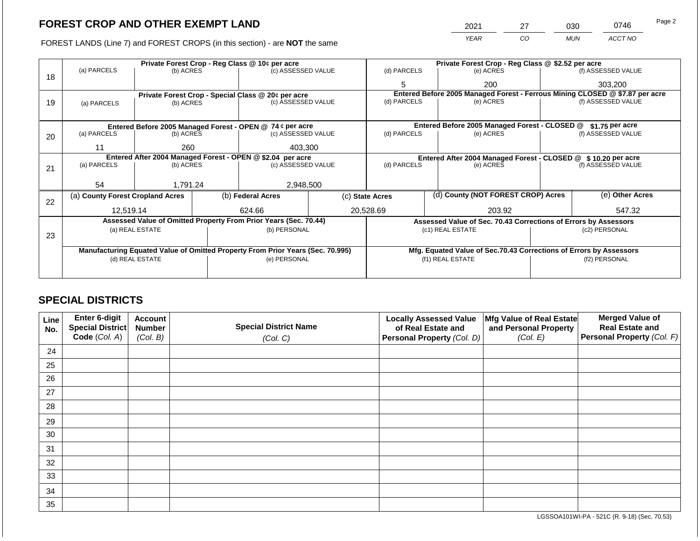FOREST LANDS (Line 7) and FOREST CROPS (in this section) - are NOT the same

| 2021 | ົາ | 030 | 0746    | Page 2 |
|------|----|-----|---------|--------|
| YFAR | CO | MUN | ACCT NO |        |

|    |                                                            |                 |             | Private Forest Crop - Reg Class @ 10¢ per acre                                 |                    | Private Forest Crop - Reg Class @ \$2.52 per acre |                          |                                                                    |                    |                                                                              |  |
|----|------------------------------------------------------------|-----------------|-------------|--------------------------------------------------------------------------------|--------------------|---------------------------------------------------|--------------------------|--------------------------------------------------------------------|--------------------|------------------------------------------------------------------------------|--|
| 18 | (a) PARCELS                                                | (b) ACRES       |             | (c) ASSESSED VALUE                                                             |                    | (d) PARCELS                                       |                          | (e) ACRES                                                          |                    | (f) ASSESSED VALUE                                                           |  |
|    |                                                            |                 |             |                                                                                |                    | 5                                                 |                          | 200                                                                |                    | 303,200                                                                      |  |
|    |                                                            |                 |             | Private Forest Crop - Special Class @ 20¢ per acre                             |                    |                                                   |                          |                                                                    |                    | Entered Before 2005 Managed Forest - Ferrous Mining CLOSED @ \$7.87 per acre |  |
| 19 | (a) PARCELS                                                | (b) ACRES       |             | (c) ASSESSED VALUE                                                             |                    | (d) PARCELS                                       |                          | (e) ACRES                                                          |                    | (f) ASSESSED VALUE                                                           |  |
|    |                                                            |                 |             |                                                                                |                    |                                                   |                          |                                                                    |                    |                                                                              |  |
|    |                                                            |                 |             | Entered Before 2005 Managed Forest - OPEN @ 74 ¢ per acre                      |                    |                                                   |                          | Entered Before 2005 Managed Forest - CLOSED @                      |                    | \$1.75 per acre                                                              |  |
| 20 | (a) PARCELS<br>(b) ACRES<br>(c) ASSESSED VALUE             |                 | (d) PARCELS |                                                                                | (e) ACRES          |                                                   | (f) ASSESSED VALUE       |                                                                    |                    |                                                                              |  |
|    |                                                            |                 |             |                                                                                |                    |                                                   |                          |                                                                    |                    |                                                                              |  |
|    | 11                                                         | 260             |             | 403,300                                                                        |                    |                                                   |                          |                                                                    |                    |                                                                              |  |
|    | Entered After 2004 Managed Forest - OPEN @ \$2.04 per acre |                 |             |                                                                                |                    |                                                   |                          | Entered After 2004 Managed Forest - CLOSED @                       |                    | \$10.20 per acre                                                             |  |
| 21 | (a) PARCELS                                                | (b) ACRES       |             |                                                                                | (c) ASSESSED VALUE |                                                   | (d) PARCELS<br>(e) ACRES |                                                                    | (f) ASSESSED VALUE |                                                                              |  |
|    |                                                            |                 |             |                                                                                |                    |                                                   |                          |                                                                    |                    |                                                                              |  |
|    | 54                                                         | 1.791.24        |             | 2,948,500                                                                      |                    |                                                   |                          |                                                                    |                    |                                                                              |  |
| 22 | (a) County Forest Cropland Acres                           |                 |             | (b) Federal Acres                                                              | (c) State Acres    |                                                   |                          | (d) County (NOT FOREST CROP) Acres                                 |                    | (e) Other Acres                                                              |  |
|    | 12,519.14                                                  |                 |             | 624.66                                                                         |                    | 20,528.69                                         |                          | 203.92                                                             |                    | 547.32                                                                       |  |
|    |                                                            |                 |             | Assessed Value of Omitted Property From Prior Years (Sec. 70.44)               |                    |                                                   |                          | Assessed Value of Sec. 70.43 Corrections of Errors by Assessors    |                    |                                                                              |  |
|    |                                                            | (a) REAL ESTATE |             | (b) PERSONAL                                                                   |                    |                                                   |                          | (c1) REAL ESTATE                                                   | (c2) PERSONAL      |                                                                              |  |
| 23 |                                                            |                 |             |                                                                                |                    |                                                   |                          |                                                                    |                    |                                                                              |  |
|    |                                                            |                 |             | Manufacturing Equated Value of Omitted Property From Prior Years (Sec. 70.995) |                    |                                                   |                          | Mfg. Equated Value of Sec.70.43 Corrections of Errors by Assessors |                    |                                                                              |  |
|    |                                                            | (d) REAL ESTATE |             | (e) PERSONAL                                                                   |                    |                                                   |                          | (f1) REAL ESTATE                                                   |                    | (f2) PERSONAL                                                                |  |
|    |                                                            |                 |             |                                                                                |                    |                                                   |                          |                                                                    |                    |                                                                              |  |
|    |                                                            |                 |             |                                                                                |                    |                                                   |                          |                                                                    |                    |                                                                              |  |

## **SPECIAL DISTRICTS**

| Line<br>No. | Enter 6-digit<br>Special District<br>Code (Col. A) | <b>Account</b><br><b>Number</b><br>(Col. B) | <b>Special District Name</b><br>(Col. C) | <b>Locally Assessed Value</b><br>of Real Estate and<br>Personal Property (Col. D) | Mfg Value of Real Estate<br>and Personal Property<br>(Col. E) | <b>Merged Value of</b><br><b>Real Estate and</b><br>Personal Property (Col. F) |
|-------------|----------------------------------------------------|---------------------------------------------|------------------------------------------|-----------------------------------------------------------------------------------|---------------------------------------------------------------|--------------------------------------------------------------------------------|
| 24          |                                                    |                                             |                                          |                                                                                   |                                                               |                                                                                |
| 25          |                                                    |                                             |                                          |                                                                                   |                                                               |                                                                                |
| 26          |                                                    |                                             |                                          |                                                                                   |                                                               |                                                                                |
| 27          |                                                    |                                             |                                          |                                                                                   |                                                               |                                                                                |
| 28          |                                                    |                                             |                                          |                                                                                   |                                                               |                                                                                |
| 29          |                                                    |                                             |                                          |                                                                                   |                                                               |                                                                                |
| 30          |                                                    |                                             |                                          |                                                                                   |                                                               |                                                                                |
| 31          |                                                    |                                             |                                          |                                                                                   |                                                               |                                                                                |
| 32          |                                                    |                                             |                                          |                                                                                   |                                                               |                                                                                |
| 33          |                                                    |                                             |                                          |                                                                                   |                                                               |                                                                                |
| 34          |                                                    |                                             |                                          |                                                                                   |                                                               |                                                                                |
| 35          |                                                    |                                             |                                          |                                                                                   |                                                               |                                                                                |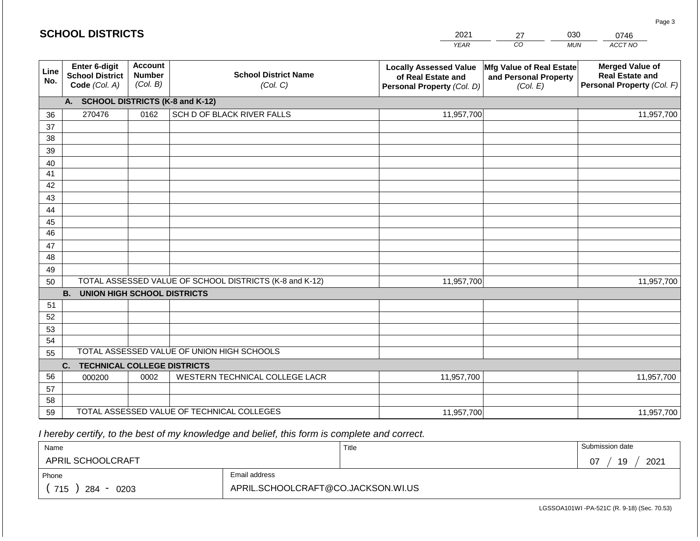#### *YEAR*   $\overline{co}$ *MUN ACCT NO*  **Line No. Enter 6-digit School District Code** *(Col. A)* **Account Number** *(Col. B)* **School District Name** *(Col. C)* **Locally Assessed Value of Real Estate and Personal Property** *(Col. D)* **Mfg Value of Real Estate and Personal Property** *(Col. E)* **Merged Value of Real Estate and Personal Property** *(Col. F)* **A. SCHOOL DISTRICTS (K-8 and K-12)** 36 37 38 39 40 41 42 43 44 45 46 47 48 49 50 TOTAL ASSESSED VALUE OF SCHOOL DISTRICTS (K-8 and K-12) **B. UNION HIGH SCHOOL DISTRICTS** 51 52 53 54 55 **C. TECHNICAL COLLEGE DISTRICTS** 56 57 58 TOTAL ASSESSED VALUE OF UNION HIGH SCHOOLS 270476 0162 SCH D OF BLACK RIVER FALLS 11,957,700 11,957,700 000200 | 0002 | WESTERN TECHNICAL COLLEGE LACR 11,957,700 11,957,700 11,957,700 11,957,700

 *I hereby certify, to the best of my knowledge and belief, this form is complete and correct.*

59 TOTAL ASSESSED VALUE OF TECHNICAL COLLEGES

| Name               |                                    | Title | Submission date  |
|--------------------|------------------------------------|-------|------------------|
| APRIL SCHOOLCRAFT  |                                    |       | 2021<br>19<br>07 |
| Phone              | Email address                      |       |                  |
| 715<br>284<br>0203 | APRIL.SCHOOLCRAFT@CO.JACKSON.WI.US |       |                  |

11,957,700

LGSSOA101WI -PA-521C (R. 9-18) (Sec. 70.53)

11,957,700

Page 3

2021 27 030 0746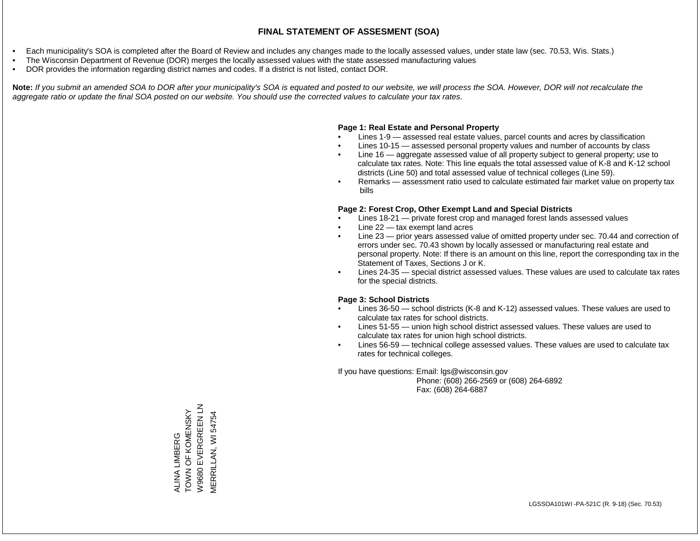- Each municipality's SOA is completed after the Board of Review and includes any changes made to the locally assessed values, under state law (sec. 70.53, Wis. Stats.)
- The Wisconsin Department of Revenue (DOR) merges the locally assessed values with the state assessed manufacturing values
- DOR provides the information regarding district names and codes. If a district is not listed, contact DOR.

Note: If you submit an amended SOA to DOR after your municipality's SOA is equated and posted to our website, we will process the SOA. However, DOR will not recalculate the *aggregate ratio or update the final SOA posted on our website. You should use the corrected values to calculate your tax rates.*

### **Page 1: Real Estate and Personal Property**

- Lines 1-9 assessed real estate values, parcel counts and acres by classification
- Lines 10-15 assessed personal property values and number of accounts by class
- Line 16 aggregate assessed value of all property subject to general property; use to calculate tax rates. Note: This line equals the total assessed value of K-8 and K-12 school districts (Line 50) and total assessed value of technical colleges (Line 59).
- Remarks assessment ratio used to calculate estimated fair market value on property tax bills

### **Page 2: Forest Crop, Other Exempt Land and Special Districts**

- Lines 18-21 private forest crop and managed forest lands assessed values
- Line  $22 -$  tax exempt land acres
- Line 23 prior years assessed value of omitted property under sec. 70.44 and correction of errors under sec. 70.43 shown by locally assessed or manufacturing real estate and personal property. Note: If there is an amount on this line, report the corresponding tax in the Statement of Taxes, Sections J or K.
- Lines 24-35 special district assessed values. These values are used to calculate tax rates for the special districts.

### **Page 3: School Districts**

- Lines 36-50 school districts (K-8 and K-12) assessed values. These values are used to calculate tax rates for school districts.
- Lines 51-55 union high school district assessed values. These values are used to calculate tax rates for union high school districts.
- Lines 56-59 technical college assessed values. These values are used to calculate tax rates for technical colleges.

If you have questions: Email: lgs@wisconsin.gov

 Phone: (608) 266-2569 or (608) 264-6892 Fax: (608) 264-6887

W9680 EVERGREEN LN W9680 EVERGREEN LN ALINA LIMBERG<br>TOWN OF KOMENSKY TOWN OF KOMENSKY **MERRILLAN, WI 54754** MERRILLAN, WI 54754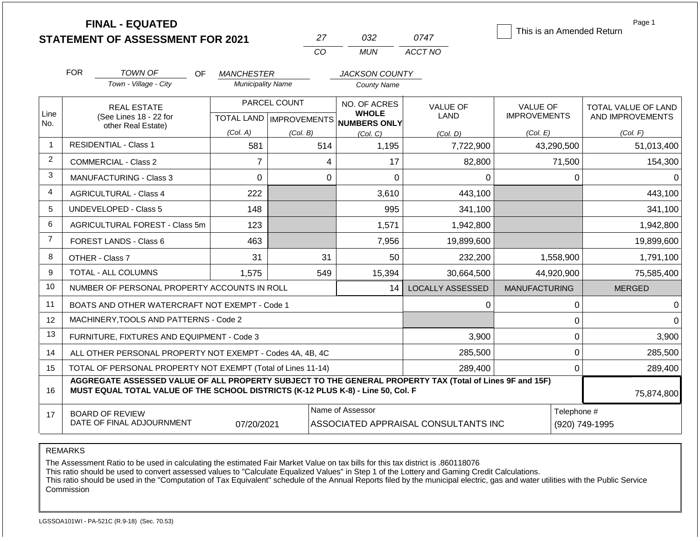|                |                                                                   | <b>FINAL - EQUATED</b><br><b>STATEMENT OF ASSESSMENT FOR 2021</b>                                                                                                                            |                          |              | 27             | 032                                                                      | 0747                           | This is an Amended Return              | Page 1                                  |  |
|----------------|-------------------------------------------------------------------|----------------------------------------------------------------------------------------------------------------------------------------------------------------------------------------------|--------------------------|--------------|----------------|--------------------------------------------------------------------------|--------------------------------|----------------------------------------|-----------------------------------------|--|
|                |                                                                   |                                                                                                                                                                                              |                          |              | CO             | <b>MUN</b>                                                               | ACCT NO                        |                                        |                                         |  |
|                | <b>FOR</b>                                                        | <b>TOWN OF</b><br><b>OF</b>                                                                                                                                                                  | <b>MANCHESTER</b>        |              |                | <b>JACKSON COUNTY</b>                                                    |                                |                                        |                                         |  |
|                |                                                                   | Town - Village - City                                                                                                                                                                        | <b>Municipality Name</b> |              |                | <b>County Name</b>                                                       |                                |                                        |                                         |  |
| Line           |                                                                   | <b>REAL ESTATE</b><br>(See Lines 18 - 22 for                                                                                                                                                 |                          | PARCEL COUNT |                | NO. OF ACRES<br><b>WHOLE</b><br>TOTAL LAND   IMPROVEMENTS   NUMBERS ONLY | <b>VALUE OF</b><br><b>LAND</b> | <b>VALUE OF</b><br><b>IMPROVEMENTS</b> | TOTAL VALUE OF LAND<br>AND IMPROVEMENTS |  |
| No.            |                                                                   | other Real Estate)                                                                                                                                                                           | (Col. A)                 | (Col. B)     |                | (Col. C)                                                                 | (Col, D)                       | (Col. E)                               | (Col. F)                                |  |
| 1              |                                                                   | <b>RESIDENTIAL - Class 1</b>                                                                                                                                                                 | 581                      |              | 514            | 1,195                                                                    | 7,722,900                      | 43,290,500                             | 51,013,400                              |  |
| $\overline{2}$ |                                                                   | <b>COMMERCIAL - Class 2</b>                                                                                                                                                                  | $\overline{7}$           |              | 4              | 17                                                                       | 82,800                         | 71,500                                 | 154,300                                 |  |
| 3              |                                                                   | MANUFACTURING - Class 3<br>0                                                                                                                                                                 |                          |              | $\overline{0}$ | 0                                                                        | 0                              | $\mathbf 0$                            |                                         |  |
| 4              | 222<br><b>AGRICULTURAL - Class 4</b>                              |                                                                                                                                                                                              |                          |              | 3,610          | 443,100                                                                  |                                | 443,100                                |                                         |  |
| 5              |                                                                   | <b>UNDEVELOPED - Class 5</b>                                                                                                                                                                 | 148                      |              |                | 995                                                                      | 341,100                        |                                        | 341,100                                 |  |
| 6              |                                                                   | AGRICULTURAL FOREST - Class 5m                                                                                                                                                               | 123                      |              |                | 1,571                                                                    | 1,942,800                      |                                        | 1,942,800                               |  |
| $\overline{7}$ |                                                                   | FOREST LANDS - Class 6                                                                                                                                                                       | 463                      |              |                | 7,956                                                                    | 19,899,600                     |                                        | 19,899,600                              |  |
| 8              |                                                                   | OTHER - Class 7                                                                                                                                                                              | 31                       |              | 31             | 50                                                                       | 232,200                        | 1,558,900                              | 1,791,100                               |  |
| 9              |                                                                   | TOTAL - ALL COLUMNS                                                                                                                                                                          | 1,575                    |              | 549            | 15,394                                                                   | 30,664,500                     | 44,920,900                             | 75,585,400                              |  |
| 10             |                                                                   | NUMBER OF PERSONAL PROPERTY ACCOUNTS IN ROLL                                                                                                                                                 |                          |              |                | 14                                                                       | <b>LOCALLY ASSESSED</b>        | <b>MANUFACTURING</b>                   | <b>MERGED</b>                           |  |
| 11             |                                                                   | BOATS AND OTHER WATERCRAFT NOT EXEMPT - Code 1                                                                                                                                               |                          |              |                |                                                                          | 0                              | 0                                      | 0                                       |  |
| 12             |                                                                   | MACHINERY, TOOLS AND PATTERNS - Code 2                                                                                                                                                       |                          |              |                |                                                                          |                                | $\mathbf 0$                            | 0                                       |  |
| 13             |                                                                   | FURNITURE, FIXTURES AND EQUIPMENT - Code 3                                                                                                                                                   |                          |              |                |                                                                          | 3,900                          | $\pmb{0}$                              | 3,900                                   |  |
| 14             |                                                                   | ALL OTHER PERSONAL PROPERTY NOT EXEMPT - Codes 4A, 4B, 4C                                                                                                                                    |                          |              |                |                                                                          | 285,500                        | $\Omega$                               | 285,500                                 |  |
| 15             | TOTAL OF PERSONAL PROPERTY NOT EXEMPT (Total of Lines 11-14)      |                                                                                                                                                                                              |                          |              |                |                                                                          | 289,400                        | $\mathbf{0}$                           | 289,400                                 |  |
| 16             |                                                                   | AGGREGATE ASSESSED VALUE OF ALL PROPERTY SUBJECT TO THE GENERAL PROPERTY TAX (Total of Lines 9F and 15F)<br>MUST EQUAL TOTAL VALUE OF THE SCHOOL DISTRICTS (K-12 PLUS K-8) - Line 50, Col. F |                          |              |                |                                                                          |                                |                                        | 75,874,800                              |  |
| 17             | <b>BOARD OF REVIEW</b><br>DATE OF FINAL ADJOURNMENT<br>07/20/2021 |                                                                                                                                                                                              |                          |              |                | Name of Assessor<br>ASSOCIATED APPRAISAL CONSULTANTS INC                 |                                |                                        | Telephone #<br>(920) 749-1995           |  |

REMARKS

The Assessment Ratio to be used in calculating the estimated Fair Market Value on tax bills for this tax district is .860118076

This ratio should be used to convert assessed values to "Calculate Equalized Values" in Step 1 of the Lottery and Gaming Credit Calculations.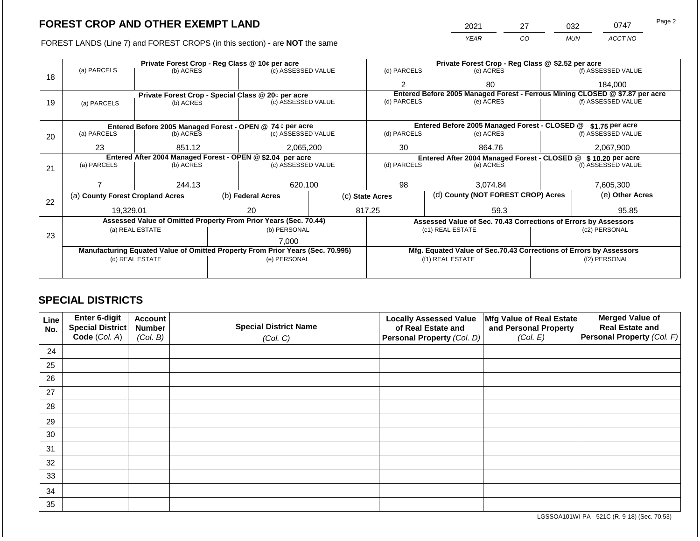FOREST LANDS (Line 7) and FOREST CROPS (in this section) - are **NOT** the same

| 2021 | דר | 032        | 0747    | Page 2 |
|------|----|------------|---------|--------|
| YEAR | CO | <b>MUN</b> | ACCT NO |        |

|    |                                  |                 |           | Private Forest Crop - Reg Class @ 10¢ per acre                                 |                 | Private Forest Crop - Reg Class @ \$2.52 per acre |                                                                              |  |                    |  |
|----|----------------------------------|-----------------|-----------|--------------------------------------------------------------------------------|-----------------|---------------------------------------------------|------------------------------------------------------------------------------|--|--------------------|--|
| 18 | (a) PARCELS                      | (b) ACRES       |           | (c) ASSESSED VALUE                                                             |                 | (d) PARCELS                                       | (e) ACRES                                                                    |  | (f) ASSESSED VALUE |  |
|    |                                  |                 |           |                                                                                |                 | $\overline{2}$                                    | 80                                                                           |  | 184,000            |  |
|    |                                  |                 |           | Private Forest Crop - Special Class @ 20¢ per acre                             |                 |                                                   | Entered Before 2005 Managed Forest - Ferrous Mining CLOSED @ \$7.87 per acre |  |                    |  |
| 19 | (a) PARCELS                      | (b) ACRES       |           | (c) ASSESSED VALUE                                                             |                 | (d) PARCELS                                       | (e) ACRES                                                                    |  | (f) ASSESSED VALUE |  |
|    |                                  |                 |           |                                                                                |                 |                                                   |                                                                              |  |                    |  |
|    |                                  |                 |           | Entered Before 2005 Managed Forest - OPEN @ 74 ¢ per acre                      |                 |                                                   | Entered Before 2005 Managed Forest - CLOSED @                                |  | \$1.75 per acre    |  |
| 20 | (a) PARCELS                      | (b) ACRES       |           | (c) ASSESSED VALUE                                                             |                 | (d) PARCELS                                       | (e) ACRES                                                                    |  | (f) ASSESSED VALUE |  |
|    |                                  |                 |           |                                                                                |                 |                                                   |                                                                              |  | 2,067,900          |  |
|    | 23                               | 851.12          | 2,065,200 |                                                                                | 30              |                                                   | 864.76                                                                       |  |                    |  |
|    |                                  |                 |           | Entered After 2004 Managed Forest - OPEN @ \$2.04 per acre                     |                 |                                                   | Entered After 2004 Managed Forest - CLOSED @ \$10.20 per acre                |  |                    |  |
| 21 | (a) PARCELS                      | (b) ACRES       |           | (c) ASSESSED VALUE                                                             |                 | (d) PARCELS<br>(e) ACRES                          |                                                                              |  | (f) ASSESSED VALUE |  |
|    |                                  |                 |           |                                                                                |                 |                                                   |                                                                              |  |                    |  |
|    |                                  | 244.13          |           | 620,100                                                                        |                 | 98<br>3,074.84                                    |                                                                              |  | 7,605,300          |  |
|    | (a) County Forest Cropland Acres |                 |           | (b) Federal Acres                                                              | (c) State Acres |                                                   | (d) County (NOT FOREST CROP) Acres                                           |  | (e) Other Acres    |  |
| 22 |                                  |                 |           |                                                                                |                 |                                                   |                                                                              |  |                    |  |
|    | 19,329.01                        |                 |           | 20                                                                             |                 | 817.25                                            | 59.3                                                                         |  | 95.85              |  |
|    |                                  |                 |           | Assessed Value of Omitted Property From Prior Years (Sec. 70.44)               |                 |                                                   | Assessed Value of Sec. 70.43 Corrections of Errors by Assessors              |  |                    |  |
|    |                                  | (a) REAL ESTATE |           | (b) PERSONAL                                                                   |                 |                                                   | (c1) REAL ESTATE                                                             |  | (c2) PERSONAL      |  |
| 23 |                                  |                 |           |                                                                                |                 |                                                   |                                                                              |  |                    |  |
|    |                                  |                 |           | 7,000                                                                          |                 |                                                   |                                                                              |  |                    |  |
|    |                                  |                 |           | Manufacturing Equated Value of Omitted Property From Prior Years (Sec. 70.995) |                 |                                                   | Mfg. Equated Value of Sec.70.43 Corrections of Errors by Assessors           |  |                    |  |
|    |                                  | (d) REAL ESTATE |           | (e) PERSONAL                                                                   |                 | (f1) REAL ESTATE                                  |                                                                              |  | (f2) PERSONAL      |  |
|    |                                  |                 |           |                                                                                |                 |                                                   |                                                                              |  |                    |  |
|    |                                  |                 |           |                                                                                |                 |                                                   |                                                                              |  |                    |  |

## **SPECIAL DISTRICTS**

| Line<br>No. | Enter 6-digit<br>Special District<br>Code (Col. A) | <b>Account</b><br><b>Number</b><br>(Col. B) | <b>Special District Name</b><br>(Col. C) | <b>Locally Assessed Value</b><br>of Real Estate and<br>Personal Property (Col. D) | Mfg Value of Real Estate<br>and Personal Property<br>(Col. E) | <b>Merged Value of</b><br><b>Real Estate and</b><br>Personal Property (Col. F) |
|-------------|----------------------------------------------------|---------------------------------------------|------------------------------------------|-----------------------------------------------------------------------------------|---------------------------------------------------------------|--------------------------------------------------------------------------------|
| 24          |                                                    |                                             |                                          |                                                                                   |                                                               |                                                                                |
| 25          |                                                    |                                             |                                          |                                                                                   |                                                               |                                                                                |
| 26          |                                                    |                                             |                                          |                                                                                   |                                                               |                                                                                |
| 27          |                                                    |                                             |                                          |                                                                                   |                                                               |                                                                                |
| 28          |                                                    |                                             |                                          |                                                                                   |                                                               |                                                                                |
| 29          |                                                    |                                             |                                          |                                                                                   |                                                               |                                                                                |
| 30          |                                                    |                                             |                                          |                                                                                   |                                                               |                                                                                |
| 31          |                                                    |                                             |                                          |                                                                                   |                                                               |                                                                                |
| 32          |                                                    |                                             |                                          |                                                                                   |                                                               |                                                                                |
| 33          |                                                    |                                             |                                          |                                                                                   |                                                               |                                                                                |
| 34          |                                                    |                                             |                                          |                                                                                   |                                                               |                                                                                |
| 35          |                                                    |                                             |                                          |                                                                                   |                                                               |                                                                                |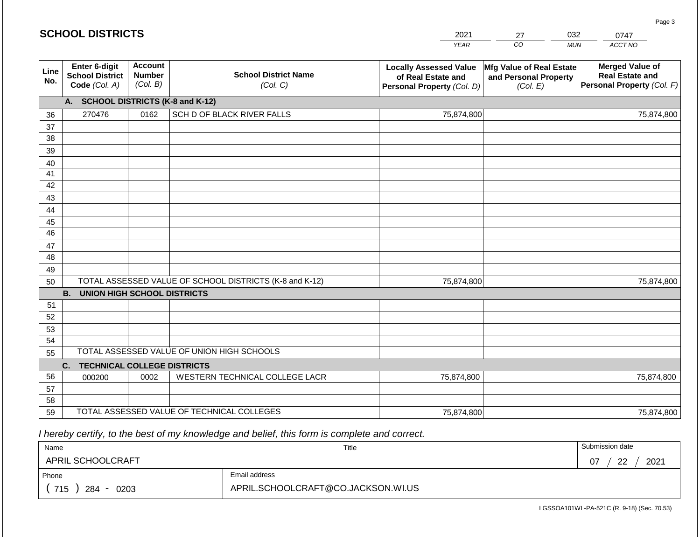#### *YEAR*   $\overline{co}$ 27 *MUN ACCT NO*  0747 **Line No. Enter 6-digit School District Code** *(Col. A)* **Account Number** *(Col. B)* **School District Name** *(Col. C)* **Locally Assessed Value of Real Estate and Personal Property** *(Col. D)* **Mfg Value of Real Estate and Personal Property** *(Col. E)* **Merged Value of Real Estate and Personal Property** *(Col. F)* **A. SCHOOL DISTRICTS (K-8 and K-12)** 36 37 38 39 40 41 42 43 44 45 46 47 48 49 50 TOTAL ASSESSED VALUE OF SCHOOL DISTRICTS (K-8 and K-12) **B. UNION HIGH SCHOOL DISTRICTS** 51 52 53 54 55 **C. TECHNICAL COLLEGE DISTRICTS** 56 57 58 TOTAL ASSESSED VALUE OF UNION HIGH SCHOOLS 270476 0162 SCH D OF BLACK RIVER FALLS 75,874,800 75,874,800 000200 | 0002 | WESTERN TECHNICAL COLLEGE LACR 75,874,800 75,874,800 75,874,800 75,874,800

2021

75,874,800

 *I hereby certify, to the best of my knowledge and belief, this form is complete and correct.*

59 TOTAL ASSESSED VALUE OF TECHNICAL COLLEGES

**SCHOOL DISTRICTS**

| Name               |                                    | Title | Submission date  |
|--------------------|------------------------------------|-------|------------------|
| APRIL SCHOOLCRAFT  |                                    |       | ററ<br>2021<br>07 |
| Phone              | Email address                      |       |                  |
| 715<br>284<br>0203 | APRIL.SCHOOLCRAFT@CO.JACKSON.WI.US |       |                  |

75,874,800

Page 3

032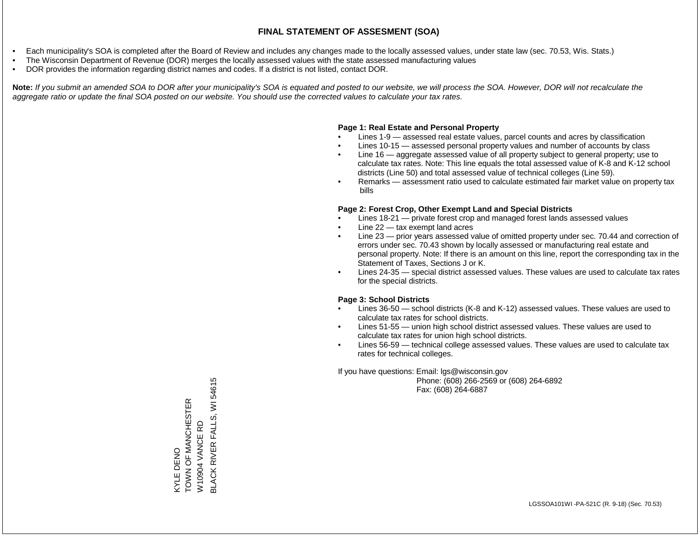- Each municipality's SOA is completed after the Board of Review and includes any changes made to the locally assessed values, under state law (sec. 70.53, Wis. Stats.)
- The Wisconsin Department of Revenue (DOR) merges the locally assessed values with the state assessed manufacturing values
- DOR provides the information regarding district names and codes. If a district is not listed, contact DOR.

Note: If you submit an amended SOA to DOR after your municipality's SOA is equated and posted to our website, we will process the SOA. However, DOR will not recalculate the *aggregate ratio or update the final SOA posted on our website. You should use the corrected values to calculate your tax rates.*

### **Page 1: Real Estate and Personal Property**

- Lines 1-9 assessed real estate values, parcel counts and acres by classification
- Lines 10-15 assessed personal property values and number of accounts by class
- Line 16 aggregate assessed value of all property subject to general property; use to calculate tax rates. Note: This line equals the total assessed value of K-8 and K-12 school districts (Line 50) and total assessed value of technical colleges (Line 59).
- Remarks assessment ratio used to calculate estimated fair market value on property tax bills

### **Page 2: Forest Crop, Other Exempt Land and Special Districts**

- Lines 18-21 private forest crop and managed forest lands assessed values
- Line  $22 -$  tax exempt land acres
- Line 23 prior years assessed value of omitted property under sec. 70.44 and correction of errors under sec. 70.43 shown by locally assessed or manufacturing real estate and personal property. Note: If there is an amount on this line, report the corresponding tax in the Statement of Taxes, Sections J or K.
- Lines 24-35 special district assessed values. These values are used to calculate tax rates for the special districts.

### **Page 3: School Districts**

- Lines 36-50 school districts (K-8 and K-12) assessed values. These values are used to calculate tax rates for school districts.
- Lines 51-55 union high school district assessed values. These values are used to calculate tax rates for union high school districts.
- Lines 56-59 technical college assessed values. These values are used to calculate tax rates for technical colleges.

If you have questions: Email: lgs@wisconsin.gov

 Phone: (608) 266-2569 or (608) 264-6892 Fax: (608) 264-6887

**BLACK RIVER FALLS, WI 54615** BLACK RIVER FALLS, WI 54615TOWN OF MANCHESTER KYLE DENO<br>TOWN OF MANCHESTER W10904 VANCE RD W10904 VANCE RD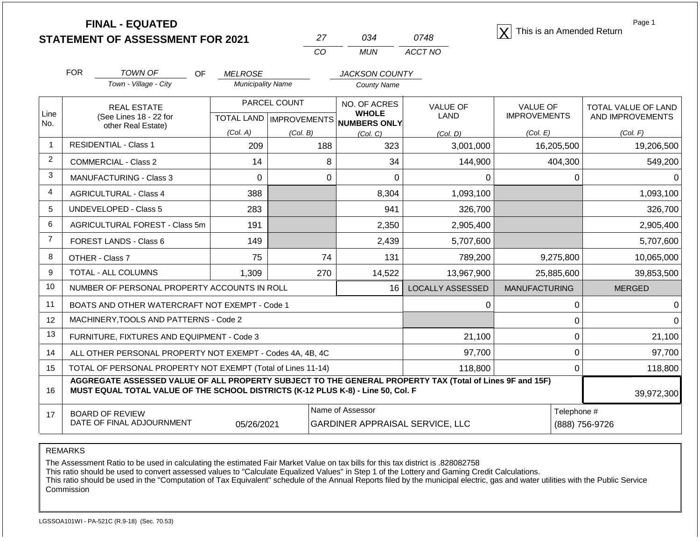**STATEMENT OF ASSESSMENT FOR 2021** 27 034 0748 2021 **STATEMENT OF ASSESSMENT FOR 2021** 

| 27 | ∩จ⊿   | 0748    |
|----|-------|---------|
| CΩ | MI IN | ACCT NO |

Page 1

|                | <b>FOR</b>                                                                                                                                                                                                 | <b>TOWN OF</b><br>OF.                                        | <b>MELROSE</b>                   |                                 | <b>JACKSON COUNTY</b>        |                         |                      |                     |  |
|----------------|------------------------------------------------------------------------------------------------------------------------------------------------------------------------------------------------------------|--------------------------------------------------------------|----------------------------------|---------------------------------|------------------------------|-------------------------|----------------------|---------------------|--|
|                |                                                                                                                                                                                                            | Town - Village - City                                        | <b>Municipality Name</b>         |                                 | County Name                  |                         |                      |                     |  |
| Line           |                                                                                                                                                                                                            | <b>REAL ESTATE</b>                                           |                                  | PARCEL COUNT                    | NO. OF ACRES<br><b>WHOLE</b> | VALUE OF<br>LAND        | <b>VALUE OF</b>      | TOTAL VALUE OF LAND |  |
| No.            |                                                                                                                                                                                                            | (See Lines 18 - 22 for<br>other Real Estate)                 | <b>TOTAL LAND   IMPROVEMENTS</b> |                                 | <b>NUMBERS ONLY</b>          |                         | <b>IMPROVEMENTS</b>  | AND IMPROVEMENTS    |  |
|                |                                                                                                                                                                                                            |                                                              | (Col. A)                         | (Col, B)                        | (Col, C)                     | (Col, D)                | (Col. E)             | (Col. F)            |  |
| $\mathbf{1}$   |                                                                                                                                                                                                            | <b>RESIDENTIAL - Class 1</b>                                 | 209                              | 188                             | 323                          | 3,001,000               | 16,205,500           | 19,206,500          |  |
| $\overline{2}$ |                                                                                                                                                                                                            | <b>COMMERCIAL - Class 2</b>                                  | 14                               | 8                               | 34                           | 144,900                 | 404,300              | 549,200             |  |
| 3              |                                                                                                                                                                                                            | <b>MANUFACTURING - Class 3</b>                               | 0                                | 0                               | $\Omega$                     | 0                       | 0                    |                     |  |
| 4              |                                                                                                                                                                                                            | <b>AGRICULTURAL - Class 4</b>                                | 388                              |                                 | 8,304                        | 1,093,100               |                      | 1,093,100           |  |
| 5              |                                                                                                                                                                                                            | <b>UNDEVELOPED - Class 5</b>                                 | 283                              |                                 | 941                          | 326,700                 |                      | 326,700             |  |
| 6              |                                                                                                                                                                                                            | AGRICULTURAL FOREST - Class 5m                               | 191                              |                                 | 2,350                        | 2,905,400               |                      | 2,905,400           |  |
| $\overline{7}$ |                                                                                                                                                                                                            | FOREST LANDS - Class 6                                       | 149                              |                                 | 2,439                        | 5,707,600               |                      | 5,707,600           |  |
| 8              |                                                                                                                                                                                                            | OTHER - Class 7                                              | 75                               | 74                              | 131                          | 789,200                 | 9,275,800            | 10,065,000          |  |
| 9              |                                                                                                                                                                                                            | TOTAL - ALL COLUMNS                                          | 1,309                            | 270                             | 14,522                       | 13,967,900              | 25,885,600           | 39,853,500          |  |
| 10             |                                                                                                                                                                                                            | NUMBER OF PERSONAL PROPERTY ACCOUNTS IN ROLL                 |                                  |                                 | 16                           | <b>LOCALLY ASSESSED</b> | <b>MANUFACTURING</b> | <b>MERGED</b>       |  |
| 11             |                                                                                                                                                                                                            | BOATS AND OTHER WATERCRAFT NOT EXEMPT - Code 1               |                                  |                                 |                              | $\Omega$                | $\Omega$             |                     |  |
| 12             |                                                                                                                                                                                                            | MACHINERY, TOOLS AND PATTERNS - Code 2                       |                                  |                                 |                              |                         | 0                    |                     |  |
| 13             |                                                                                                                                                                                                            | FURNITURE, FIXTURES AND EQUIPMENT - Code 3                   |                                  |                                 |                              | 21,100                  | $\Omega$             | 21,100              |  |
| 14             |                                                                                                                                                                                                            | ALL OTHER PERSONAL PROPERTY NOT EXEMPT - Codes 4A, 4B, 4C    |                                  |                                 |                              | 97,700                  | $\Omega$             | 97,700              |  |
| 15             |                                                                                                                                                                                                            | TOTAL OF PERSONAL PROPERTY NOT EXEMPT (Total of Lines 11-14) |                                  |                                 |                              | 118,800                 | 0                    | 118,800             |  |
| 16             | AGGREGATE ASSESSED VALUE OF ALL PROPERTY SUBJECT TO THE GENERAL PROPERTY TAX (Total of Lines 9F and 15F)<br>MUST EQUAL TOTAL VALUE OF THE SCHOOL DISTRICTS (K-12 PLUS K-8) - Line 50, Col. F<br>39,972,300 |                                                              |                                  |                                 |                              |                         |                      |                     |  |
| 17             |                                                                                                                                                                                                            | <b>BOARD OF REVIEW</b>                                       |                                  |                                 | Name of Assessor             |                         | Telephone #          |                     |  |
|                |                                                                                                                                                                                                            | DATE OF FINAL ADJOURNMENT                                    | 05/26/2021                       | GARDINER APPRAISAL SERVICE, LLC |                              |                         | (888) 756-9726       |                     |  |

REMARKS

The Assessment Ratio to be used in calculating the estimated Fair Market Value on tax bills for this tax district is .828082758

This ratio should be used to convert assessed values to "Calculate Equalized Values" in Step 1 of the Lottery and Gaming Credit Calculations.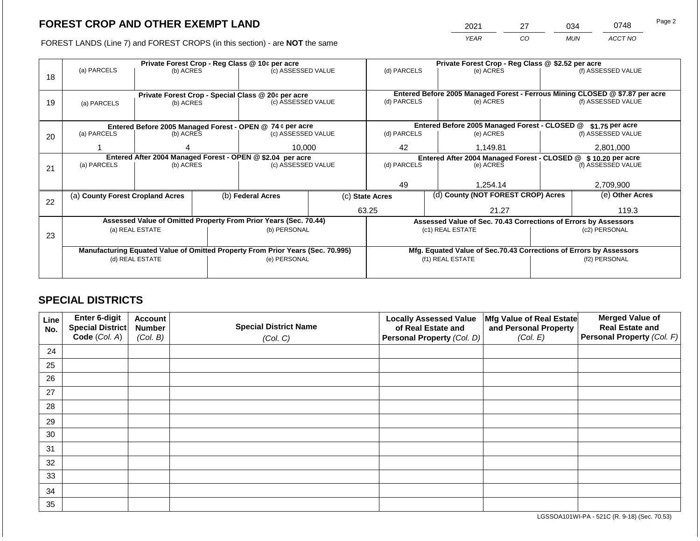2021 27 034 0748

FOREST LANDS (Line 7) and FOREST CROPS (in this section) - are **NOT** the same *YEAR CO MUN ACCT NO*

|    |                                                            |                 | Private Forest Crop - Reg Class @ \$2.52 per acre |                                                                                |                 |             |                                   |                                                                    |               |                                                                              |
|----|------------------------------------------------------------|-----------------|---------------------------------------------------|--------------------------------------------------------------------------------|-----------------|-------------|-----------------------------------|--------------------------------------------------------------------|---------------|------------------------------------------------------------------------------|
|    | (a) PARCELS                                                | (b) ACRES       |                                                   | (c) ASSESSED VALUE                                                             |                 | (d) PARCELS |                                   | (e) ACRES                                                          |               | (f) ASSESSED VALUE                                                           |
| 18 |                                                            |                 |                                                   |                                                                                |                 |             |                                   |                                                                    |               |                                                                              |
|    |                                                            |                 |                                                   |                                                                                |                 |             |                                   |                                                                    |               |                                                                              |
|    |                                                            |                 |                                                   | Private Forest Crop - Special Class @ 20¢ per acre                             |                 |             |                                   |                                                                    |               | Entered Before 2005 Managed Forest - Ferrous Mining CLOSED @ \$7.87 per acre |
| 19 | (a) PARCELS                                                | (b) ACRES       |                                                   | (c) ASSESSED VALUE                                                             |                 | (d) PARCELS |                                   | (e) ACRES                                                          |               | (f) ASSESSED VALUE                                                           |
|    |                                                            |                 |                                                   |                                                                                |                 |             |                                   |                                                                    |               |                                                                              |
|    |                                                            |                 |                                                   | Entered Before 2005 Managed Forest - OPEN @ 74 ¢ per acre                      |                 |             |                                   | Entered Before 2005 Managed Forest - CLOSED @                      |               | \$1.75 per acre                                                              |
| 20 | (a) PARCELS                                                | (b) ACRES       |                                                   | (c) ASSESSED VALUE                                                             |                 | (d) PARCELS |                                   | (e) ACRES                                                          |               | (f) ASSESSED VALUE                                                           |
|    |                                                            |                 |                                                   |                                                                                |                 |             |                                   |                                                                    |               |                                                                              |
|    |                                                            | 10,000          |                                                   | 42                                                                             |                 | 1,149.81    |                                   | 2,801,000                                                          |               |                                                                              |
|    | Entered After 2004 Managed Forest - OPEN @ \$2.04 per acre |                 |                                                   |                                                                                |                 |             |                                   | Entered After 2004 Managed Forest - CLOSED @ \$ 10.20 per acre     |               |                                                                              |
| 21 | (a) PARCELS                                                | (b) ACRES       |                                                   | (c) ASSESSED VALUE                                                             |                 | (d) PARCELS |                                   | (e) ACRES                                                          |               | (f) ASSESSED VALUE                                                           |
|    |                                                            |                 |                                                   |                                                                                |                 |             |                                   |                                                                    |               |                                                                              |
|    |                                                            |                 |                                                   |                                                                                |                 | 49          |                                   | 1,254.14                                                           |               | 2,709,900                                                                    |
|    | (a) County Forest Cropland Acres                           |                 |                                                   | (b) Federal Acres                                                              | (c) State Acres |             |                                   | (d) County (NOT FOREST CROP) Acres                                 |               | (e) Other Acres                                                              |
| 22 |                                                            |                 |                                                   |                                                                                |                 |             |                                   |                                                                    |               |                                                                              |
|    |                                                            |                 |                                                   |                                                                                |                 | 63.25       |                                   | 21.27                                                              |               | 119.3                                                                        |
|    |                                                            |                 |                                                   | Assessed Value of Omitted Property From Prior Years (Sec. 70.44)               |                 |             |                                   | Assessed Value of Sec. 70.43 Corrections of Errors by Assessors    |               |                                                                              |
|    |                                                            | (a) REAL ESTATE |                                                   | (b) PERSONAL                                                                   |                 |             | (c1) REAL ESTATE<br>(c2) PERSONAL |                                                                    |               |                                                                              |
| 23 |                                                            |                 |                                                   |                                                                                |                 |             |                                   |                                                                    |               |                                                                              |
|    |                                                            |                 |                                                   | Manufacturing Equated Value of Omitted Property From Prior Years (Sec. 70.995) |                 |             |                                   | Mfg. Equated Value of Sec.70.43 Corrections of Errors by Assessors |               |                                                                              |
|    |                                                            | (d) REAL ESTATE |                                                   | (e) PERSONAL                                                                   |                 |             |                                   | (f1) REAL ESTATE                                                   | (f2) PERSONAL |                                                                              |
|    |                                                            |                 |                                                   |                                                                                |                 |             |                                   |                                                                    |               |                                                                              |
|    |                                                            |                 |                                                   |                                                                                |                 |             |                                   |                                                                    |               |                                                                              |

## **SPECIAL DISTRICTS**

| Line<br>No. | Enter 6-digit<br>Special District<br>Code (Col. A) | <b>Account</b><br><b>Number</b><br>(Col. B) | <b>Special District Name</b><br>(Col. C) | <b>Locally Assessed Value</b><br>of Real Estate and<br><b>Personal Property (Col. D)</b> | Mfg Value of Real Estate<br>and Personal Property<br>(Col. E) | <b>Merged Value of</b><br><b>Real Estate and</b><br>Personal Property (Col. F) |
|-------------|----------------------------------------------------|---------------------------------------------|------------------------------------------|------------------------------------------------------------------------------------------|---------------------------------------------------------------|--------------------------------------------------------------------------------|
| 24          |                                                    |                                             |                                          |                                                                                          |                                                               |                                                                                |
| 25          |                                                    |                                             |                                          |                                                                                          |                                                               |                                                                                |
| 26          |                                                    |                                             |                                          |                                                                                          |                                                               |                                                                                |
| 27          |                                                    |                                             |                                          |                                                                                          |                                                               |                                                                                |
| 28          |                                                    |                                             |                                          |                                                                                          |                                                               |                                                                                |
| 29          |                                                    |                                             |                                          |                                                                                          |                                                               |                                                                                |
| 30          |                                                    |                                             |                                          |                                                                                          |                                                               |                                                                                |
| 31          |                                                    |                                             |                                          |                                                                                          |                                                               |                                                                                |
| 32          |                                                    |                                             |                                          |                                                                                          |                                                               |                                                                                |
| 33          |                                                    |                                             |                                          |                                                                                          |                                                               |                                                                                |
| 34          |                                                    |                                             |                                          |                                                                                          |                                                               |                                                                                |
| 35          |                                                    |                                             |                                          |                                                                                          |                                                               |                                                                                |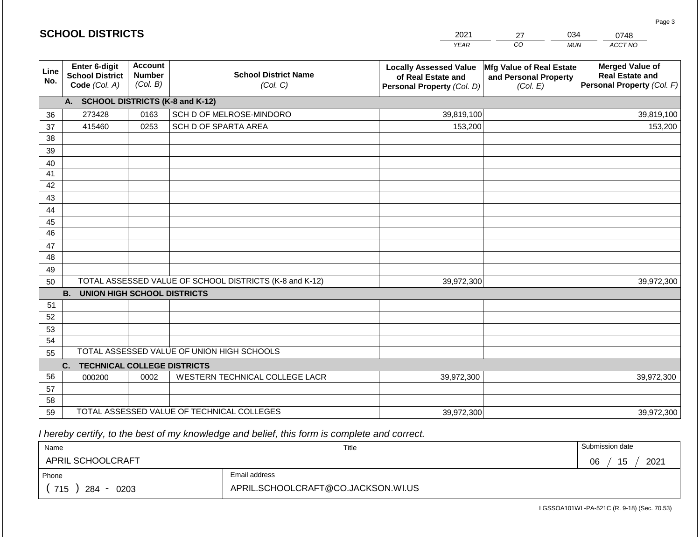|             | <b>SCHOOL DISTRICTS</b>                                  |                                             |                                                         | 2021<br><b>YEAR</b>                                                               | 034<br>27<br>CO<br><b>MUN</b>                                 | 0748<br>ACCT NO                                                                |
|-------------|----------------------------------------------------------|---------------------------------------------|---------------------------------------------------------|-----------------------------------------------------------------------------------|---------------------------------------------------------------|--------------------------------------------------------------------------------|
|             |                                                          |                                             |                                                         |                                                                                   |                                                               |                                                                                |
| Line<br>No. | Enter 6-digit<br><b>School District</b><br>Code (Col. A) | <b>Account</b><br><b>Number</b><br>(Col. B) | <b>School District Name</b><br>(Col. C)                 | <b>Locally Assessed Value</b><br>of Real Estate and<br>Personal Property (Col. D) | Mfg Value of Real Estate<br>and Personal Property<br>(Col. E) | <b>Merged Value of</b><br><b>Real Estate and</b><br>Personal Property (Col. F) |
|             | A. SCHOOL DISTRICTS (K-8 and K-12)                       |                                             |                                                         |                                                                                   |                                                               |                                                                                |
| 36          | 273428                                                   | 0163                                        | SCH D OF MELROSE-MINDORO                                | 39,819,100                                                                        |                                                               | 39,819,100                                                                     |
| 37          | 415460                                                   | 0253                                        | SCH D OF SPARTA AREA                                    | 153,200                                                                           |                                                               | 153,200                                                                        |
| 38          |                                                          |                                             |                                                         |                                                                                   |                                                               |                                                                                |
| 39          |                                                          |                                             |                                                         |                                                                                   |                                                               |                                                                                |
| 40          |                                                          |                                             |                                                         |                                                                                   |                                                               |                                                                                |
| 41          |                                                          |                                             |                                                         |                                                                                   |                                                               |                                                                                |
| 42          |                                                          |                                             |                                                         |                                                                                   |                                                               |                                                                                |
| 43          |                                                          |                                             |                                                         |                                                                                   |                                                               |                                                                                |
| 44<br>45    |                                                          |                                             |                                                         |                                                                                   |                                                               |                                                                                |
| 46          |                                                          |                                             |                                                         |                                                                                   |                                                               |                                                                                |
| 47          |                                                          |                                             |                                                         |                                                                                   |                                                               |                                                                                |
| 48          |                                                          |                                             |                                                         |                                                                                   |                                                               |                                                                                |
| 49          |                                                          |                                             |                                                         |                                                                                   |                                                               |                                                                                |
| 50          |                                                          |                                             | TOTAL ASSESSED VALUE OF SCHOOL DISTRICTS (K-8 and K-12) | 39,972,300                                                                        |                                                               | 39,972,300                                                                     |
|             | <b>B.</b><br><b>UNION HIGH SCHOOL DISTRICTS</b>          |                                             |                                                         |                                                                                   |                                                               |                                                                                |
| 51          |                                                          |                                             |                                                         |                                                                                   |                                                               |                                                                                |
| 52          |                                                          |                                             |                                                         |                                                                                   |                                                               |                                                                                |
| 53          |                                                          |                                             |                                                         |                                                                                   |                                                               |                                                                                |
| 54          |                                                          |                                             |                                                         |                                                                                   |                                                               |                                                                                |
| 55          |                                                          |                                             | TOTAL ASSESSED VALUE OF UNION HIGH SCHOOLS              |                                                                                   |                                                               |                                                                                |
|             | C.<br><b>TECHNICAL COLLEGE DISTRICTS</b>                 |                                             |                                                         |                                                                                   |                                                               |                                                                                |
| 56          | 000200                                                   | 0002                                        | WESTERN TECHNICAL COLLEGE LACR                          | 39,972,300                                                                        |                                                               | 39,972,300                                                                     |
| 57<br>58    |                                                          |                                             |                                                         |                                                                                   |                                                               |                                                                                |
| 59          |                                                          |                                             | TOTAL ASSESSED VALUE OF TECHNICAL COLLEGES              | 39,972,300                                                                        |                                                               | 39,972,300                                                                     |

 *I hereby certify, to the best of my knowledge and belief, this form is complete and correct.*

| Name               |                                    | Title | Submission date  |
|--------------------|------------------------------------|-------|------------------|
| APRIL SCHOOLCRAFT  |                                    |       | 2021<br>15<br>06 |
| Phone              | Email address                      |       |                  |
| 715<br>284<br>0203 | APRIL.SCHOOLCRAFT@CO.JACKSON.WI.US |       |                  |

Page 3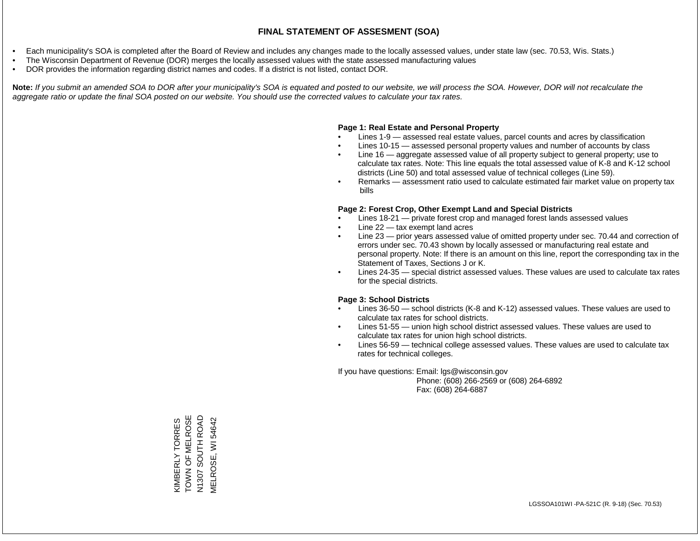- Each municipality's SOA is completed after the Board of Review and includes any changes made to the locally assessed values, under state law (sec. 70.53, Wis. Stats.)
- The Wisconsin Department of Revenue (DOR) merges the locally assessed values with the state assessed manufacturing values
- DOR provides the information regarding district names and codes. If a district is not listed, contact DOR.

Note: If you submit an amended SOA to DOR after your municipality's SOA is equated and posted to our website, we will process the SOA. However, DOR will not recalculate the *aggregate ratio or update the final SOA posted on our website. You should use the corrected values to calculate your tax rates.*

### **Page 1: Real Estate and Personal Property**

- Lines 1-9 assessed real estate values, parcel counts and acres by classification
- Lines 10-15 assessed personal property values and number of accounts by class
- Line 16 aggregate assessed value of all property subject to general property; use to calculate tax rates. Note: This line equals the total assessed value of K-8 and K-12 school districts (Line 50) and total assessed value of technical colleges (Line 59).
- Remarks assessment ratio used to calculate estimated fair market value on property tax bills

#### **Page 2: Forest Crop, Other Exempt Land and Special Districts**

- Lines 18-21 private forest crop and managed forest lands assessed values
- Line  $22 -$  tax exempt land acres
- Line 23 prior years assessed value of omitted property under sec. 70.44 and correction of errors under sec. 70.43 shown by locally assessed or manufacturing real estate and personal property. Note: If there is an amount on this line, report the corresponding tax in the Statement of Taxes, Sections J or K.
- Lines 24-35 special district assessed values. These values are used to calculate tax rates for the special districts.

#### **Page 3: School Districts**

- Lines 36-50 school districts (K-8 and K-12) assessed values. These values are used to calculate tax rates for school districts.
- Lines 51-55 union high school district assessed values. These values are used to calculate tax rates for union high school districts.
- Lines 56-59 technical college assessed values. These values are used to calculate tax rates for technical colleges.

If you have questions: Email: lgs@wisconsin.gov

 Phone: (608) 266-2569 or (608) 264-6892 Fax: (608) 264-6887

TOWN OF MELROSE TOWN OF MELROSE<br>N1307 SOUTH ROAD N1307 SOUTH ROAD **KIMBERLY TORRES MELROSE, WI 54642** MELROSE, WI 54642KIMBERLY TORRES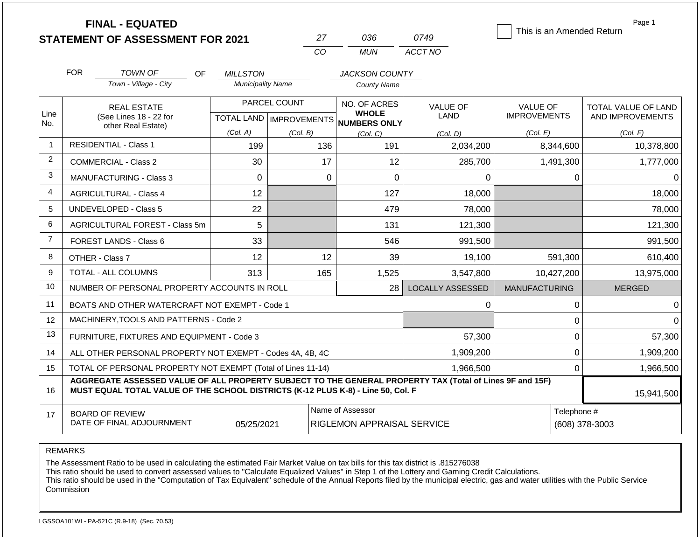|                |                                                                                                                                    | <b>FINAL - EQUATED</b><br><b>STATEMENT OF ASSESSMENT FOR 2021</b>                                                                                                                            |                                             | 27                        | 036                                         | 0749                    | This is an Amended Return | Page 1                     |
|----------------|------------------------------------------------------------------------------------------------------------------------------------|----------------------------------------------------------------------------------------------------------------------------------------------------------------------------------------------|---------------------------------------------|---------------------------|---------------------------------------------|-------------------------|---------------------------|----------------------------|
|                |                                                                                                                                    |                                                                                                                                                                                              |                                             | <b>CO</b>                 | <b>MUN</b>                                  | ACCT NO                 |                           |                            |
|                |                                                                                                                                    |                                                                                                                                                                                              |                                             |                           |                                             |                         |                           |                            |
|                | <b>FOR</b>                                                                                                                         | <b>TOWN OF</b><br>OF.<br>Town - Village - City                                                                                                                                               | <b>MILLSTON</b><br><b>Municipality Name</b> |                           | <b>JACKSON COUNTY</b><br><b>County Name</b> |                         |                           |                            |
|                |                                                                                                                                    |                                                                                                                                                                                              |                                             |                           |                                             |                         |                           |                            |
|                |                                                                                                                                    | <b>REAL ESTATE</b>                                                                                                                                                                           |                                             | PARCEL COUNT              | NO. OF ACRES<br><b>WHOLE</b>                | <b>VALUE OF</b>         | <b>VALUE OF</b>           | <b>TOTAL VALUE OF LAND</b> |
| Line<br>No.    |                                                                                                                                    | (See Lines 18 - 22 for<br>other Real Estate)                                                                                                                                                 |                                             | TOTAL LAND   IMPROVEMENTS | NUMBERS ONLY                                | <b>LAND</b>             | <b>IMPROVEMENTS</b>       | AND IMPROVEMENTS           |
|                |                                                                                                                                    |                                                                                                                                                                                              | (Col. A)                                    | (Col. B)                  | (Col, C)                                    | (Col. D)                | (Col. E)                  | (Col. F)                   |
| $\mathbf 1$    |                                                                                                                                    | <b>RESIDENTIAL - Class 1</b>                                                                                                                                                                 | 199                                         | 136                       | 191                                         | 2,034,200               | 8,344,600                 | 10,378,800                 |
| $\overline{2}$ |                                                                                                                                    | <b>COMMERCIAL - Class 2</b>                                                                                                                                                                  | 30                                          |                           | 17<br>12                                    | 285,700                 | 1,491,300                 | 1,777,000                  |
| 3              |                                                                                                                                    | <b>MANUFACTURING - Class 3</b>                                                                                                                                                               | $\Omega$                                    |                           | $\Omega$<br>$\Omega$                        | $\Omega$                | $\Omega$                  | $\Omega$                   |
| $\overline{4}$ |                                                                                                                                    | <b>AGRICULTURAL - Class 4</b>                                                                                                                                                                | 12                                          |                           | 127                                         | 18,000                  |                           | 18,000                     |
| 5              |                                                                                                                                    | UNDEVELOPED - Class 5                                                                                                                                                                        | 22                                          |                           | 479                                         | 78,000                  |                           | 78,000                     |
| 6              |                                                                                                                                    | AGRICULTURAL FOREST - Class 5m                                                                                                                                                               | 5                                           |                           | 131                                         | 121,300                 |                           | 121,300                    |
| $\overline{7}$ |                                                                                                                                    | <b>FOREST LANDS - Class 6</b>                                                                                                                                                                | 33                                          |                           | 546                                         | 991,500                 |                           | 991,500                    |
| 8              |                                                                                                                                    | OTHER - Class 7                                                                                                                                                                              | 12                                          |                           | 12<br>39                                    | 19,100                  | 591,300                   | 610,400                    |
| 9              |                                                                                                                                    | <b>TOTAL - ALL COLUMNS</b>                                                                                                                                                                   | 313                                         | 165                       | 1,525                                       | 3,547,800               | 10,427,200                | 13,975,000                 |
| 10             |                                                                                                                                    | NUMBER OF PERSONAL PROPERTY ACCOUNTS IN ROLL                                                                                                                                                 |                                             |                           | 28                                          | <b>LOCALLY ASSESSED</b> | <b>MANUFACTURING</b>      | <b>MERGED</b>              |
| 11             |                                                                                                                                    | BOATS AND OTHER WATERCRAFT NOT EXEMPT - Code 1                                                                                                                                               |                                             |                           |                                             | 0                       | $\pmb{0}$                 | $\Omega$                   |
| 12             |                                                                                                                                    | MACHINERY, TOOLS AND PATTERNS - Code 2                                                                                                                                                       |                                             |                           |                                             |                         | $\pmb{0}$                 | $\Omega$                   |
| 13             |                                                                                                                                    | FURNITURE, FIXTURES AND EQUIPMENT - Code 3                                                                                                                                                   |                                             |                           |                                             | 57,300                  | $\mathbf 0$               | 57,300                     |
| 14             |                                                                                                                                    | ALL OTHER PERSONAL PROPERTY NOT EXEMPT - Codes 4A, 4B, 4C                                                                                                                                    |                                             |                           |                                             | 1,909,200               | $\mathbf 0$               | 1,909,200                  |
| 15             |                                                                                                                                    | TOTAL OF PERSONAL PROPERTY NOT EXEMPT (Total of Lines 11-14)                                                                                                                                 |                                             |                           |                                             | 1,966,500               | $\overline{0}$            | 1,966,500                  |
| 16             |                                                                                                                                    | AGGREGATE ASSESSED VALUE OF ALL PROPERTY SUBJECT TO THE GENERAL PROPERTY TAX (Total of Lines 9F and 15F)<br>MUST EQUAL TOTAL VALUE OF THE SCHOOL DISTRICTS (K-12 PLUS K-8) - Line 50, Col. F |                                             |                           |                                             |                         |                           | 15,941,500                 |
| 17             | Name of Assessor<br>Telephone #<br><b>BOARD OF REVIEW</b><br>DATE OF FINAL ADJOURNMENT<br>05/25/2021<br>RIGLEMON APPRAISAL SERVICE |                                                                                                                                                                                              |                                             |                           |                                             |                         |                           | (608) 378-3003             |

REMARKS

The Assessment Ratio to be used in calculating the estimated Fair Market Value on tax bills for this tax district is .815276038

This ratio should be used to convert assessed values to "Calculate Equalized Values" in Step 1 of the Lottery and Gaming Credit Calculations.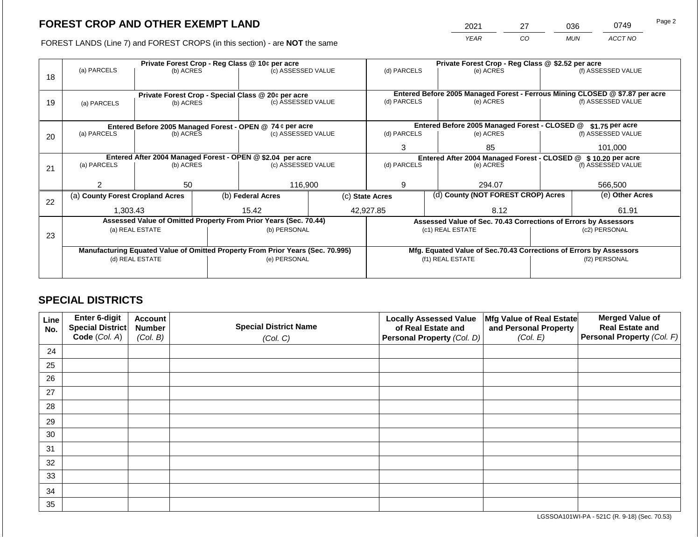2021 27 036 0749

FOREST LANDS (Line 7) and FOREST CROPS (in this section) - are **NOT** the same *YEAR CO MUN ACCT NO*

| 18 | Private Forest Crop - Reg Class @ 10¢ per acre<br>(a) PARCELS<br>(b) ACRES |                                                                 |  | (c) ASSESSED VALUE                                                             |  | (d) PARCELS                                                    |  | Private Forest Crop - Reg Class @ \$2.52 per acre<br>(e) ACRES     |                 | (f) ASSESSED VALUE                                                                                 |
|----|----------------------------------------------------------------------------|-----------------------------------------------------------------|--|--------------------------------------------------------------------------------|--|----------------------------------------------------------------|--|--------------------------------------------------------------------|-----------------|----------------------------------------------------------------------------------------------------|
| 19 | (a) PARCELS                                                                | Private Forest Crop - Special Class @ 20¢ per acre<br>(b) ACRES |  | (c) ASSESSED VALUE                                                             |  | (d) PARCELS                                                    |  | (e) ACRES                                                          |                 | Entered Before 2005 Managed Forest - Ferrous Mining CLOSED @ \$7.87 per acre<br>(f) ASSESSED VALUE |
|    |                                                                            |                                                                 |  | Entered Before 2005 Managed Forest - OPEN @ 74 ¢ per acre                      |  |                                                                |  | Entered Before 2005 Managed Forest - CLOSED @                      |                 | $$1.75$ per acre                                                                                   |
| 20 | (a) PARCELS                                                                | (b) ACRES                                                       |  | (c) ASSESSED VALUE                                                             |  | (d) PARCELS                                                    |  | (e) ACRES                                                          |                 | (f) ASSESSED VALUE                                                                                 |
|    |                                                                            |                                                                 |  | 3                                                                              |  | 85                                                             |  | 101,000                                                            |                 |                                                                                                    |
|    | Entered After 2004 Managed Forest - OPEN @ \$2.04 per acre                 |                                                                 |  |                                                                                |  | Entered After 2004 Managed Forest - CLOSED @ \$ 10.20 per acre |  |                                                                    |                 |                                                                                                    |
| 21 | (a) PARCELS                                                                | (b) ACRES                                                       |  | (c) ASSESSED VALUE                                                             |  | (d) PARCELS                                                    |  | (e) ACRES                                                          |                 | (f) ASSESSED VALUE                                                                                 |
|    |                                                                            |                                                                 |  |                                                                                |  |                                                                |  |                                                                    |                 |                                                                                                    |
|    | っ                                                                          | 50                                                              |  | 116.900                                                                        |  | 9                                                              |  | 294.07                                                             | 566,500         |                                                                                                    |
| 22 | (a) County Forest Cropland Acres                                           |                                                                 |  | (b) Federal Acres                                                              |  | (d) County (NOT FOREST CROP) Acres<br>(c) State Acres          |  |                                                                    | (e) Other Acres |                                                                                                    |
|    | 1,303.43                                                                   |                                                                 |  | 15.42                                                                          |  | 42,927.85                                                      |  | 8.12                                                               |                 | 61.91                                                                                              |
|    |                                                                            |                                                                 |  | Assessed Value of Omitted Property From Prior Years (Sec. 70.44)               |  |                                                                |  | Assessed Value of Sec. 70.43 Corrections of Errors by Assessors    |                 |                                                                                                    |
|    |                                                                            | (a) REAL ESTATE                                                 |  | (b) PERSONAL                                                                   |  |                                                                |  | (c1) REAL ESTATE                                                   | (c2) PERSONAL   |                                                                                                    |
| 23 |                                                                            |                                                                 |  |                                                                                |  |                                                                |  |                                                                    |                 |                                                                                                    |
|    |                                                                            |                                                                 |  | Manufacturing Equated Value of Omitted Property From Prior Years (Sec. 70.995) |  |                                                                |  | Mfg. Equated Value of Sec.70.43 Corrections of Errors by Assessors |                 |                                                                                                    |
|    | (d) REAL ESTATE                                                            |                                                                 |  | (e) PERSONAL                                                                   |  | (f1) REAL ESTATE                                               |  | (f2) PERSONAL                                                      |                 |                                                                                                    |
|    |                                                                            |                                                                 |  |                                                                                |  |                                                                |  |                                                                    |                 |                                                                                                    |

## **SPECIAL DISTRICTS**

| Line<br>No. | Enter 6-digit<br>Special District<br>Code (Col. A) | <b>Account</b><br><b>Number</b><br>(Col. B) | <b>Special District Name</b><br>(Col. C) | <b>Locally Assessed Value</b><br>of Real Estate and<br><b>Personal Property (Col. D)</b> | Mfg Value of Real Estate<br>and Personal Property<br>(Col. E) | <b>Merged Value of</b><br><b>Real Estate and</b><br>Personal Property (Col. F) |
|-------------|----------------------------------------------------|---------------------------------------------|------------------------------------------|------------------------------------------------------------------------------------------|---------------------------------------------------------------|--------------------------------------------------------------------------------|
| 24          |                                                    |                                             |                                          |                                                                                          |                                                               |                                                                                |
| 25          |                                                    |                                             |                                          |                                                                                          |                                                               |                                                                                |
| 26          |                                                    |                                             |                                          |                                                                                          |                                                               |                                                                                |
| 27          |                                                    |                                             |                                          |                                                                                          |                                                               |                                                                                |
| 28          |                                                    |                                             |                                          |                                                                                          |                                                               |                                                                                |
| 29          |                                                    |                                             |                                          |                                                                                          |                                                               |                                                                                |
| 30          |                                                    |                                             |                                          |                                                                                          |                                                               |                                                                                |
| 31          |                                                    |                                             |                                          |                                                                                          |                                                               |                                                                                |
| 32          |                                                    |                                             |                                          |                                                                                          |                                                               |                                                                                |
| 33          |                                                    |                                             |                                          |                                                                                          |                                                               |                                                                                |
| 34          |                                                    |                                             |                                          |                                                                                          |                                                               |                                                                                |
| 35          |                                                    |                                             |                                          |                                                                                          |                                                               |                                                                                |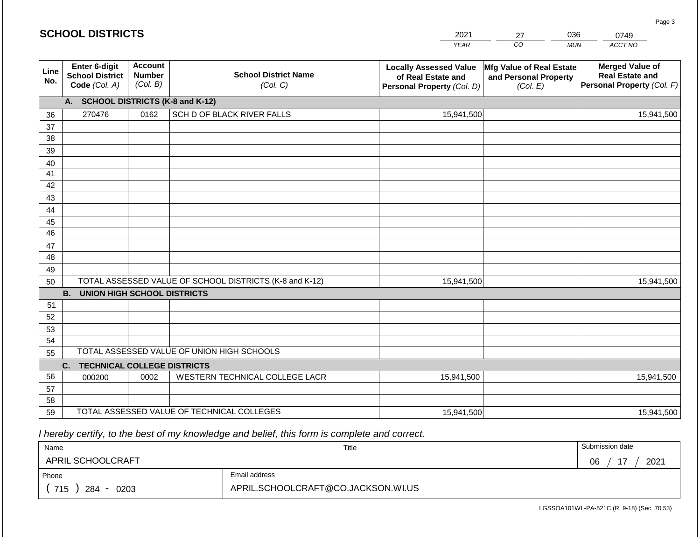#### *YEAR*   $\overline{co}$ *MUN ACCT NO*  0749 **Line No. Enter 6-digit School District Code** *(Col. A)* **Account Number** *(Col. B)* **School District Name** *(Col. C)* **Locally Assessed Value of Real Estate and Personal Property** *(Col. D)* **Mfg Value of Real Estate and Personal Property** *(Col. E)* **Merged Value of Real Estate and Personal Property** *(Col. F)* **A. SCHOOL DISTRICTS (K-8 and K-12)** 36 37 38 39 40 41 42 43 44 45 46 47 48 49 50 TOTAL ASSESSED VALUE OF SCHOOL DISTRICTS (K-8 and K-12) **B. UNION HIGH SCHOOL DISTRICTS** 51 52 53 54 55 **C. TECHNICAL COLLEGE DISTRICTS** 56 57 58 59 TOTAL ASSESSED VALUE OF TECHNICAL COLLEGES TOTAL ASSESSED VALUE OF UNION HIGH SCHOOLS 270476 0162 SCH D OF BLACK RIVER FALLS 15,941,500 15,941,500 000200 | 0002 | WESTERN TECHNICAL COLLEGE LACR 15,941,500 15,941,500 15,941,500 15,941,500 15,941,500 15,941,500

 *I hereby certify, to the best of my knowledge and belief, this form is complete and correct.*

| Name                   |                                    | Title | Submission date  |  |
|------------------------|------------------------------------|-------|------------------|--|
| APRIL SCHOOLCRAFT      |                                    |       | 17<br>2021<br>06 |  |
| Email address<br>Phone |                                    |       |                  |  |
| 715<br>284<br>0203     | APRIL.SCHOOLCRAFT@CO.JACKSON.WI.US |       |                  |  |

LGSSOA101WI -PA-521C (R. 9-18) (Sec. 70.53)

Page 3

| <b>SCHOOL DISTRICTS</b> |  |  |
|-------------------------|--|--|
|-------------------------|--|--|

2021 27 036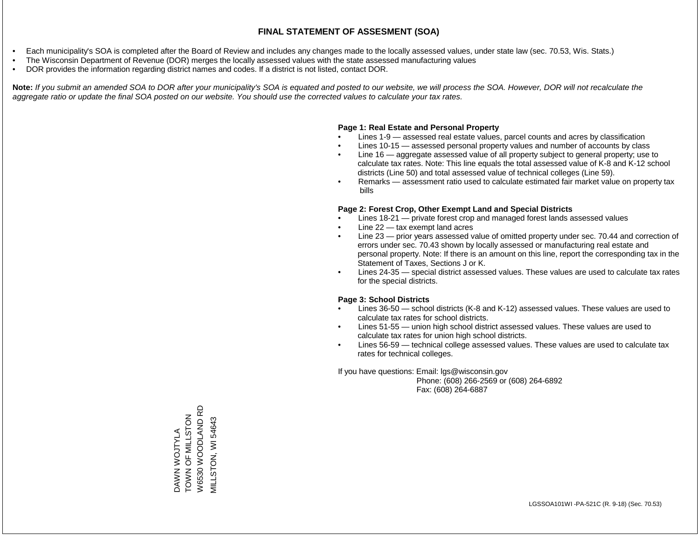- Each municipality's SOA is completed after the Board of Review and includes any changes made to the locally assessed values, under state law (sec. 70.53, Wis. Stats.)
- The Wisconsin Department of Revenue (DOR) merges the locally assessed values with the state assessed manufacturing values
- DOR provides the information regarding district names and codes. If a district is not listed, contact DOR.

Note: If you submit an amended SOA to DOR after your municipality's SOA is equated and posted to our website, we will process the SOA. However, DOR will not recalculate the *aggregate ratio or update the final SOA posted on our website. You should use the corrected values to calculate your tax rates.*

### **Page 1: Real Estate and Personal Property**

- Lines 1-9 assessed real estate values, parcel counts and acres by classification
- Lines 10-15 assessed personal property values and number of accounts by class
- Line 16 aggregate assessed value of all property subject to general property; use to calculate tax rates. Note: This line equals the total assessed value of K-8 and K-12 school districts (Line 50) and total assessed value of technical colleges (Line 59).
- Remarks assessment ratio used to calculate estimated fair market value on property tax bills

### **Page 2: Forest Crop, Other Exempt Land and Special Districts**

- Lines 18-21 private forest crop and managed forest lands assessed values
- Line  $22 -$  tax exempt land acres
- Line 23 prior years assessed value of omitted property under sec. 70.44 and correction of errors under sec. 70.43 shown by locally assessed or manufacturing real estate and personal property. Note: If there is an amount on this line, report the corresponding tax in the Statement of Taxes, Sections J or K.
- Lines 24-35 special district assessed values. These values are used to calculate tax rates for the special districts.

### **Page 3: School Districts**

- Lines 36-50 school districts (K-8 and K-12) assessed values. These values are used to calculate tax rates for school districts.
- Lines 51-55 union high school district assessed values. These values are used to calculate tax rates for union high school districts.
- Lines 56-59 technical college assessed values. These values are used to calculate tax rates for technical colleges.

If you have questions: Email: lgs@wisconsin.gov

 Phone: (608) 266-2569 or (608) 264-6892 Fax: (608) 264-6887

DAWN WOJTYLA<br>TOWN OF MILLSTON<br>W6530 WOODLAND RD W6530 WOODLAND RD TOWN OF MILLSTON VILLSTON, WI54643 MILLSTON, WI 54643DAWN WOJTYLA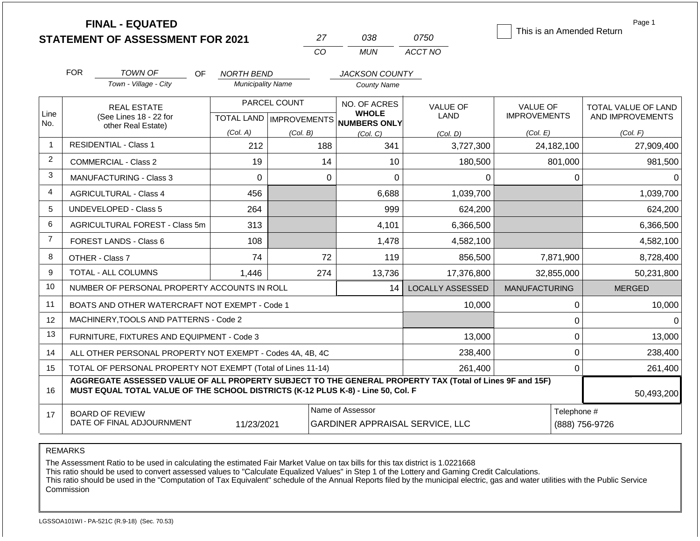|                | <b>FINAL - EQUATED</b><br><b>STATEMENT OF ASSESSMENT FOR 2021</b>                                                                                                                            |                          | 27           | 038                                                 | 0750                    | This is an Amended Return | Page 1                        |
|----------------|----------------------------------------------------------------------------------------------------------------------------------------------------------------------------------------------|--------------------------|--------------|-----------------------------------------------------|-------------------------|---------------------------|-------------------------------|
|                |                                                                                                                                                                                              |                          | CO           | <b>MUN</b>                                          | ACCT NO                 |                           |                               |
|                | <b>FOR</b><br>TOWN OF<br>OF.                                                                                                                                                                 | NORTH BEND               |              | JACKSON COUNTY                                      |                         |                           |                               |
|                | Town - Village - City                                                                                                                                                                        | <b>Municipality Name</b> |              | <b>County Name</b>                                  |                         |                           |                               |
|                | <b>REAL ESTATE</b>                                                                                                                                                                           |                          | PARCEL COUNT | NO. OF ACRES                                        | <b>VALUE OF</b>         | <b>VALUE OF</b>           | TOTAL VALUE OF LAND           |
| Line<br>No.    | (See Lines 18 - 22 for<br>other Real Estate)                                                                                                                                                 |                          |              | <b>WHOLE</b><br>TOTAL LAND MPROVEMENTS NUMBERS ONLY | <b>LAND</b>             | <b>IMPROVEMENTS</b>       | AND IMPROVEMENTS              |
|                |                                                                                                                                                                                              | (Col. A)                 | (Col. B)     | (Col, C)                                            | (Col. D)                | (Col. E)                  | (Col. F)                      |
| 1              | <b>RESIDENTIAL - Class 1</b>                                                                                                                                                                 | 212                      | 188          | 341                                                 | 3,727,300               | 24,182,100                | 27,909,400                    |
| 2              | <b>COMMERCIAL - Class 2</b>                                                                                                                                                                  | 19                       | 14           | 10                                                  | 180,500                 | 801,000                   | 981,500                       |
| 3              | <b>MANUFACTURING - Class 3</b>                                                                                                                                                               | $\overline{0}$           | $\mathbf 0$  | $\overline{0}$                                      | 0                       |                           | $\mathbf 0$<br>0              |
| 4              | <b>AGRICULTURAL - Class 4</b>                                                                                                                                                                | 456                      |              | 6,688                                               | 1,039,700               |                           | 1,039,700                     |
| 5              | <b>UNDEVELOPED - Class 5</b>                                                                                                                                                                 | 264                      |              | 999                                                 | 624,200                 |                           | 624,200                       |
| 6              | AGRICULTURAL FOREST - Class 5m                                                                                                                                                               | 313                      |              | 4,101                                               | 6,366,500               |                           | 6,366,500                     |
| $\overline{7}$ | FOREST LANDS - Class 6                                                                                                                                                                       | 108                      |              | 1,478                                               | 4,582,100               |                           | 4,582,100                     |
| 8              | OTHER - Class 7                                                                                                                                                                              | 74                       | 72           | 119                                                 | 856,500                 | 7,871,900                 | 8,728,400                     |
| 9              | <b>TOTAL - ALL COLUMNS</b>                                                                                                                                                                   | 1,446                    | 274          | 13,736                                              | 17,376,800              | 32,855,000                | 50,231,800                    |
| 10             | NUMBER OF PERSONAL PROPERTY ACCOUNTS IN ROLL                                                                                                                                                 |                          |              | 14                                                  | <b>LOCALLY ASSESSED</b> | <b>MANUFACTURING</b>      | <b>MERGED</b>                 |
| 11             | BOATS AND OTHER WATERCRAFT NOT EXEMPT - Code 1                                                                                                                                               |                          |              |                                                     | 10,000                  |                           | 10,000<br>0                   |
| 12             | MACHINERY, TOOLS AND PATTERNS - Code 2                                                                                                                                                       |                          |              |                                                     |                         |                           | $\pmb{0}$<br>$\Omega$         |
| 13             | FURNITURE, FIXTURES AND EQUIPMENT - Code 3                                                                                                                                                   |                          |              |                                                     | 13,000                  |                           | $\mathbf 0$<br>13,000         |
| 14             | ALL OTHER PERSONAL PROPERTY NOT EXEMPT - Codes 4A, 4B, 4C                                                                                                                                    |                          |              |                                                     | 238,400                 |                           | $\mathbf 0$<br>238,400        |
| 15             | TOTAL OF PERSONAL PROPERTY NOT EXEMPT (Total of Lines 11-14)                                                                                                                                 |                          |              |                                                     | 261,400                 |                           | $\mathbf 0$<br>261,400        |
| 16             | AGGREGATE ASSESSED VALUE OF ALL PROPERTY SUBJECT TO THE GENERAL PROPERTY TAX (Total of Lines 9F and 15F)<br>MUST EQUAL TOTAL VALUE OF THE SCHOOL DISTRICTS (K-12 PLUS K-8) - Line 50, Col. F |                          |              |                                                     |                         |                           | 50,493,200                    |
| 17             | <b>BOARD OF REVIEW</b><br>DATE OF FINAL ADJOURNMENT                                                                                                                                          | 11/23/2021               |              | Name of Assessor<br>GARDINER APPRAISAL SERVICE, LLC |                         |                           | Telephone #<br>(888) 756-9726 |

The Assessment Ratio to be used in calculating the estimated Fair Market Value on tax bills for this tax district is 1.0221668

This ratio should be used to convert assessed values to "Calculate Equalized Values" in Step 1 of the Lottery and Gaming Credit Calculations.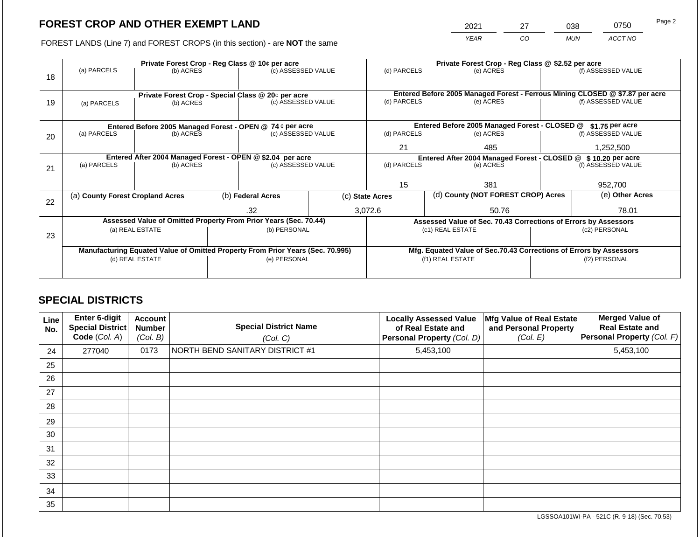2021 27 038 0750

FOREST LANDS (Line 7) and FOREST CROPS (in this section) - are **NOT** the same *YEAR CO MUN ACCT NO*

|    |                                  |                 |  | Private Forest Crop - Reg Class @ 10¢ per acre                                 |  | Private Forest Crop - Reg Class @ \$2.52 per acre |  |                                                                    |                                                                              |                    |
|----|----------------------------------|-----------------|--|--------------------------------------------------------------------------------|--|---------------------------------------------------|--|--------------------------------------------------------------------|------------------------------------------------------------------------------|--------------------|
| 18 | (a) PARCELS                      | (b) ACRES       |  | (c) ASSESSED VALUE                                                             |  | (d) PARCELS                                       |  | (e) ACRES                                                          |                                                                              | (f) ASSESSED VALUE |
|    |                                  |                 |  |                                                                                |  |                                                   |  |                                                                    |                                                                              |                    |
|    |                                  |                 |  | Private Forest Crop - Special Class @ 20¢ per acre                             |  |                                                   |  |                                                                    | Entered Before 2005 Managed Forest - Ferrous Mining CLOSED @ \$7.87 per acre |                    |
| 19 | (a) PARCELS                      | (b) ACRES       |  | (c) ASSESSED VALUE                                                             |  | (d) PARCELS                                       |  | (e) ACRES                                                          |                                                                              | (f) ASSESSED VALUE |
|    |                                  |                 |  |                                                                                |  |                                                   |  |                                                                    |                                                                              |                    |
|    |                                  |                 |  | Entered Before 2005 Managed Forest - OPEN @ 74 ¢ per acre                      |  |                                                   |  | Entered Before 2005 Managed Forest - CLOSED @                      |                                                                              | $$1.75$ per acre   |
|    | (a) PARCELS                      | (b) ACRES       |  | (c) ASSESSED VALUE                                                             |  | (d) PARCELS                                       |  | (e) ACRES                                                          |                                                                              | (f) ASSESSED VALUE |
| 20 |                                  |                 |  |                                                                                |  |                                                   |  |                                                                    |                                                                              |                    |
|    |                                  |                 |  |                                                                                |  | 21                                                |  | 485                                                                |                                                                              | 1,252,500          |
|    |                                  |                 |  | Entered After 2004 Managed Forest - OPEN @ \$2.04 per acre                     |  |                                                   |  | Entered After 2004 Managed Forest - CLOSED @ \$ 10.20 per acre     |                                                                              |                    |
| 21 | (a) PARCELS                      | (b) ACRES       |  | (c) ASSESSED VALUE                                                             |  | (d) PARCELS                                       |  | (e) ACRES                                                          |                                                                              | (f) ASSESSED VALUE |
|    |                                  |                 |  |                                                                                |  |                                                   |  |                                                                    |                                                                              |                    |
|    |                                  |                 |  |                                                                                |  | 15                                                |  | 381                                                                |                                                                              | 952,700            |
|    | (a) County Forest Cropland Acres |                 |  | (b) Federal Acres                                                              |  | (c) State Acres                                   |  | (d) County (NOT FOREST CROP) Acres                                 |                                                                              | (e) Other Acres    |
| 22 |                                  |                 |  |                                                                                |  |                                                   |  |                                                                    |                                                                              |                    |
|    |                                  |                 |  | .32                                                                            |  | 3,072.6                                           |  | 50.76                                                              |                                                                              | 78.01              |
|    |                                  |                 |  | Assessed Value of Omitted Property From Prior Years (Sec. 70.44)               |  |                                                   |  |                                                                    | Assessed Value of Sec. 70.43 Corrections of Errors by Assessors              |                    |
|    |                                  | (a) REAL ESTATE |  | (b) PERSONAL                                                                   |  |                                                   |  | (c1) REAL ESTATE                                                   |                                                                              | (c2) PERSONAL      |
| 23 |                                  |                 |  |                                                                                |  |                                                   |  |                                                                    |                                                                              |                    |
|    |                                  |                 |  | Manufacturing Equated Value of Omitted Property From Prior Years (Sec. 70.995) |  |                                                   |  | Mfg. Equated Value of Sec.70.43 Corrections of Errors by Assessors |                                                                              |                    |
|    | (d) REAL ESTATE                  |                 |  | (e) PERSONAL                                                                   |  | (f1) REAL ESTATE                                  |  |                                                                    | (f2) PERSONAL                                                                |                    |
|    |                                  |                 |  |                                                                                |  |                                                   |  |                                                                    |                                                                              |                    |
|    |                                  |                 |  |                                                                                |  |                                                   |  |                                                                    |                                                                              |                    |

# **SPECIAL DISTRICTS**

| Line<br>No. | <b>Enter 6-digit</b><br>Special District<br>Code (Col. A) | <b>Account</b><br><b>Number</b><br>(Col. B) | <b>Special District Name</b><br>(Col. C) | <b>Locally Assessed Value</b><br>of Real Estate and<br>Personal Property (Col. D) | Mfg Value of Real Estate<br>and Personal Property<br>(Col. E) | <b>Merged Value of</b><br><b>Real Estate and</b><br>Personal Property (Col. F) |
|-------------|-----------------------------------------------------------|---------------------------------------------|------------------------------------------|-----------------------------------------------------------------------------------|---------------------------------------------------------------|--------------------------------------------------------------------------------|
| 24          | 277040                                                    | 0173                                        | NORTH BEND SANITARY DISTRICT #1          | 5,453,100                                                                         |                                                               | 5,453,100                                                                      |
| 25          |                                                           |                                             |                                          |                                                                                   |                                                               |                                                                                |
| 26          |                                                           |                                             |                                          |                                                                                   |                                                               |                                                                                |
| 27          |                                                           |                                             |                                          |                                                                                   |                                                               |                                                                                |
| 28          |                                                           |                                             |                                          |                                                                                   |                                                               |                                                                                |
| 29          |                                                           |                                             |                                          |                                                                                   |                                                               |                                                                                |
| 30          |                                                           |                                             |                                          |                                                                                   |                                                               |                                                                                |
| 31          |                                                           |                                             |                                          |                                                                                   |                                                               |                                                                                |
| 32          |                                                           |                                             |                                          |                                                                                   |                                                               |                                                                                |
| 33          |                                                           |                                             |                                          |                                                                                   |                                                               |                                                                                |
| 34          |                                                           |                                             |                                          |                                                                                   |                                                               |                                                                                |
| 35          |                                                           |                                             |                                          |                                                                                   |                                                               |                                                                                |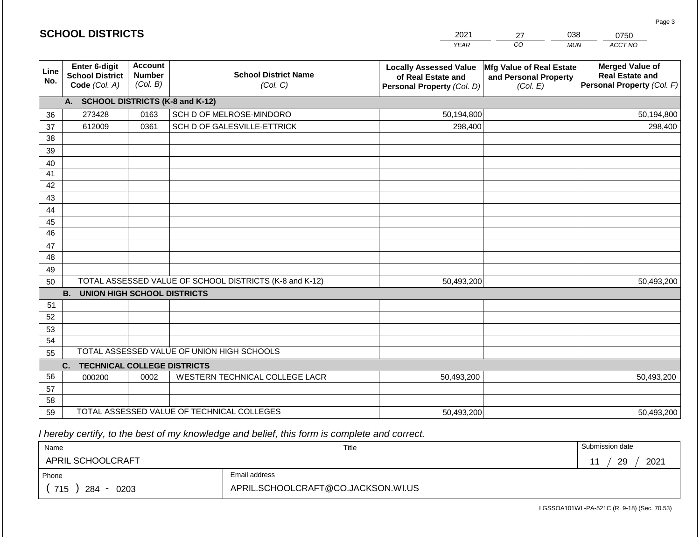|             | <b>SCHOOL DISTRICTS</b>                                  |                                             |                                                         | 2021                                                                              | 27                                                            | 038<br>0750                                                                    |
|-------------|----------------------------------------------------------|---------------------------------------------|---------------------------------------------------------|-----------------------------------------------------------------------------------|---------------------------------------------------------------|--------------------------------------------------------------------------------|
|             |                                                          |                                             |                                                         | <b>YEAR</b>                                                                       | CO                                                            | ACCT NO<br><b>MUN</b>                                                          |
| Line<br>No. | Enter 6-digit<br><b>School District</b><br>Code (Col. A) | <b>Account</b><br><b>Number</b><br>(Col. B) | <b>School District Name</b><br>(Col. C)                 | <b>Locally Assessed Value</b><br>of Real Estate and<br>Personal Property (Col. D) | Mfg Value of Real Estate<br>and Personal Property<br>(Col. E) | <b>Merged Value of</b><br><b>Real Estate and</b><br>Personal Property (Col. F) |
|             | A. SCHOOL DISTRICTS (K-8 and K-12)                       |                                             |                                                         |                                                                                   |                                                               |                                                                                |
| 36          | 273428                                                   | 0163                                        | SCH D OF MELROSE-MINDORO                                | 50,194,800                                                                        |                                                               | 50,194,800                                                                     |
| 37          | 612009                                                   | 0361                                        | SCH D OF GALESVILLE-ETTRICK                             | 298,400                                                                           |                                                               | 298,400                                                                        |
| 38          |                                                          |                                             |                                                         |                                                                                   |                                                               |                                                                                |
| 39          |                                                          |                                             |                                                         |                                                                                   |                                                               |                                                                                |
| 40          |                                                          |                                             |                                                         |                                                                                   |                                                               |                                                                                |
| 41<br>42    |                                                          |                                             |                                                         |                                                                                   |                                                               |                                                                                |
| 43          |                                                          |                                             |                                                         |                                                                                   |                                                               |                                                                                |
| 44          |                                                          |                                             |                                                         |                                                                                   |                                                               |                                                                                |
| 45          |                                                          |                                             |                                                         |                                                                                   |                                                               |                                                                                |
| 46          |                                                          |                                             |                                                         |                                                                                   |                                                               |                                                                                |
| 47          |                                                          |                                             |                                                         |                                                                                   |                                                               |                                                                                |
| 48          |                                                          |                                             |                                                         |                                                                                   |                                                               |                                                                                |
| 49          |                                                          |                                             |                                                         |                                                                                   |                                                               |                                                                                |
| 50          |                                                          |                                             | TOTAL ASSESSED VALUE OF SCHOOL DISTRICTS (K-8 and K-12) | 50,493,200                                                                        |                                                               | 50,493,200                                                                     |
|             | <b>B.</b><br><b>UNION HIGH SCHOOL DISTRICTS</b>          |                                             |                                                         |                                                                                   |                                                               |                                                                                |
| 51          |                                                          |                                             |                                                         |                                                                                   |                                                               |                                                                                |
| 52          |                                                          |                                             |                                                         |                                                                                   |                                                               |                                                                                |
| 53<br>54    |                                                          |                                             |                                                         |                                                                                   |                                                               |                                                                                |
| 55          |                                                          |                                             | TOTAL ASSESSED VALUE OF UNION HIGH SCHOOLS              |                                                                                   |                                                               |                                                                                |
|             | C.<br><b>TECHNICAL COLLEGE DISTRICTS</b>                 |                                             |                                                         |                                                                                   |                                                               |                                                                                |
| 56          | 000200                                                   | 0002                                        | WESTERN TECHNICAL COLLEGE LACR                          | 50,493,200                                                                        |                                                               | 50,493,200                                                                     |
| 57          |                                                          |                                             |                                                         |                                                                                   |                                                               |                                                                                |
| 58          |                                                          |                                             |                                                         |                                                                                   |                                                               |                                                                                |
| 59          |                                                          |                                             | TOTAL ASSESSED VALUE OF TECHNICAL COLLEGES              | 50,493,200                                                                        |                                                               | 50,493,200                                                                     |

 *I hereby certify, to the best of my knowledge and belief, this form is complete and correct.*

| Name               |                                    | Title | Submission date |
|--------------------|------------------------------------|-------|-----------------|
| APRIL SCHOOLCRAFT  |                                    |       | 2021<br>29      |
| Phone              | Email address                      |       |                 |
| 715<br>284<br>0203 | APRIL.SCHOOLCRAFT@CO.JACKSON.WI.US |       |                 |

Page 3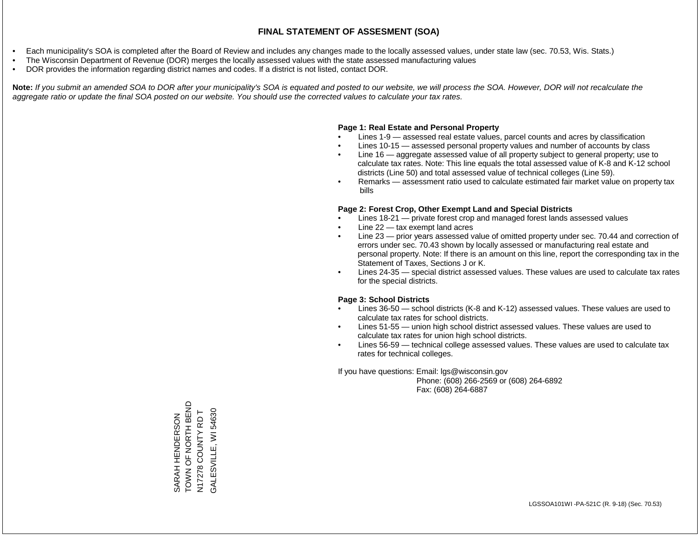- Each municipality's SOA is completed after the Board of Review and includes any changes made to the locally assessed values, under state law (sec. 70.53, Wis. Stats.)
- The Wisconsin Department of Revenue (DOR) merges the locally assessed values with the state assessed manufacturing values
- DOR provides the information regarding district names and codes. If a district is not listed, contact DOR.

Note: If you submit an amended SOA to DOR after your municipality's SOA is equated and posted to our website, we will process the SOA. However, DOR will not recalculate the *aggregate ratio or update the final SOA posted on our website. You should use the corrected values to calculate your tax rates.*

# **Page 1: Real Estate and Personal Property**

- Lines 1-9 assessed real estate values, parcel counts and acres by classification
- Lines 10-15 assessed personal property values and number of accounts by class
- Line 16 aggregate assessed value of all property subject to general property; use to calculate tax rates. Note: This line equals the total assessed value of K-8 and K-12 school districts (Line 50) and total assessed value of technical colleges (Line 59).
- Remarks assessment ratio used to calculate estimated fair market value on property tax bills

# **Page 2: Forest Crop, Other Exempt Land and Special Districts**

- Lines 18-21 private forest crop and managed forest lands assessed values
- Line  $22 -$  tax exempt land acres
- Line 23 prior years assessed value of omitted property under sec. 70.44 and correction of errors under sec. 70.43 shown by locally assessed or manufacturing real estate and personal property. Note: If there is an amount on this line, report the corresponding tax in the Statement of Taxes, Sections J or K.
- Lines 24-35 special district assessed values. These values are used to calculate tax rates for the special districts.

# **Page 3: School Districts**

- Lines 36-50 school districts (K-8 and K-12) assessed values. These values are used to calculate tax rates for school districts.
- Lines 51-55 union high school district assessed values. These values are used to calculate tax rates for union high school districts.
- Lines 56-59 technical college assessed values. These values are used to calculate tax rates for technical colleges.

If you have questions: Email: lgs@wisconsin.gov

 Phone: (608) 266-2569 or (608) 264-6892 Fax: (608) 264-6887

TOWN OF NORTH BEND SARAH HENDERSON<br>TOWN OF NORTH BEND GALESVILLE, WI 54630 N17278 COUNTY RD T GALESVILLE, WI 54630N17278 COUNTY RD T SARAH HENDERSON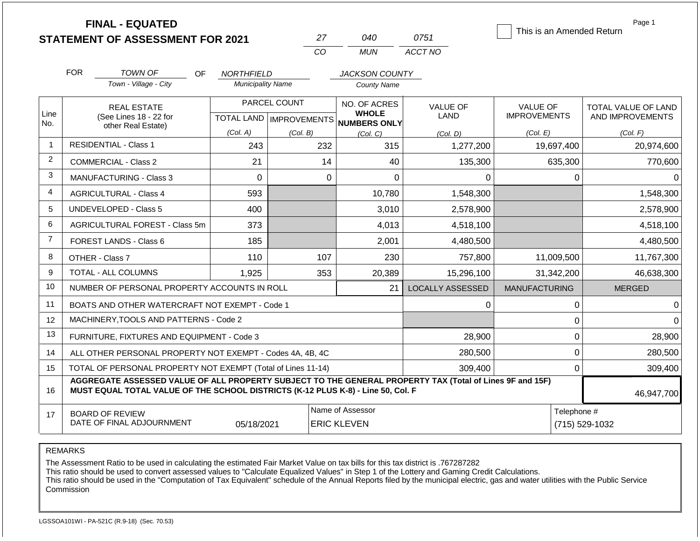|                |            | <b>FINAL - EQUATED</b><br><b>STATEMENT OF ASSESSMENT FOR 2021</b>                                                                                                                            |                                                                             |  | 27                           | 040                | 0751                    | This is an Amended Return              | Page 1                                  |  |
|----------------|------------|----------------------------------------------------------------------------------------------------------------------------------------------------------------------------------------------|-----------------------------------------------------------------------------|--|------------------------------|--------------------|-------------------------|----------------------------------------|-----------------------------------------|--|
|                |            |                                                                                                                                                                                              |                                                                             |  | CO                           | <b>MUN</b>         | ACCT NO                 |                                        |                                         |  |
|                | <b>FOR</b> | <b>TOWN OF</b><br>OF.                                                                                                                                                                        | <b>NORTHFIELD</b>                                                           |  |                              | JACKSON COUNTY     |                         |                                        |                                         |  |
|                |            | Town - Village - City                                                                                                                                                                        | <b>Municipality Name</b>                                                    |  |                              | <b>County Name</b> |                         |                                        |                                         |  |
| Line           |            | <b>REAL ESTATE</b><br>(See Lines 18 - 22 for                                                                                                                                                 | PARCEL COUNT<br>TOTAL LAND MPROVEMENTS NUMBERS ONLY<br>(Col. A)<br>(Col. B) |  | NO. OF ACRES<br><b>WHOLE</b> |                    | <b>VALUE OF</b><br>LAND | <b>VALUE OF</b><br><b>IMPROVEMENTS</b> | TOTAL VALUE OF LAND<br>AND IMPROVEMENTS |  |
| No.            |            | other Real Estate)                                                                                                                                                                           |                                                                             |  | (Col, C)                     | (Col. D)           | (Col. E)                | (Col. F)                               |                                         |  |
| $\mathbf{1}$   |            | <b>RESIDENTIAL - Class 1</b>                                                                                                                                                                 | 243                                                                         |  | 232                          | 315                | 1,277,200               | 19,697,400                             | 20,974,600                              |  |
| $\overline{c}$ |            | <b>COMMERCIAL - Class 2</b>                                                                                                                                                                  | 21                                                                          |  | 14                           | 40                 | 135,300                 | 635,300                                | 770,600                                 |  |
| 3              |            | <b>MANUFACTURING - Class 3</b>                                                                                                                                                               | $\mathbf 0$                                                                 |  | $\mathbf 0$                  | $\mathbf 0$        | 0                       | $\mathbf 0$                            |                                         |  |
| 4              |            | <b>AGRICULTURAL - Class 4</b><br>593                                                                                                                                                         |                                                                             |  |                              | 10,780             | 1,548,300               |                                        | 1,548,300                               |  |
| 5              |            | <b>UNDEVELOPED - Class 5</b>                                                                                                                                                                 | 400                                                                         |  |                              | 3,010              | 2,578,900               |                                        | 2,578,900                               |  |
| 6              |            | AGRICULTURAL FOREST - Class 5m                                                                                                                                                               | 373                                                                         |  |                              | 4,013              | 4,518,100               |                                        | 4,518,100                               |  |
| $\overline{7}$ |            | FOREST LANDS - Class 6                                                                                                                                                                       | 185                                                                         |  |                              | 2,001              | 4,480,500               |                                        | 4,480,500                               |  |
| 8              |            | OTHER - Class 7                                                                                                                                                                              | 110                                                                         |  | 107                          | 230                | 757,800                 | 11,009,500                             | 11,767,300                              |  |
| 9              |            | TOTAL - ALL COLUMNS                                                                                                                                                                          | 1,925                                                                       |  | 353                          | 20,389             | 15,296,100              | 31,342,200                             | 46,638,300                              |  |
| 10             |            | NUMBER OF PERSONAL PROPERTY ACCOUNTS IN ROLL                                                                                                                                                 |                                                                             |  |                              | 21                 | <b>LOCALLY ASSESSED</b> | <b>MANUFACTURING</b>                   | <b>MERGED</b>                           |  |
| 11             |            | BOATS AND OTHER WATERCRAFT NOT EXEMPT - Code 1                                                                                                                                               |                                                                             |  |                              |                    | 0                       | 0                                      | 0                                       |  |
| 12             |            | MACHINERY, TOOLS AND PATTERNS - Code 2                                                                                                                                                       |                                                                             |  |                              |                    |                         | 0                                      |                                         |  |
| 13             |            | FURNITURE, FIXTURES AND EQUIPMENT - Code 3                                                                                                                                                   |                                                                             |  |                              |                    | 28,900                  | $\mathbf 0$                            | 28,900                                  |  |
| 14             |            | ALL OTHER PERSONAL PROPERTY NOT EXEMPT - Codes 4A, 4B, 4C                                                                                                                                    |                                                                             |  |                              |                    | 280,500                 | $\Omega$                               | 280,500                                 |  |
| 15             |            | TOTAL OF PERSONAL PROPERTY NOT EXEMPT (Total of Lines 11-14)                                                                                                                                 |                                                                             |  |                              |                    | 309,400                 | 0                                      | 309,400                                 |  |
| 16             |            | AGGREGATE ASSESSED VALUE OF ALL PROPERTY SUBJECT TO THE GENERAL PROPERTY TAX (Total of Lines 9F and 15F)<br>MUST EQUAL TOTAL VALUE OF THE SCHOOL DISTRICTS (K-12 PLUS K-8) - Line 50, Col. F |                                                                             |  |                              |                    |                         |                                        | 46,947,700                              |  |
| 17             |            | <b>BOARD OF REVIEW</b>                                                                                                                                                                       |                                                                             |  |                              | Name of Assessor   |                         | Telephone #                            |                                         |  |
|                |            | DATE OF FINAL ADJOURNMENT                                                                                                                                                                    | 05/18/2021                                                                  |  |                              | <b>ERIC KLEVEN</b> |                         |                                        | (715) 529-1032                          |  |

The Assessment Ratio to be used in calculating the estimated Fair Market Value on tax bills for this tax district is .767287282

This ratio should be used to convert assessed values to "Calculate Equalized Values" in Step 1 of the Lottery and Gaming Credit Calculations.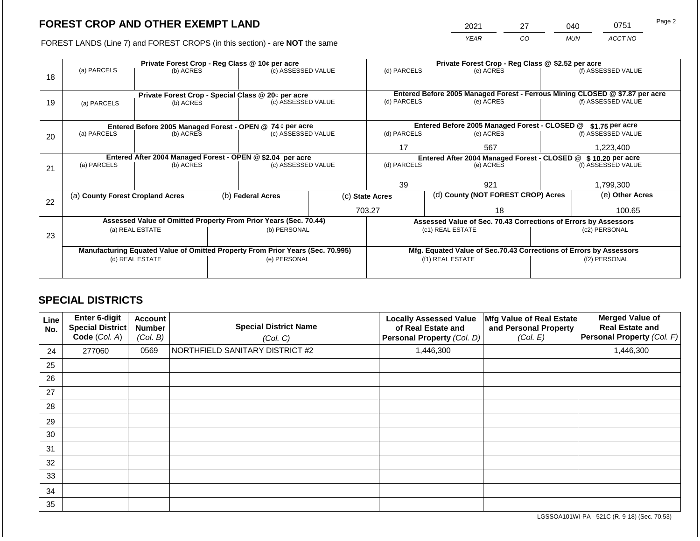2021 27 040 0751

FOREST LANDS (Line 7) and FOREST CROPS (in this section) - are **NOT** the same *YEAR CO MUN ACCT NO*

| 18 | (a) PARCELS                                                                    | Private Forest Crop - Reg Class @ 10¢ per acre<br>(c) ASSESSED VALUE<br>(b) ACRES |                                                            |                                                                          |  | (d) PARCELS                                                    |  | Private Forest Crop - Reg Class @ \$2.52 per acre<br>(e) ACRES     |                                                                 | (f) ASSESSED VALUE                                                                                 |
|----|--------------------------------------------------------------------------------|-----------------------------------------------------------------------------------|------------------------------------------------------------|--------------------------------------------------------------------------|--|----------------------------------------------------------------|--|--------------------------------------------------------------------|-----------------------------------------------------------------|----------------------------------------------------------------------------------------------------|
| 19 | (a) PARCELS                                                                    | (b) ACRES                                                                         |                                                            | Private Forest Crop - Special Class @ 20¢ per acre<br>(c) ASSESSED VALUE |  | (d) PARCELS                                                    |  | (e) ACRES                                                          |                                                                 | Entered Before 2005 Managed Forest - Ferrous Mining CLOSED @ \$7.87 per acre<br>(f) ASSESSED VALUE |
|    |                                                                                |                                                                                   |                                                            | Entered Before 2005 Managed Forest - OPEN @ 74 ¢ per acre                |  |                                                                |  | Entered Before 2005 Managed Forest - CLOSED @                      |                                                                 | \$1.75 per acre                                                                                    |
| 20 | (a) PARCELS<br>(b) ACRES                                                       |                                                                                   |                                                            | (c) ASSESSED VALUE                                                       |  | (d) PARCELS                                                    |  | (e) ACRES                                                          |                                                                 | (f) ASSESSED VALUE                                                                                 |
|    |                                                                                |                                                                                   |                                                            |                                                                          |  | 17                                                             |  | 567                                                                |                                                                 | 1,223,400                                                                                          |
|    |                                                                                |                                                                                   | Entered After 2004 Managed Forest - OPEN @ \$2.04 per acre |                                                                          |  | Entered After 2004 Managed Forest - CLOSED @ \$ 10.20 per acre |  |                                                                    |                                                                 |                                                                                                    |
| 21 | (a) PARCELS                                                                    | (b) ACRES                                                                         |                                                            | (c) ASSESSED VALUE                                                       |  | (d) PARCELS                                                    |  | (e) ACRES                                                          |                                                                 | (f) ASSESSED VALUE                                                                                 |
|    |                                                                                |                                                                                   |                                                            |                                                                          |  |                                                                |  |                                                                    |                                                                 |                                                                                                    |
|    |                                                                                |                                                                                   |                                                            |                                                                          |  | 39                                                             |  | 921                                                                |                                                                 | 1,799,300                                                                                          |
| 22 | (a) County Forest Cropland Acres                                               |                                                                                   |                                                            | (b) Federal Acres                                                        |  | (c) State Acres                                                |  | (d) County (NOT FOREST CROP) Acres                                 |                                                                 | (e) Other Acres                                                                                    |
|    |                                                                                |                                                                                   |                                                            |                                                                          |  | 703.27                                                         |  | 18                                                                 | 100.65                                                          |                                                                                                    |
|    |                                                                                |                                                                                   |                                                            | Assessed Value of Omitted Property From Prior Years (Sec. 70.44)         |  |                                                                |  |                                                                    | Assessed Value of Sec. 70.43 Corrections of Errors by Assessors |                                                                                                    |
|    |                                                                                |                                                                                   |                                                            | (b) PERSONAL                                                             |  |                                                                |  | (c1) REAL ESTATE                                                   |                                                                 | (c2) PERSONAL                                                                                      |
| 23 |                                                                                | (a) REAL ESTATE                                                                   |                                                            |                                                                          |  |                                                                |  |                                                                    |                                                                 |                                                                                                    |
|    | Manufacturing Equated Value of Omitted Property From Prior Years (Sec. 70.995) |                                                                                   |                                                            |                                                                          |  |                                                                |  | Mfg. Equated Value of Sec.70.43 Corrections of Errors by Assessors |                                                                 |                                                                                                    |
|    | (d) REAL ESTATE                                                                |                                                                                   |                                                            | (e) PERSONAL                                                             |  |                                                                |  | (f1) REAL ESTATE                                                   | (f2) PERSONAL                                                   |                                                                                                    |
|    |                                                                                |                                                                                   |                                                            |                                                                          |  |                                                                |  |                                                                    |                                                                 |                                                                                                    |

# **SPECIAL DISTRICTS**

| Line<br>No. | <b>Enter 6-digit</b><br>Special District<br>Code (Col. A) | <b>Account</b><br><b>Number</b><br>(Col. B) | <b>Special District Name</b><br>(Col. C) | <b>Locally Assessed Value</b><br>of Real Estate and<br>Personal Property (Col. D) | Mfg Value of Real Estate<br>and Personal Property<br>(Col. E) | <b>Merged Value of</b><br><b>Real Estate and</b><br>Personal Property (Col. F) |
|-------------|-----------------------------------------------------------|---------------------------------------------|------------------------------------------|-----------------------------------------------------------------------------------|---------------------------------------------------------------|--------------------------------------------------------------------------------|
| 24          | 277060                                                    | 0569                                        | NORTHFIELD SANITARY DISTRICT #2          | 1,446,300                                                                         |                                                               | 1,446,300                                                                      |
| 25          |                                                           |                                             |                                          |                                                                                   |                                                               |                                                                                |
| 26          |                                                           |                                             |                                          |                                                                                   |                                                               |                                                                                |
| 27          |                                                           |                                             |                                          |                                                                                   |                                                               |                                                                                |
| 28          |                                                           |                                             |                                          |                                                                                   |                                                               |                                                                                |
| 29          |                                                           |                                             |                                          |                                                                                   |                                                               |                                                                                |
| 30          |                                                           |                                             |                                          |                                                                                   |                                                               |                                                                                |
| 31          |                                                           |                                             |                                          |                                                                                   |                                                               |                                                                                |
| 32          |                                                           |                                             |                                          |                                                                                   |                                                               |                                                                                |
| 33          |                                                           |                                             |                                          |                                                                                   |                                                               |                                                                                |
| 34          |                                                           |                                             |                                          |                                                                                   |                                                               |                                                                                |
| 35          |                                                           |                                             |                                          |                                                                                   |                                                               |                                                                                |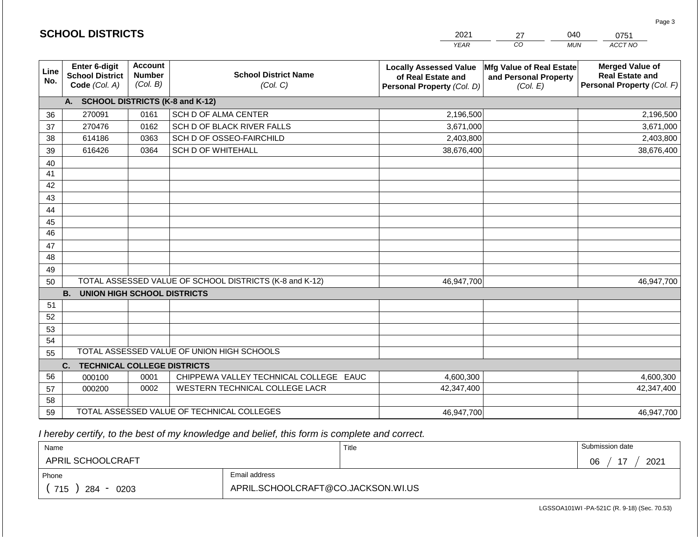|                 |                                                          |                                             |                                                         | <b>YEAR</b>                                                                       | CO<br><b>MUN</b>                                              | ACCT NO                                                                        |
|-----------------|----------------------------------------------------------|---------------------------------------------|---------------------------------------------------------|-----------------------------------------------------------------------------------|---------------------------------------------------------------|--------------------------------------------------------------------------------|
| Line<br>No.     | Enter 6-digit<br><b>School District</b><br>Code (Col. A) | <b>Account</b><br><b>Number</b><br>(Col. B) | <b>School District Name</b><br>(Col. C)                 | <b>Locally Assessed Value</b><br>of Real Estate and<br>Personal Property (Col. D) | Mfg Value of Real Estate<br>and Personal Property<br>(Col. E) | <b>Merged Value of</b><br><b>Real Estate and</b><br>Personal Property (Col. F) |
|                 | <b>SCHOOL DISTRICTS (K-8 and K-12)</b><br>A.             |                                             |                                                         |                                                                                   |                                                               |                                                                                |
| 36              | 270091                                                   | 0161                                        | SCH D OF ALMA CENTER                                    | 2,196,500                                                                         |                                                               | 2,196,500                                                                      |
| 37              | 270476                                                   | 0162                                        | SCH D OF BLACK RIVER FALLS                              | 3,671,000                                                                         |                                                               | 3,671,000                                                                      |
| 38              | 614186                                                   | 0363                                        | SCH D OF OSSEO-FAIRCHILD                                | 2,403,800                                                                         |                                                               | 2,403,800                                                                      |
| 39              | 616426                                                   | 0364                                        | <b>SCH D OF WHITEHALL</b>                               | 38,676,400                                                                        |                                                               | 38,676,400                                                                     |
| 40              |                                                          |                                             |                                                         |                                                                                   |                                                               |                                                                                |
| 41              |                                                          |                                             |                                                         |                                                                                   |                                                               |                                                                                |
| 42              |                                                          |                                             |                                                         |                                                                                   |                                                               |                                                                                |
| 43              |                                                          |                                             |                                                         |                                                                                   |                                                               |                                                                                |
| 44              |                                                          |                                             |                                                         |                                                                                   |                                                               |                                                                                |
| 45              |                                                          |                                             |                                                         |                                                                                   |                                                               |                                                                                |
| $\overline{46}$ |                                                          |                                             |                                                         |                                                                                   |                                                               |                                                                                |
| 47              |                                                          |                                             |                                                         |                                                                                   |                                                               |                                                                                |
| 48              |                                                          |                                             |                                                         |                                                                                   |                                                               |                                                                                |
| 49              |                                                          |                                             |                                                         |                                                                                   |                                                               |                                                                                |
| 50              |                                                          |                                             | TOTAL ASSESSED VALUE OF SCHOOL DISTRICTS (K-8 and K-12) | 46,947,700                                                                        |                                                               | 46,947,700                                                                     |
|                 | <b>B.</b><br>UNION HIGH SCHOOL DISTRICTS                 |                                             |                                                         |                                                                                   |                                                               |                                                                                |
| 51              |                                                          |                                             |                                                         |                                                                                   |                                                               |                                                                                |
| 52              |                                                          |                                             |                                                         |                                                                                   |                                                               |                                                                                |
| 53              |                                                          |                                             |                                                         |                                                                                   |                                                               |                                                                                |
| 54              |                                                          |                                             |                                                         |                                                                                   |                                                               |                                                                                |
| 55              |                                                          |                                             | TOTAL ASSESSED VALUE OF UNION HIGH SCHOOLS              |                                                                                   |                                                               |                                                                                |
|                 | <b>TECHNICAL COLLEGE DISTRICTS</b><br>C.                 |                                             |                                                         |                                                                                   |                                                               |                                                                                |
| 56              | 000100                                                   | 0001                                        | CHIPPEWA VALLEY TECHNICAL COLLEGE EAUC                  | 4,600,300                                                                         |                                                               | 4,600,300                                                                      |
| 57              | 000200                                                   | 0002                                        | WESTERN TECHNICAL COLLEGE LACR                          | 42,347,400                                                                        |                                                               | 42,347,400                                                                     |
| 58              |                                                          |                                             |                                                         |                                                                                   |                                                               |                                                                                |
| 59              |                                                          |                                             | TOTAL ASSESSED VALUE OF TECHNICAL COLLEGES              | 46,947,700                                                                        |                                                               | 46,947,700                                                                     |

2021

27

040

0751

Page 3

 *I hereby certify, to the best of my knowledge and belief, this form is complete and correct.*

**SCHOOL DISTRICTS**

| Name               |                                    | Title | Submission date  |
|--------------------|------------------------------------|-------|------------------|
| APRIL SCHOOLCRAFT  |                                    |       | 2021<br>17<br>06 |
| Phone              | Email address                      |       |                  |
| 715<br>284<br>0203 | APRIL.SCHOOLCRAFT@CO.JACKSON.WI.US |       |                  |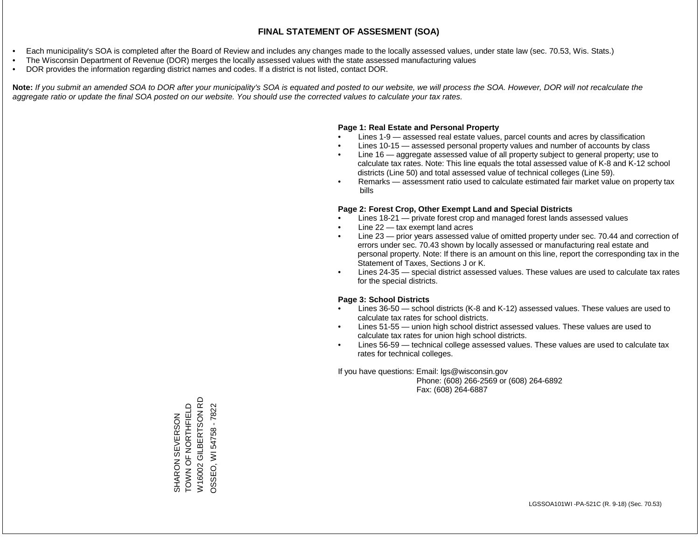- Each municipality's SOA is completed after the Board of Review and includes any changes made to the locally assessed values, under state law (sec. 70.53, Wis. Stats.)
- The Wisconsin Department of Revenue (DOR) merges the locally assessed values with the state assessed manufacturing values
- DOR provides the information regarding district names and codes. If a district is not listed, contact DOR.

Note: If you submit an amended SOA to DOR after your municipality's SOA is equated and posted to our website, we will process the SOA. However, DOR will not recalculate the *aggregate ratio or update the final SOA posted on our website. You should use the corrected values to calculate your tax rates.*

# **Page 1: Real Estate and Personal Property**

- Lines 1-9 assessed real estate values, parcel counts and acres by classification
- Lines 10-15 assessed personal property values and number of accounts by class
- Line 16 aggregate assessed value of all property subject to general property; use to calculate tax rates. Note: This line equals the total assessed value of K-8 and K-12 school districts (Line 50) and total assessed value of technical colleges (Line 59).
- Remarks assessment ratio used to calculate estimated fair market value on property tax bills

# **Page 2: Forest Crop, Other Exempt Land and Special Districts**

- Lines 18-21 private forest crop and managed forest lands assessed values
- Line  $22 -$  tax exempt land acres
- Line 23 prior years assessed value of omitted property under sec. 70.44 and correction of errors under sec. 70.43 shown by locally assessed or manufacturing real estate and personal property. Note: If there is an amount on this line, report the corresponding tax in the Statement of Taxes, Sections J or K.
- Lines 24-35 special district assessed values. These values are used to calculate tax rates for the special districts.

# **Page 3: School Districts**

- Lines 36-50 school districts (K-8 and K-12) assessed values. These values are used to calculate tax rates for school districts.
- Lines 51-55 union high school district assessed values. These values are used to calculate tax rates for union high school districts.
- Lines 56-59 technical college assessed values. These values are used to calculate tax rates for technical colleges.

If you have questions: Email: lgs@wisconsin.gov

 Phone: (608) 266-2569 or (608) 264-6892 Fax: (608) 264-6887

W16002 GILBERTSON RD W16002 GILBERTSON RD TOWN OF NORTHFIELD SHARON SEVERSON<br>TOWN OF NORTHFIELD OSSEO, WI 54758 - 7822 OSSEO, WI 54758 - 7822SHARON SEVERSON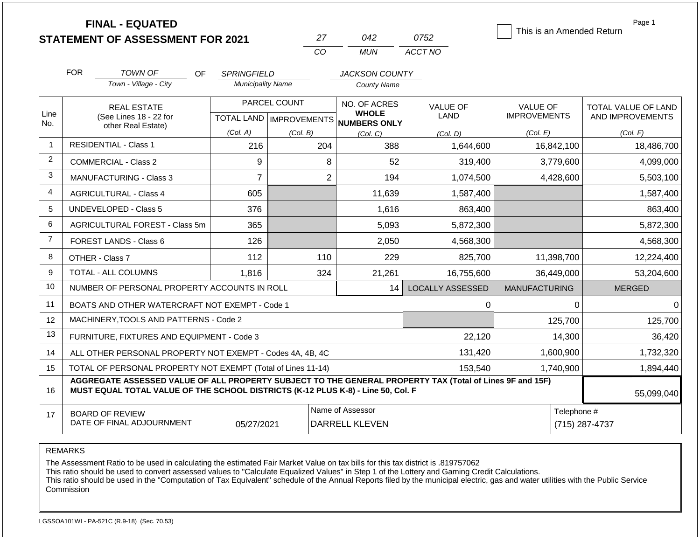|                | <b>FINAL - EQUATED</b><br><b>STATEMENT OF ASSESSMENT FOR 2021</b>                                                                                                                            |                          | 27<br>CO                         | 042<br><b>MUN</b>                         | 0752<br>ACCT NO         | This is an Amended Return | Page 1                        |  |
|----------------|----------------------------------------------------------------------------------------------------------------------------------------------------------------------------------------------|--------------------------|----------------------------------|-------------------------------------------|-------------------------|---------------------------|-------------------------------|--|
|                | <b>FOR</b><br><b>TOWN OF</b><br><b>OF</b>                                                                                                                                                    | <b>SPRINGFIELD</b>       |                                  | <b>JACKSON COUNTY</b>                     |                         |                           |                               |  |
|                | Town - Village - City                                                                                                                                                                        | <b>Municipality Name</b> |                                  | <b>County Name</b>                        |                         |                           |                               |  |
|                | <b>REAL ESTATE</b>                                                                                                                                                                           |                          | PARCEL COUNT                     | NO. OF ACRES                              | <b>VALUE OF</b>         | <b>VALUE OF</b>           | <b>TOTAL VALUE OF LAND</b>    |  |
| Line<br>No.    | (See Lines 18 - 22 for                                                                                                                                                                       |                          | <b>TOTAL LAND   IMPROVEMENTS</b> | <b>WHOLE</b><br><b>NUMBERS ONLY</b>       | LAND                    | <b>IMPROVEMENTS</b>       | AND IMPROVEMENTS              |  |
|                | other Real Estate)                                                                                                                                                                           | (Col. A)                 | (Col. B)                         | (Col. C)                                  | (Col, D)                | (Col. E)                  | (Col. F)                      |  |
| $\mathbf{1}$   | <b>RESIDENTIAL - Class 1</b>                                                                                                                                                                 | 216                      | 204                              | 388                                       | 1,644,600               | 16,842,100                | 18,486,700                    |  |
| $\overline{c}$ | <b>COMMERCIAL - Class 2</b>                                                                                                                                                                  | 9                        | 8                                | 52                                        | 319,400                 | 3,779,600                 | 4,099,000                     |  |
| 3              | <b>MANUFACTURING - Class 3</b>                                                                                                                                                               | 7                        | $\overline{2}$                   | 194                                       | 1,074,500               | 4,428,600                 | 5,503,100                     |  |
| 4              | <b>AGRICULTURAL - Class 4</b>                                                                                                                                                                | 605                      |                                  | 11,639                                    | 1,587,400               |                           | 1,587,400                     |  |
| 5              | <b>UNDEVELOPED - Class 5</b>                                                                                                                                                                 | 376                      |                                  | 1,616                                     | 863,400                 |                           | 863,400                       |  |
| 6              | <b>AGRICULTURAL FOREST - Class 5m</b>                                                                                                                                                        | 365                      |                                  | 5,093                                     | 5,872,300               |                           | 5,872,300                     |  |
| $\overline{7}$ | FOREST LANDS - Class 6                                                                                                                                                                       | 126                      |                                  | 2,050                                     | 4,568,300               |                           | 4,568,300                     |  |
| 8              | OTHER - Class 7                                                                                                                                                                              | 112                      | 110                              | 229                                       | 825,700                 | 11,398,700                | 12,224,400                    |  |
| 9              | TOTAL - ALL COLUMNS                                                                                                                                                                          | 1,816                    | 324                              | 21,261                                    | 16,755,600              | 36,449,000                | 53,204,600                    |  |
| 10             | NUMBER OF PERSONAL PROPERTY ACCOUNTS IN ROLL                                                                                                                                                 |                          |                                  | 14                                        | <b>LOCALLY ASSESSED</b> | <b>MANUFACTURING</b>      | <b>MERGED</b>                 |  |
| 11             | BOATS AND OTHER WATERCRAFT NOT EXEMPT - Code 1                                                                                                                                               |                          |                                  |                                           | 0                       | 0                         | $\Omega$                      |  |
| 12             | MACHINERY, TOOLS AND PATTERNS - Code 2                                                                                                                                                       |                          |                                  |                                           |                         | 125,700                   | 125,700                       |  |
| 13             | FURNITURE, FIXTURES AND EQUIPMENT - Code 3                                                                                                                                                   |                          |                                  |                                           | 22,120                  | 14,300                    | 36,420                        |  |
| 14             | ALL OTHER PERSONAL PROPERTY NOT EXEMPT - Codes 4A, 4B, 4C                                                                                                                                    |                          |                                  |                                           | 131,420                 | 1,600,900                 | 1,732,320                     |  |
| 15             | TOTAL OF PERSONAL PROPERTY NOT EXEMPT (Total of Lines 11-14)                                                                                                                                 |                          |                                  |                                           | 153,540                 | 1,740,900                 | 1,894,440                     |  |
| 16             | AGGREGATE ASSESSED VALUE OF ALL PROPERTY SUBJECT TO THE GENERAL PROPERTY TAX (Total of Lines 9F and 15F)<br>MUST EQUAL TOTAL VALUE OF THE SCHOOL DISTRICTS (K-12 PLUS K-8) - Line 50, Col. F |                          |                                  |                                           |                         |                           | 55,099,040                    |  |
| 17             | <b>BOARD OF REVIEW</b><br>DATE OF FINAL ADJOURNMENT                                                                                                                                          | 05/27/2021               |                                  | Name of Assessor<br><b>DARRELL KLEVEN</b> |                         |                           | Telephone #<br>(715) 287-4737 |  |

The Assessment Ratio to be used in calculating the estimated Fair Market Value on tax bills for this tax district is .819757062

This ratio should be used to convert assessed values to "Calculate Equalized Values" in Step 1 of the Lottery and Gaming Credit Calculations.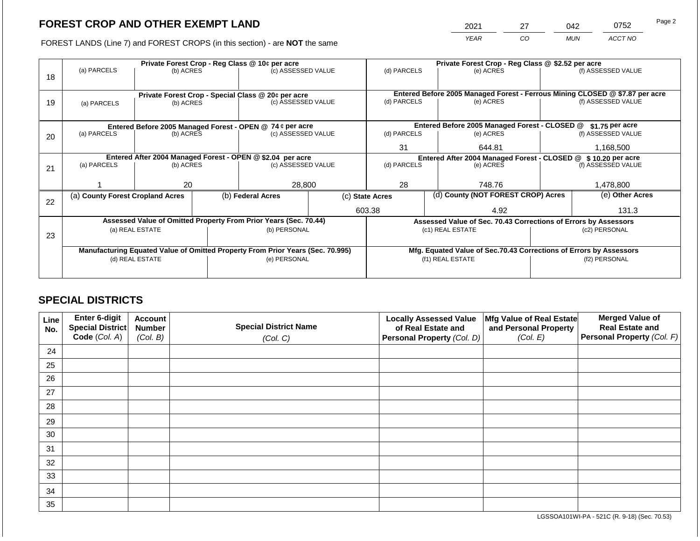2021 27 042 0752

FOREST LANDS (Line 7) and FOREST CROPS (in this section) - are **NOT** the same *YEAR CO MUN ACCT NO*

|    |                                  |                 |  | Private Forest Crop - Reg Class @ 10¢ per acre                                                 |  | Private Forest Crop - Reg Class @ \$2.52 per acre                  |  |                                               |                                                                              |                    |
|----|----------------------------------|-----------------|--|------------------------------------------------------------------------------------------------|--|--------------------------------------------------------------------|--|-----------------------------------------------|------------------------------------------------------------------------------|--------------------|
|    | (a) PARCELS                      | (b) ACRES       |  | (c) ASSESSED VALUE                                                                             |  | (d) PARCELS                                                        |  | (e) ACRES                                     |                                                                              | (f) ASSESSED VALUE |
| 18 |                                  |                 |  |                                                                                                |  |                                                                    |  |                                               |                                                                              |                    |
|    |                                  |                 |  |                                                                                                |  |                                                                    |  |                                               |                                                                              |                    |
|    |                                  |                 |  | Private Forest Crop - Special Class @ 20¢ per acre                                             |  |                                                                    |  |                                               | Entered Before 2005 Managed Forest - Ferrous Mining CLOSED @ \$7.87 per acre |                    |
| 19 | (a) PARCELS                      | (b) ACRES       |  | (c) ASSESSED VALUE                                                                             |  | (d) PARCELS                                                        |  | (e) ACRES                                     |                                                                              | (f) ASSESSED VALUE |
|    |                                  |                 |  |                                                                                                |  |                                                                    |  |                                               |                                                                              |                    |
|    |                                  |                 |  | Entered Before 2005 Managed Forest - OPEN @ 74 ¢ per acre                                      |  |                                                                    |  | Entered Before 2005 Managed Forest - CLOSED @ |                                                                              | $$1.75$ per acre   |
| 20 | (a) PARCELS                      | (b) ACRES       |  | (c) ASSESSED VALUE                                                                             |  | (d) PARCELS                                                        |  | (e) ACRES                                     |                                                                              | (f) ASSESSED VALUE |
|    |                                  |                 |  |                                                                                                |  |                                                                    |  |                                               |                                                                              |                    |
|    |                                  |                 |  |                                                                                                |  | 31                                                                 |  | 644.81                                        |                                                                              | 1,168,500          |
|    |                                  |                 |  | Entered After 2004 Managed Forest - OPEN @ \$2.04 per acre                                     |  | Entered After 2004 Managed Forest - CLOSED @ \$10.20 per acre      |  |                                               |                                                                              |                    |
| 21 | (a) PARCELS                      | (b) ACRES       |  | (c) ASSESSED VALUE                                                                             |  | (d) PARCELS                                                        |  | (e) ACRES                                     |                                                                              | (f) ASSESSED VALUE |
|    |                                  |                 |  |                                                                                                |  |                                                                    |  |                                               |                                                                              |                    |
|    |                                  | 20              |  | 28,800                                                                                         |  | 28                                                                 |  | 748.76                                        |                                                                              | 1,478,800          |
|    | (a) County Forest Cropland Acres |                 |  | (b) Federal Acres                                                                              |  | (c) State Acres                                                    |  | (d) County (NOT FOREST CROP) Acres            |                                                                              | (e) Other Acres    |
| 22 |                                  |                 |  |                                                                                                |  |                                                                    |  |                                               |                                                                              |                    |
|    |                                  |                 |  |                                                                                                |  | 603.38                                                             |  | 4.92                                          |                                                                              | 131.3              |
|    |                                  |                 |  | Assessed Value of Omitted Property From Prior Years (Sec. 70.44)                               |  |                                                                    |  |                                               | Assessed Value of Sec. 70.43 Corrections of Errors by Assessors              |                    |
|    |                                  | (a) REAL ESTATE |  | (b) PERSONAL                                                                                   |  |                                                                    |  | (c1) REAL ESTATE                              |                                                                              | (c2) PERSONAL      |
| 23 |                                  |                 |  |                                                                                                |  |                                                                    |  |                                               |                                                                              |                    |
|    |                                  |                 |  |                                                                                                |  | Mfg. Equated Value of Sec.70.43 Corrections of Errors by Assessors |  |                                               |                                                                              |                    |
|    | (d) REAL ESTATE                  |                 |  | Manufacturing Equated Value of Omitted Property From Prior Years (Sec. 70.995)<br>(e) PERSONAL |  |                                                                    |  | (f1) REAL ESTATE                              | (f2) PERSONAL                                                                |                    |
|    |                                  |                 |  |                                                                                                |  |                                                                    |  |                                               |                                                                              |                    |
|    |                                  |                 |  |                                                                                                |  |                                                                    |  |                                               |                                                                              |                    |

# **SPECIAL DISTRICTS**

| Line<br>No. | Enter 6-digit<br>Special District<br>Code (Col. A) | <b>Account</b><br><b>Number</b><br>(Col. B) | <b>Special District Name</b><br>(Col. C) | <b>Locally Assessed Value</b><br>of Real Estate and<br><b>Personal Property (Col. D)</b> | Mfg Value of Real Estate<br>and Personal Property<br>(Col. E) | <b>Merged Value of</b><br><b>Real Estate and</b><br>Personal Property (Col. F) |
|-------------|----------------------------------------------------|---------------------------------------------|------------------------------------------|------------------------------------------------------------------------------------------|---------------------------------------------------------------|--------------------------------------------------------------------------------|
| 24          |                                                    |                                             |                                          |                                                                                          |                                                               |                                                                                |
| 25          |                                                    |                                             |                                          |                                                                                          |                                                               |                                                                                |
| 26          |                                                    |                                             |                                          |                                                                                          |                                                               |                                                                                |
| 27          |                                                    |                                             |                                          |                                                                                          |                                                               |                                                                                |
| 28          |                                                    |                                             |                                          |                                                                                          |                                                               |                                                                                |
| 29          |                                                    |                                             |                                          |                                                                                          |                                                               |                                                                                |
| 30          |                                                    |                                             |                                          |                                                                                          |                                                               |                                                                                |
| 31          |                                                    |                                             |                                          |                                                                                          |                                                               |                                                                                |
| 32          |                                                    |                                             |                                          |                                                                                          |                                                               |                                                                                |
| 33          |                                                    |                                             |                                          |                                                                                          |                                                               |                                                                                |
| 34          |                                                    |                                             |                                          |                                                                                          |                                                               |                                                                                |
| 35          |                                                    |                                             |                                          |                                                                                          |                                                               |                                                                                |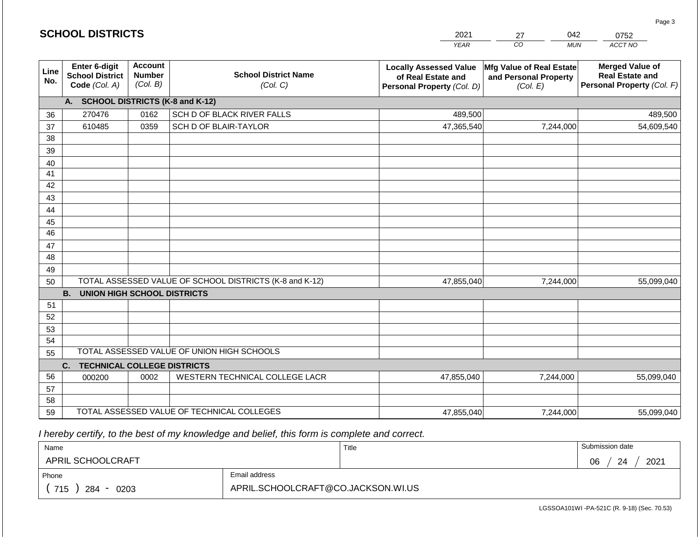|             | <b>SCHOOL DISTRICTS</b>                                  |                                             |                                                         | 2021                                                                              | 042<br>27                                                     | 0752                                                                           |  |
|-------------|----------------------------------------------------------|---------------------------------------------|---------------------------------------------------------|-----------------------------------------------------------------------------------|---------------------------------------------------------------|--------------------------------------------------------------------------------|--|
|             |                                                          |                                             |                                                         | <b>YEAR</b>                                                                       | CO<br><b>MUN</b>                                              | ACCT NO                                                                        |  |
| Line<br>No. | Enter 6-digit<br><b>School District</b><br>Code (Col. A) | <b>Account</b><br><b>Number</b><br>(Col. B) | <b>School District Name</b><br>(Col. C)                 | <b>Locally Assessed Value</b><br>of Real Estate and<br>Personal Property (Col. D) | Mfg Value of Real Estate<br>and Personal Property<br>(Col. E) | <b>Merged Value of</b><br><b>Real Estate and</b><br>Personal Property (Col. F) |  |
|             | A. SCHOOL DISTRICTS (K-8 and K-12)                       |                                             |                                                         |                                                                                   |                                                               |                                                                                |  |
| 36          | 270476                                                   | 0162                                        | SCH D OF BLACK RIVER FALLS                              | 489,500                                                                           |                                                               | 489,500                                                                        |  |
| 37          | 610485                                                   | 0359                                        | SCH D OF BLAIR-TAYLOR                                   | 47,365,540                                                                        | 7,244,000                                                     | 54,609,540                                                                     |  |
| 38          |                                                          |                                             |                                                         |                                                                                   |                                                               |                                                                                |  |
| 39          |                                                          |                                             |                                                         |                                                                                   |                                                               |                                                                                |  |
| 40          |                                                          |                                             |                                                         |                                                                                   |                                                               |                                                                                |  |
| 41          |                                                          |                                             |                                                         |                                                                                   |                                                               |                                                                                |  |
| 42          |                                                          |                                             |                                                         |                                                                                   |                                                               |                                                                                |  |
| 43          |                                                          |                                             |                                                         |                                                                                   |                                                               |                                                                                |  |
| 44<br>45    |                                                          |                                             |                                                         |                                                                                   |                                                               |                                                                                |  |
| 46          |                                                          |                                             |                                                         |                                                                                   |                                                               |                                                                                |  |
| 47          |                                                          |                                             |                                                         |                                                                                   |                                                               |                                                                                |  |
| 48          |                                                          |                                             |                                                         |                                                                                   |                                                               |                                                                                |  |
| 49          |                                                          |                                             |                                                         |                                                                                   |                                                               |                                                                                |  |
| 50          |                                                          |                                             | TOTAL ASSESSED VALUE OF SCHOOL DISTRICTS (K-8 and K-12) | 47,855,040                                                                        | 7,244,000                                                     | 55,099,040                                                                     |  |
|             | <b>B.</b><br><b>UNION HIGH SCHOOL DISTRICTS</b>          |                                             |                                                         |                                                                                   |                                                               |                                                                                |  |
| 51          |                                                          |                                             |                                                         |                                                                                   |                                                               |                                                                                |  |
| 52          |                                                          |                                             |                                                         |                                                                                   |                                                               |                                                                                |  |
| 53          |                                                          |                                             |                                                         |                                                                                   |                                                               |                                                                                |  |
| 54          |                                                          |                                             |                                                         |                                                                                   |                                                               |                                                                                |  |
| 55          |                                                          |                                             | TOTAL ASSESSED VALUE OF UNION HIGH SCHOOLS              |                                                                                   |                                                               |                                                                                |  |
|             | C.<br><b>TECHNICAL COLLEGE DISTRICTS</b>                 |                                             |                                                         |                                                                                   |                                                               |                                                                                |  |
| 56          | 000200                                                   | 0002                                        | WESTERN TECHNICAL COLLEGE LACR                          | 47,855,040                                                                        | 7,244,000                                                     | 55,099,040                                                                     |  |
| 57<br>58    |                                                          |                                             |                                                         |                                                                                   |                                                               |                                                                                |  |
| 59          |                                                          |                                             | TOTAL ASSESSED VALUE OF TECHNICAL COLLEGES              | 47,855,040                                                                        | 7,244,000                                                     | 55,099,040                                                                     |  |
|             |                                                          |                                             |                                                         |                                                                                   |                                                               |                                                                                |  |

 *I hereby certify, to the best of my knowledge and belief, this form is complete and correct.*

**SCHOOL DISTRICTS**

| Name               |                                    | Title | Submission date  |
|--------------------|------------------------------------|-------|------------------|
| APRIL SCHOOLCRAFT  |                                    |       | 2021<br>06<br>24 |
| Phone              | Email address                      |       |                  |
| 715<br>284<br>0203 | APRIL.SCHOOLCRAFT@CO.JACKSON.WI.US |       |                  |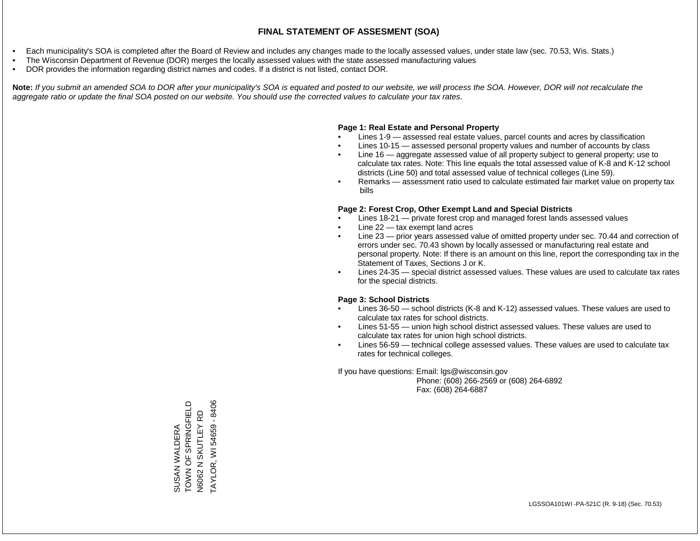- Each municipality's SOA is completed after the Board of Review and includes any changes made to the locally assessed values, under state law (sec. 70.53, Wis. Stats.)
- The Wisconsin Department of Revenue (DOR) merges the locally assessed values with the state assessed manufacturing values
- DOR provides the information regarding district names and codes. If a district is not listed, contact DOR.

Note: If you submit an amended SOA to DOR after your municipality's SOA is equated and posted to our website, we will process the SOA. However, DOR will not recalculate the *aggregate ratio or update the final SOA posted on our website. You should use the corrected values to calculate your tax rates.*

# **Page 1: Real Estate and Personal Property**

- Lines 1-9 assessed real estate values, parcel counts and acres by classification
- Lines 10-15 assessed personal property values and number of accounts by class
- Line 16 aggregate assessed value of all property subject to general property; use to calculate tax rates. Note: This line equals the total assessed value of K-8 and K-12 school districts (Line 50) and total assessed value of technical colleges (Line 59).
- Remarks assessment ratio used to calculate estimated fair market value on property tax bills

# **Page 2: Forest Crop, Other Exempt Land and Special Districts**

- Lines 18-21 private forest crop and managed forest lands assessed values
- Line  $22 -$  tax exempt land acres
- Line 23 prior years assessed value of omitted property under sec. 70.44 and correction of errors under sec. 70.43 shown by locally assessed or manufacturing real estate and personal property. Note: If there is an amount on this line, report the corresponding tax in the Statement of Taxes, Sections J or K.
- Lines 24-35 special district assessed values. These values are used to calculate tax rates for the special districts.

# **Page 3: School Districts**

- Lines 36-50 school districts (K-8 and K-12) assessed values. These values are used to calculate tax rates for school districts.
- Lines 51-55 union high school district assessed values. These values are used to calculate tax rates for union high school districts.
- Lines 56-59 technical college assessed values. These values are used to calculate tax rates for technical colleges.

If you have questions: Email: lgs@wisconsin.gov

 Phone: (608) 266-2569 or (608) 264-6892 Fax: (608) 264-6887

SUSAN WALDERA<br>TOWN OF SPRINGFIELD TOWN OF SPRINGFIELD TAYLOR, WI 54659 - 8406 TAYLOR, WI 54659 - 8406N SKUTLEY RD N6062 N SKUTLEY RD SUSAN WALDERA N6062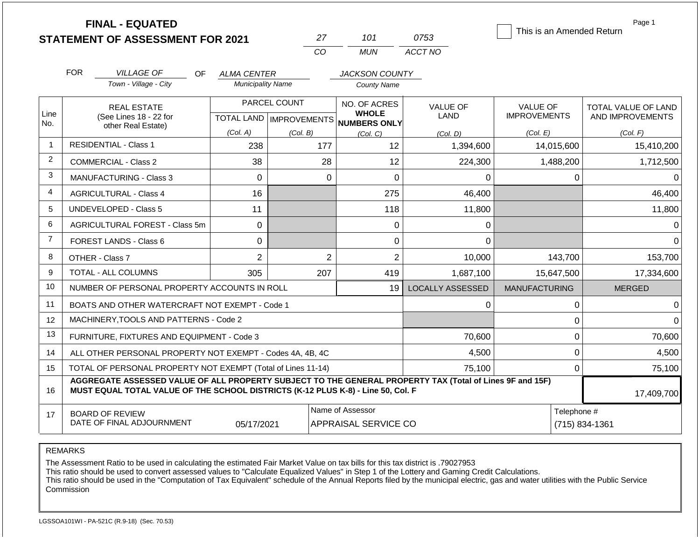|                | <b>FINAL - EQUATED</b>                                                                                                                                                                       |                          | 27           | 101                                                 |                      | 0753                    | This is an Amended Return | Page 1                        |  |
|----------------|----------------------------------------------------------------------------------------------------------------------------------------------------------------------------------------------|--------------------------|--------------|-----------------------------------------------------|----------------------|-------------------------|---------------------------|-------------------------------|--|
|                | <b>STATEMENT OF ASSESSMENT FOR 2021</b>                                                                                                                                                      |                          | CO           | <b>MUN</b>                                          |                      | ACCT NO                 |                           |                               |  |
|                |                                                                                                                                                                                              |                          |              |                                                     |                      |                         |                           |                               |  |
|                | <b>FOR</b><br><b>VILLAGE OF</b><br>OF.<br><b>JACKSON COUNTY</b><br>ALMA CENTER                                                                                                               |                          |              |                                                     |                      |                         |                           |                               |  |
|                | Town - Village - City                                                                                                                                                                        | <b>Municipality Name</b> |              | <b>County Name</b>                                  |                      |                         |                           |                               |  |
|                | <b>REAL ESTATE</b>                                                                                                                                                                           |                          | PARCEL COUNT | NO. OF ACRES                                        |                      | <b>VALUE OF</b>         | <b>VALUE OF</b>           | <b>TOTAL VALUE OF LAND</b>    |  |
| Line<br>No.    | (See Lines 18 - 22 for<br>other Real Estate)                                                                                                                                                 |                          |              | <b>WHOLE</b><br>TOTAL LAND MPROVEMENTS NUMBERS ONLY |                      | LAND                    | <b>IMPROVEMENTS</b>       | AND IMPROVEMENTS              |  |
|                |                                                                                                                                                                                              | (Col. A)                 | (Col. B)     | (Col, C)                                            |                      | (Col. D)                | (Col. E)                  | (Col. F)                      |  |
| $\overline{1}$ | <b>RESIDENTIAL - Class 1</b>                                                                                                                                                                 | 238                      |              | 177                                                 | 12                   | 1,394,600               | 14,015,600                | 15,410,200                    |  |
| 2              | COMMERCIAL - Class 2                                                                                                                                                                         | 38                       |              | 28                                                  | 12                   | 224,300                 | 1,488,200                 | 1,712,500                     |  |
| 3              | <b>MANUFACTURING - Class 3</b>                                                                                                                                                               | $\Omega$                 |              | $\mathbf 0$                                         | $\overline{0}$       | $\Omega$                | 0                         | $\Omega$                      |  |
| 4              | 16<br><b>AGRICULTURAL - Class 4</b>                                                                                                                                                          |                          |              |                                                     | 275                  | 46,400                  |                           | 46,400                        |  |
| 5              | UNDEVELOPED - Class 5                                                                                                                                                                        | 11                       |              |                                                     | 118                  | 11,800                  |                           | 11,800                        |  |
| 6              | AGRICULTURAL FOREST - Class 5m                                                                                                                                                               | $\mathbf 0$              |              |                                                     | 0                    | 0                       |                           | $\Omega$                      |  |
| $\overline{7}$ | FOREST LANDS - Class 6                                                                                                                                                                       | 0                        |              |                                                     | 0                    | $\Omega$                |                           | $\Omega$                      |  |
| 8              | OTHER - Class 7                                                                                                                                                                              | $\overline{2}$           |              | $\overline{2}$                                      | $\overline{2}$       | 10,000                  | 143,700                   | 153,700                       |  |
| 9              | <b>TOTAL - ALL COLUMNS</b>                                                                                                                                                                   | 305                      |              | 207                                                 | 419                  | 1,687,100               | 15,647,500                | 17,334,600                    |  |
| 10             | NUMBER OF PERSONAL PROPERTY ACCOUNTS IN ROLL                                                                                                                                                 |                          |              |                                                     | 19                   | <b>LOCALLY ASSESSED</b> | <b>MANUFACTURING</b>      | <b>MERGED</b>                 |  |
| 11             | BOATS AND OTHER WATERCRAFT NOT EXEMPT - Code 1                                                                                                                                               |                          |              |                                                     |                      | 0                       | $\mathbf 0$               | $\Omega$                      |  |
| 12             | MACHINERY, TOOLS AND PATTERNS - Code 2                                                                                                                                                       |                          |              |                                                     |                      |                         | $\mathbf 0$               | $\Omega$                      |  |
| 13             | FURNITURE, FIXTURES AND EQUIPMENT - Code 3                                                                                                                                                   |                          |              |                                                     |                      | 70,600                  | $\mathbf 0$               | 70,600                        |  |
| 14             | ALL OTHER PERSONAL PROPERTY NOT EXEMPT - Codes 4A, 4B, 4C                                                                                                                                    |                          |              |                                                     | 4,500                | $\mathbf 0$             | 4,500                     |                               |  |
| 15             | TOTAL OF PERSONAL PROPERTY NOT EXEMPT (Total of Lines 11-14)                                                                                                                                 |                          |              |                                                     |                      | 75,100                  | $\mathbf 0$               | 75,100                        |  |
| 16             | AGGREGATE ASSESSED VALUE OF ALL PROPERTY SUBJECT TO THE GENERAL PROPERTY TAX (Total of Lines 9F and 15F)<br>MUST EQUAL TOTAL VALUE OF THE SCHOOL DISTRICTS (K-12 PLUS K-8) - Line 50, Col. F |                          |              |                                                     |                      |                         |                           | 17,409,700                    |  |
| 17             | <b>BOARD OF REVIEW</b><br>DATE OF FINAL ADJOURNMENT                                                                                                                                          | 05/17/2021               |              | Name of Assessor                                    | APPRAISAL SERVICE CO |                         |                           | Telephone #<br>(715) 834-1361 |  |

The Assessment Ratio to be used in calculating the estimated Fair Market Value on tax bills for this tax district is .79027953

This ratio should be used to convert assessed values to "Calculate Equalized Values" in Step 1 of the Lottery and Gaming Credit Calculations.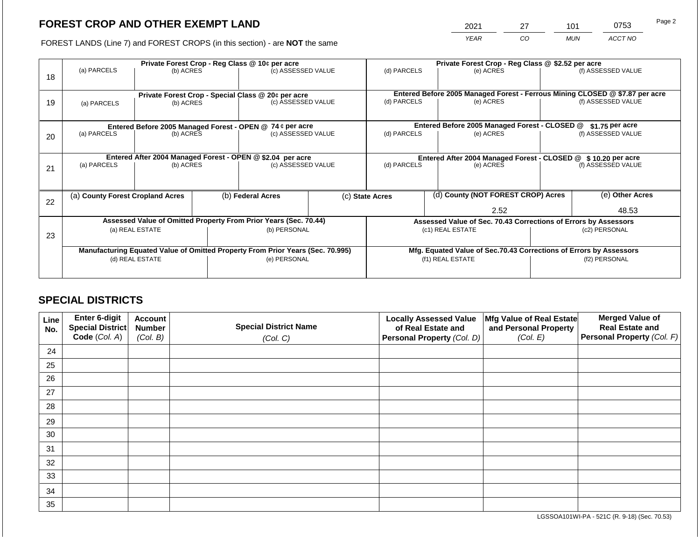2021 27 101 0753

FOREST LANDS (Line 7) and FOREST CROPS (in this section) - are **NOT** the same *YEAR CO MUN ACCT NO*

| 18 | (a) PARCELS                                                                                       | Private Forest Crop - Reg Class @ 10¢ per acre<br>(c) ASSESSED VALUE<br>(b) ACRES             |  |                                      | (d) PARCELS              |                                                                                     | Private Forest Crop - Reg Class @ \$2.52 per acre<br>(e) ACRES                         |           | (f) ASSESSED VALUE                     |                                                                                                    |
|----|---------------------------------------------------------------------------------------------------|-----------------------------------------------------------------------------------------------|--|--------------------------------------|--------------------------|-------------------------------------------------------------------------------------|----------------------------------------------------------------------------------------|-----------|----------------------------------------|----------------------------------------------------------------------------------------------------|
| 19 | (a) PARCELS                                                                                       | Private Forest Crop - Special Class @ 20¢ per acre<br>(b) ACRES                               |  | (c) ASSESSED VALUE                   |                          | (d) PARCELS                                                                         |                                                                                        | (e) ACRES |                                        | Entered Before 2005 Managed Forest - Ferrous Mining CLOSED @ \$7.87 per acre<br>(f) ASSESSED VALUE |
| 20 | (a) PARCELS                                                                                       | Entered Before 2005 Managed Forest - OPEN @ 74 ¢ per acre<br>(b) ACRES                        |  | (c) ASSESSED VALUE                   |                          | Entered Before 2005 Managed Forest - CLOSED @<br>(d) PARCELS<br>(e) ACRES           |                                                                                        |           | $$1.75$ per acre<br>(f) ASSESSED VALUE |                                                                                                    |
| 21 | (a) PARCELS                                                                                       | Entered After 2004 Managed Forest - OPEN @ \$2.04 per acre<br>(c) ASSESSED VALUE<br>(b) ACRES |  |                                      | (d) PARCELS<br>(e) ACRES |                                                                                     | Entered After 2004 Managed Forest - CLOSED @ \$10.20 per acre<br>(f) ASSESSED VALUE    |           |                                        |                                                                                                    |
| 22 | (a) County Forest Cropland Acres                                                                  |                                                                                               |  | (b) Federal Acres<br>(c) State Acres |                          | (d) County (NOT FOREST CROP) Acres<br>2.52                                          |                                                                                        |           | (e) Other Acres<br>48.53               |                                                                                                    |
| 23 | Assessed Value of Omitted Property From Prior Years (Sec. 70.44)<br>(a) REAL ESTATE               |                                                                                               |  | (b) PERSONAL                         |                          | Assessed Value of Sec. 70.43 Corrections of Errors by Assessors<br>(c1) REAL ESTATE |                                                                                        |           | (c2) PERSONAL                          |                                                                                                    |
|    | Manufacturing Equated Value of Omitted Property From Prior Years (Sec. 70.995)<br>(d) REAL ESTATE |                                                                                               |  | (e) PERSONAL                         |                          |                                                                                     | Mfg. Equated Value of Sec.70.43 Corrections of Errors by Assessors<br>(f1) REAL ESTATE |           | (f2) PERSONAL                          |                                                                                                    |

# **SPECIAL DISTRICTS**

| Line<br>No. | <b>Enter 6-digit</b><br>Special District | <b>Account</b><br><b>Number</b> | <b>Special District Name</b> | <b>Locally Assessed Value</b><br>of Real Estate and | Mfg Value of Real Estate<br>and Personal Property | <b>Merged Value of</b><br><b>Real Estate and</b> |
|-------------|------------------------------------------|---------------------------------|------------------------------|-----------------------------------------------------|---------------------------------------------------|--------------------------------------------------|
|             | Code (Col. A)                            | (Col. B)                        | (Col. C)                     | Personal Property (Col. D)                          | (Col. E)                                          | Personal Property (Col. F)                       |
| 24          |                                          |                                 |                              |                                                     |                                                   |                                                  |
| 25          |                                          |                                 |                              |                                                     |                                                   |                                                  |
| 26          |                                          |                                 |                              |                                                     |                                                   |                                                  |
| 27          |                                          |                                 |                              |                                                     |                                                   |                                                  |
| 28          |                                          |                                 |                              |                                                     |                                                   |                                                  |
| 29          |                                          |                                 |                              |                                                     |                                                   |                                                  |
| 30          |                                          |                                 |                              |                                                     |                                                   |                                                  |
| 31          |                                          |                                 |                              |                                                     |                                                   |                                                  |
| 32          |                                          |                                 |                              |                                                     |                                                   |                                                  |
| 33          |                                          |                                 |                              |                                                     |                                                   |                                                  |
| 34          |                                          |                                 |                              |                                                     |                                                   |                                                  |
| 35          |                                          |                                 |                              |                                                     |                                                   |                                                  |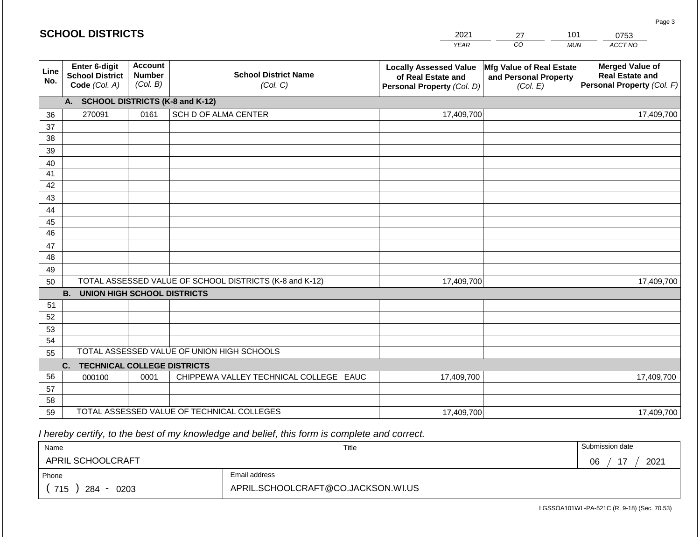#### *YEAR*  2021  $\overline{co}$ 27 *MUN*  101 *ACCT NO*  0753 **SCHOOL DISTRICTS Line No. Enter 6-digit School District Code** *(Col. A)* **Account Number** *(Col. B)* **School District Name** *(Col. C)* **Locally Assessed Value of Real Estate and Personal Property** *(Col. D)* **Mfg Value of Real Estate and Personal Property** *(Col. E)* **Merged Value of Real Estate and Personal Property** *(Col. F)* **A. SCHOOL DISTRICTS (K-8 and K-12)** 36 37 38 39 40 41 42 43 44 45 46 47 48 49 50 TOTAL ASSESSED VALUE OF SCHOOL DISTRICTS (K-8 and K-12) **B. UNION HIGH SCHOOL DISTRICTS** 51 52 53 54 55 **C. TECHNICAL COLLEGE DISTRICTS** 56 57 58 59 TOTAL ASSESSED VALUE OF TECHNICAL COLLEGES TOTAL ASSESSED VALUE OF UNION HIGH SCHOOLS 270091 0161 SCH D OF ALMA CENTER 17,409,700 17,409,700 000100 | 0001 | CHIPPEWA VALLEY TECHNICAL COLLEGE EAUC 17,409,700 17,409,700 17,409,700 17,409,700 17,409,700 17,409,700

 *I hereby certify, to the best of my knowledge and belief, this form is complete and correct.*

| Name               |                                    | Title | Submission date              |
|--------------------|------------------------------------|-------|------------------------------|
| APRIL SCHOOLCRAFT  |                                    |       | $\overline{A}$<br>2021<br>06 |
| Phone              | Email address                      |       |                              |
| 715<br>284<br>0203 | APRIL.SCHOOLCRAFT@CO.JACKSON.WI.US |       |                              |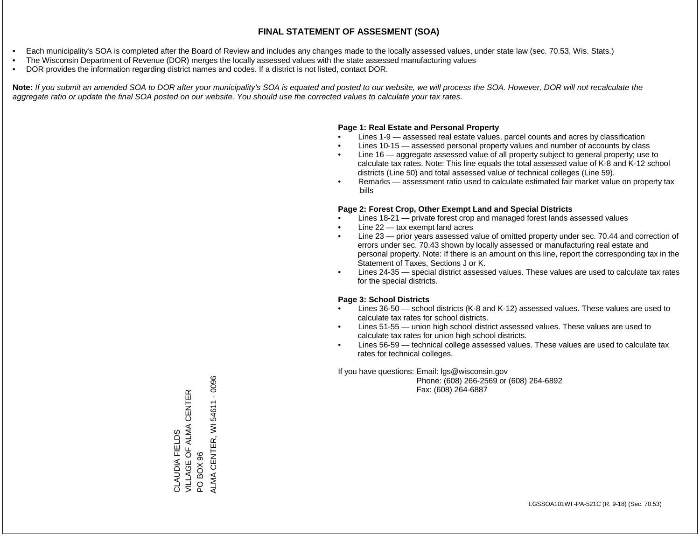- Each municipality's SOA is completed after the Board of Review and includes any changes made to the locally assessed values, under state law (sec. 70.53, Wis. Stats.)
- The Wisconsin Department of Revenue (DOR) merges the locally assessed values with the state assessed manufacturing values
- DOR provides the information regarding district names and codes. If a district is not listed, contact DOR.

Note: If you submit an amended SOA to DOR after your municipality's SOA is equated and posted to our website, we will process the SOA. However, DOR will not recalculate the *aggregate ratio or update the final SOA posted on our website. You should use the corrected values to calculate your tax rates.*

# **Page 1: Real Estate and Personal Property**

- Lines 1-9 assessed real estate values, parcel counts and acres by classification
- Lines 10-15 assessed personal property values and number of accounts by class
- Line 16 aggregate assessed value of all property subject to general property; use to calculate tax rates. Note: This line equals the total assessed value of K-8 and K-12 school districts (Line 50) and total assessed value of technical colleges (Line 59).
- Remarks assessment ratio used to calculate estimated fair market value on property tax bills

# **Page 2: Forest Crop, Other Exempt Land and Special Districts**

- Lines 18-21 private forest crop and managed forest lands assessed values
- Line  $22 -$  tax exempt land acres
- Line 23 prior years assessed value of omitted property under sec. 70.44 and correction of errors under sec. 70.43 shown by locally assessed or manufacturing real estate and personal property. Note: If there is an amount on this line, report the corresponding tax in the Statement of Taxes, Sections J or K.
- Lines 24-35 special district assessed values. These values are used to calculate tax rates for the special districts.

# **Page 3: School Districts**

- Lines 36-50 school districts (K-8 and K-12) assessed values. These values are used to calculate tax rates for school districts.
- Lines 51-55 union high school district assessed values. These values are used to calculate tax rates for union high school districts.
- Lines 56-59 technical college assessed values. These values are used to calculate tax rates for technical colleges.

If you have questions: Email: lgs@wisconsin.gov

 Phone: (608) 266-2569 or (608) 264-6892 Fax: (608) 264-6887

PO BOX 96<br>ALMA CENTER, WI 54611 - 0096 ALMA CENTER, WI 54611 - 0096VILLAGE OF ALMA CENTER CLAUDIA FIELDS<br>VILLAGE OF ALMA CENTER CLAUDIA FIELDS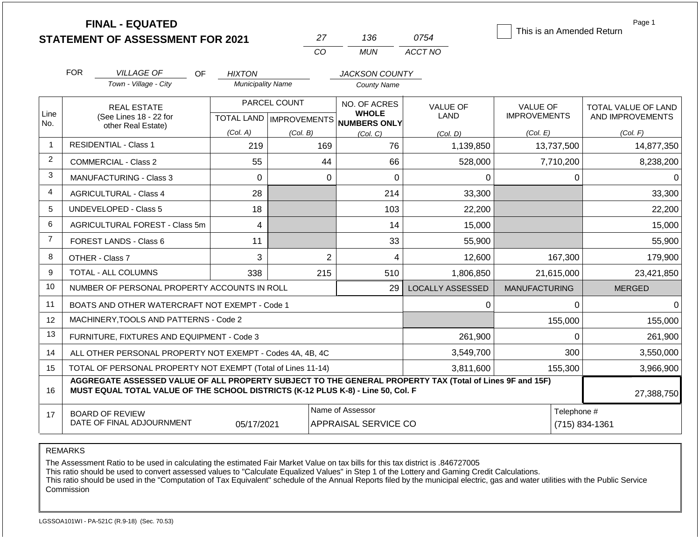|                | <b>FINAL - EQUATED</b><br><b>STATEMENT OF ASSESSMENT FOR 2021</b>                                                                                                                            |                          | 27                                        | 136                                          | 0754                    | This is an Amended Return              | Page 1                                  |
|----------------|----------------------------------------------------------------------------------------------------------------------------------------------------------------------------------------------|--------------------------|-------------------------------------------|----------------------------------------------|-------------------------|----------------------------------------|-----------------------------------------|
|                |                                                                                                                                                                                              |                          | <b>CO</b>                                 | <b>MUN</b>                                   | ACCT NO                 |                                        |                                         |
|                | <b>FOR</b><br><b>VILLAGE OF</b><br><b>OF</b>                                                                                                                                                 | <b>HIXTON</b>            |                                           | <b>JACKSON COUNTY</b>                        |                         |                                        |                                         |
|                | Town - Village - City                                                                                                                                                                        | <b>Municipality Name</b> |                                           | <b>County Name</b>                           |                         |                                        |                                         |
| Line<br>No.    | <b>REAL ESTATE</b><br>(See Lines 18 - 22 for                                                                                                                                                 |                          | PARCEL COUNT<br>TOTAL LAND   IMPROVEMENTS | NO. OF ACRES<br><b>WHOLE</b><br>NUMBERS ONLY | <b>VALUE OF</b><br>LAND | <b>VALUE OF</b><br><b>IMPROVEMENTS</b> | TOTAL VALUE OF LAND<br>AND IMPROVEMENTS |
|                | other Real Estate)                                                                                                                                                                           | (Col. A)                 | (Col. B)                                  | (Col. C)                                     | (Col. D)                | (Col. E)                               | (Col. F)                                |
| $\overline{1}$ | <b>RESIDENTIAL - Class 1</b>                                                                                                                                                                 | 219                      | 169                                       | 76                                           | 1,139,850               | 13,737,500                             | 14,877,350                              |
| 2              | <b>COMMERCIAL - Class 2</b>                                                                                                                                                                  | 55                       | 44                                        | 66                                           | 528,000                 | 7,710,200                              | 8,238,200                               |
| 3              | MANUFACTURING - Class 3                                                                                                                                                                      | $\mathbf 0$              | $\mathbf 0$                               | $\mathbf 0$                                  | 0                       | $\mathbf 0$                            | 0                                       |
| $\overline{4}$ | <b>AGRICULTURAL - Class 4</b>                                                                                                                                                                | 28                       |                                           | 214                                          | 33,300                  |                                        | 33,300                                  |
| 5              | <b>UNDEVELOPED - Class 5</b>                                                                                                                                                                 | 18                       |                                           | 103                                          | 22,200                  |                                        | 22,200                                  |
| 6              | AGRICULTURAL FOREST - Class 5m                                                                                                                                                               | 4                        |                                           | 14                                           | 15,000                  |                                        | 15,000                                  |
| $\overline{7}$ | <b>FOREST LANDS - Class 6</b>                                                                                                                                                                | 11                       |                                           | 33                                           | 55,900                  |                                        | 55,900                                  |
| 8              | OTHER - Class 7                                                                                                                                                                              | 3                        | $\overline{2}$                            | 4                                            | 12,600                  | 167,300                                | 179,900                                 |
| 9              | <b>TOTAL - ALL COLUMNS</b>                                                                                                                                                                   | 338                      | 215                                       | 510                                          | 1,806,850               | 21,615,000                             | 23,421,850                              |
| 10             | NUMBER OF PERSONAL PROPERTY ACCOUNTS IN ROLL                                                                                                                                                 |                          |                                           | 29                                           | <b>LOCALLY ASSESSED</b> | <b>MANUFACTURING</b>                   | <b>MERGED</b>                           |
| 11             | BOATS AND OTHER WATERCRAFT NOT EXEMPT - Code 1                                                                                                                                               |                          |                                           |                                              | $\Omega$                | $\mathbf{0}$                           | 0                                       |
| 12             | MACHINERY, TOOLS AND PATTERNS - Code 2                                                                                                                                                       |                          |                                           |                                              |                         | 155,000                                | 155,000                                 |
| 13             | FURNITURE, FIXTURES AND EQUIPMENT - Code 3                                                                                                                                                   |                          |                                           |                                              | 261,900                 | $\Omega$                               | 261,900                                 |
| 14             | ALL OTHER PERSONAL PROPERTY NOT EXEMPT - Codes 4A, 4B, 4C                                                                                                                                    |                          | 3,549,700                                 | 300                                          | 3,550,000               |                                        |                                         |
| 15             | TOTAL OF PERSONAL PROPERTY NOT EXEMPT (Total of Lines 11-14)                                                                                                                                 |                          | 3,811,600                                 | 155,300                                      | 3,966,900               |                                        |                                         |
| 16             | AGGREGATE ASSESSED VALUE OF ALL PROPERTY SUBJECT TO THE GENERAL PROPERTY TAX (Total of Lines 9F and 15F)<br>MUST EQUAL TOTAL VALUE OF THE SCHOOL DISTRICTS (K-12 PLUS K-8) - Line 50, Col. F |                          |                                           |                                              |                         |                                        | 27,388,750                              |
| 17             | Name of Assessor<br>Telephone #<br><b>BOARD OF REVIEW</b><br>DATE OF FINAL ADJOURNMENT<br>05/17/2021<br><b>APPRAISAL SERVICE CO</b>                                                          |                          |                                           |                                              |                         |                                        | (715) 834-1361                          |

The Assessment Ratio to be used in calculating the estimated Fair Market Value on tax bills for this tax district is .846727005

This ratio should be used to convert assessed values to "Calculate Equalized Values" in Step 1 of the Lottery and Gaming Credit Calculations.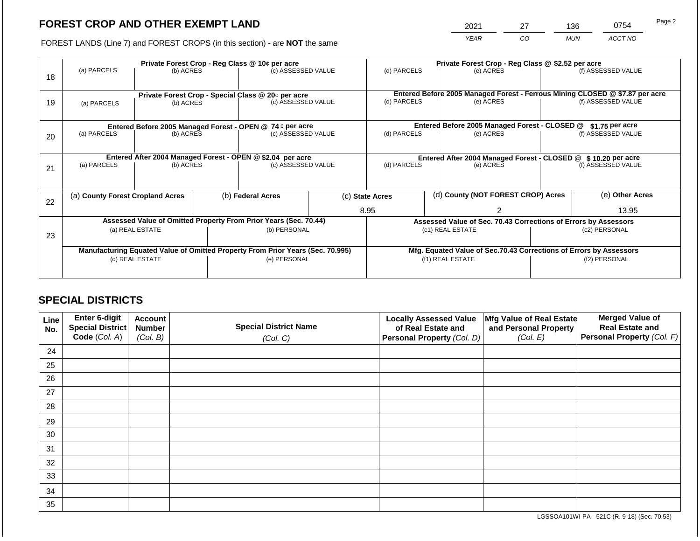2021 27 136 0754

FOREST LANDS (Line 7) and FOREST CROPS (in this section) - are **NOT** the same *YEAR CO MUN ACCT NO*

| 18 | (a) PARCELS                                                                    | Private Forest Crop - Reg Class @ 10¢ per acre<br>(b) ACRES |                                                                          | (c) ASSESSED VALUE                                               |                                               | (d) PARCELS                       |                                                                    | Private Forest Crop - Reg Class @ \$2.52 per acre<br>(e) ACRES  |                                                                                                    | (f) ASSESSED VALUE |
|----|--------------------------------------------------------------------------------|-------------------------------------------------------------|--------------------------------------------------------------------------|------------------------------------------------------------------|-----------------------------------------------|-----------------------------------|--------------------------------------------------------------------|-----------------------------------------------------------------|----------------------------------------------------------------------------------------------------|--------------------|
| 19 | (a) PARCELS                                                                    | (b) ACRES                                                   | Private Forest Crop - Special Class @ 20¢ per acre<br>(c) ASSESSED VALUE |                                                                  |                                               | (d) PARCELS<br>(e) ACRES          |                                                                    |                                                                 | Entered Before 2005 Managed Forest - Ferrous Mining CLOSED @ \$7.87 per acre<br>(f) ASSESSED VALUE |                    |
|    | Entered Before 2005 Managed Forest - OPEN @ 74 ¢ per acre                      |                                                             |                                                                          |                                                                  | Entered Before 2005 Managed Forest - CLOSED @ |                                   | $$1.75$ per acre                                                   |                                                                 |                                                                                                    |                    |
| 20 | (a) PARCELS                                                                    | (b) ACRES                                                   |                                                                          | (c) ASSESSED VALUE                                               |                                               | (d) PARCELS                       |                                                                    | (e) ACRES                                                       | (f) ASSESSED VALUE                                                                                 |                    |
|    | Entered After 2004 Managed Forest - OPEN @ \$2.04 per acre                     |                                                             |                                                                          |                                                                  |                                               |                                   |                                                                    | Entered After 2004 Managed Forest - CLOSED @ \$10.20 per acre   |                                                                                                    |                    |
| 21 | (a) PARCELS                                                                    | (b) ACRES                                                   |                                                                          | (c) ASSESSED VALUE                                               |                                               | (d) PARCELS                       |                                                                    | (e) ACRES                                                       |                                                                                                    | (f) ASSESSED VALUE |
|    |                                                                                |                                                             |                                                                          |                                                                  |                                               |                                   |                                                                    |                                                                 |                                                                                                    |                    |
| 22 | (a) County Forest Cropland Acres                                               |                                                             |                                                                          | (b) Federal Acres                                                |                                               | (c) State Acres                   |                                                                    | (d) County (NOT FOREST CROP) Acres                              |                                                                                                    | (e) Other Acres    |
|    |                                                                                |                                                             |                                                                          |                                                                  |                                               | 8.95                              |                                                                    |                                                                 |                                                                                                    | 13.95              |
|    |                                                                                |                                                             |                                                                          | Assessed Value of Omitted Property From Prior Years (Sec. 70.44) |                                               |                                   |                                                                    | Assessed Value of Sec. 70.43 Corrections of Errors by Assessors |                                                                                                    |                    |
| 23 |                                                                                | (a) REAL ESTATE                                             |                                                                          |                                                                  | (b) PERSONAL                                  | (c1) REAL ESTATE<br>(c2) PERSONAL |                                                                    |                                                                 |                                                                                                    |                    |
|    |                                                                                |                                                             |                                                                          |                                                                  |                                               |                                   |                                                                    |                                                                 |                                                                                                    |                    |
|    | Manufacturing Equated Value of Omitted Property From Prior Years (Sec. 70.995) |                                                             |                                                                          |                                                                  |                                               |                                   | Mfg. Equated Value of Sec.70.43 Corrections of Errors by Assessors |                                                                 |                                                                                                    |                    |
|    | (d) REAL ESTATE                                                                |                                                             |                                                                          | (e) PERSONAL                                                     |                                               |                                   |                                                                    | (f1) REAL ESTATE                                                |                                                                                                    | (f2) PERSONAL      |
|    |                                                                                |                                                             |                                                                          |                                                                  |                                               |                                   |                                                                    |                                                                 |                                                                                                    |                    |

# **SPECIAL DISTRICTS**

| Line<br>No. | Enter 6-digit<br>Special District | <b>Account</b><br><b>Number</b> | <b>Special District Name</b> | <b>Locally Assessed Value</b><br>of Real Estate and | Mfg Value of Real Estate<br>and Personal Property | <b>Merged Value of</b><br><b>Real Estate and</b> |
|-------------|-----------------------------------|---------------------------------|------------------------------|-----------------------------------------------------|---------------------------------------------------|--------------------------------------------------|
|             | Code (Col. A)                     | (Col. B)                        | (Col. C)                     | Personal Property (Col. D)                          | (Col. E)                                          | Personal Property (Col. F)                       |
| 24          |                                   |                                 |                              |                                                     |                                                   |                                                  |
| 25          |                                   |                                 |                              |                                                     |                                                   |                                                  |
| 26          |                                   |                                 |                              |                                                     |                                                   |                                                  |
| 27          |                                   |                                 |                              |                                                     |                                                   |                                                  |
| 28          |                                   |                                 |                              |                                                     |                                                   |                                                  |
| 29          |                                   |                                 |                              |                                                     |                                                   |                                                  |
| 30          |                                   |                                 |                              |                                                     |                                                   |                                                  |
| 31          |                                   |                                 |                              |                                                     |                                                   |                                                  |
| 32          |                                   |                                 |                              |                                                     |                                                   |                                                  |
| 33          |                                   |                                 |                              |                                                     |                                                   |                                                  |
| 34          |                                   |                                 |                              |                                                     |                                                   |                                                  |
| 35          |                                   |                                 |                              |                                                     |                                                   |                                                  |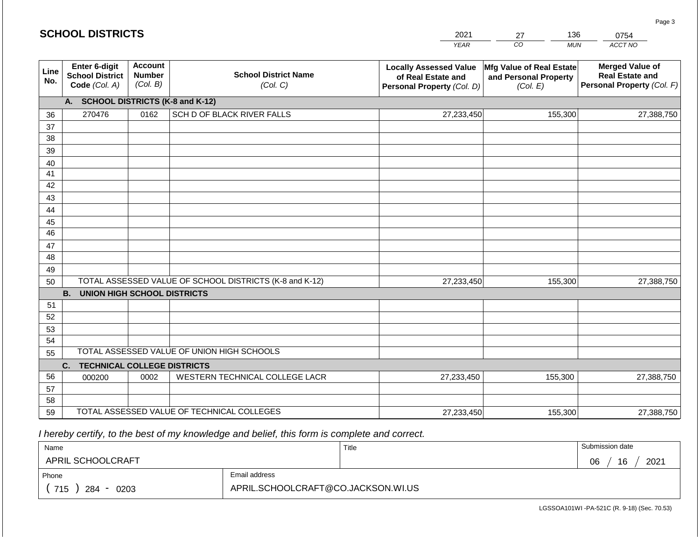#### *YEAR*  2021  $\overline{co}$ 27 *MUN ACCT NO*  0754 **Line No. Enter 6-digit School District Code** *(Col. A)* **Account Number** *(Col. B)* **School District Name** *(Col. C)* **Locally Assessed Value of Real Estate and Personal Property** *(Col. D)* **Mfg Value of Real Estate and Personal Property** *(Col. E)* **Merged Value of Real Estate and Personal Property** *(Col. F)* **A. SCHOOL DISTRICTS (K-8 and K-12)** 36 37 38 39 40 41 42 43 44 45 46 47 48 49 50 TOTAL ASSESSED VALUE OF SCHOOL DISTRICTS (K-8 and K-12) **B. UNION HIGH SCHOOL DISTRICTS** 51 52 53 54 55 **C. TECHNICAL COLLEGE DISTRICTS** 56 57 TOTAL ASSESSED VALUE OF UNION HIGH SCHOOLS 270476 0162 SCH D OF BLACK RIVER FALLS 27,233,450 27,233,450 000200 | 0002 | WESTERN TECHNICAL COLLEGE LACR 155,300 27,388,750 155,300 27,388,750 27,233,450 155,300 27,388,750

 *I hereby certify, to the best of my knowledge and belief, this form is complete and correct.*

59 TOTAL ASSESSED VALUE OF TECHNICAL COLLEGES

| Name               |                                    | Title | Submission date  |
|--------------------|------------------------------------|-------|------------------|
| APRIL SCHOOLCRAFT  |                                    |       | 16<br>2021<br>06 |
| Phone              | Email address                      |       |                  |
| 715<br>284<br>0203 | APRIL.SCHOOLCRAFT@CO.JACKSON.WI.US |       |                  |

27,233,450

155,300 27,388,750

Page 3

58

136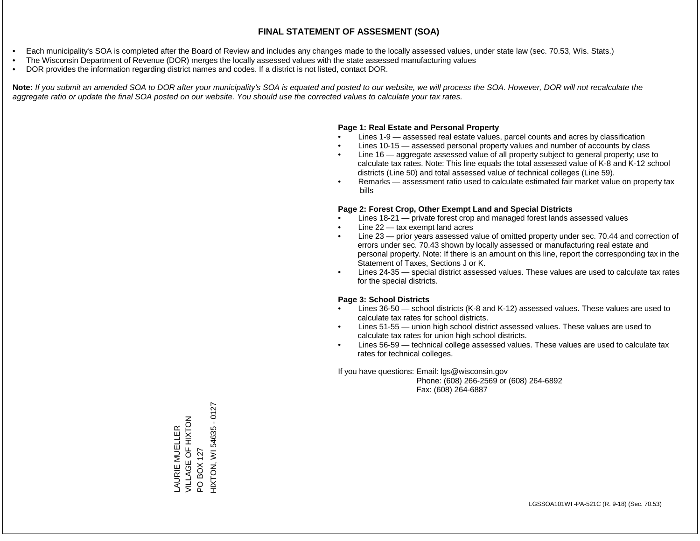- Each municipality's SOA is completed after the Board of Review and includes any changes made to the locally assessed values, under state law (sec. 70.53, Wis. Stats.)
- The Wisconsin Department of Revenue (DOR) merges the locally assessed values with the state assessed manufacturing values
- DOR provides the information regarding district names and codes. If a district is not listed, contact DOR.

Note: If you submit an amended SOA to DOR after your municipality's SOA is equated and posted to our website, we will process the SOA. However, DOR will not recalculate the *aggregate ratio or update the final SOA posted on our website. You should use the corrected values to calculate your tax rates.*

### **Page 1: Real Estate and Personal Property**

- Lines 1-9 assessed real estate values, parcel counts and acres by classification
- Lines 10-15 assessed personal property values and number of accounts by class
- Line 16 aggregate assessed value of all property subject to general property; use to calculate tax rates. Note: This line equals the total assessed value of K-8 and K-12 school districts (Line 50) and total assessed value of technical colleges (Line 59).
- Remarks assessment ratio used to calculate estimated fair market value on property tax bills

### **Page 2: Forest Crop, Other Exempt Land and Special Districts**

- Lines 18-21 private forest crop and managed forest lands assessed values
- Line  $22 -$  tax exempt land acres
- Line 23 prior years assessed value of omitted property under sec. 70.44 and correction of errors under sec. 70.43 shown by locally assessed or manufacturing real estate and personal property. Note: If there is an amount on this line, report the corresponding tax in the Statement of Taxes, Sections J or K.
- Lines 24-35 special district assessed values. These values are used to calculate tax rates for the special districts.

### **Page 3: School Districts**

- Lines 36-50 school districts (K-8 and K-12) assessed values. These values are used to calculate tax rates for school districts.
- Lines 51-55 union high school district assessed values. These values are used to calculate tax rates for union high school districts.
- Lines 56-59 technical college assessed values. These values are used to calculate tax rates for technical colleges.

If you have questions: Email: lgs@wisconsin.gov

 Phone: (608) 266-2569 or (608) 264-6892 Fax: (608) 264-6887

HIXTON, WI 54635 - 0127 HIXTON, WI 54635 - 0127ALLAGE OF HIXTOM<br>NITVGE OF HIXTOM VILLAGE OF HIXT AURIE MUELLER LAURIE MUELLER PO BOX 127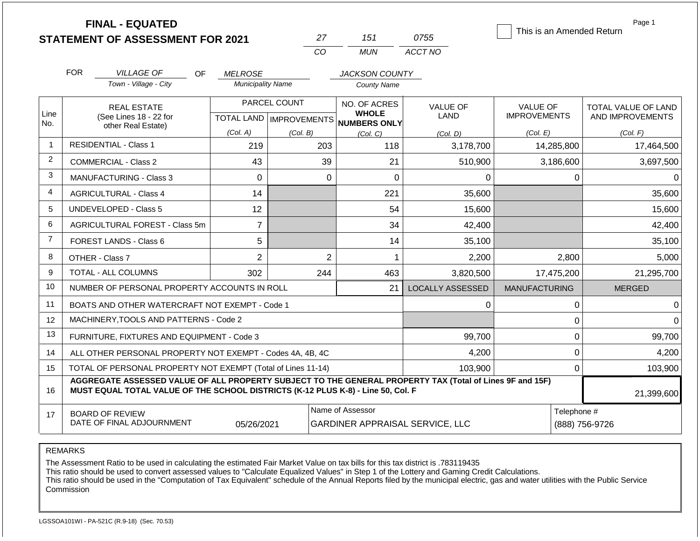|                | <b>FINAL - EQUATED</b><br><b>STATEMENT OF ASSESSMENT FOR 2021</b>                                                                                                                            |                          | 27                        | 151                             | 0755                    | This is an Amended Return | Page 1              |  |
|----------------|----------------------------------------------------------------------------------------------------------------------------------------------------------------------------------------------|--------------------------|---------------------------|---------------------------------|-------------------------|---------------------------|---------------------|--|
|                |                                                                                                                                                                                              |                          | CO                        | <b>MUN</b>                      | ACCT NO                 |                           |                     |  |
|                | <b>FOR</b><br><b>VILLAGE OF</b><br>OF.                                                                                                                                                       | <b>MELROSE</b>           |                           | <b>JACKSON COUNTY</b>           |                         |                           |                     |  |
|                | Town - Village - City                                                                                                                                                                        | <b>Municipality Name</b> |                           | <b>County Name</b>              |                         |                           |                     |  |
|                | <b>REAL ESTATE</b>                                                                                                                                                                           |                          | PARCEL COUNT              | NO. OF ACRES                    | <b>VALUE OF</b>         | <b>VALUE OF</b>           | TOTAL VALUE OF LAND |  |
| Line<br>No.    | (See Lines 18 - 22 for<br>other Real Estate)                                                                                                                                                 |                          | TOTAL LAND   IMPROVEMENTS | <b>WHOLE</b><br>NUMBERS ONLY    | <b>LAND</b>             | <b>IMPROVEMENTS</b>       | AND IMPROVEMENTS    |  |
|                |                                                                                                                                                                                              | (Col. A)                 | (Col. B)                  | (Col, C)                        | (Col, D)                | (Col. E)                  | (Col. F)            |  |
| $\mathbf 1$    | <b>RESIDENTIAL - Class 1</b>                                                                                                                                                                 | 219                      | 203                       | 118                             | 3,178,700               | 14,285,800                | 17,464,500          |  |
| 2              | <b>COMMERCIAL - Class 2</b>                                                                                                                                                                  | 43                       | 39                        | 21                              | 510,900                 | 3,186,600                 | 3,697,500           |  |
| 3              | <b>MANUFACTURING - Class 3</b>                                                                                                                                                               |                          | $\mathbf 0$               | $\overline{0}$                  | 0                       | 0                         | 0                   |  |
| 4              | <b>AGRICULTURAL - Class 4</b>                                                                                                                                                                | 14                       |                           | 221                             | 35,600                  |                           | 35,600              |  |
| 5              | <b>UNDEVELOPED - Class 5</b>                                                                                                                                                                 | 12                       |                           | 54                              | 15,600                  |                           | 15,600              |  |
| 6              | AGRICULTURAL FOREST - Class 5m                                                                                                                                                               | $\overline{7}$           |                           | 34                              | 42,400                  |                           | 42,400              |  |
| $\overline{7}$ | FOREST LANDS - Class 6                                                                                                                                                                       | 5                        |                           | 14                              | 35,100                  |                           | 35,100              |  |
| 8              | OTHER - Class 7                                                                                                                                                                              | $\overline{2}$           | $\overline{2}$            | 1                               | 2,200                   | 2,800                     | 5,000               |  |
| 9              | TOTAL - ALL COLUMNS                                                                                                                                                                          | 302                      | 244                       | 463                             | 3,820,500               | 17,475,200                | 21,295,700          |  |
| 10             | NUMBER OF PERSONAL PROPERTY ACCOUNTS IN ROLL                                                                                                                                                 |                          |                           | 21                              | <b>LOCALLY ASSESSED</b> | <b>MANUFACTURING</b>      | <b>MERGED</b>       |  |
| 11             | BOATS AND OTHER WATERCRAFT NOT EXEMPT - Code 1                                                                                                                                               |                          |                           |                                 | 0                       | 0                         | 0                   |  |
| 12             | MACHINERY, TOOLS AND PATTERNS - Code 2                                                                                                                                                       |                          |                           |                                 |                         | 0                         |                     |  |
| 13             | FURNITURE, FIXTURES AND EQUIPMENT - Code 3                                                                                                                                                   |                          |                           |                                 | 99,700                  | $\mathbf 0$               | 99,700              |  |
| 14             | ALL OTHER PERSONAL PROPERTY NOT EXEMPT - Codes 4A, 4B, 4C                                                                                                                                    |                          |                           |                                 | 4,200                   | 0                         | 4,200               |  |
| 15             | TOTAL OF PERSONAL PROPERTY NOT EXEMPT (Total of Lines 11-14)                                                                                                                                 |                          |                           |                                 | 103,900                 | 0                         | 103,900             |  |
| 16             | AGGREGATE ASSESSED VALUE OF ALL PROPERTY SUBJECT TO THE GENERAL PROPERTY TAX (Total of Lines 9F and 15F)<br>MUST EQUAL TOTAL VALUE OF THE SCHOOL DISTRICTS (K-12 PLUS K-8) - Line 50, Col. F |                          |                           |                                 |                         |                           | 21,399,600          |  |
| 17             | <b>BOARD OF REVIEW</b>                                                                                                                                                                       |                          |                           | Name of Assessor                |                         | Telephone #               |                     |  |
|                | DATE OF FINAL ADJOURNMENT                                                                                                                                                                    | 05/26/2021               |                           | GARDINER APPRAISAL SERVICE, LLC |                         | (888) 756-9726            |                     |  |

The Assessment Ratio to be used in calculating the estimated Fair Market Value on tax bills for this tax district is .783119435

This ratio should be used to convert assessed values to "Calculate Equalized Values" in Step 1 of the Lottery and Gaming Credit Calculations.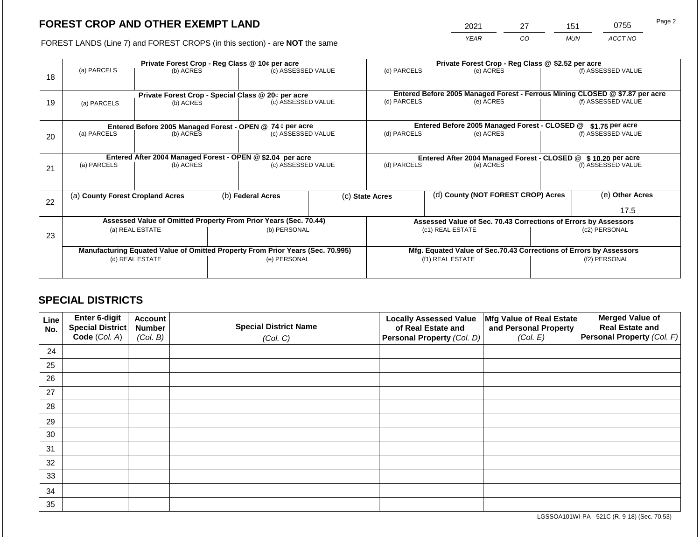2021 27 151 0755

FOREST LANDS (Line 7) and FOREST CROPS (in this section) - are **NOT** the same *YEAR CO MUN ACCT NO*

|    |                                                            | Private Forest Crop - Reg Class @ 10¢ per acre                                 |              |                                                    |                                                               |                                                                    |  | Private Forest Crop - Reg Class @ \$2.52 per acre                            |                    |                    |  |  |
|----|------------------------------------------------------------|--------------------------------------------------------------------------------|--------------|----------------------------------------------------|---------------------------------------------------------------|--------------------------------------------------------------------|--|------------------------------------------------------------------------------|--------------------|--------------------|--|--|
| 18 | (a) PARCELS                                                | (b) ACRES                                                                      |              | (c) ASSESSED VALUE                                 |                                                               | (d) PARCELS                                                        |  | (e) ACRES                                                                    |                    | (f) ASSESSED VALUE |  |  |
|    |                                                            |                                                                                |              |                                                    |                                                               |                                                                    |  |                                                                              |                    |                    |  |  |
|    |                                                            |                                                                                |              | Private Forest Crop - Special Class @ 20¢ per acre |                                                               |                                                                    |  | Entered Before 2005 Managed Forest - Ferrous Mining CLOSED @ \$7.87 per acre |                    |                    |  |  |
| 19 | (a) PARCELS                                                | (b) ACRES                                                                      |              | (c) ASSESSED VALUE                                 |                                                               | (d) PARCELS<br>(e) ACRES                                           |  |                                                                              | (f) ASSESSED VALUE |                    |  |  |
|    |                                                            |                                                                                |              |                                                    |                                                               |                                                                    |  |                                                                              |                    |                    |  |  |
|    |                                                            | Entered Before 2005 Managed Forest - OPEN @ 74 ¢ per acre                      |              |                                                    |                                                               |                                                                    |  | Entered Before 2005 Managed Forest - CLOSED @                                |                    | $$1.75$ per acre   |  |  |
| 20 | (a) PARCELS                                                | (b) ACRES                                                                      |              | (c) ASSESSED VALUE                                 |                                                               | (d) PARCELS                                                        |  | (e) ACRES                                                                    |                    | (f) ASSESSED VALUE |  |  |
|    |                                                            |                                                                                |              |                                                    |                                                               |                                                                    |  |                                                                              |                    |                    |  |  |
|    | Entered After 2004 Managed Forest - OPEN @ \$2.04 per acre |                                                                                |              |                                                    | Entered After 2004 Managed Forest - CLOSED @ \$10.20 per acre |                                                                    |  |                                                                              |                    |                    |  |  |
| 21 | (a) PARCELS                                                | (b) ACRES                                                                      |              | (c) ASSESSED VALUE                                 |                                                               | (d) PARCELS<br>(e) ACRES                                           |  |                                                                              | (f) ASSESSED VALUE |                    |  |  |
|    |                                                            |                                                                                |              |                                                    |                                                               |                                                                    |  |                                                                              |                    |                    |  |  |
|    |                                                            |                                                                                |              |                                                    |                                                               |                                                                    |  |                                                                              |                    |                    |  |  |
| 22 | (a) County Forest Cropland Acres                           |                                                                                |              | (b) Federal Acres                                  |                                                               | (d) County (NOT FOREST CROP) Acres<br>(c) State Acres              |  |                                                                              |                    | (e) Other Acres    |  |  |
|    |                                                            |                                                                                |              |                                                    |                                                               |                                                                    |  |                                                                              |                    | 17.5               |  |  |
|    |                                                            | Assessed Value of Omitted Property From Prior Years (Sec. 70.44)               |              |                                                    |                                                               |                                                                    |  | Assessed Value of Sec. 70.43 Corrections of Errors by Assessors              |                    |                    |  |  |
| 23 |                                                            | (a) REAL ESTATE                                                                |              | (b) PERSONAL                                       |                                                               |                                                                    |  | (c1) REAL ESTATE                                                             | (c2) PERSONAL      |                    |  |  |
|    |                                                            |                                                                                |              |                                                    |                                                               |                                                                    |  |                                                                              |                    |                    |  |  |
|    |                                                            | Manufacturing Equated Value of Omitted Property From Prior Years (Sec. 70.995) |              |                                                    |                                                               | Mfg. Equated Value of Sec.70.43 Corrections of Errors by Assessors |  |                                                                              |                    |                    |  |  |
|    | (d) REAL ESTATE                                            |                                                                                | (e) PERSONAL |                                                    | (f1) REAL ESTATE                                              |                                                                    |  | (f2) PERSONAL                                                                |                    |                    |  |  |
|    |                                                            |                                                                                |              |                                                    |                                                               |                                                                    |  |                                                                              |                    |                    |  |  |
|    |                                                            |                                                                                |              |                                                    |                                                               |                                                                    |  |                                                                              |                    |                    |  |  |

# **SPECIAL DISTRICTS**

| Line<br>No. | <b>Enter 6-digit</b><br>Special District | <b>Account</b><br><b>Number</b> | <b>Special District Name</b> | <b>Locally Assessed Value</b><br>of Real Estate and | Mfg Value of Real Estate<br>and Personal Property | <b>Merged Value of</b><br><b>Real Estate and</b> |
|-------------|------------------------------------------|---------------------------------|------------------------------|-----------------------------------------------------|---------------------------------------------------|--------------------------------------------------|
|             | Code (Col. A)                            | (Col. B)                        | (Col. C)                     | Personal Property (Col. D)                          | (Col. E)                                          | Personal Property (Col. F)                       |
| 24          |                                          |                                 |                              |                                                     |                                                   |                                                  |
| 25          |                                          |                                 |                              |                                                     |                                                   |                                                  |
| 26          |                                          |                                 |                              |                                                     |                                                   |                                                  |
| 27          |                                          |                                 |                              |                                                     |                                                   |                                                  |
| 28          |                                          |                                 |                              |                                                     |                                                   |                                                  |
| 29          |                                          |                                 |                              |                                                     |                                                   |                                                  |
| 30          |                                          |                                 |                              |                                                     |                                                   |                                                  |
| 31          |                                          |                                 |                              |                                                     |                                                   |                                                  |
| 32          |                                          |                                 |                              |                                                     |                                                   |                                                  |
| 33          |                                          |                                 |                              |                                                     |                                                   |                                                  |
| 34          |                                          |                                 |                              |                                                     |                                                   |                                                  |
| 35          |                                          |                                 |                              |                                                     |                                                   |                                                  |

LGSSOA101WI-PA - 521C (R. 9-18) (Sec. 70.53)

Page 2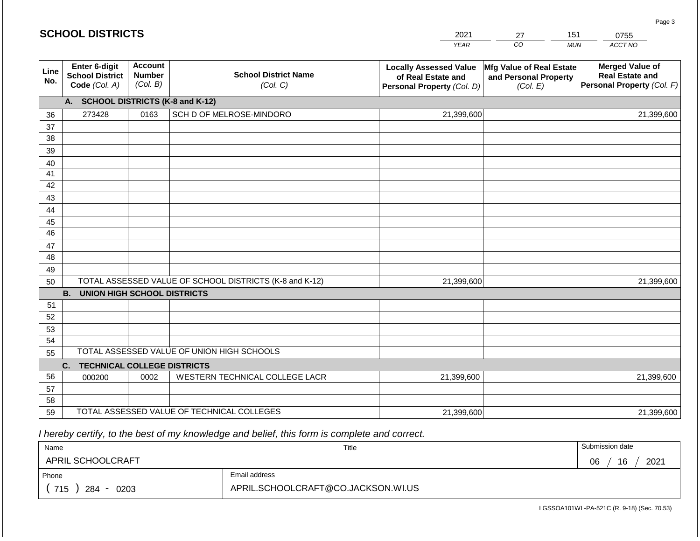### *YEAR*  2021  $\overline{co}$ 27 *MUN ACCT NO*  0755 **Line No. Enter 6-digit School District Code** *(Col. A)* **Account Number** *(Col. B)* **School District Name** *(Col. C)* **Locally Assessed Value of Real Estate and Personal Property** *(Col. D)* **Mfg Value of Real Estate and Personal Property** *(Col. E)* **Merged Value of Real Estate and Personal Property** *(Col. F)* **A. SCHOOL DISTRICTS (K-8 and K-12)** 36 37 38 39 40 41 42 43 44 45 46 47 48 49 50 TOTAL ASSESSED VALUE OF SCHOOL DISTRICTS (K-8 and K-12) **B. UNION HIGH SCHOOL DISTRICTS** 51 52 53 54 55 **C. TECHNICAL COLLEGE DISTRICTS** 56 57 58 TOTAL ASSESSED VALUE OF UNION HIGH SCHOOLS 273428 0163 SCH D OF MELROSE-MINDORO 21,399,600 21,399,600 000200 | 0002 | WESTERN TECHNICAL COLLEGE LACR 21,399,600 21,399,600 21,399,600 21,399,600

 *I hereby certify, to the best of my knowledge and belief, this form is complete and correct.*

59 TOTAL ASSESSED VALUE OF TECHNICAL COLLEGES

| Name               |                                    | Title | Submission date  |
|--------------------|------------------------------------|-------|------------------|
| APRIL SCHOOLCRAFT  |                                    |       | 2021<br>16<br>06 |
| Phone              | Email address                      |       |                  |
| 715<br>284<br>0203 | APRIL.SCHOOLCRAFT@CO.JACKSON.WI.US |       |                  |

21,399,600

LGSSOA101WI -PA-521C (R. 9-18) (Sec. 70.53)

21,399,600

Page 3

151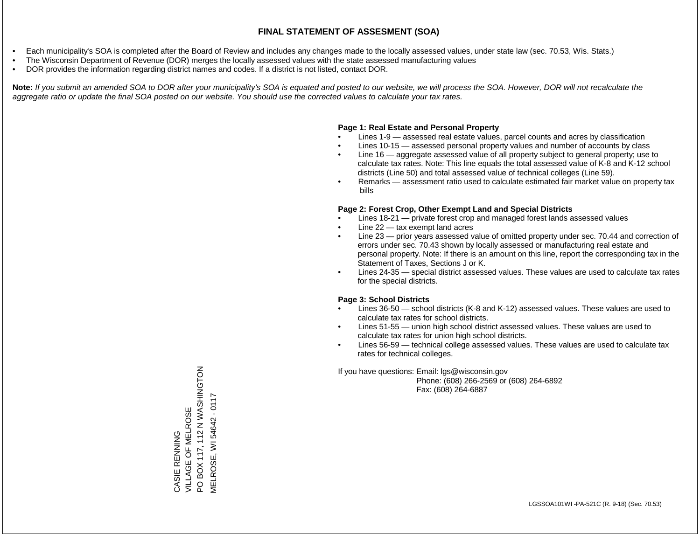- Each municipality's SOA is completed after the Board of Review and includes any changes made to the locally assessed values, under state law (sec. 70.53, Wis. Stats.)
- The Wisconsin Department of Revenue (DOR) merges the locally assessed values with the state assessed manufacturing values
- DOR provides the information regarding district names and codes. If a district is not listed, contact DOR.

Note: If you submit an amended SOA to DOR after your municipality's SOA is equated and posted to our website, we will process the SOA. However, DOR will not recalculate the *aggregate ratio or update the final SOA posted on our website. You should use the corrected values to calculate your tax rates.*

# **Page 1: Real Estate and Personal Property**

- Lines 1-9 assessed real estate values, parcel counts and acres by classification
- Lines 10-15 assessed personal property values and number of accounts by class
- Line 16 aggregate assessed value of all property subject to general property; use to calculate tax rates. Note: This line equals the total assessed value of K-8 and K-12 school districts (Line 50) and total assessed value of technical colleges (Line 59).
- Remarks assessment ratio used to calculate estimated fair market value on property tax bills

# **Page 2: Forest Crop, Other Exempt Land and Special Districts**

- Lines 18-21 private forest crop and managed forest lands assessed values
- Line  $22 -$  tax exempt land acres
- Line 23 prior years assessed value of omitted property under sec. 70.44 and correction of errors under sec. 70.43 shown by locally assessed or manufacturing real estate and personal property. Note: If there is an amount on this line, report the corresponding tax in the Statement of Taxes, Sections J or K.
- Lines 24-35 special district assessed values. These values are used to calculate tax rates for the special districts.

# **Page 3: School Districts**

- Lines 36-50 school districts (K-8 and K-12) assessed values. These values are used to calculate tax rates for school districts.
- Lines 51-55 union high school district assessed values. These values are used to calculate tax rates for union high school districts.
- Lines 56-59 technical college assessed values. These values are used to calculate tax rates for technical colleges.

If you have questions: Email: lgs@wisconsin.gov

 Phone: (608) 266-2569 or (608) 264-6892 Fax: (608) 264-6887

PO BOX 117, 112 N WASHINGTON NOLUNING IN INT (IT XOM OLIOLONIS) **MELROSE, WI 54642 - 0117** MELROSE, WI 54642 - 0117CASIE RENNING<br>VILLAGE OF MELROSE VILLAGE OF MELROSE CASIE RENNING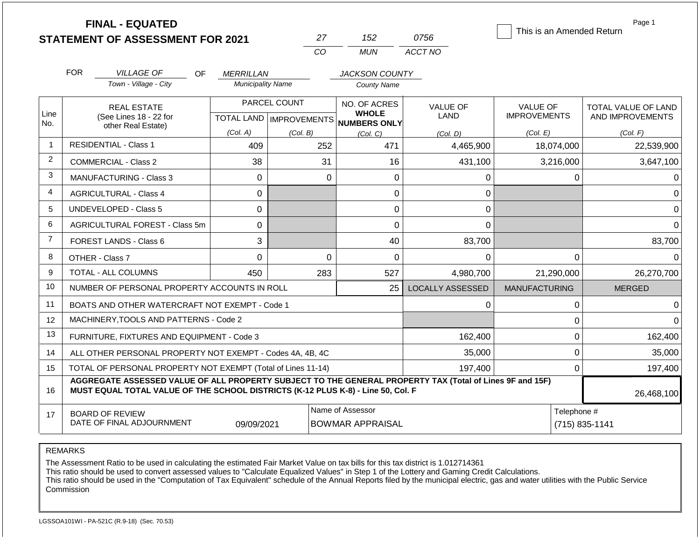|                | <b>FINAL - EQUATED</b>                                                                                                                                                                       |                          |                         |                                                                     |                                | This is an Amended Return              | Page 1                                  |
|----------------|----------------------------------------------------------------------------------------------------------------------------------------------------------------------------------------------|--------------------------|-------------------------|---------------------------------------------------------------------|--------------------------------|----------------------------------------|-----------------------------------------|
|                | <b>STATEMENT OF ASSESSMENT FOR 2021</b>                                                                                                                                                      |                          | 27                      | 152                                                                 | 0756                           |                                        |                                         |
|                |                                                                                                                                                                                              |                          | C <sub>O</sub>          | <b>MUN</b>                                                          | ACCT NO                        |                                        |                                         |
|                | <b>FOR</b><br><b>VILLAGE OF</b><br>OF.                                                                                                                                                       | <i>MERRILLAN</i>         |                         | <b>JACKSON COUNTY</b>                                               |                                |                                        |                                         |
|                | Town - Village - City                                                                                                                                                                        | <b>Municipality Name</b> |                         | <b>County Name</b>                                                  |                                |                                        |                                         |
| Line           | <b>REAL ESTATE</b><br>(See Lines 18 - 22 for                                                                                                                                                 |                          | PARCEL COUNT            | NO. OF ACRES<br><b>WHOLE</b><br>TOTAL LAND MPROVEMENTS NUMBERS ONLY | <b>VALUE OF</b><br><b>LAND</b> | <b>VALUE OF</b><br><b>IMPROVEMENTS</b> | TOTAL VALUE OF LAND<br>AND IMPROVEMENTS |
| No.            | other Real Estate)                                                                                                                                                                           | (Col. A)                 | (Col. B)                | (Col, C)                                                            | (Col, D)                       | (Col. E)                               | (Col. F)                                |
| 1              | <b>RESIDENTIAL - Class 1</b>                                                                                                                                                                 | 409                      | 252                     | 471                                                                 | 4,465,900                      | 18,074,000                             | 22,539,900                              |
| $\overline{2}$ | <b>COMMERCIAL - Class 2</b>                                                                                                                                                                  | 38                       | 31                      | 16                                                                  | 431,100                        | 3,216,000                              | 3,647,100                               |
| 3              | <b>MANUFACTURING - Class 3</b>                                                                                                                                                               | $\mathbf 0$              |                         | $\Omega$<br>0                                                       | 0                              | 0                                      | 0                                       |
| 4              | <b>AGRICULTURAL - Class 4</b><br>0                                                                                                                                                           |                          |                         | 0                                                                   | 0                              |                                        | $\Omega$                                |
| 5              | <b>UNDEVELOPED - Class 5</b>                                                                                                                                                                 | 0                        |                         | 0                                                                   | 0                              |                                        | $\overline{0}$                          |
| 6              | AGRICULTURAL FOREST - Class 5m                                                                                                                                                               | 0                        |                         | 0                                                                   | $\Omega$                       |                                        | $\Omega$                                |
| $\overline{7}$ | FOREST LANDS - Class 6                                                                                                                                                                       | 3                        |                         | 40                                                                  | 83,700                         |                                        | 83,700                                  |
| 8              | OTHER - Class 7                                                                                                                                                                              | $\mathbf 0$              |                         | $\mathbf 0$<br>0                                                    | $\Omega$                       | $\mathbf 0$                            | $\Omega$                                |
| 9              | <b>TOTAL - ALL COLUMNS</b>                                                                                                                                                                   | 450                      | 283                     | 527                                                                 | 4,980,700                      | 21,290,000                             | 26,270,700                              |
| 10             | NUMBER OF PERSONAL PROPERTY ACCOUNTS IN ROLL                                                                                                                                                 |                          |                         | 25                                                                  | <b>LOCALLY ASSESSED</b>        | <b>MANUFACTURING</b>                   | <b>MERGED</b>                           |
| 11             | BOATS AND OTHER WATERCRAFT NOT EXEMPT - Code 1                                                                                                                                               |                          |                         |                                                                     | 0                              | $\pmb{0}$                              | $\Omega$                                |
| 12             | MACHINERY, TOOLS AND PATTERNS - Code 2                                                                                                                                                       |                          |                         |                                                                     |                                | $\mathbf 0$                            | $\Omega$                                |
| 13             | FURNITURE, FIXTURES AND EQUIPMENT - Code 3                                                                                                                                                   |                          |                         |                                                                     | 162,400                        | $\mathbf 0$                            | 162,400                                 |
| 14             | ALL OTHER PERSONAL PROPERTY NOT EXEMPT - Codes 4A, 4B, 4C                                                                                                                                    |                          |                         |                                                                     | 35,000                         | $\mathbf 0$                            | 35,000                                  |
| 15             | TOTAL OF PERSONAL PROPERTY NOT EXEMPT (Total of Lines 11-14)                                                                                                                                 |                          |                         |                                                                     | 197,400                        | $\mathbf 0$                            | 197,400                                 |
| 16             | AGGREGATE ASSESSED VALUE OF ALL PROPERTY SUBJECT TO THE GENERAL PROPERTY TAX (Total of Lines 9F and 15F)<br>MUST EQUAL TOTAL VALUE OF THE SCHOOL DISTRICTS (K-12 PLUS K-8) - Line 50, Col. F |                          |                         |                                                                     |                                |                                        | 26,468,100                              |
| 17             | <b>BOARD OF REVIEW</b><br>DATE OF FINAL ADJOURNMENT                                                                                                                                          | 09/09/2021               | <b>BOWMAR APPRAISAL</b> | Telephone #                                                         | (715) 835-1141                 |                                        |                                         |

The Assessment Ratio to be used in calculating the estimated Fair Market Value on tax bills for this tax district is 1.012714361

This ratio should be used to convert assessed values to "Calculate Equalized Values" in Step 1 of the Lottery and Gaming Credit Calculations.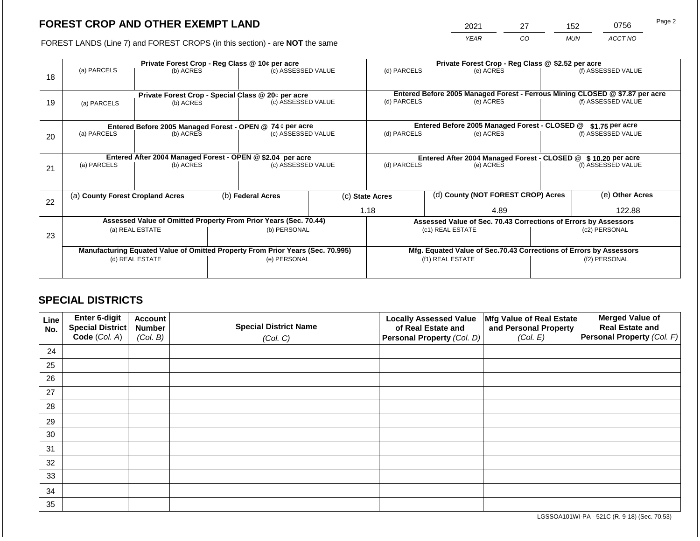2021 27 152 0756

FOREST LANDS (Line 7) and FOREST CROPS (in this section) - are **NOT** the same *YEAR CO MUN ACCT NO*

| 18 | Private Forest Crop - Reg Class @ 10¢ per acre<br>(a) PARCELS<br>(b) ACRES       |                                                                 |                                                                    | (c) ASSESSED VALUE                                                                             |                                               | Private Forest Crop - Reg Class @ \$2.52 per acre<br>(d) PARCELS<br>(e) ACRES |                                    | (f) ASSESSED VALUE                                                                        |                                                                                  |                    |
|----|----------------------------------------------------------------------------------|-----------------------------------------------------------------|--------------------------------------------------------------------|------------------------------------------------------------------------------------------------|-----------------------------------------------|-------------------------------------------------------------------------------|------------------------------------|-------------------------------------------------------------------------------------------|----------------------------------------------------------------------------------|--------------------|
| 19 | (a) PARCELS                                                                      | Private Forest Crop - Special Class @ 20¢ per acre<br>(b) ACRES |                                                                    | (c) ASSESSED VALUE                                                                             |                                               | (d) PARCELS                                                                   |                                    | Entered Before 2005 Managed Forest - Ferrous Mining CLOSED @ \$7.87 per acre<br>(e) ACRES |                                                                                  | (f) ASSESSED VALUE |
|    | Entered Before 2005 Managed Forest - OPEN @ 74 ¢ per acre                        |                                                                 |                                                                    |                                                                                                | Entered Before 2005 Managed Forest - CLOSED @ |                                                                               | $$1.75$ per acre                   |                                                                                           |                                                                                  |                    |
| 20 |                                                                                  | (a) PARCELS<br>(b) ACRES                                        |                                                                    | (c) ASSESSED VALUE                                                                             |                                               | (d) PARCELS<br>(e) ACRES                                                      |                                    |                                                                                           | (f) ASSESSED VALUE                                                               |                    |
|    | Entered After 2004 Managed Forest - OPEN @ \$2.04 per acre<br>(c) ASSESSED VALUE |                                                                 |                                                                    |                                                                                                |                                               |                                                                               |                                    | Entered After 2004 Managed Forest - CLOSED @ \$10.20 per acre                             |                                                                                  |                    |
| 21 | (a) PARCELS<br>(b) ACRES                                                         |                                                                 |                                                                    |                                                                                                |                                               | (d) PARCELS<br>(e) ACRES                                                      |                                    |                                                                                           | (f) ASSESSED VALUE                                                               |                    |
|    |                                                                                  |                                                                 |                                                                    |                                                                                                |                                               |                                                                               |                                    |                                                                                           |                                                                                  |                    |
| 22 | (a) County Forest Cropland Acres                                                 |                                                                 |                                                                    | (b) Federal Acres                                                                              | (c) State Acres                               |                                                                               | (d) County (NOT FOREST CROP) Acres |                                                                                           |                                                                                  | (e) Other Acres    |
|    |                                                                                  |                                                                 |                                                                    |                                                                                                | 1.18<br>4.89                                  |                                                                               |                                    |                                                                                           |                                                                                  | 122.88             |
|    |                                                                                  |                                                                 |                                                                    | Assessed Value of Omitted Property From Prior Years (Sec. 70.44)                               |                                               |                                                                               |                                    |                                                                                           | Assessed Value of Sec. 70.43 Corrections of Errors by Assessors<br>(c2) PERSONAL |                    |
| 23 |                                                                                  | (a) REAL ESTATE                                                 |                                                                    | (b) PERSONAL                                                                                   |                                               |                                                                               |                                    | (c1) REAL ESTATE                                                                          |                                                                                  |                    |
|    |                                                                                  |                                                                 | Mfg. Equated Value of Sec.70.43 Corrections of Errors by Assessors |                                                                                                |                                               |                                                                               |                                    |                                                                                           |                                                                                  |                    |
|    |                                                                                  | (d) REAL ESTATE                                                 |                                                                    | Manufacturing Equated Value of Omitted Property From Prior Years (Sec. 70.995)<br>(e) PERSONAL |                                               | (f1) REAL ESTATE                                                              |                                    |                                                                                           | (f2) PERSONAL                                                                    |                    |
|    |                                                                                  |                                                                 |                                                                    |                                                                                                |                                               |                                                                               |                                    |                                                                                           |                                                                                  |                    |

# **SPECIAL DISTRICTS**

| Line<br>No. | <b>Enter 6-digit</b><br>Special District | <b>Account</b><br><b>Number</b> | <b>Special District Name</b> | <b>Locally Assessed Value</b><br>of Real Estate and | Mfg Value of Real Estate<br>and Personal Property | <b>Merged Value of</b><br><b>Real Estate and</b> |
|-------------|------------------------------------------|---------------------------------|------------------------------|-----------------------------------------------------|---------------------------------------------------|--------------------------------------------------|
|             | Code (Col. A)                            | (Col. B)                        | (Col. C)                     | Personal Property (Col. D)                          | (Col. E)                                          | <b>Personal Property (Col. F)</b>                |
| 24          |                                          |                                 |                              |                                                     |                                                   |                                                  |
| 25          |                                          |                                 |                              |                                                     |                                                   |                                                  |
| 26          |                                          |                                 |                              |                                                     |                                                   |                                                  |
| 27          |                                          |                                 |                              |                                                     |                                                   |                                                  |
| 28          |                                          |                                 |                              |                                                     |                                                   |                                                  |
| 29          |                                          |                                 |                              |                                                     |                                                   |                                                  |
| 30          |                                          |                                 |                              |                                                     |                                                   |                                                  |
| 31          |                                          |                                 |                              |                                                     |                                                   |                                                  |
| 32          |                                          |                                 |                              |                                                     |                                                   |                                                  |
| 33          |                                          |                                 |                              |                                                     |                                                   |                                                  |
| 34          |                                          |                                 |                              |                                                     |                                                   |                                                  |
| 35          |                                          |                                 |                              |                                                     |                                                   |                                                  |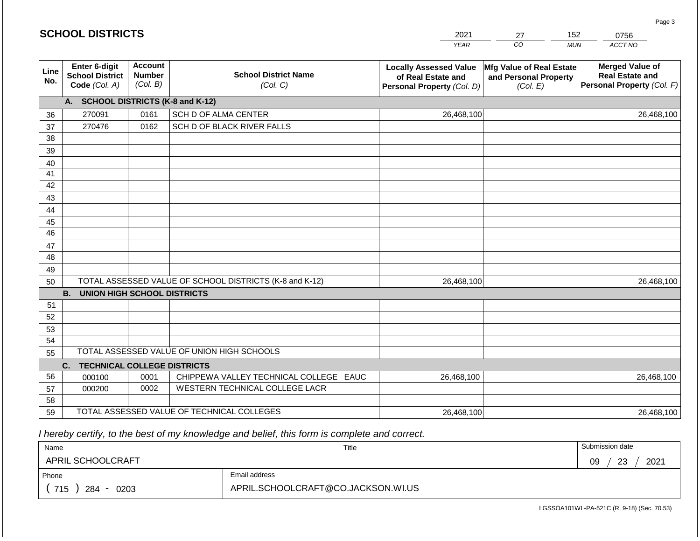|                       | <b>SCHOOL DISTRICTS</b>                                  |                                             |                                                         | 2021                                                                              | 27                                                                   | 152<br>0756                                                                    |
|-----------------------|----------------------------------------------------------|---------------------------------------------|---------------------------------------------------------|-----------------------------------------------------------------------------------|----------------------------------------------------------------------|--------------------------------------------------------------------------------|
|                       |                                                          |                                             |                                                         | <b>YEAR</b>                                                                       | CO                                                                   | ACCT NO<br><b>MUN</b>                                                          |
| Line<br>No.           | Enter 6-digit<br><b>School District</b><br>Code (Col. A) | <b>Account</b><br><b>Number</b><br>(Col. B) | <b>School District Name</b><br>(Col. C)                 | <b>Locally Assessed Value</b><br>of Real Estate and<br>Personal Property (Col. D) | <b>Mfg Value of Real Estate</b><br>and Personal Property<br>(Col. E) | <b>Merged Value of</b><br><b>Real Estate and</b><br>Personal Property (Col. F) |
|                       | <b>A.</b>                                                |                                             | <b>SCHOOL DISTRICTS (K-8 and K-12)</b>                  |                                                                                   |                                                                      |                                                                                |
| 36                    | 270091                                                   | 0161                                        | SCH D OF ALMA CENTER                                    | 26,468,100                                                                        |                                                                      | 26,468,100                                                                     |
| 37                    | 270476                                                   | 0162                                        | SCH D OF BLACK RIVER FALLS                              |                                                                                   |                                                                      |                                                                                |
| 38                    |                                                          |                                             |                                                         |                                                                                   |                                                                      |                                                                                |
| 39                    |                                                          |                                             |                                                         |                                                                                   |                                                                      |                                                                                |
| 40                    |                                                          |                                             |                                                         |                                                                                   |                                                                      |                                                                                |
| 41                    |                                                          |                                             |                                                         |                                                                                   |                                                                      |                                                                                |
| 42                    |                                                          |                                             |                                                         |                                                                                   |                                                                      |                                                                                |
| 43                    |                                                          |                                             |                                                         |                                                                                   |                                                                      |                                                                                |
| 44                    |                                                          |                                             |                                                         |                                                                                   |                                                                      |                                                                                |
| 45<br>$\overline{46}$ |                                                          |                                             |                                                         |                                                                                   |                                                                      |                                                                                |
|                       |                                                          |                                             |                                                         |                                                                                   |                                                                      |                                                                                |
| 47<br>48              |                                                          |                                             |                                                         |                                                                                   |                                                                      |                                                                                |
| 49                    |                                                          |                                             |                                                         |                                                                                   |                                                                      |                                                                                |
| 50                    |                                                          |                                             | TOTAL ASSESSED VALUE OF SCHOOL DISTRICTS (K-8 and K-12) | 26,468,100                                                                        |                                                                      | 26,468,100                                                                     |
|                       | <b>B.</b><br><b>UNION HIGH SCHOOL DISTRICTS</b>          |                                             |                                                         |                                                                                   |                                                                      |                                                                                |
| 51                    |                                                          |                                             |                                                         |                                                                                   |                                                                      |                                                                                |
| 52                    |                                                          |                                             |                                                         |                                                                                   |                                                                      |                                                                                |
| 53                    |                                                          |                                             |                                                         |                                                                                   |                                                                      |                                                                                |
| 54                    |                                                          |                                             |                                                         |                                                                                   |                                                                      |                                                                                |
| 55                    |                                                          |                                             | TOTAL ASSESSED VALUE OF UNION HIGH SCHOOLS              |                                                                                   |                                                                      |                                                                                |
|                       | <b>TECHNICAL COLLEGE DISTRICTS</b><br>C.                 |                                             |                                                         |                                                                                   |                                                                      |                                                                                |
| 56                    | 000100                                                   | 0001                                        | CHIPPEWA VALLEY TECHNICAL COLLEGE EAUC                  | 26,468,100                                                                        |                                                                      | 26,468,100                                                                     |
| 57                    | 000200                                                   | 0002                                        | WESTERN TECHNICAL COLLEGE LACR                          |                                                                                   |                                                                      |                                                                                |
| 58                    |                                                          |                                             |                                                         |                                                                                   |                                                                      |                                                                                |
| 59                    |                                                          |                                             | TOTAL ASSESSED VALUE OF TECHNICAL COLLEGES              | 26,468,100                                                                        |                                                                      | 26,468,100                                                                     |

 *I hereby certify, to the best of my knowledge and belief, this form is complete and correct.*

| Name               |                                    | Title | Submission date  |
|--------------------|------------------------------------|-------|------------------|
| APRIL SCHOOLCRAFT  |                                    |       | 2021<br>23<br>09 |
| Phone              | Email address                      |       |                  |
| 715<br>284<br>0203 | APRIL.SCHOOLCRAFT@CO.JACKSON.WI.US |       |                  |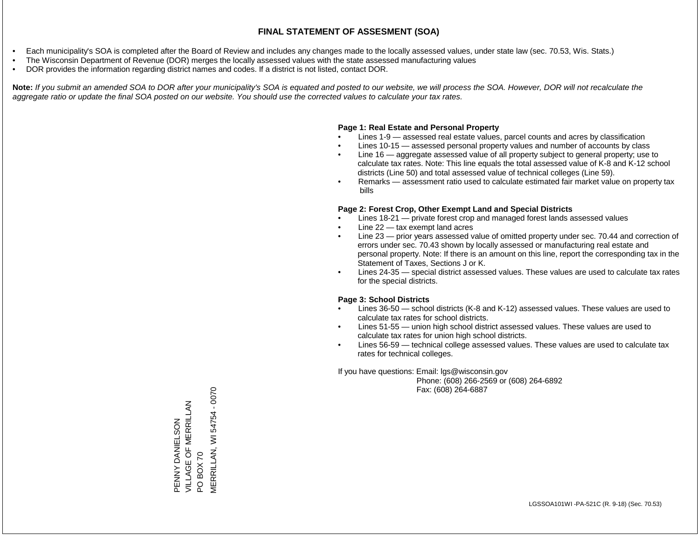- Each municipality's SOA is completed after the Board of Review and includes any changes made to the locally assessed values, under state law (sec. 70.53, Wis. Stats.)
- The Wisconsin Department of Revenue (DOR) merges the locally assessed values with the state assessed manufacturing values
- DOR provides the information regarding district names and codes. If a district is not listed, contact DOR.

Note: If you submit an amended SOA to DOR after your municipality's SOA is equated and posted to our website, we will process the SOA. However, DOR will not recalculate the *aggregate ratio or update the final SOA posted on our website. You should use the corrected values to calculate your tax rates.*

# **Page 1: Real Estate and Personal Property**

- Lines 1-9 assessed real estate values, parcel counts and acres by classification
- Lines 10-15 assessed personal property values and number of accounts by class
- Line 16 aggregate assessed value of all property subject to general property; use to calculate tax rates. Note: This line equals the total assessed value of K-8 and K-12 school districts (Line 50) and total assessed value of technical colleges (Line 59).
- Remarks assessment ratio used to calculate estimated fair market value on property tax bills

# **Page 2: Forest Crop, Other Exempt Land and Special Districts**

- Lines 18-21 private forest crop and managed forest lands assessed values
- Line  $22 -$  tax exempt land acres
- Line 23 prior years assessed value of omitted property under sec. 70.44 and correction of errors under sec. 70.43 shown by locally assessed or manufacturing real estate and personal property. Note: If there is an amount on this line, report the corresponding tax in the Statement of Taxes, Sections J or K.
- Lines 24-35 special district assessed values. These values are used to calculate tax rates for the special districts.

# **Page 3: School Districts**

- Lines 36-50 school districts (K-8 and K-12) assessed values. These values are used to calculate tax rates for school districts.
- Lines 51-55 union high school district assessed values. These values are used to calculate tax rates for union high school districts.
- Lines 56-59 technical college assessed values. These values are used to calculate tax rates for technical colleges.

If you have questions: Email: lgs@wisconsin.gov

 Phone: (608) 266-2569 or (608) 264-6892 Fax: (608) 264-6887

PO BOX 70<br>VERRILLAN, WI 54754 - 0070 MERRILLAN, WI 54754 - 0070PENNY DANIELSON<br>VILLAGE OF MERRILLAN VILLAGE OF MERRILLAN PENNY DANIELSON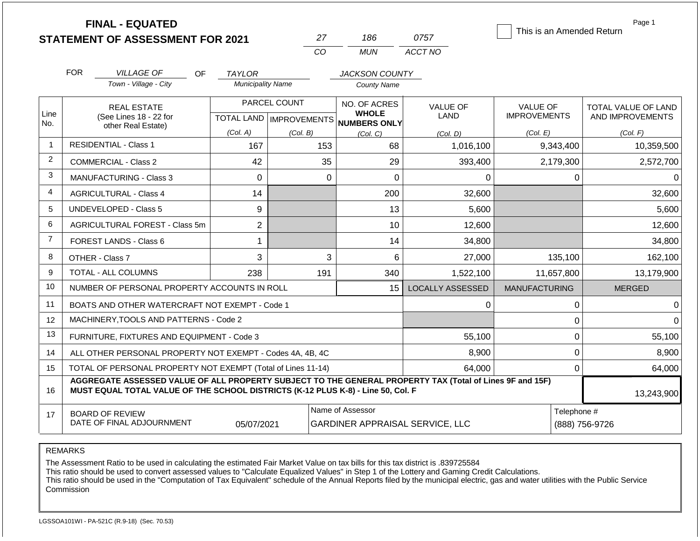|                | <b>FINAL - EQUATED</b><br><b>STATEMENT OF ASSESSMENT FOR 2021</b>                                                                                                                                          |                          | 27                                        | 186                                                        | 0757                    | This is an Amended Return              | Page 1                                  |  |  |
|----------------|------------------------------------------------------------------------------------------------------------------------------------------------------------------------------------------------------------|--------------------------|-------------------------------------------|------------------------------------------------------------|-------------------------|----------------------------------------|-----------------------------------------|--|--|
|                |                                                                                                                                                                                                            |                          | <b>CO</b>                                 | <b>MUN</b>                                                 | ACCT NO                 |                                        |                                         |  |  |
|                | <b>FOR</b><br><b>VILLAGE OF</b><br>OF.                                                                                                                                                                     | <b>TAYLOR</b>            |                                           | <b>JACKSON COUNTY</b>                                      |                         |                                        |                                         |  |  |
|                | Town - Village - City                                                                                                                                                                                      | <b>Municipality Name</b> |                                           | <b>County Name</b>                                         |                         |                                        |                                         |  |  |
| Line<br>No.    | <b>REAL ESTATE</b><br>(See Lines 18 - 22 for                                                                                                                                                               |                          | PARCEL COUNT<br>TOTAL LAND   IMPROVEMENTS | NO. OF ACRES<br><b>WHOLE</b><br>NUMBERS ONLY               | VALUE OF<br>LAND        | <b>VALUE OF</b><br><b>IMPROVEMENTS</b> | TOTAL VALUE OF LAND<br>AND IMPROVEMENTS |  |  |
|                | other Real Estate)                                                                                                                                                                                         | (Col. A)                 | (Col. B)                                  | (Col, C)                                                   | (Col. D)                | (Col. E)                               | (Col. F)                                |  |  |
| $\mathbf{1}$   | <b>RESIDENTIAL - Class 1</b>                                                                                                                                                                               | 167                      | 153                                       | 68                                                         | 1,016,100               | 9,343,400                              | 10,359,500                              |  |  |
| $\overline{2}$ | <b>COMMERCIAL - Class 2</b>                                                                                                                                                                                | 42                       |                                           | 35<br>29                                                   | 393,400                 | 2,179,300                              | 2,572,700                               |  |  |
| 3              | <b>MANUFACTURING - Class 3</b>                                                                                                                                                                             | $\Omega$                 |                                           | $\overline{0}$<br>$\mathbf 0$                              | 0                       | $\mathbf 0$                            | $\Omega$                                |  |  |
| 4              | <b>AGRICULTURAL - Class 4</b><br>14                                                                                                                                                                        |                          |                                           | 200                                                        | 32,600                  |                                        | 32,600                                  |  |  |
| 5              | <b>UNDEVELOPED - Class 5</b>                                                                                                                                                                               | 9                        |                                           | 13                                                         | 5,600                   |                                        | 5,600                                   |  |  |
| 6              | <b>AGRICULTURAL FOREST - Class 5m</b>                                                                                                                                                                      | $\overline{c}$           |                                           | 10                                                         | 12,600                  |                                        | 12,600                                  |  |  |
| $\overline{7}$ | <b>FOREST LANDS - Class 6</b>                                                                                                                                                                              | 1                        |                                           | 14                                                         | 34,800                  |                                        | 34,800                                  |  |  |
| 8              | OTHER - Class 7                                                                                                                                                                                            | 3                        |                                           | 3<br>6                                                     | 27,000                  | 135,100                                | 162,100                                 |  |  |
| 9              | <b>TOTAL - ALL COLUMNS</b>                                                                                                                                                                                 | 238                      | 191                                       | 340                                                        | 1,522,100               | 11,657,800                             | 13,179,900                              |  |  |
| 10             | NUMBER OF PERSONAL PROPERTY ACCOUNTS IN ROLL                                                                                                                                                               |                          |                                           | 15                                                         | <b>LOCALLY ASSESSED</b> | <b>MANUFACTURING</b>                   | <b>MERGED</b>                           |  |  |
| 11             | BOATS AND OTHER WATERCRAFT NOT EXEMPT - Code 1                                                                                                                                                             |                          |                                           |                                                            | 0                       | $\mathbf 0$                            | $\Omega$                                |  |  |
| 12             | MACHINERY, TOOLS AND PATTERNS - Code 2                                                                                                                                                                     |                          |                                           |                                                            |                         | $\mathbf 0$                            | $\Omega$                                |  |  |
| 13             | FURNITURE, FIXTURES AND EQUIPMENT - Code 3                                                                                                                                                                 |                          |                                           |                                                            | 55,100                  | $\pmb{0}$                              | 55,100                                  |  |  |
| 14             | ALL OTHER PERSONAL PROPERTY NOT EXEMPT - Codes 4A, 4B, 4C                                                                                                                                                  |                          |                                           |                                                            | 8,900                   | $\mathbf 0$                            | 8,900                                   |  |  |
| 15             | TOTAL OF PERSONAL PROPERTY NOT EXEMPT (Total of Lines 11-14)                                                                                                                                               |                          |                                           |                                                            | 64,000                  | $\mathbf 0$                            | 64,000                                  |  |  |
| 16             | AGGREGATE ASSESSED VALUE OF ALL PROPERTY SUBJECT TO THE GENERAL PROPERTY TAX (Total of Lines 9F and 15F)<br>MUST EQUAL TOTAL VALUE OF THE SCHOOL DISTRICTS (K-12 PLUS K-8) - Line 50, Col. F<br>13,243,900 |                          |                                           |                                                            |                         |                                        |                                         |  |  |
| 17             | <b>BOARD OF REVIEW</b><br>DATE OF FINAL ADJOURNMENT                                                                                                                                                        | 05/07/2021               |                                           | Name of Assessor<br><b>GARDINER APPRAISAL SERVICE, LLC</b> |                         | Telephone #<br>(888) 756-9726          |                                         |  |  |

The Assessment Ratio to be used in calculating the estimated Fair Market Value on tax bills for this tax district is .839725584

This ratio should be used to convert assessed values to "Calculate Equalized Values" in Step 1 of the Lottery and Gaming Credit Calculations.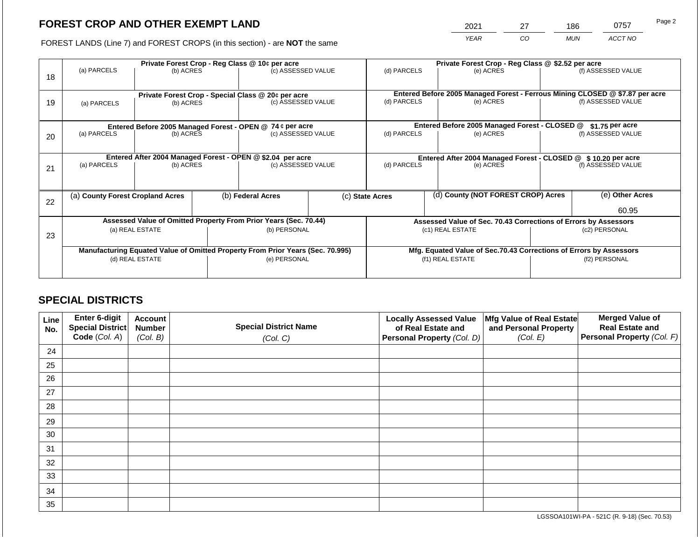2021 27 186 0757

FOREST LANDS (Line 7) and FOREST CROPS (in this section) - are **NOT** the same *YEAR CO MUN ACCT NO*

|    |                                                            | Private Forest Crop - Reg Class @ 10¢ per acre                                 |                    |                                                    |             |                          |           | Private Forest Crop - Reg Class @ \$2.52 per acre                  |                                                                              |                    |  |  |
|----|------------------------------------------------------------|--------------------------------------------------------------------------------|--------------------|----------------------------------------------------|-------------|--------------------------|-----------|--------------------------------------------------------------------|------------------------------------------------------------------------------|--------------------|--|--|
| 18 | (a) PARCELS                                                | (b) ACRES                                                                      |                    | (c) ASSESSED VALUE                                 |             | (d) PARCELS              |           | (e) ACRES                                                          |                                                                              | (f) ASSESSED VALUE |  |  |
|    |                                                            |                                                                                |                    |                                                    |             |                          |           |                                                                    |                                                                              |                    |  |  |
|    |                                                            |                                                                                |                    | Private Forest Crop - Special Class @ 20¢ per acre |             |                          |           |                                                                    | Entered Before 2005 Managed Forest - Ferrous Mining CLOSED @ \$7.87 per acre |                    |  |  |
| 19 | (b) ACRES<br>(a) PARCELS                                   |                                                                                | (c) ASSESSED VALUE |                                                    | (d) PARCELS |                          | (e) ACRES |                                                                    | (f) ASSESSED VALUE                                                           |                    |  |  |
|    |                                                            |                                                                                |                    |                                                    |             |                          |           |                                                                    |                                                                              |                    |  |  |
|    |                                                            | Entered Before 2005 Managed Forest - OPEN @ 74 ¢ per acre                      |                    |                                                    |             |                          |           | Entered Before 2005 Managed Forest - CLOSED @                      |                                                                              | $$1.75$ per acre   |  |  |
| 20 | (a) PARCELS<br>(b) ACRES                                   |                                                                                |                    | (c) ASSESSED VALUE                                 |             | (d) PARCELS              |           | (e) ACRES                                                          |                                                                              | (f) ASSESSED VALUE |  |  |
|    |                                                            |                                                                                |                    |                                                    |             |                          |           |                                                                    |                                                                              |                    |  |  |
|    | Entered After 2004 Managed Forest - OPEN @ \$2.04 per acre |                                                                                |                    |                                                    |             |                          |           | Entered After 2004 Managed Forest - CLOSED @ \$10.20 per acre      |                                                                              |                    |  |  |
| 21 | (a) PARCELS                                                | (b) ACRES                                                                      |                    | (c) ASSESSED VALUE                                 |             | (d) PARCELS<br>(e) ACRES |           |                                                                    | (f) ASSESSED VALUE                                                           |                    |  |  |
|    |                                                            |                                                                                |                    |                                                    |             |                          |           |                                                                    |                                                                              |                    |  |  |
|    | (a) County Forest Cropland Acres                           |                                                                                |                    | (b) Federal Acres                                  |             | (c) State Acres          |           | (d) County (NOT FOREST CROP) Acres                                 |                                                                              | (e) Other Acres    |  |  |
| 22 |                                                            |                                                                                |                    |                                                    |             |                          |           |                                                                    |                                                                              |                    |  |  |
|    |                                                            |                                                                                |                    |                                                    |             |                          |           |                                                                    |                                                                              | 60.95              |  |  |
|    |                                                            | Assessed Value of Omitted Property From Prior Years (Sec. 70.44)               |                    |                                                    |             |                          |           |                                                                    | Assessed Value of Sec. 70.43 Corrections of Errors by Assessors              |                    |  |  |
| 23 |                                                            | (a) REAL ESTATE                                                                |                    | (b) PERSONAL                                       |             |                          |           | (c1) REAL ESTATE                                                   | (c2) PERSONAL                                                                |                    |  |  |
|    |                                                            |                                                                                |                    |                                                    |             |                          |           |                                                                    |                                                                              |                    |  |  |
|    |                                                            | Manufacturing Equated Value of Omitted Property From Prior Years (Sec. 70.995) |                    |                                                    |             |                          |           | Mfg. Equated Value of Sec.70.43 Corrections of Errors by Assessors |                                                                              |                    |  |  |
|    |                                                            | (d) REAL ESTATE                                                                |                    | (e) PERSONAL                                       |             |                          |           | (f1) REAL ESTATE                                                   | (f2) PERSONAL                                                                |                    |  |  |
|    |                                                            |                                                                                |                    |                                                    |             |                          |           |                                                                    |                                                                              |                    |  |  |

# **SPECIAL DISTRICTS**

| Line<br>No. | <b>Enter 6-digit</b><br>Special District | <b>Account</b><br><b>Number</b> | <b>Special District Name</b> | <b>Locally Assessed Value</b><br>of Real Estate and | Mfg Value of Real Estate<br>and Personal Property | <b>Merged Value of</b><br><b>Real Estate and</b> |
|-------------|------------------------------------------|---------------------------------|------------------------------|-----------------------------------------------------|---------------------------------------------------|--------------------------------------------------|
|             | Code (Col. A)                            | (Col. B)                        | (Col. C)                     | Personal Property (Col. D)                          | (Col. E)                                          | Personal Property (Col. F)                       |
| 24          |                                          |                                 |                              |                                                     |                                                   |                                                  |
| 25          |                                          |                                 |                              |                                                     |                                                   |                                                  |
| 26          |                                          |                                 |                              |                                                     |                                                   |                                                  |
| 27          |                                          |                                 |                              |                                                     |                                                   |                                                  |
| 28          |                                          |                                 |                              |                                                     |                                                   |                                                  |
| 29          |                                          |                                 |                              |                                                     |                                                   |                                                  |
| 30          |                                          |                                 |                              |                                                     |                                                   |                                                  |
| 31          |                                          |                                 |                              |                                                     |                                                   |                                                  |
| 32          |                                          |                                 |                              |                                                     |                                                   |                                                  |
| 33          |                                          |                                 |                              |                                                     |                                                   |                                                  |
| 34          |                                          |                                 |                              |                                                     |                                                   |                                                  |
| 35          |                                          |                                 |                              |                                                     |                                                   |                                                  |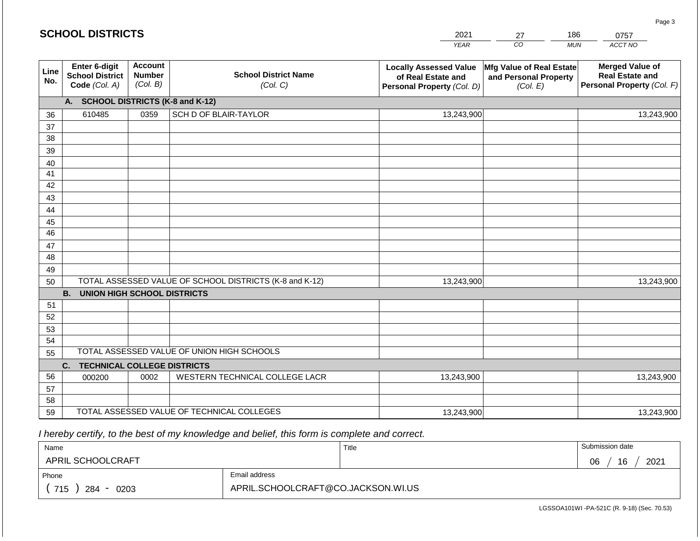### *YEAR*  2021 *CO*   $\overline{M}$ *ACCT NO*  0757 **Line No. Enter 6-digit School District Code** *(Col. A)* **Account Number** *(Col. B)* **School District Name** *(Col. C)* **Locally Assessed Value of Real Estate and Personal Property** *(Col. D)* **Mfg Value of Real Estate and Personal Property** *(Col. E)* **Merged Value of Real Estate and Personal Property** *(Col. F)* **A. SCHOOL DISTRICTS (K-8 and K-12)** 36 37 38 39 40 41 42 43 44 45 46 47 48 49 50 TOTAL ASSESSED VALUE OF SCHOOL DISTRICTS (K-8 and K-12) **B. UNION HIGH SCHOOL DISTRICTS** 51 52 53 54 55 **C. TECHNICAL COLLEGE DISTRICTS** 56 57 58 59 TOTAL ASSESSED VALUE OF TECHNICAL COLLEGES TOTAL ASSESSED VALUE OF UNION HIGH SCHOOLS 610485 0359 SCH D OF BLAIR-TAYLOR 13,243,900 13,243,900 000200 | 0002 | WESTERN TECHNICAL COLLEGE LACR 13,243,900 13,243,900 13,243,900 13,243,900 13,243,900 13,243,900

 *I hereby certify, to the best of my knowledge and belief, this form is complete and correct.*

| Name               |                                    | Title | Submission date  |
|--------------------|------------------------------------|-------|------------------|
| APRIL SCHOOLCRAFT  |                                    |       | 16<br>2021<br>06 |
| Phone              | Email address                      |       |                  |
| 715<br>284<br>0203 | APRIL.SCHOOLCRAFT@CO.JACKSON.WI.US |       |                  |

Page 3

|  | <b>SCHOOL DISTRICTS</b> |
|--|-------------------------|
|--|-------------------------|

| 1 |    |    |
|---|----|----|
| י | ۰. | ∿7 |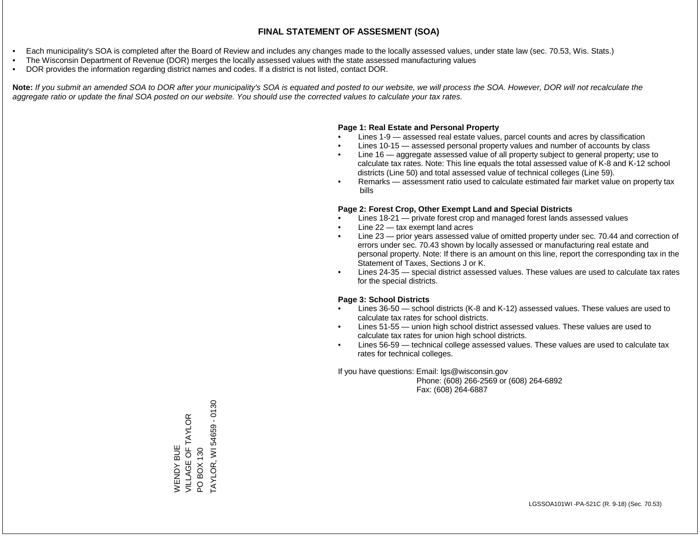- Each municipality's SOA is completed after the Board of Review and includes any changes made to the locally assessed values, under state law (sec. 70.53, Wis. Stats.)
- The Wisconsin Department of Revenue (DOR) merges the locally assessed values with the state assessed manufacturing values
- DOR provides the information regarding district names and codes. If a district is not listed, contact DOR.

Note: If you submit an amended SOA to DOR after your municipality's SOA is equated and posted to our website, we will process the SOA. However, DOR will not recalculate the *aggregate ratio or update the final SOA posted on our website. You should use the corrected values to calculate your tax rates.*

# **Page 1: Real Estate and Personal Property**

- Lines 1-9 assessed real estate values, parcel counts and acres by classification
- Lines 10-15 assessed personal property values and number of accounts by class
- Line 16 aggregate assessed value of all property subject to general property; use to calculate tax rates. Note: This line equals the total assessed value of K-8 and K-12 school districts (Line 50) and total assessed value of technical colleges (Line 59).
- Remarks assessment ratio used to calculate estimated fair market value on property tax bills

# **Page 2: Forest Crop, Other Exempt Land and Special Districts**

- Lines 18-21 private forest crop and managed forest lands assessed values
- Line  $22 -$  tax exempt land acres
- Line 23 prior years assessed value of omitted property under sec. 70.44 and correction of errors under sec. 70.43 shown by locally assessed or manufacturing real estate and personal property. Note: If there is an amount on this line, report the corresponding tax in the Statement of Taxes, Sections J or K.
- Lines 24-35 special district assessed values. These values are used to calculate tax rates for the special districts.

# **Page 3: School Districts**

- Lines 36-50 school districts (K-8 and K-12) assessed values. These values are used to calculate tax rates for school districts.
- Lines 51-55 union high school district assessed values. These values are used to calculate tax rates for union high school districts.
- Lines 56-59 technical college assessed values. These values are used to calculate tax rates for technical colleges.

If you have questions: Email: lgs@wisconsin.gov

 Phone: (608) 266-2569 or (608) 264-6892 Fax: (608) 264-6887

TAYLOR, WI 54659 - 0130 TAYLOR, WI 54659 - 0130VILLAGE OF TAYLOR WENDY BUE<br>VILLAGE OF TAYLOR PO BOX 130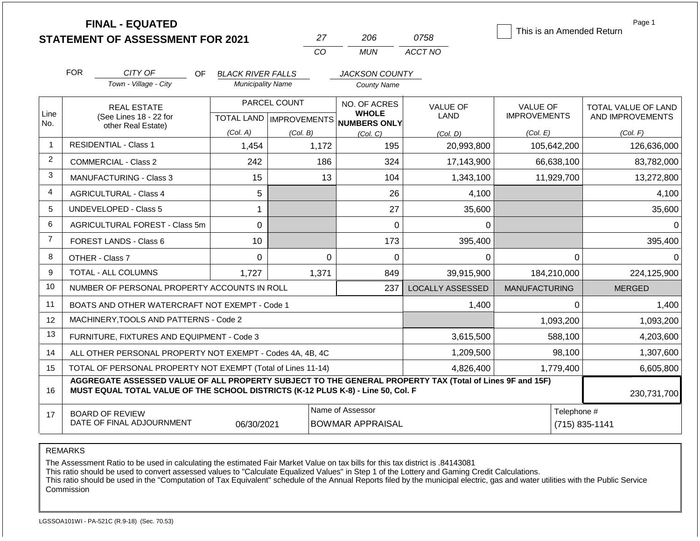|                |                                                                                                                                                                                              | <b>FINAL - EQUATED</b><br><b>STATEMENT OF ASSESSMENT FOR 2021</b> |                          |              | 27                                          | 206                                                 | 0758                    | This is an Amended Return | Page 1                        |
|----------------|----------------------------------------------------------------------------------------------------------------------------------------------------------------------------------------------|-------------------------------------------------------------------|--------------------------|--------------|---------------------------------------------|-----------------------------------------------------|-------------------------|---------------------------|-------------------------------|
|                |                                                                                                                                                                                              |                                                                   |                          |              | CO                                          | <b>MUN</b>                                          | ACCT NO                 |                           |                               |
|                | <b>FOR</b>                                                                                                                                                                                   | CITY OF<br>OF.                                                    | <b>BLACK RIVER FALLS</b> |              |                                             | JACKSON COUNTY                                      |                         |                           |                               |
|                |                                                                                                                                                                                              | Town - Village - City                                             | <b>Municipality Name</b> |              |                                             | <b>County Name</b>                                  |                         |                           |                               |
|                |                                                                                                                                                                                              | <b>REAL ESTATE</b>                                                |                          | PARCEL COUNT |                                             | NO. OF ACRES                                        | <b>VALUE OF</b>         | <b>VALUE OF</b>           | TOTAL VALUE OF LAND           |
| Line<br>No.    |                                                                                                                                                                                              | (See Lines 18 - 22 for<br>other Real Estate)                      |                          |              |                                             | <b>WHOLE</b><br>TOTAL LAND MPROVEMENTS NUMBERS ONLY | <b>LAND</b>             | <b>IMPROVEMENTS</b>       | AND IMPROVEMENTS              |
|                |                                                                                                                                                                                              |                                                                   | (Col. A)                 | (Col. B)     |                                             | (Col, C)                                            | (Col. D)                | (Col. E)                  | (Col. F)                      |
| $\mathbf{1}$   |                                                                                                                                                                                              | <b>RESIDENTIAL - Class 1</b>                                      | 1,454                    |              | 1,172                                       | 195                                                 | 20,993,800              | 105,642,200               | 126,636,000                   |
| 2              |                                                                                                                                                                                              | <b>COMMERCIAL - Class 2</b>                                       | 242                      |              | 186                                         | 324                                                 | 17,143,900              | 66,638,100                | 83,782,000                    |
| 3              |                                                                                                                                                                                              | <b>MANUFACTURING - Class 3</b>                                    | 15                       |              | 13                                          | 104                                                 | 1,343,100               | 11,929,700                | 13,272,800                    |
| $\overline{4}$ |                                                                                                                                                                                              | <b>AGRICULTURAL - Class 4</b>                                     | 5                        |              |                                             | 26                                                  | 4,100                   |                           | 4,100                         |
| 5              |                                                                                                                                                                                              | UNDEVELOPED - Class 5                                             | 1                        |              |                                             | 27                                                  | 35,600                  |                           | 35,600                        |
| 6              |                                                                                                                                                                                              | AGRICULTURAL FOREST - Class 5m                                    | 0                        |              |                                             | $\Omega$                                            | 0                       |                           | $\Omega$                      |
| $\overline{7}$ |                                                                                                                                                                                              | FOREST LANDS - Class 6                                            | 10                       |              |                                             | 173                                                 | 395,400                 |                           | 395,400                       |
| 8              |                                                                                                                                                                                              | OTHER - Class 7                                                   | 0                        |              | $\Omega$                                    | $\mathbf 0$                                         | 0                       |                           | $\mathbf 0$<br>$\Omega$       |
| 9              |                                                                                                                                                                                              | <b>TOTAL - ALL COLUMNS</b>                                        | 1,727                    |              | 1,371                                       | 849                                                 | 39,915,900              | 184,210,000               | 224,125,900                   |
| 10             |                                                                                                                                                                                              | NUMBER OF PERSONAL PROPERTY ACCOUNTS IN ROLL                      |                          |              |                                             | 237                                                 | <b>LOCALLY ASSESSED</b> | <b>MANUFACTURING</b>      | <b>MERGED</b>                 |
| 11             |                                                                                                                                                                                              | BOATS AND OTHER WATERCRAFT NOT EXEMPT - Code 1                    |                          |              |                                             |                                                     | 1,400                   |                           | $\Omega$<br>1,400             |
| 12             |                                                                                                                                                                                              | MACHINERY, TOOLS AND PATTERNS - Code 2                            |                          |              |                                             |                                                     |                         | 1,093,200                 | 1,093,200                     |
| 13             | FURNITURE, FIXTURES AND EQUIPMENT - Code 3                                                                                                                                                   |                                                                   |                          |              |                                             |                                                     | 3,615,500               | 588,100                   | 4,203,600                     |
| 14             | ALL OTHER PERSONAL PROPERTY NOT EXEMPT - Codes 4A, 4B, 4C                                                                                                                                    |                                                                   |                          |              |                                             |                                                     | 1,209,500               | 98,100                    | 1,307,600                     |
| 15             | TOTAL OF PERSONAL PROPERTY NOT EXEMPT (Total of Lines 11-14)                                                                                                                                 |                                                                   |                          |              |                                             |                                                     | 4,826,400<br>1,779,400  |                           | 6,605,800                     |
| 16             | AGGREGATE ASSESSED VALUE OF ALL PROPERTY SUBJECT TO THE GENERAL PROPERTY TAX (Total of Lines 9F and 15F)<br>MUST EQUAL TOTAL VALUE OF THE SCHOOL DISTRICTS (K-12 PLUS K-8) - Line 50, Col. F |                                                                   |                          |              |                                             |                                                     |                         | 230,731,700               |                               |
| 17             |                                                                                                                                                                                              | <b>BOARD OF REVIEW</b><br>DATE OF FINAL ADJOURNMENT               | 06/30/2021               |              | Name of Assessor<br><b>BOWMAR APPRAISAL</b> |                                                     |                         |                           | Telephone #<br>(715) 835-1141 |

The Assessment Ratio to be used in calculating the estimated Fair Market Value on tax bills for this tax district is .84143081

This ratio should be used to convert assessed values to "Calculate Equalized Values" in Step 1 of the Lottery and Gaming Credit Calculations.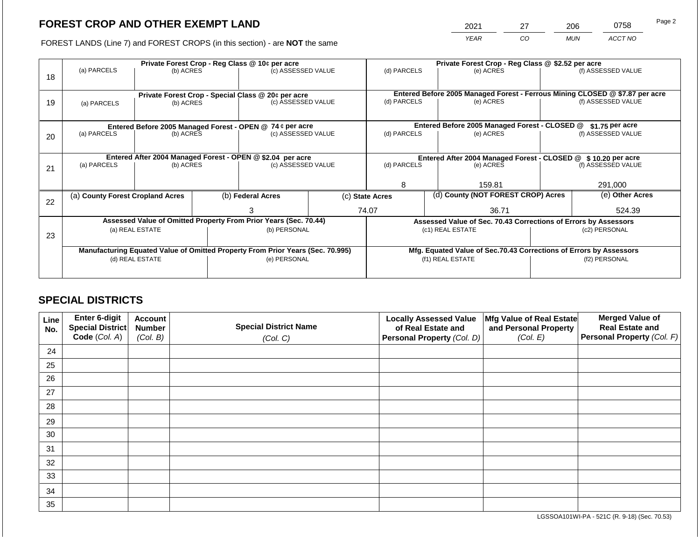2021 27 206 0758 Page 2

FOREST LANDS (Line 7) and FOREST CROPS (in this section) - are **NOT** the same *YEAR CO MUN ACCT NO*

|    | Private Forest Crop - Reg Class @ 10¢ per acre                                 |           |  |                                                            |                                                                              |                                                                    | Private Forest Crop - Reg Class @ \$2.52 per acre |                                                                 |  |                    |  |
|----|--------------------------------------------------------------------------------|-----------|--|------------------------------------------------------------|------------------------------------------------------------------------------|--------------------------------------------------------------------|---------------------------------------------------|-----------------------------------------------------------------|--|--------------------|--|
| 18 | (a) PARCELS                                                                    | (b) ACRES |  | (c) ASSESSED VALUE                                         |                                                                              | (d) PARCELS                                                        |                                                   | (e) ACRES                                                       |  | (f) ASSESSED VALUE |  |
|    |                                                                                |           |  |                                                            |                                                                              |                                                                    |                                                   |                                                                 |  |                    |  |
|    | Private Forest Crop - Special Class @ 20¢ per acre                             |           |  |                                                            | Entered Before 2005 Managed Forest - Ferrous Mining CLOSED @ \$7.87 per acre |                                                                    |                                                   |                                                                 |  |                    |  |
| 19 | (a) PARCELS                                                                    | (b) ACRES |  | (c) ASSESSED VALUE                                         |                                                                              | (d) PARCELS                                                        |                                                   | (e) ACRES                                                       |  | (f) ASSESSED VALUE |  |
|    |                                                                                |           |  |                                                            |                                                                              |                                                                    |                                                   |                                                                 |  |                    |  |
|    |                                                                                |           |  | Entered Before 2005 Managed Forest - OPEN @ 74 ¢ per acre  |                                                                              |                                                                    |                                                   | Entered Before 2005 Managed Forest - CLOSED @                   |  | \$1.75 per acre    |  |
| 20 | (a) PARCELS                                                                    | (b) ACRES |  | (c) ASSESSED VALUE                                         |                                                                              | (d) PARCELS                                                        |                                                   | (e) ACRES                                                       |  | (f) ASSESSED VALUE |  |
|    |                                                                                |           |  |                                                            |                                                                              |                                                                    |                                                   |                                                                 |  |                    |  |
|    |                                                                                |           |  | Entered After 2004 Managed Forest - OPEN @ \$2.04 per acre |                                                                              | Entered After 2004 Managed Forest - CLOSED @ \$10.20 per acre      |                                                   |                                                                 |  |                    |  |
| 21 | (a) PARCELS                                                                    | (b) ACRES |  | (c) ASSESSED VALUE                                         |                                                                              | (d) PARCELS                                                        |                                                   | (e) ACRES                                                       |  | (f) ASSESSED VALUE |  |
|    |                                                                                |           |  |                                                            |                                                                              |                                                                    |                                                   |                                                                 |  |                    |  |
|    |                                                                                |           |  |                                                            |                                                                              | 8                                                                  |                                                   | 159.81                                                          |  | 291,000            |  |
| 22 | (a) County Forest Cropland Acres                                               |           |  | (b) Federal Acres                                          |                                                                              | (d) County (NOT FOREST CROP) Acres<br>(c) State Acres              |                                                   | (e) Other Acres                                                 |  |                    |  |
|    |                                                                                |           |  | 3                                                          |                                                                              | 74.07                                                              |                                                   | 36.71                                                           |  | 524.39             |  |
|    | Assessed Value of Omitted Property From Prior Years (Sec. 70.44)               |           |  |                                                            |                                                                              |                                                                    |                                                   | Assessed Value of Sec. 70.43 Corrections of Errors by Assessors |  |                    |  |
|    | (a) REAL ESTATE                                                                |           |  | (b) PERSONAL                                               |                                                                              | (c1) REAL ESTATE                                                   |                                                   | (c2) PERSONAL                                                   |  |                    |  |
| 23 |                                                                                |           |  |                                                            |                                                                              |                                                                    |                                                   |                                                                 |  |                    |  |
|    | Manufacturing Equated Value of Omitted Property From Prior Years (Sec. 70.995) |           |  |                                                            |                                                                              | Mfg. Equated Value of Sec.70.43 Corrections of Errors by Assessors |                                                   |                                                                 |  |                    |  |
|    | (d) REAL ESTATE                                                                |           |  | (e) PERSONAL                                               |                                                                              | (f1) REAL ESTATE                                                   |                                                   | (f2) PERSONAL                                                   |  |                    |  |
|    |                                                                                |           |  |                                                            |                                                                              |                                                                    |                                                   |                                                                 |  |                    |  |
|    |                                                                                |           |  |                                                            |                                                                              |                                                                    |                                                   |                                                                 |  |                    |  |

# **SPECIAL DISTRICTS**

| Line<br>No. | Enter 6-digit<br>Special District | <b>Account</b><br><b>Number</b> | <b>Special District Name</b> | <b>Locally Assessed Value</b><br>of Real Estate and | Mfg Value of Real Estate<br>and Personal Property | <b>Merged Value of</b><br><b>Real Estate and</b> |
|-------------|-----------------------------------|---------------------------------|------------------------------|-----------------------------------------------------|---------------------------------------------------|--------------------------------------------------|
|             | Code (Col. A)                     | (Col. B)                        | (Col. C)                     | Personal Property (Col. D)                          | (Col. E)                                          | Personal Property (Col. F)                       |
| 24          |                                   |                                 |                              |                                                     |                                                   |                                                  |
| 25          |                                   |                                 |                              |                                                     |                                                   |                                                  |
| 26          |                                   |                                 |                              |                                                     |                                                   |                                                  |
| 27          |                                   |                                 |                              |                                                     |                                                   |                                                  |
| 28          |                                   |                                 |                              |                                                     |                                                   |                                                  |
| 29          |                                   |                                 |                              |                                                     |                                                   |                                                  |
| 30          |                                   |                                 |                              |                                                     |                                                   |                                                  |
| 31          |                                   |                                 |                              |                                                     |                                                   |                                                  |
| 32          |                                   |                                 |                              |                                                     |                                                   |                                                  |
| 33          |                                   |                                 |                              |                                                     |                                                   |                                                  |
| 34          |                                   |                                 |                              |                                                     |                                                   |                                                  |
| 35          |                                   |                                 |                              |                                                     |                                                   |                                                  |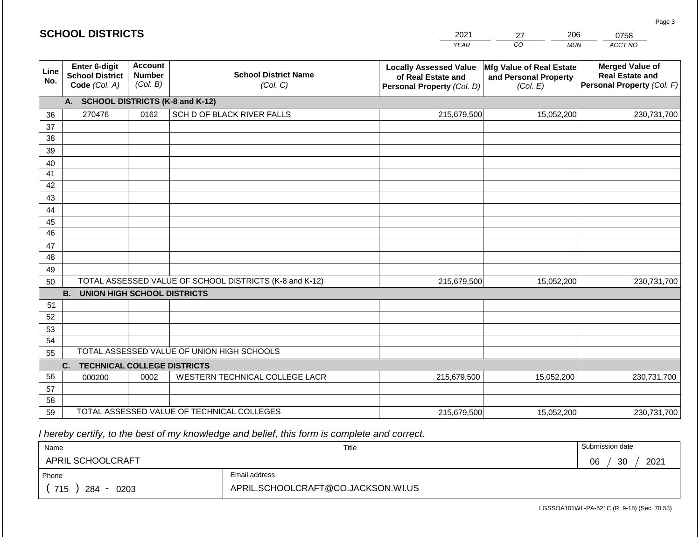|             | <b>SCHOOL DISTRICTS</b>                                         |                                      |                                         | 2021<br><b>YEAR</b>                                                               | 206<br>27<br>CO<br><b>MUN</b>                                 | 0758<br>ACCT NO                                                                |
|-------------|-----------------------------------------------------------------|--------------------------------------|-----------------------------------------|-----------------------------------------------------------------------------------|---------------------------------------------------------------|--------------------------------------------------------------------------------|
| Line<br>No. | <b>Enter 6-digit</b><br><b>School District</b><br>Code (Col. A) | Account<br><b>Number</b><br>(Col. B) | <b>School District Name</b><br>(Col. C) | <b>Locally Assessed Value</b><br>of Real Estate and<br>Personal Property (Col. D) | Mfg Value of Real Estate<br>and Personal Property<br>(Col. E) | <b>Merged Value of</b><br><b>Real Estate and</b><br>Personal Property (Col. F) |
|             | А.                                                              |                                      | <b>SCHOOL DISTRICTS (K-8 and K-12)</b>  |                                                                                   |                                                               |                                                                                |
| 36          | 270476                                                          | 0162                                 | SCH D OF BLACK RIVER FALLS              | 215,679,500                                                                       | 15,052,200                                                    | 230,731,700                                                                    |
| 37          |                                                                 |                                      |                                         |                                                                                   |                                                               |                                                                                |
| 38          |                                                                 |                                      |                                         |                                                                                   |                                                               |                                                                                |
| 39          |                                                                 |                                      |                                         |                                                                                   |                                                               |                                                                                |
| 40          |                                                                 |                                      |                                         |                                                                                   |                                                               |                                                                                |

36 37 38 39 40 41 42 43 44 45 46 47 48 49 50 TOTAL ASSESSED VALUE OF SCHOOL DISTRICTS (K-8 and K-12) **B. UNION HIGH SCHOOL DISTRICTS** 51 52 53 54 55 **C. TECHNICAL COLLEGE DISTRICTS** 56 57 58 59 TOTAL ASSESSED VALUE OF TECHNICAL COLLEGES TOTAL ASSESSED VALUE OF UNION HIGH SCHOOLS 215,679,500 000200 | 0002 | WESTERN TECHNICAL COLLEGE LACR 215,679,500 15,052,200 230,731,700 15,052,200 230,731,700 15,052,200 230,731,700 215,679,500 15,052,200 230,731,700

 *I hereby certify, to the best of my knowledge and belief, this form is complete and correct.*

| Name                                           |                                    | Title | Submission date  |
|------------------------------------------------|------------------------------------|-------|------------------|
| APRIL SCHOOLCRAFT                              |                                    |       | 30<br>2021<br>06 |
| Phone                                          | Email address                      |       |                  |
| 715<br>284<br>0203<br>$\overline{\phantom{a}}$ | APRIL.SCHOOLCRAFT@CO.JACKSON.WI.US |       |                  |